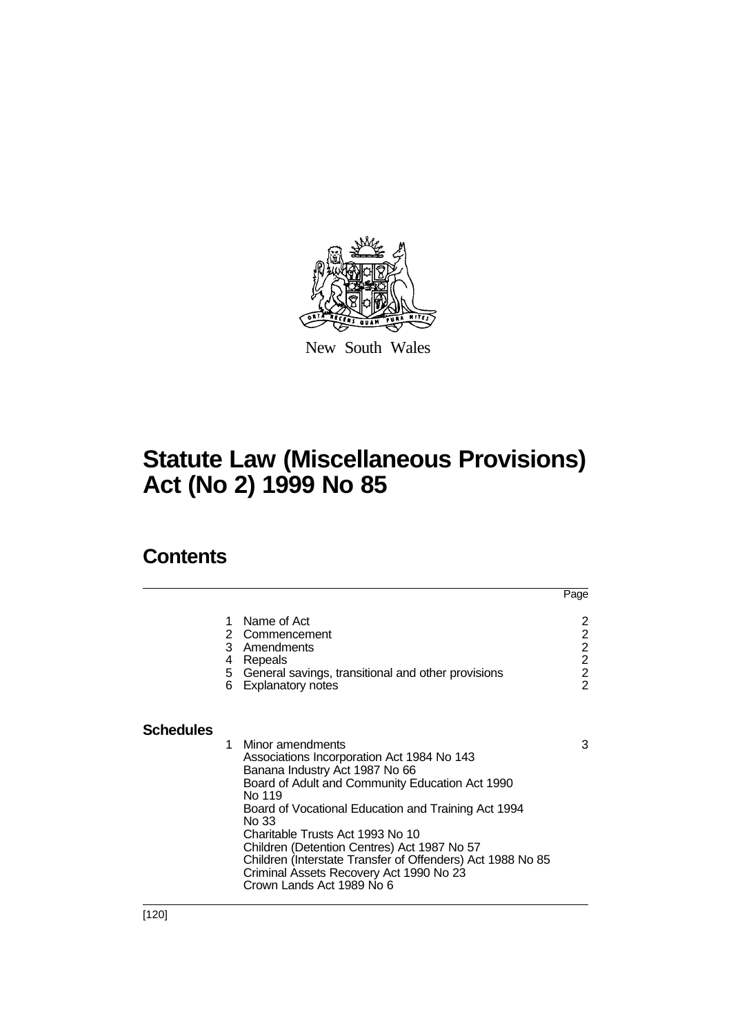

New South Wales

# **Statute Law (Miscellaneous Provisions) Act (No 2) 1999 No 85**

# **Contents**

|                  |        |                                                                                                                                                                                                                                                                                                                                                                                                                                                        | Page                                              |
|------------------|--------|--------------------------------------------------------------------------------------------------------------------------------------------------------------------------------------------------------------------------------------------------------------------------------------------------------------------------------------------------------------------------------------------------------------------------------------------------------|---------------------------------------------------|
|                  | 1      | Name of Act<br>2 Commencement<br>3 Amendments                                                                                                                                                                                                                                                                                                                                                                                                          | 2<br>$\begin{array}{c}\n2 \\ 2 \\ 2\n\end{array}$ |
|                  | 4<br>6 | Repeals<br>5 General savings, transitional and other provisions<br><b>Explanatory notes</b>                                                                                                                                                                                                                                                                                                                                                            | $\overline{2}$                                    |
| <b>Schedules</b> |        |                                                                                                                                                                                                                                                                                                                                                                                                                                                        |                                                   |
|                  | 1      | Minor amendments<br>Associations Incorporation Act 1984 No 143<br>Banana Industry Act 1987 No 66<br>Board of Adult and Community Education Act 1990<br>No 119<br>Board of Vocational Education and Training Act 1994<br>No 33<br>Charitable Trusts Act 1993 No 10<br>Children (Detention Centres) Act 1987 No 57<br>Children (Interstate Transfer of Offenders) Act 1988 No 85<br>Criminal Assets Recovery Act 1990 No 23<br>Crown Lands Act 1989 No 6 | 3                                                 |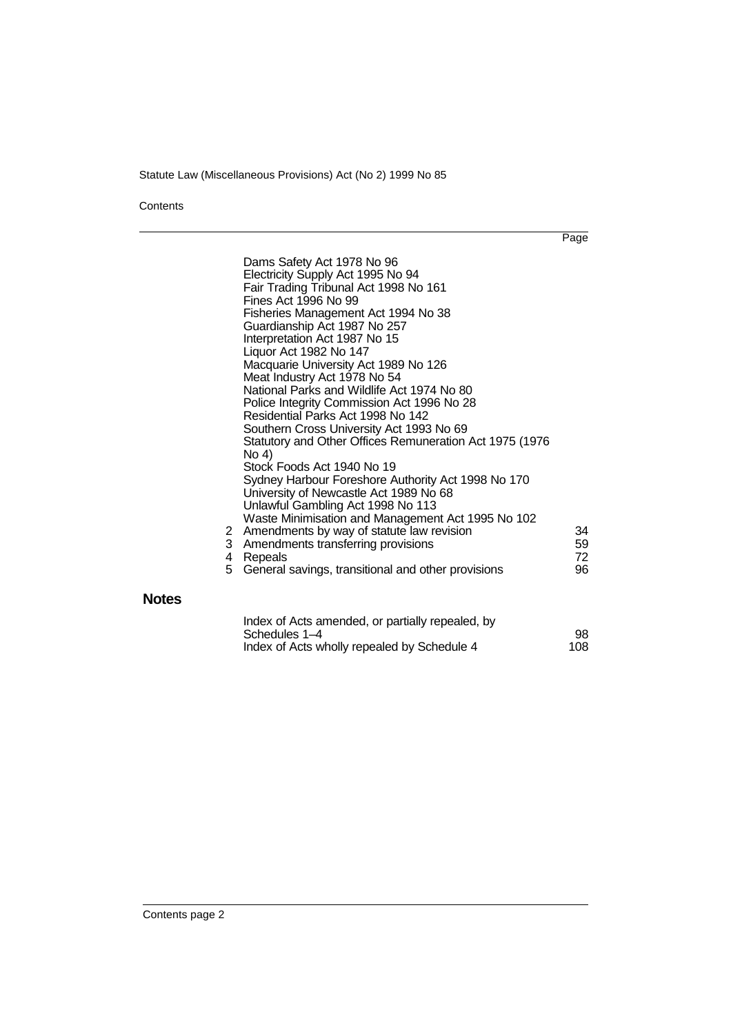**Contents** 

**Notes**

Page

|        | Dams Safety Act 1978 No 96<br>Electricity Supply Act 1995 No 94<br>Fair Trading Tribunal Act 1998 No 161<br>Fines Act 1996 No 99<br>Fisheries Management Act 1994 No 38<br>Guardianship Act 1987 No 257<br>Interpretation Act 1987 No 15<br>Liquor Act 1982 No 147<br>Macquarie University Act 1989 No 126<br>Meat Industry Act 1978 No 54<br>National Parks and Wildlife Act 1974 No 80<br>Police Integrity Commission Act 1996 No 28<br>Residential Parks Act 1998 No 142<br>Southern Cross University Act 1993 No 69<br>Statutory and Other Offices Remuneration Act 1975 (1976)<br>No 4)<br>Stock Foods Act 1940 No 19<br>Sydney Harbour Foreshore Authority Act 1998 No 170<br>University of Newcastle Act 1989 No 68<br>Unlawful Gambling Act 1998 No 113<br>Waste Minimisation and Management Act 1995 No 102 |                      |
|--------|----------------------------------------------------------------------------------------------------------------------------------------------------------------------------------------------------------------------------------------------------------------------------------------------------------------------------------------------------------------------------------------------------------------------------------------------------------------------------------------------------------------------------------------------------------------------------------------------------------------------------------------------------------------------------------------------------------------------------------------------------------------------------------------------------------------------|----------------------|
| 4<br>5 | 2 Amendments by way of statute law revision<br>3 Amendments transferring provisions<br>Repeals<br>General savings, transitional and other provisions                                                                                                                                                                                                                                                                                                                                                                                                                                                                                                                                                                                                                                                                 | 34<br>59<br>72<br>96 |
|        | Index of Acts amended, or partially repealed, by<br>Schedules 1–4                                                                                                                                                                                                                                                                                                                                                                                                                                                                                                                                                                                                                                                                                                                                                    | 98                   |

| <del>uulcuucs 1-4</del>                     | IJU |
|---------------------------------------------|-----|
| Index of Acts wholly repealed by Schedule 4 | 108 |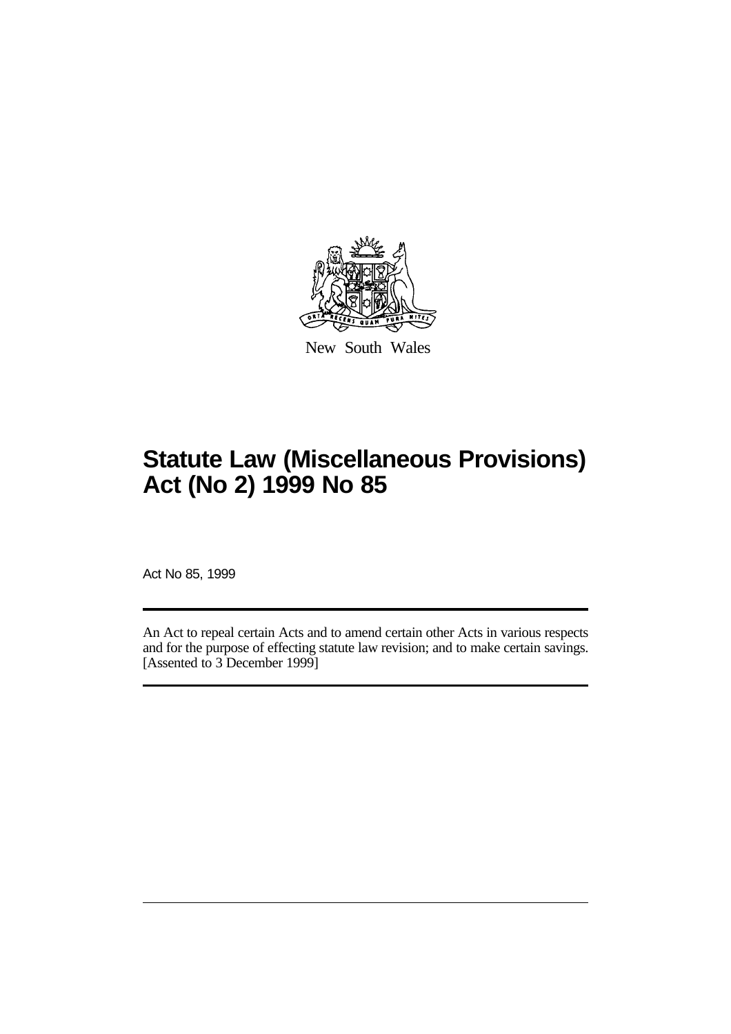

New South Wales

# **Statute Law (Miscellaneous Provisions) Act (No 2) 1999 No 85**

Act No 85, 1999

An Act to repeal certain Acts and to amend certain other Acts in various respects and for the purpose of effecting statute law revision; and to make certain savings. [Assented to 3 December 1999]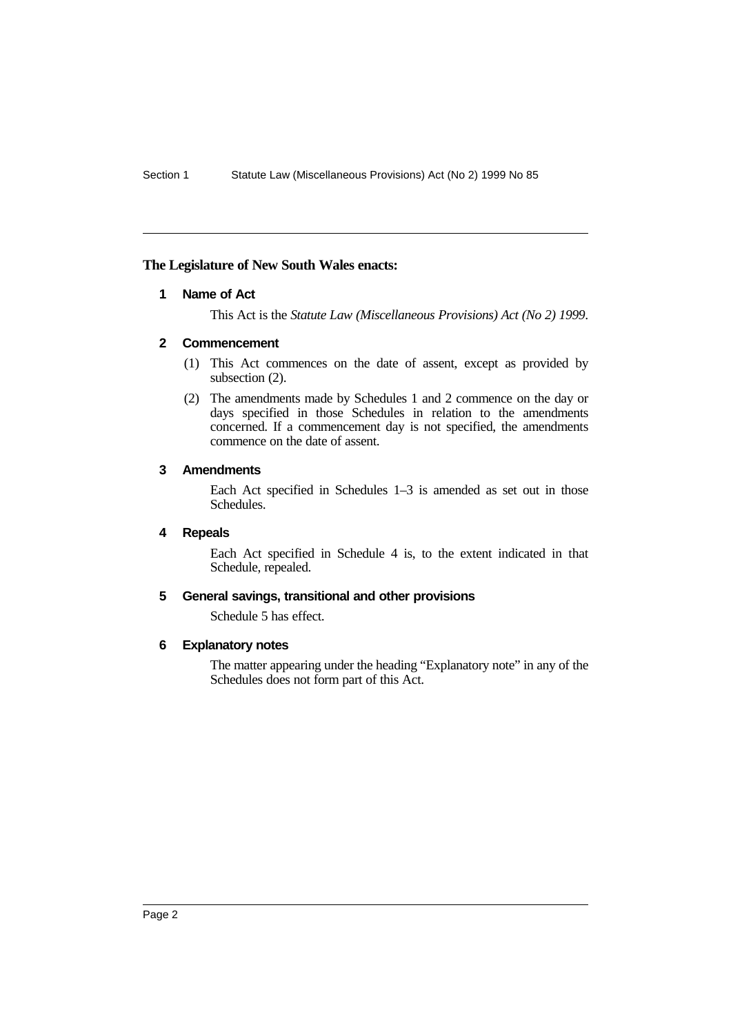# **The Legislature of New South Wales enacts:**

## **1 Name of Act**

This Act is the *Statute Law (Miscellaneous Provisions) Act (No 2) 1999*.

# **2 Commencement**

- (1) This Act commences on the date of assent, except as provided by subsection (2).
- (2) The amendments made by Schedules 1 and 2 commence on the day or days specified in those Schedules in relation to the amendments concerned. If a commencement day is not specified, the amendments commence on the date of assent.

## **3 Amendments**

Each Act specified in Schedules 1–3 is amended as set out in those Schedules.

# **4 Repeals**

Each Act specified in Schedule 4 is, to the extent indicated in that Schedule, repealed.

## **5 General savings, transitional and other provisions**

Schedule 5 has effect.

## **6 Explanatory notes**

The matter appearing under the heading "Explanatory note" in any of the Schedules does not form part of this Act.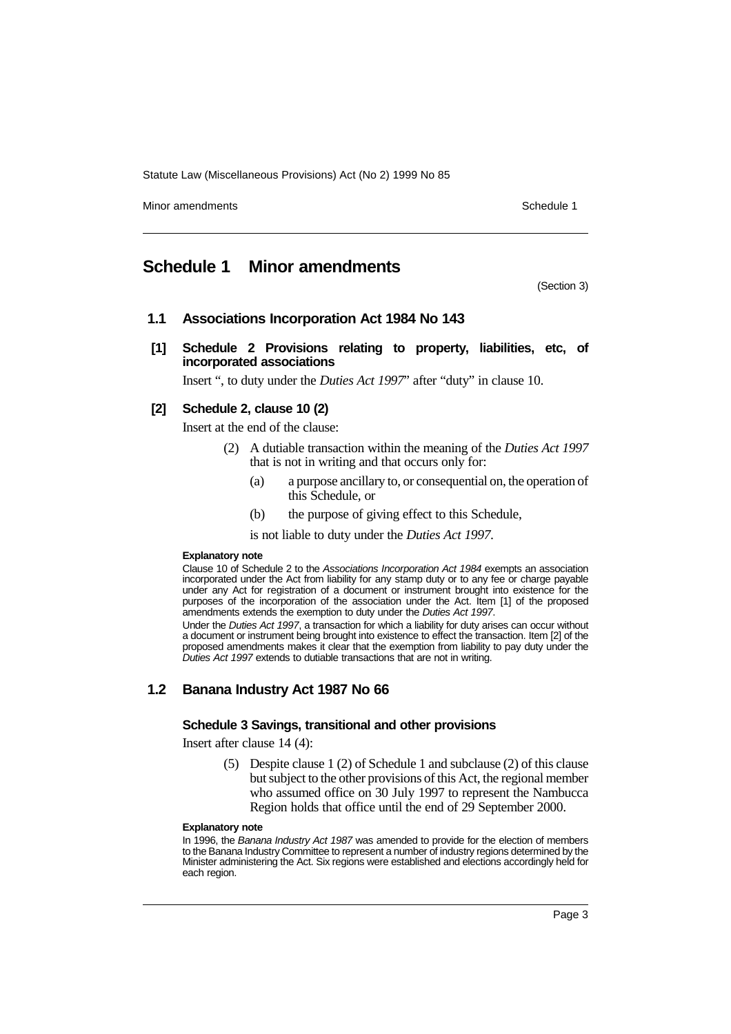Minor amendments **Schedule 1** and the state of the state of the state of the Schedule 1

# **Schedule 1 Minor amendments**

(Section 3)

# **1.1 Associations Incorporation Act 1984 No 143**

**[1] Schedule 2 Provisions relating to property, liabilities, etc, of incorporated associations**

Insert ", to duty under the *Duties Act 1997*" after "duty" in clause 10.

# **[2] Schedule 2, clause 10 (2)**

Insert at the end of the clause:

- (2) A dutiable transaction within the meaning of the *Duties Act 1997* that is not in writing and that occurs only for:
	- (a) a purpose ancillary to, or consequential on, the operation of this Schedule, or
	- (b) the purpose of giving effect to this Schedule,
	- is not liable to duty under the *Duties Act 1997*.

#### **Explanatory note**

Clause 10 of Schedule 2 to the Associations Incorporation Act 1984 exempts an association incorporated under the Act from liability for any stamp duty or to any fee or charge payable under any Act for registration of a document or instrument brought into existence for the purposes of the incorporation of the association under the Act. Item [1] of the proposed amendments extends the exemption to duty under the Duties Act 1997.

Under the Duties Act 1997, a transaction for which a liability for duty arises can occur without a document or instrument being brought into existence to effect the transaction. Item [2] of the proposed amendments makes it clear that the exemption from liability to pay duty under the Duties Act 1997 extends to dutiable transactions that are not in writing.

# **1.2 Banana Industry Act 1987 No 66**

#### **Schedule 3 Savings, transitional and other provisions**

Insert after clause 14 (4):

(5) Despite clause 1 (2) of Schedule 1 and subclause (2) of this clause but subject to the other provisions of this Act, the regional member who assumed office on 30 July 1997 to represent the Nambucca Region holds that office until the end of 29 September 2000.

#### **Explanatory note**

In 1996, the Banana Industry Act 1987 was amended to provide for the election of members to the Banana Industry Committee to represent a number of industry regions determined by the Minister administering the Act. Six regions were established and elections accordingly held for each region.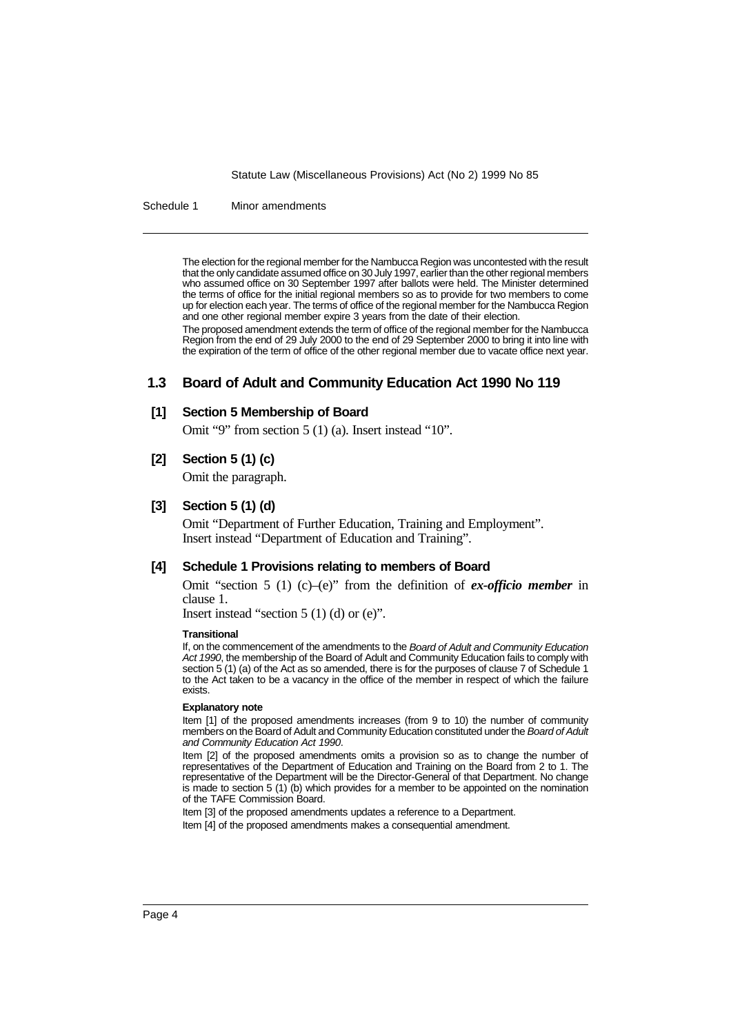Schedule 1 Minor amendments

The election for the regional member for the Nambucca Region was uncontested with the result that the only candidate assumed office on 30 July 1997, earlier than the other regional members who assumed office on 30 September 1997 after ballots were held. The Minister determined the terms of office for the initial regional members so as to provide for two members to come up for election each year. The terms of office of the regional member for the Nambucca Region and one other regional member expire 3 years from the date of their election.

The proposed amendment extends the term of office of the regional member for the Nambucca Region from the end of 29 July 2000 to the end of 29 September 2000 to bring it into line with the expiration of the term of office of the other regional member due to vacate office next year.

# **1.3 Board of Adult and Community Education Act 1990 No 119**

## **[1] Section 5 Membership of Board**

Omit "9" from section 5 (1) (a). Insert instead "10".

## **[2] Section 5 (1) (c)**

Omit the paragraph.

## **[3] Section 5 (1) (d)**

Omit "Department of Further Education, Training and Employment". Insert instead "Department of Education and Training".

#### **[4] Schedule 1 Provisions relating to members of Board**

Omit "section 5 (1) (c)–(e)" from the definition of *ex-officio member* in clause 1.

Insert instead "section  $5(1)(d)$  or  $(e)$ ".

#### **Transitional**

If, on the commencement of the amendments to the Board of Adult and Community Education Act 1990, the membership of the Board of Adult and Community Education fails to comply with section 5 (1) (a) of the Act as so amended, there is for the purposes of clause 7 of Schedule 1 to the Act taken to be a vacancy in the office of the member in respect of which the failure exists.

#### **Explanatory note**

Item [1] of the proposed amendments increases (from 9 to 10) the number of community members on the Board of Adult and Community Education constituted under the Board of Adult and Community Education Act 1990.

Item [2] of the proposed amendments omits a provision so as to change the number of representatives of the Department of Education and Training on the Board from 2 to 1. The representative of the Department will be the Director-General of that Department. No change is made to section 5 (1) (b) which provides for a member to be appointed on the nomination of the TAFE Commission Board.

Item [3] of the proposed amendments updates a reference to a Department.

Item [4] of the proposed amendments makes a consequential amendment.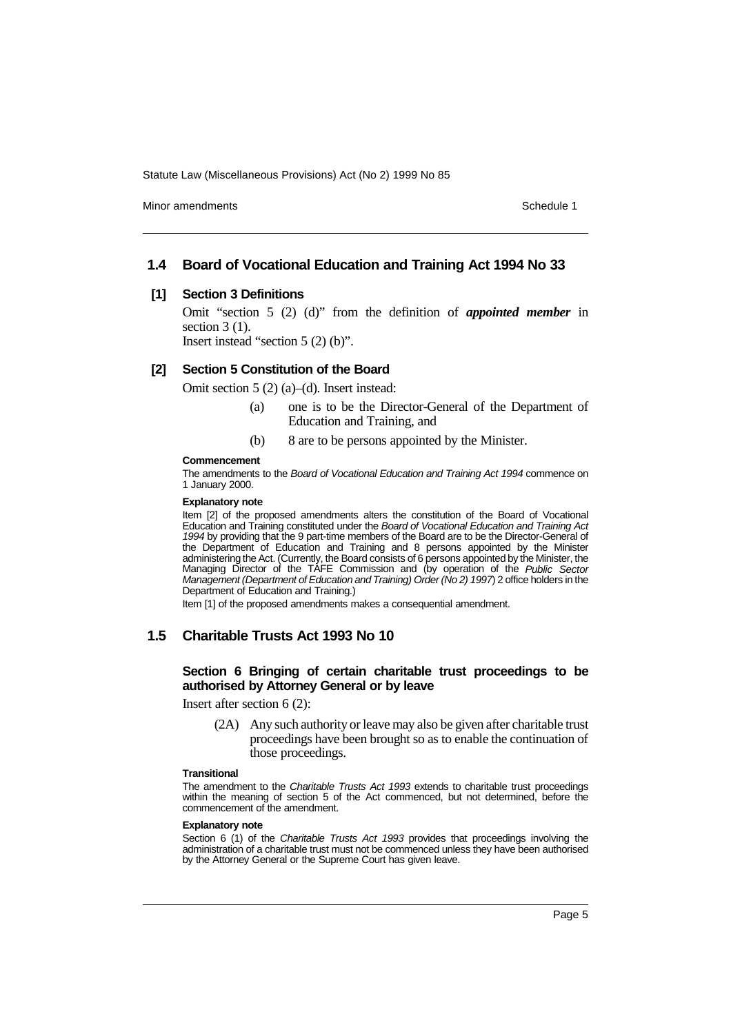Minor amendments **Schedule 1** and the state of the state of the state of the Schedule 1

# **1.4 Board of Vocational Education and Training Act 1994 No 33**

#### **[1] Section 3 Definitions**

Omit "section 5 (2) (d)" from the definition of *appointed member* in section  $3(1)$ .

Insert instead "section 5 (2) (b)".

# **[2] Section 5 Constitution of the Board**

Omit section 5 (2) (a)–(d). Insert instead:

- (a) one is to be the Director-General of the Department of Education and Training, and
- (b) 8 are to be persons appointed by the Minister.

#### **Commencement**

The amendments to the Board of Vocational Education and Training Act 1994 commence on 1 January 2000.

#### **Explanatory note**

Item [2] of the proposed amendments alters the constitution of the Board of Vocational Education and Training constituted under the Board of Vocational Education and Training Act 1994 by providing that the 9 part-time members of the Board are to be the Director-General of the Department of Education and Training and 8 persons appointed by the Minister administering the Act. (Currently, the Board consists of 6 persons appointed by the Minister, the Managing Director of the TAFE Commission and (by operation of the Public Sector Management (Department of Education and Training) Order (No 2) 1997) 2 office holders in the Department of Education and Training.)

Item [1] of the proposed amendments makes a consequential amendment.

# **1.5 Charitable Trusts Act 1993 No 10**

#### **Section 6 Bringing of certain charitable trust proceedings to be authorised by Attorney General or by leave**

Insert after section 6 (2):

(2A) Any such authority or leave may also be given after charitable trust proceedings have been brought so as to enable the continuation of those proceedings.

#### **Transitional**

The amendment to the Charitable Trusts Act 1993 extends to charitable trust proceedings within the meaning of section 5 of the Act commenced, but not determined, before the commencement of the amendment.

#### **Explanatory note**

Section 6 (1) of the Charitable Trusts Act 1993 provides that proceedings involving the administration of a charitable trust must not be commenced unless they have been authorised by the Attorney General or the Supreme Court has given leave.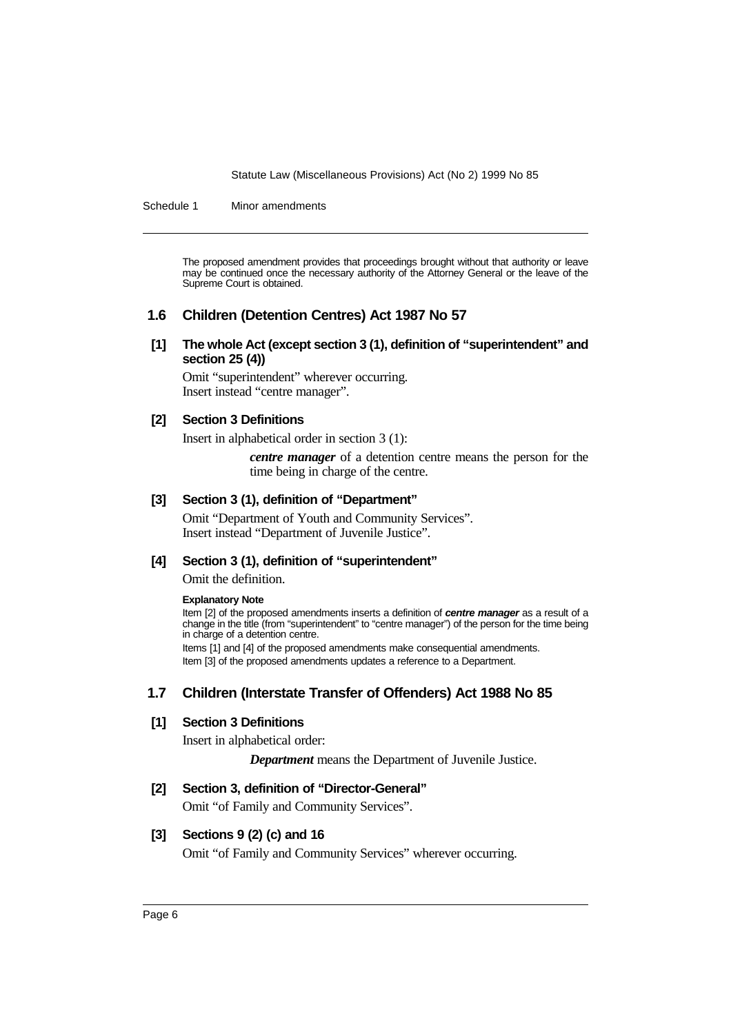Schedule 1 Minor amendments

The proposed amendment provides that proceedings brought without that authority or leave may be continued once the necessary authority of the Attorney General or the leave of the Supreme Court is obtained.

# **1.6 Children (Detention Centres) Act 1987 No 57**

**[1] The whole Act (except section 3 (1), definition of "superintendent" and section 25 (4))**

Omit "superintendent" wherever occurring. Insert instead "centre manager".

# **[2] Section 3 Definitions**

Insert in alphabetical order in section 3 (1):

*centre manager* of a detention centre means the person for the time being in charge of the centre.

# **[3] Section 3 (1), definition of "Department"**

Omit "Department of Youth and Community Services". Insert instead "Department of Juvenile Justice".

# **[4] Section 3 (1), definition of "superintendent"**

Omit the definition.

#### **Explanatory Note**

Item [2] of the proposed amendments inserts a definition of **centre manager** as a result of a change in the title (from "superintendent" to "centre manager") of the person for the time being in charge of a detention centre. Items [1] and [4] of the proposed amendments make consequential amendments.

Item [3] of the proposed amendments updates a reference to a Department.

# **1.7 Children (Interstate Transfer of Offenders) Act 1988 No 85**

# **[1] Section 3 Definitions**

Insert in alphabetical order:

*Department* means the Department of Juvenile Justice.

# **[2] Section 3, definition of "Director-General"**

Omit "of Family and Community Services".

# **[3] Sections 9 (2) (c) and 16**

Omit "of Family and Community Services" wherever occurring.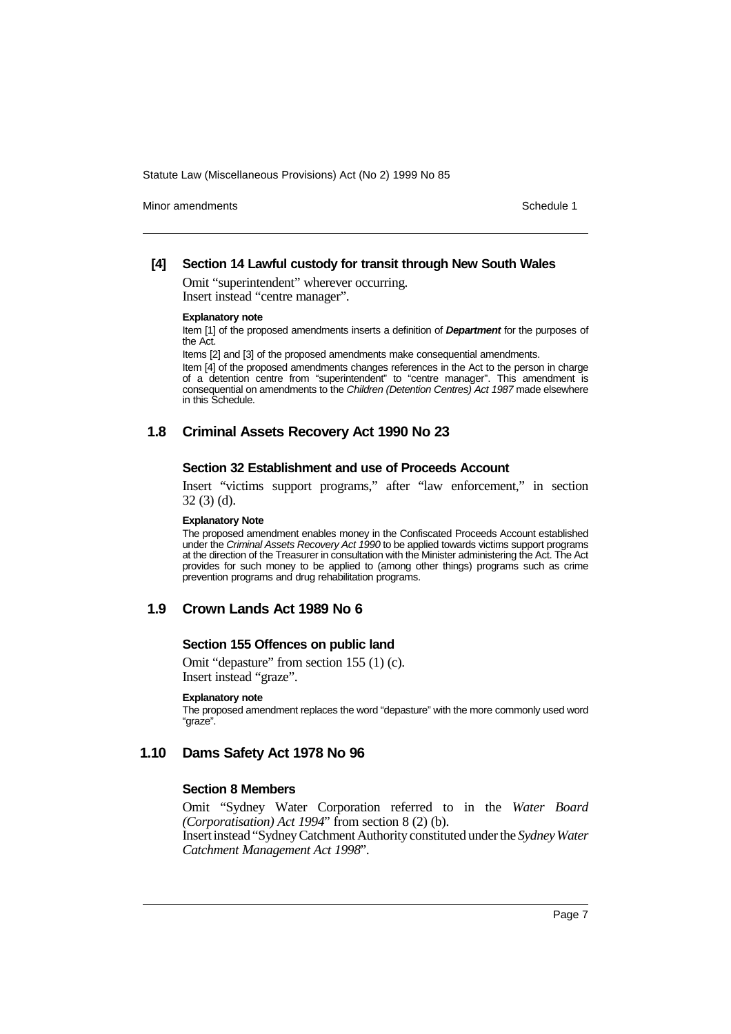Minor amendments **Schedule 1** and the state of the state of the state of the Schedule 1

### **[4] Section 14 Lawful custody for transit through New South Wales**

Omit "superintendent" wherever occurring. Insert instead "centre manager".

#### **Explanatory note**

Item [1] of the proposed amendments inserts a definition of **Department** for the purposes of the Act.

Items [2] and [3] of the proposed amendments make consequential amendments.

Item [4] of the proposed amendments changes references in the Act to the person in charge of a detention centre from "superintendent" to "centre manager". This amendment is consequential on amendments to the Children (Detention Centres) Act 1987 made elsewhere in this Schedule.

# **1.8 Criminal Assets Recovery Act 1990 No 23**

#### **Section 32 Establishment and use of Proceeds Account**

Insert "victims support programs," after "law enforcement," in section 32 (3) (d).

#### **Explanatory Note**

The proposed amendment enables money in the Confiscated Proceeds Account established under the Criminal Assets Recovery Act 1990 to be applied towards victims support programs at the direction of the Treasurer in consultation with the Minister administering the Act. The Act provides for such money to be applied to (among other things) programs such as crime prevention programs and drug rehabilitation programs.

# **1.9 Crown Lands Act 1989 No 6**

#### **Section 155 Offences on public land**

Omit "depasture" from section 155 (1) (c). Insert instead "graze".

#### **Explanatory note**

The proposed amendment replaces the word "depasture" with the more commonly used word "graze".

# **1.10 Dams Safety Act 1978 No 96**

#### **Section 8 Members**

Omit "Sydney Water Corporation referred to in the *Water Board (Corporatisation) Act 1994*" from section 8 (2) (b). Insert instead "Sydney Catchment Authority constituted under the *Sydney Water*

*Catchment Management Act 1998*".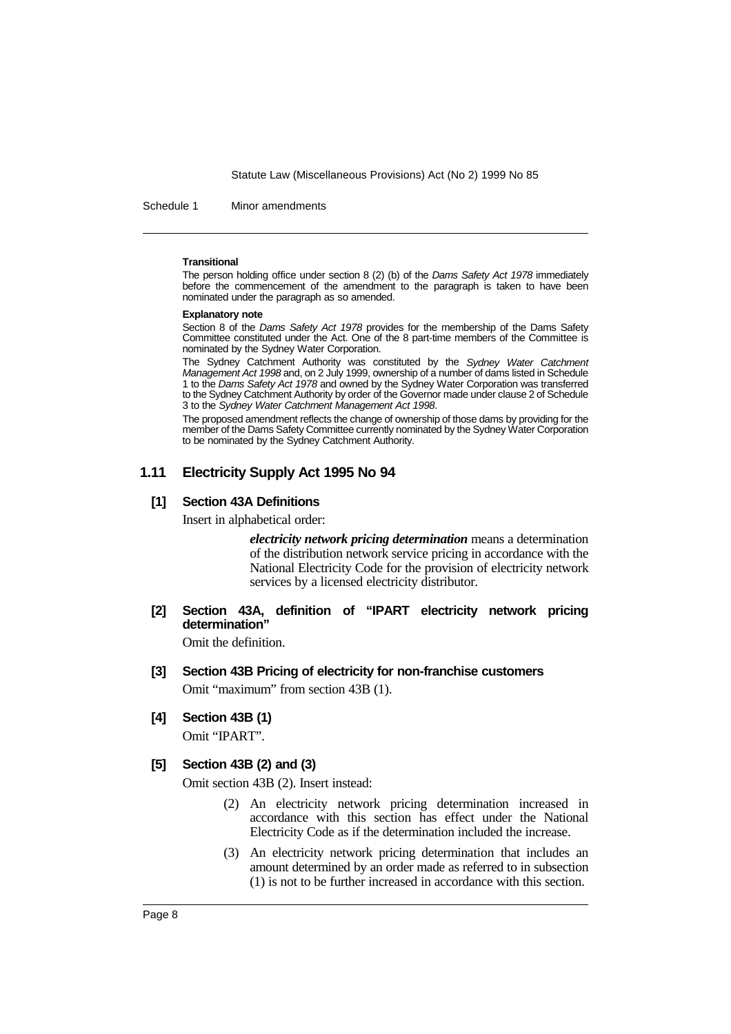Schedule 1 Minor amendments

#### **Transitional**

The person holding office under section 8 (2) (b) of the Dams Safety Act 1978 immediately before the commencement of the amendment to the paragraph is taken to have been nominated under the paragraph as so amended.

#### **Explanatory note**

Section 8 of the *Dams Safety Act 1978* provides for the membership of the Dams Safety Committee constituted under the Act. One of the 8 part-time members of the Committee is nominated by the Sydney Water Corporation.

The Sydney Catchment Authority was constituted by the Sydney Water Catchment Management Act 1998 and, on 2 July 1999, ownership of a number of dams listed in Schedule 1 to the Dams Safety Act 1978 and owned by the Sydney Water Corporation was transferred to the Sydney Catchment Authority by order of the Governor made under clause 2 of Schedule 3 to the Sydney Water Catchment Management Act 1998.

The proposed amendment reflects the change of ownership of those dams by providing for the member of the Dams Safety Committee currently nominated by the Sydney Water Corporation to be nominated by the Sydney Catchment Authority.

## **1.11 Electricity Supply Act 1995 No 94**

#### **[1] Section 43A Definitions**

Insert in alphabetical order:

*electricity network pricing determination* means a determination of the distribution network service pricing in accordance with the National Electricity Code for the provision of electricity network services by a licensed electricity distributor.

**[2] Section 43A, definition of "IPART electricity network pricing determination"**

Omit the definition.

- **[3] Section 43B Pricing of electricity for non-franchise customers** Omit "maximum" from section 43B (1).
- **[4] Section 43B (1)**

Omit "IPART".

#### **[5] Section 43B (2) and (3)**

Omit section 43B (2). Insert instead:

- (2) An electricity network pricing determination increased in accordance with this section has effect under the National Electricity Code as if the determination included the increase.
- (3) An electricity network pricing determination that includes an amount determined by an order made as referred to in subsection (1) is not to be further increased in accordance with this section.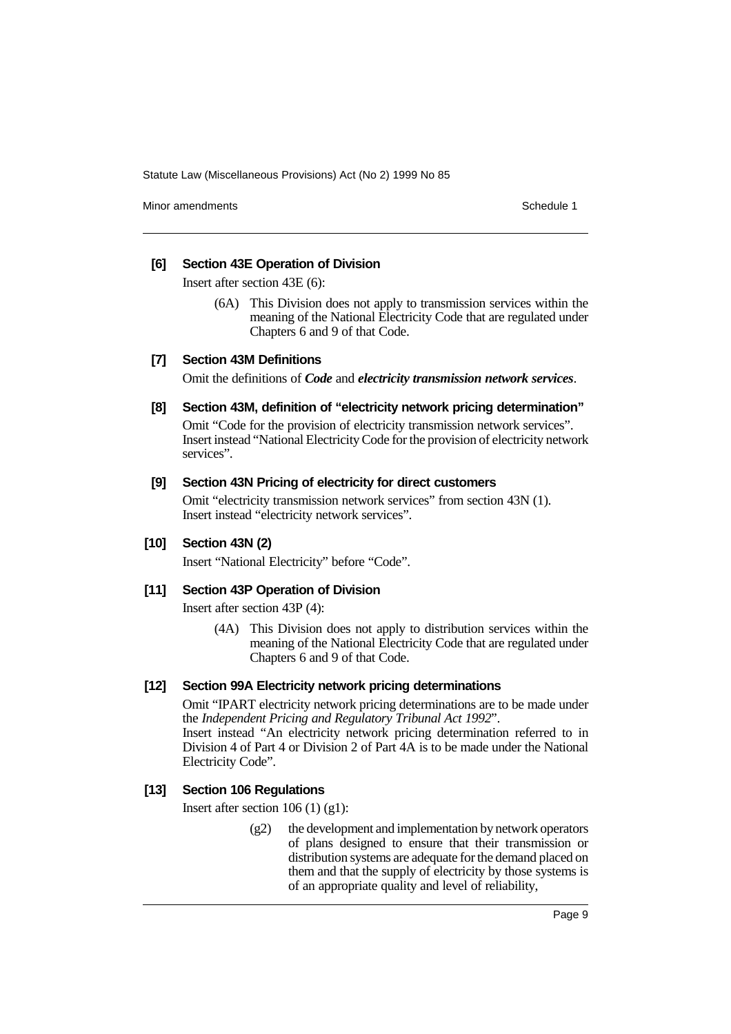Minor amendments **Schedule 1** and the state of the state of the state of the Schedule 1

# **[6] Section 43E Operation of Division**

Insert after section 43E (6):

(6A) This Division does not apply to transmission services within the meaning of the National Electricity Code that are regulated under Chapters 6 and 9 of that Code.

# **[7] Section 43M Definitions**

Omit the definitions of *Code* and *electricity transmission network services*.

**[8] Section 43M, definition of "electricity network pricing determination"**

Omit "Code for the provision of electricity transmission network services". Insert instead "National Electricity Code for the provision of electricity network services".

## **[9] Section 43N Pricing of electricity for direct customers**

Omit "electricity transmission network services" from section 43N (1). Insert instead "electricity network services".

# **[10] Section 43N (2)**

Insert "National Electricity" before "Code".

# **[11] Section 43P Operation of Division**

Insert after section 43P (4):

(4A) This Division does not apply to distribution services within the meaning of the National Electricity Code that are regulated under Chapters 6 and 9 of that Code.

## **[12] Section 99A Electricity network pricing determinations**

Omit "IPART electricity network pricing determinations are to be made under the *Independent Pricing and Regulatory Tribunal Act 1992*". Insert instead "An electricity network pricing determination referred to in Division 4 of Part 4 or Division 2 of Part 4A is to be made under the National Electricity Code".

# **[13] Section 106 Regulations**

Insert after section 106 (1) (g1):

 $(g2)$  the development and implementation by network operators of plans designed to ensure that their transmission or distribution systems are adequate for the demand placed on them and that the supply of electricity by those systems is of an appropriate quality and level of reliability,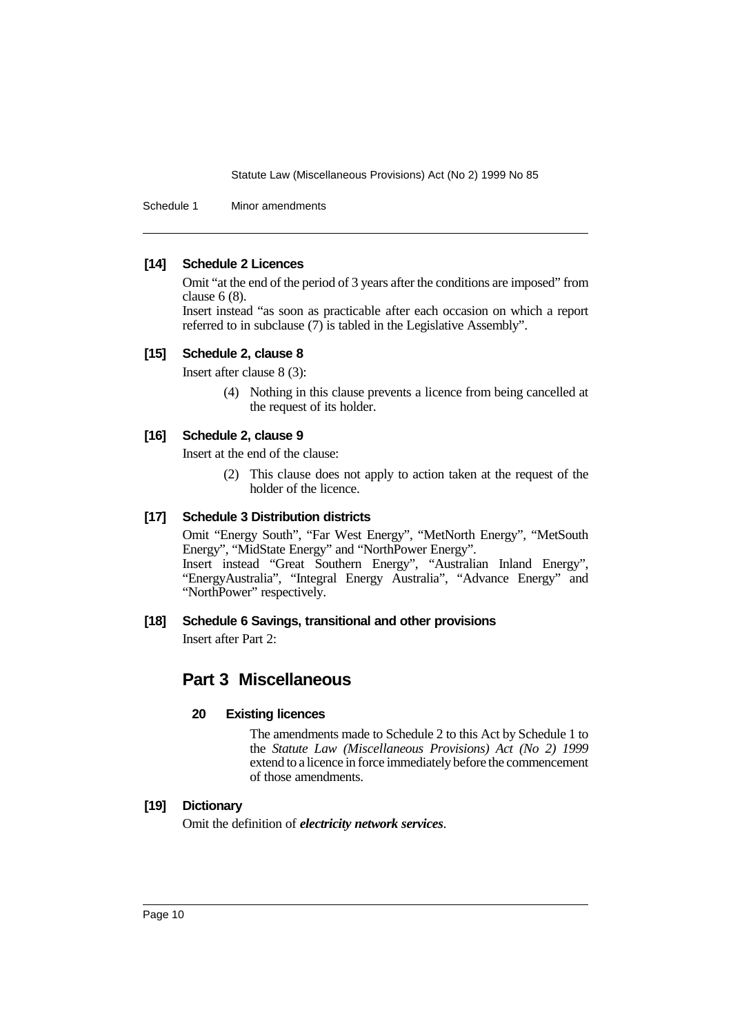Schedule 1 Minor amendments

## **[14] Schedule 2 Licences**

Omit "at the end of the period of 3 years after the conditions are imposed" from clause 6 (8).

Insert instead "as soon as practicable after each occasion on which a report referred to in subclause (7) is tabled in the Legislative Assembly".

#### **[15] Schedule 2, clause 8**

Insert after clause 8 (3):

(4) Nothing in this clause prevents a licence from being cancelled at the request of its holder.

# **[16] Schedule 2, clause 9**

Insert at the end of the clause:

(2) This clause does not apply to action taken at the request of the holder of the licence.

# **[17] Schedule 3 Distribution districts**

Omit "Energy South", "Far West Energy", "MetNorth Energy", "MetSouth Energy", "MidState Energy" and "NorthPower Energy". Insert instead "Great Southern Energy", "Australian Inland Energy", "EnergyAustralia", "Integral Energy Australia", "Advance Energy" and "NorthPower" respectively.

## **[18] Schedule 6 Savings, transitional and other provisions**

Insert after Part 2:

# **Part 3 Miscellaneous**

## **20 Existing licences**

The amendments made to Schedule 2 to this Act by Schedule 1 to the *Statute Law (Miscellaneous Provisions) Act (No 2) 1999* extend to a licence in force immediately before the commencement of those amendments.

# **[19] Dictionary**

Omit the definition of *electricity network services*.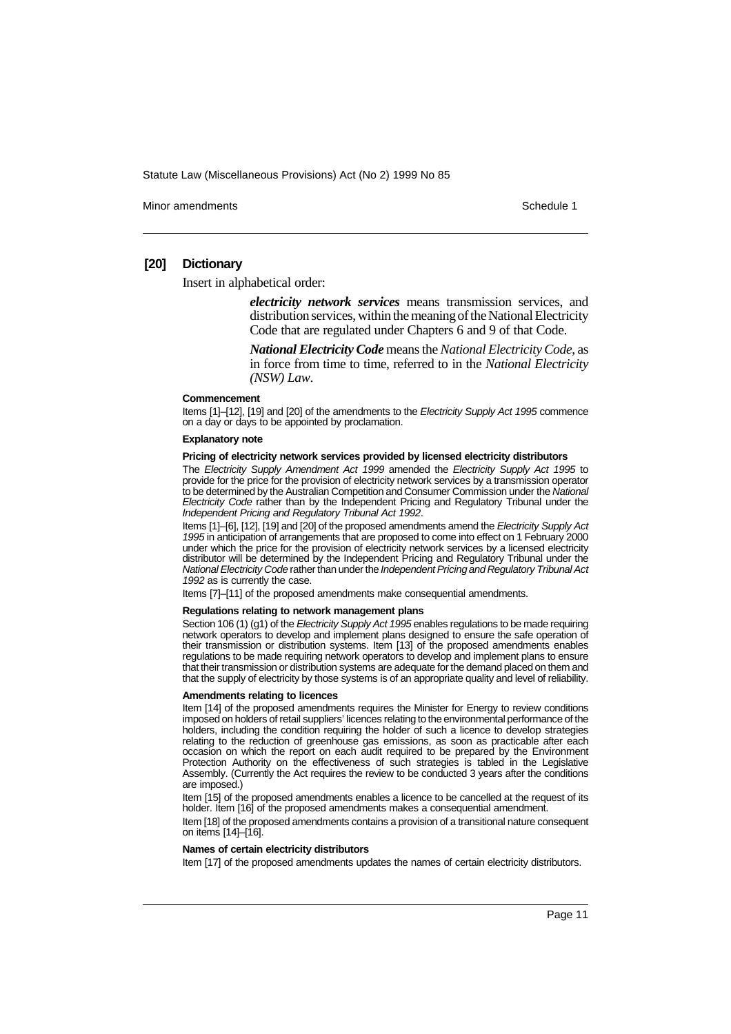Minor amendments **Schedule 1** and the state of the state of the state of the Schedule 1

## **[20] Dictionary**

Insert in alphabetical order:

*electricity network services* means transmission services, and distribution services, within the meaning of the National Electricity Code that are regulated under Chapters 6 and 9 of that Code.

*National Electricity Code* means the *National Electricity Code*, as in force from time to time, referred to in the *National Electricity (NSW) Law*.

#### **Commencement**

Items [1]-[12], [19] and [20] of the amendments to the Electricity Supply Act 1995 commence on a day or days to be appointed by proclamation.

#### **Explanatory note**

#### **Pricing of electricity network services provided by licensed electricity distributors**

The Electricity Supply Amendment Act 1999 amended the Electricity Supply Act 1995 to provide for the price for the provision of electricity network services by a transmission operator to be determined by the Australian Competition and Consumer Commission under the National Electricity Code rather than by the Independent Pricing and Regulatory Tribunal under the Independent Pricing and Regulatory Tribunal Act 1992.

Items [1]-[6], [12], [19] and [20] of the proposed amendments amend the Electricity Supply Act 1995 in anticipation of arrangements that are proposed to come into effect on 1 February 2000 under which the price for the provision of electricity network services by a licensed electricity distributor will be determined by the Independent Pricing and Regulatory Tribunal under the National Electricity Code rather than under the Independent Pricing and Regulatory Tribunal Act 1992 as is currently the case.

Items [7]–[11] of the proposed amendments make consequential amendments.

#### **Regulations relating to network management plans**

Section 106 (1) (g1) of the Electricity Supply Act 1995 enables regulations to be made requiring network operators to develop and implement plans designed to ensure the safe operation of their transmission or distribution systems. Item [13] of the proposed amendments enables regulations to be made requiring network operators to develop and implement plans to ensure that their transmission or distribution systems are adequate for the demand placed on them and that the supply of electricity by those systems is of an appropriate quality and level of reliability.

#### **Amendments relating to licences**

Item [14] of the proposed amendments requires the Minister for Energy to review conditions imposed on holders of retail suppliers' licences relating to the environmental performance of the holders, including the condition requiring the holder of such a licence to develop strategies relating to the reduction of greenhouse gas emissions, as soon as practicable after each occasion on which the report on each audit required to be prepared by the Environment Protection Authority on the effectiveness of such strategies is tabled in the Legislative Assembly. (Currently the Act requires the review to be conducted 3 years after the conditions are imposed.)

Item [15] of the proposed amendments enables a licence to be cancelled at the request of its holder. Item [16] of the proposed amendments makes a consequential amendment.

Item [18] of the proposed amendments contains a provision of a transitional nature consequent on items [14]–[16].

#### **Names of certain electricity distributors**

Item [17] of the proposed amendments updates the names of certain electricity distributors.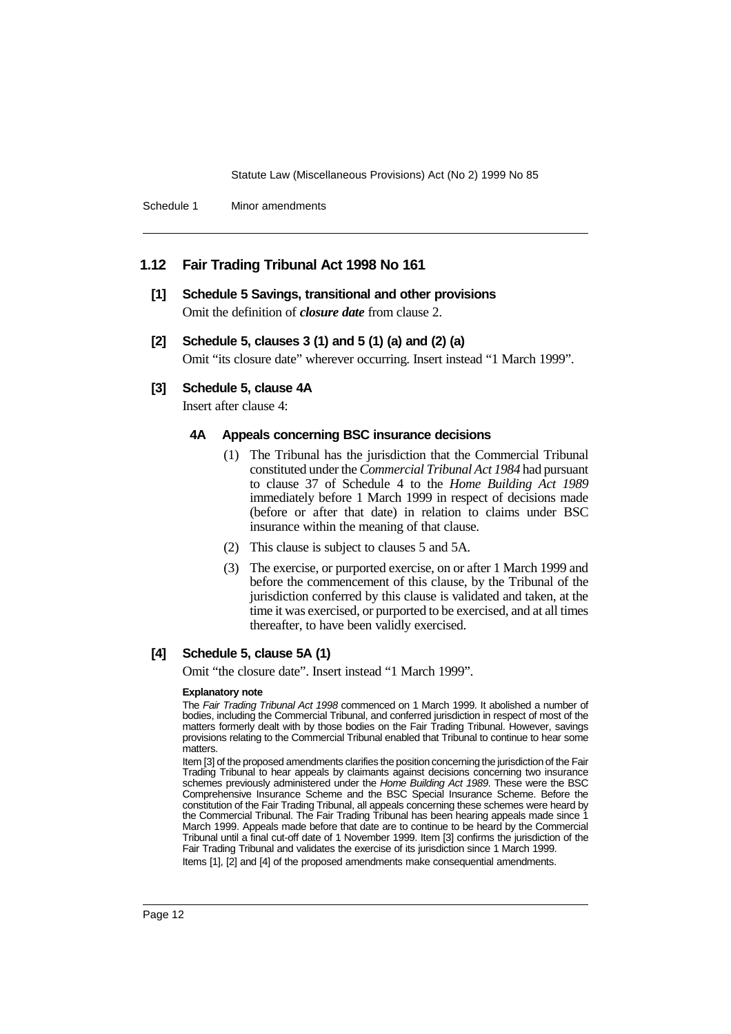Schedule 1 Minor amendments

# **1.12 Fair Trading Tribunal Act 1998 No 161**

**[1] Schedule 5 Savings, transitional and other provisions** Omit the definition of *closure date* from clause 2.

## **[2] Schedule 5, clauses 3 (1) and 5 (1) (a) and (2) (a)**

Omit "its closure date" wherever occurring. Insert instead "1 March 1999".

# **[3] Schedule 5, clause 4A**

Insert after clause 4:

## **4A Appeals concerning BSC insurance decisions**

- (1) The Tribunal has the jurisdiction that the Commercial Tribunal constituted under the *Commercial Tribunal Act 1984* had pursuant to clause 37 of Schedule 4 to the *Home Building Act 1989* immediately before 1 March 1999 in respect of decisions made (before or after that date) in relation to claims under BSC insurance within the meaning of that clause.
- (2) This clause is subject to clauses 5 and 5A.
- (3) The exercise, or purported exercise, on or after 1 March 1999 and before the commencement of this clause, by the Tribunal of the jurisdiction conferred by this clause is validated and taken, at the time it was exercised, or purported to be exercised, and at all times thereafter, to have been validly exercised.

# **[4] Schedule 5, clause 5A (1)**

Omit "the closure date". Insert instead "1 March 1999".

#### **Explanatory note**

The Fair Trading Tribunal Act 1998 commenced on 1 March 1999. It abolished a number of bodies, including the Commercial Tribunal, and conferred jurisdiction in respect of most of the matters formerly dealt with by those bodies on the Fair Trading Tribunal. However, savings provisions relating to the Commercial Tribunal enabled that Tribunal to continue to hear some matters.

Item [3] of the proposed amendments clarifies the position concerning the jurisdiction of the Fair Trading Tribunal to hear appeals by claimants against decisions concerning two insurance schemes previously administered under the Home Building Act 1989. These were the BSC Comprehensive Insurance Scheme and the BSC Special Insurance Scheme. Before the constitution of the Fair Trading Tribunal, all appeals concerning these schemes were heard by the Commercial Tribunal. The Fair Trading Tribunal has been hearing appeals made since 1 March 1999. Appeals made before that date are to continue to be heard by the Commercial Tribunal until a final cut-off date of 1 November 1999. Item [3] confirms the jurisdiction of the Fair Trading Tribunal and validates the exercise of its jurisdiction since 1 March 1999.

Items [1], [2] and [4] of the proposed amendments make consequential amendments.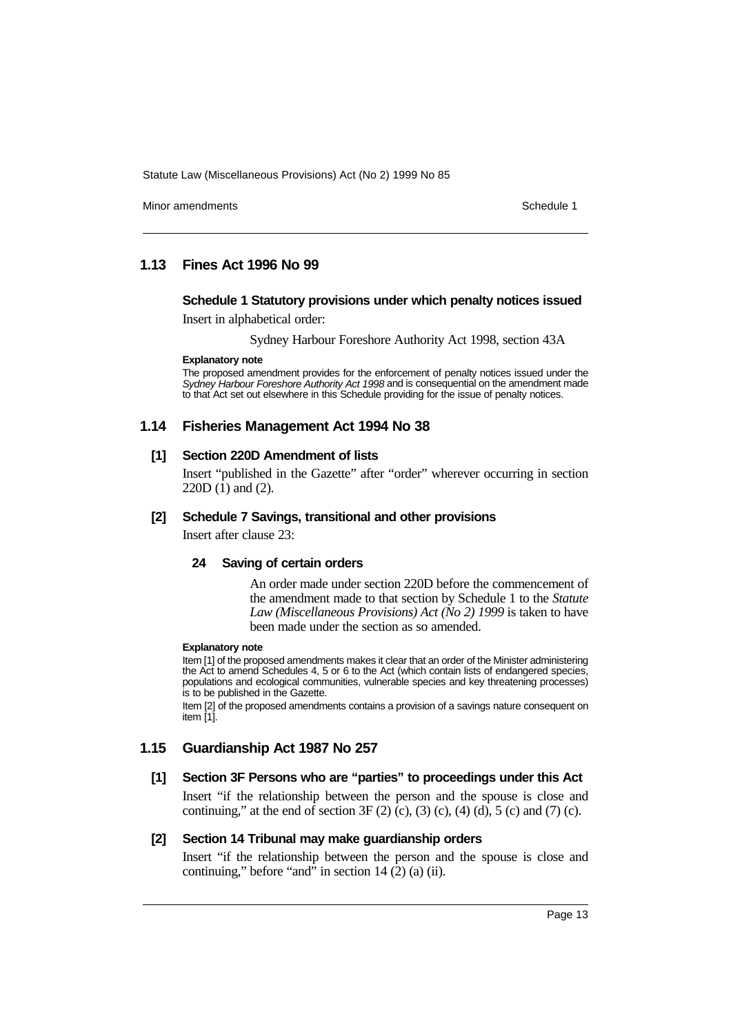Minor amendments **Schedule 1** and the state of the state of the Schedule 1

# **1.13 Fines Act 1996 No 99**

# **Schedule 1 Statutory provisions under which penalty notices issued**

Insert in alphabetical order:

Sydney Harbour Foreshore Authority Act 1998, section 43A

#### **Explanatory note**

The proposed amendment provides for the enforcement of penalty notices issued under the Sydney Harbour Foreshore Authority Act 1998 and is consequential on the amendment made to that Act set out elsewhere in this Schedule providing for the issue of penalty notices.

## **1.14 Fisheries Management Act 1994 No 38**

# **[1] Section 220D Amendment of lists**

Insert "published in the Gazette" after "order" wherever occurring in section 220D (1) and (2).

## **[2] Schedule 7 Savings, transitional and other provisions**

Insert after clause 23:

## **24 Saving of certain orders**

An order made under section 220D before the commencement of the amendment made to that section by Schedule 1 to the *Statute Law (Miscellaneous Provisions) Act (No 2) 1999* is taken to have been made under the section as so amended.

#### **Explanatory note**

Item [1] of the proposed amendments makes it clear that an order of the Minister administering the Act to amend Schedules 4, 5 or 6 to the Act (which contain lists of endangered species, populations and ecological communities, vulnerable species and key threatening processes) is to be published in the Gazette.

Item [2] of the proposed amendments contains a provision of a savings nature consequent on item [1].

# **1.15 Guardianship Act 1987 No 257**

## **[1] Section 3F Persons who are "parties" to proceedings under this Act**

Insert "if the relationship between the person and the spouse is close and continuing," at the end of section  $3F(2)(c)$ ,  $(3)(c)$ ,  $(4)(d)$ ,  $5(c)$  and  $(7)(c)$ .

# **[2] Section 14 Tribunal may make guardianship orders**

Insert "if the relationship between the person and the spouse is close and continuing," before "and" in section  $14(2)$  (a) (ii).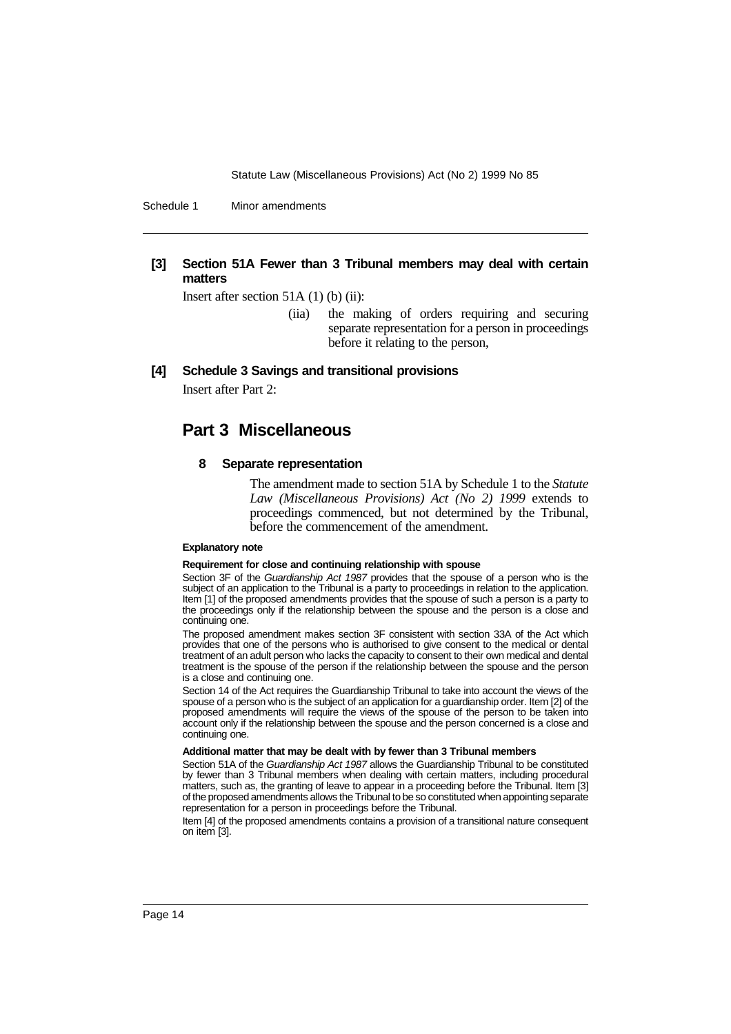Schedule 1 Minor amendments

# **[3] Section 51A Fewer than 3 Tribunal members may deal with certain matters**

Insert after section 51A (1) (b) (ii):

(iia) the making of orders requiring and securing separate representation for a person in proceedings before it relating to the person,

**[4] Schedule 3 Savings and transitional provisions**

Insert after Part 2:

# **Part 3 Miscellaneous**

#### **8 Separate representation**

The amendment made to section 51A by Schedule 1 to the *Statute Law (Miscellaneous Provisions) Act (No 2) 1999* extends to proceedings commenced, but not determined by the Tribunal, before the commencement of the amendment.

#### **Explanatory note**

#### **Requirement for close and continuing relationship with spouse**

Section 3F of the Guardianship Act 1987 provides that the spouse of a person who is the subject of an application to the Tribunal is a party to proceedings in relation to the application. Item [1] of the proposed amendments provides that the spouse of such a person is a party to the proceedings only if the relationship between the spouse and the person is a close and continuing one.

The proposed amendment makes section 3F consistent with section 33A of the Act which provides that one of the persons who is authorised to give consent to the medical or dental treatment of an adult person who lacks the capacity to consent to their own medical and dental treatment is the spouse of the person if the relationship between the spouse and the person is a close and continuing one.

Section 14 of the Act requires the Guardianship Tribunal to take into account the views of the spouse of a person who is the subject of an application for a guardianship order. Item [2] of the proposed amendments will require the views of the spouse of the person to be taken into account only if the relationship between the spouse and the person concerned is a close and continuing one.

#### **Additional matter that may be dealt with by fewer than 3 Tribunal members**

Section 51A of the Guardianship Act 1987 allows the Guardianship Tribunal to be constituted by fewer than 3 Tribunal members when dealing with certain matters, including procedural matters, such as, the granting of leave to appear in a proceeding before the Tribunal. Item [3] of the proposed amendments allows the Tribunal to be so constituted when appointing separate representation for a person in proceedings before the Tribunal.

Item [4] of the proposed amendments contains a provision of a transitional nature consequent on item [3].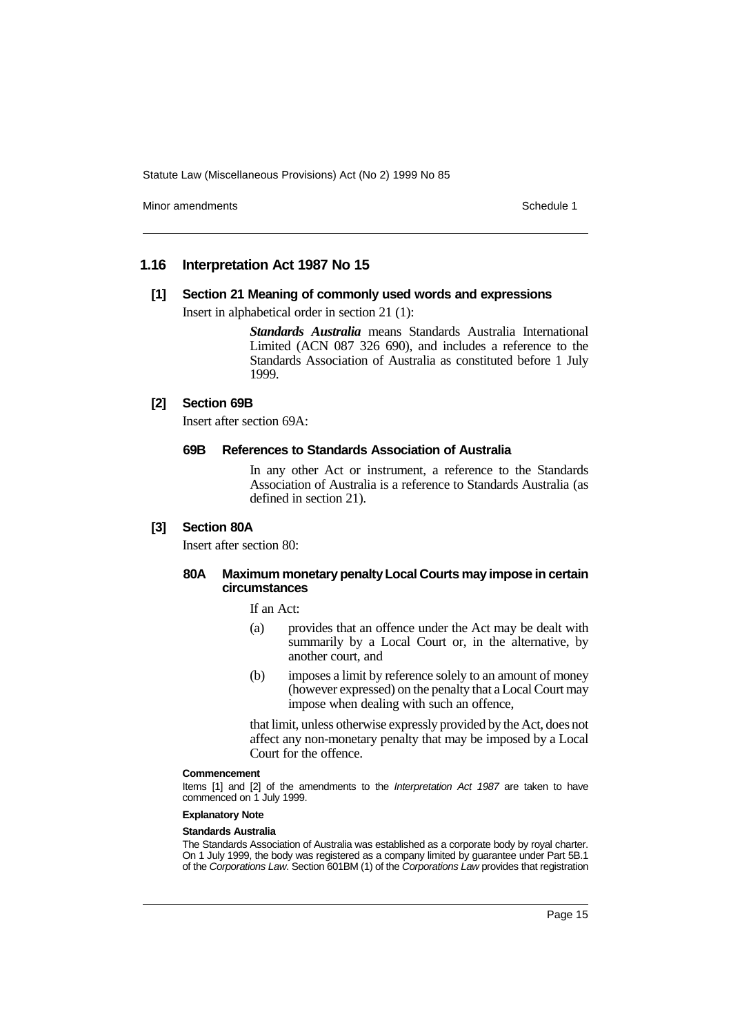Minor amendments **Schedule 1** and the state of the state of the Schedule 1

## **1.16 Interpretation Act 1987 No 15**

#### **[1] Section 21 Meaning of commonly used words and expressions**

Insert in alphabetical order in section 21 (1):

*Standards Australia* means Standards Australia International Limited (ACN 087 326 690), and includes a reference to the Standards Association of Australia as constituted before 1 July 1999.

# **[2] Section 69B**

Insert after section 69A:

## **69B References to Standards Association of Australia**

In any other Act or instrument, a reference to the Standards Association of Australia is a reference to Standards Australia (as defined in section 21).

## **[3] Section 80A**

Insert after section 80:

# **80A Maximum monetary penalty Local Courts may impose in certain circumstances**

If an Act:

- (a) provides that an offence under the Act may be dealt with summarily by a Local Court or, in the alternative, by another court, and
- (b) imposes a limit by reference solely to an amount of money (however expressed) on the penalty that a Local Court may impose when dealing with such an offence,

that limit, unless otherwise expressly provided by the Act, does not affect any non-monetary penalty that may be imposed by a Local Court for the offence.

#### **Commencement**

Items [1] and [2] of the amendments to the Interpretation Act 1987 are taken to have commenced on 1 July 1999.

# **Explanatory Note**

## **Standards Australia**

The Standards Association of Australia was established as a corporate body by royal charter. On 1 July 1999, the body was registered as a company limited by guarantee under Part 5B.1 of the Corporations Law. Section 601BM (1) of the Corporations Law provides that registration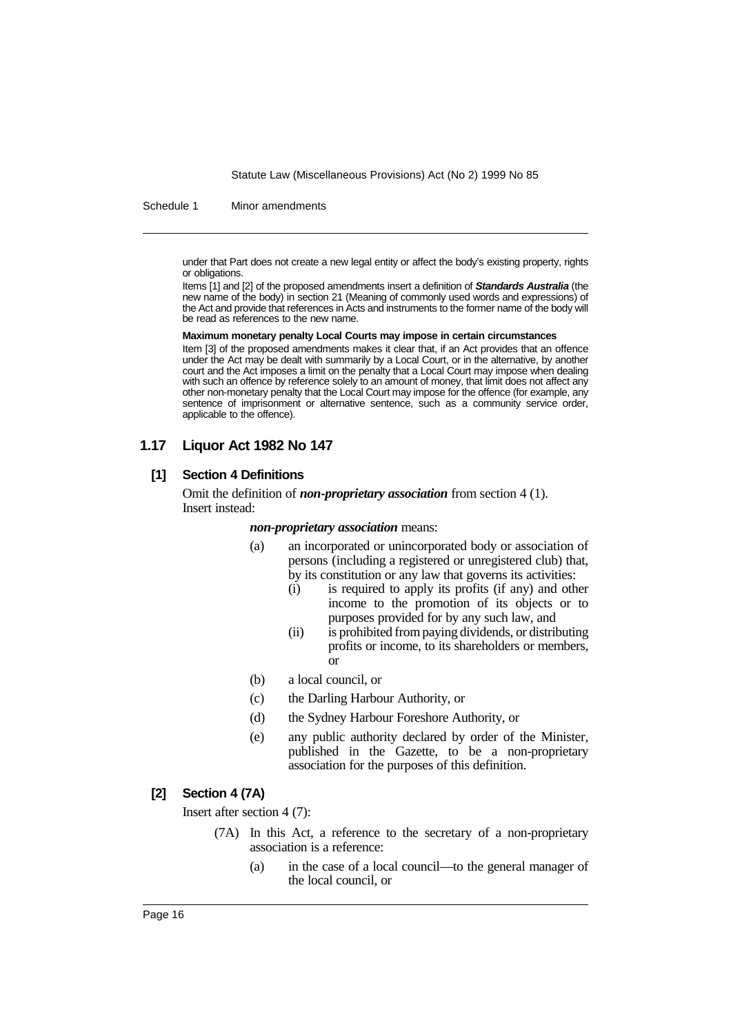Schedule 1 Minor amendments

under that Part does not create a new legal entity or affect the body's existing property, rights or obligations.

Items [1] and [2] of the proposed amendments insert a definition of **Standards Australia** (the new name of the body) in section 21 (Meaning of commonly used words and expressions) of the Act and provide that references in Acts and instruments to the former name of the body will be read as references to the new name.

#### **Maximum monetary penalty Local Courts may impose in certain circumstances**

Item [3] of the proposed amendments makes it clear that, if an Act provides that an offence under the Act may be dealt with summarily by a Local Court, or in the alternative, by another court and the Act imposes a limit on the penalty that a Local Court may impose when dealing with such an offence by reference solely to an amount of money, that limit does not affect any other non-monetary penalty that the Local Court may impose for the offence (for example, any sentence of imprisonment or alternative sentence, such as a community service order, applicable to the offence).

# **1.17 Liquor Act 1982 No 147**

#### **[1] Section 4 Definitions**

Omit the definition of *non-proprietary association* from section 4 (1). Insert instead:

*non-proprietary association* means:

- (a) an incorporated or unincorporated body or association of persons (including a registered or unregistered club) that, by its constitution or any law that governs its activities:
	- (i) is required to apply its profits (if any) and other income to the promotion of its objects or to purposes provided for by any such law, and
	- (ii) is prohibited from paying dividends, or distributing profits or income, to its shareholders or members, or
- (b) a local council, or
- (c) the Darling Harbour Authority, or
- (d) the Sydney Harbour Foreshore Authority, or
- (e) any public authority declared by order of the Minister, published in the Gazette, to be a non-proprietary association for the purposes of this definition.

# **[2] Section 4 (7A)**

Insert after section 4 (7):

- (7A) In this Act, a reference to the secretary of a non-proprietary association is a reference:
	- (a) in the case of a local council—to the general manager of the local council, or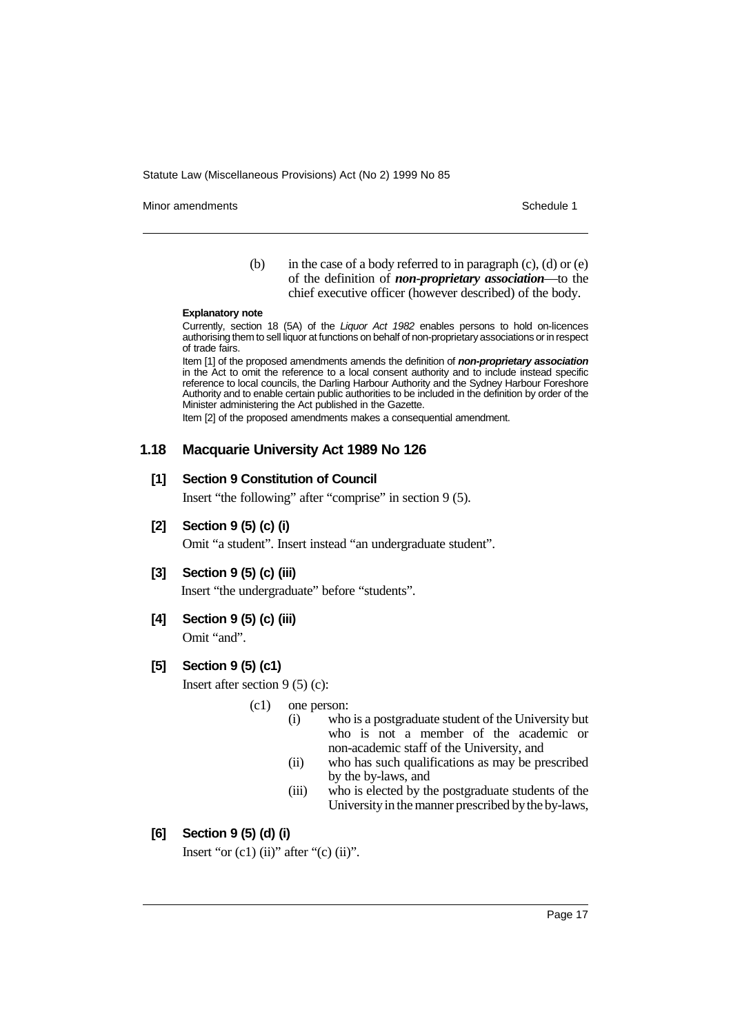Minor amendments **Schedule 1** and the state of the state of the Schedule 1

(b) in the case of a body referred to in paragraph  $(c)$ ,  $(d)$  or  $(e)$ of the definition of *non-proprietary association*—to the chief executive officer (however described) of the body.

#### **Explanatory note**

Currently, section 18 (5A) of the Liquor Act 1982 enables persons to hold on-licences authorising them to sell liquor at functions on behalf of non-proprietary associations or in respect of trade fairs.

Item [1] of the proposed amendments amends the definition of **non-proprietary association** in the Act to omit the reference to a local consent authority and to include instead specific reference to local councils, the Darling Harbour Authority and the Sydney Harbour Foreshore Authority and to enable certain public authorities to be included in the definition by order of the Minister administering the Act published in the Gazette.

Item [2] of the proposed amendments makes a consequential amendment.

# **1.18 Macquarie University Act 1989 No 126**

## **[1] Section 9 Constitution of Council**

Insert "the following" after "comprise" in section 9 (5).

**[2] Section 9 (5) (c) (i)**

Omit "a student". Insert instead "an undergraduate student".

## **[3] Section 9 (5) (c) (iii)**

Insert "the undergraduate" before "students".

**[4] Section 9 (5) (c) (iii)**

Omit "and".

# **[5] Section 9 (5) (c1)**

Insert after section 9 (5) (c):

#### (c1) one person:

- (i) who is a postgraduate student of the University but who is not a member of the academic or non-academic staff of the University, and
- (ii) who has such qualifications as may be prescribed by the by-laws, and
- (iii) who is elected by the postgraduate students of the University in the manner prescribed by the by-laws,

# **[6] Section 9 (5) (d) (i)**

Insert "or  $(c1)$   $(ii)$ " after " $(c)$   $(ii)$ ".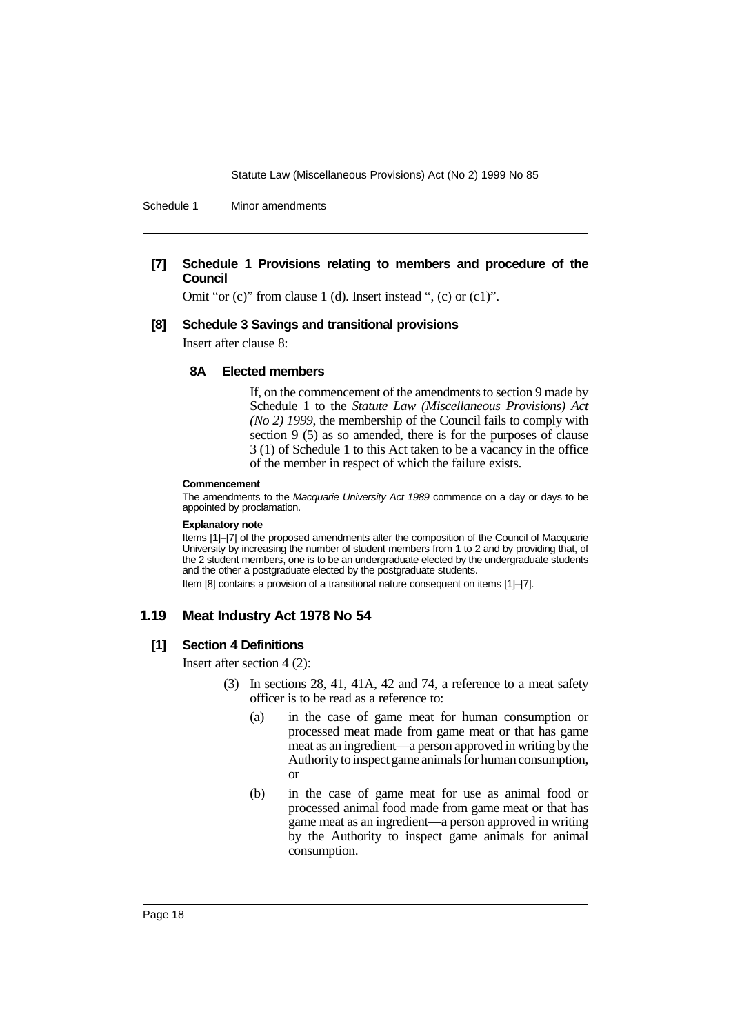Schedule 1 Minor amendments

# **[7] Schedule 1 Provisions relating to members and procedure of the Council**

Omit "or (c)" from clause 1 (d). Insert instead ", (c) or (c1)".

#### **[8] Schedule 3 Savings and transitional provisions**

Insert after clause 8:

# **8A Elected members**

If, on the commencement of the amendments to section 9 made by Schedule 1 to the *Statute Law (Miscellaneous Provisions) Act (No 2) 1999*, the membership of the Council fails to comply with section 9 (5) as so amended, there is for the purposes of clause 3 (1) of Schedule 1 to this Act taken to be a vacancy in the office of the member in respect of which the failure exists.

#### **Commencement**

The amendments to the Macquarie University Act 1989 commence on a day or days to be appointed by proclamation.

#### **Explanatory note**

Items [1]–[7] of the proposed amendments alter the composition of the Council of Macquarie University by increasing the number of student members from 1 to 2 and by providing that, of the 2 student members, one is to be an undergraduate elected by the undergraduate students and the other a postgraduate elected by the postgraduate students.

Item [8] contains a provision of a transitional nature consequent on items [1]–[7].

# **1.19 Meat Industry Act 1978 No 54**

#### **[1] Section 4 Definitions**

Insert after section 4 (2):

- (3) In sections 28, 41, 41A, 42 and 74, a reference to a meat safety officer is to be read as a reference to:
	- (a) in the case of game meat for human consumption or processed meat made from game meat or that has game meat as an ingredient—a person approved in writing by the Authority to inspect game animals for human consumption, or
	- (b) in the case of game meat for use as animal food or processed animal food made from game meat or that has game meat as an ingredient—a person approved in writing by the Authority to inspect game animals for animal consumption.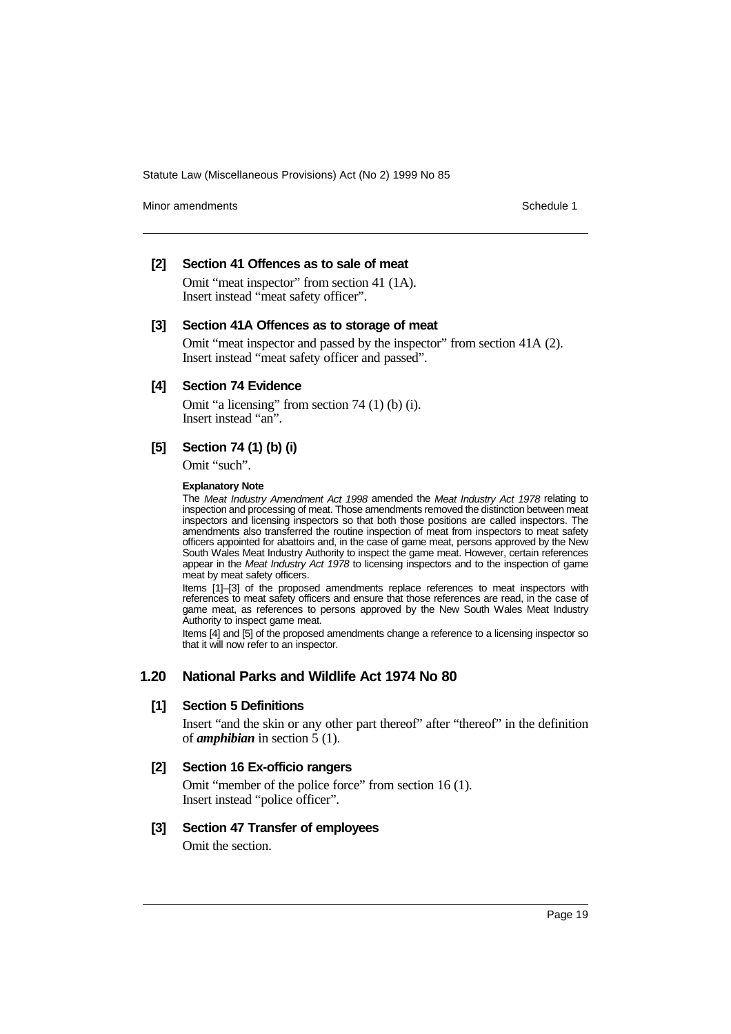Minor amendments **Schedule 1** and the state of the state of the state of the Schedule 1

# **[2] Section 41 Offences as to sale of meat**

Omit "meat inspector" from section 41 (1A). Insert instead "meat safety officer".

## **[3] Section 41A Offences as to storage of meat**

Omit "meat inspector and passed by the inspector" from section 41A (2). Insert instead "meat safety officer and passed".

## **[4] Section 74 Evidence**

Omit "a licensing" from section 74 (1) (b) (i). Insert instead "an".

# **[5] Section 74 (1) (b) (i)**

Omit "such".

#### **Explanatory Note**

The Meat Industry Amendment Act 1998 amended the Meat Industry Act 1978 relating to inspection and processing of meat. Those amendments removed the distinction between meat inspectors and licensing inspectors so that both those positions are called inspectors. The amendments also transferred the routine inspection of meat from inspectors to meat safety officers appointed for abattoirs and, in the case of game meat, persons approved by the New South Wales Meat Industry Authority to inspect the game meat. However, certain references appear in the Meat Industry Act 1978 to licensing inspectors and to the inspection of game meat by meat safety officers.

Items [1]–[3] of the proposed amendments replace references to meat inspectors with references to meat safety officers and ensure that those references are read, in the case of game meat, as references to persons approved by the New South Wales Meat Industry Authority to inspect game meat.

Items [4] and [5] of the proposed amendments change a reference to a licensing inspector so that it will now refer to an inspector.

# **1.20 National Parks and Wildlife Act 1974 No 80**

## **[1] Section 5 Definitions**

Insert "and the skin or any other part thereof" after "thereof" in the definition of *amphibian* in section 5 (1).

## **[2] Section 16 Ex-officio rangers**

Omit "member of the police force" from section 16 (1). Insert instead "police officer".

# **[3] Section 47 Transfer of employees**

Omit the section.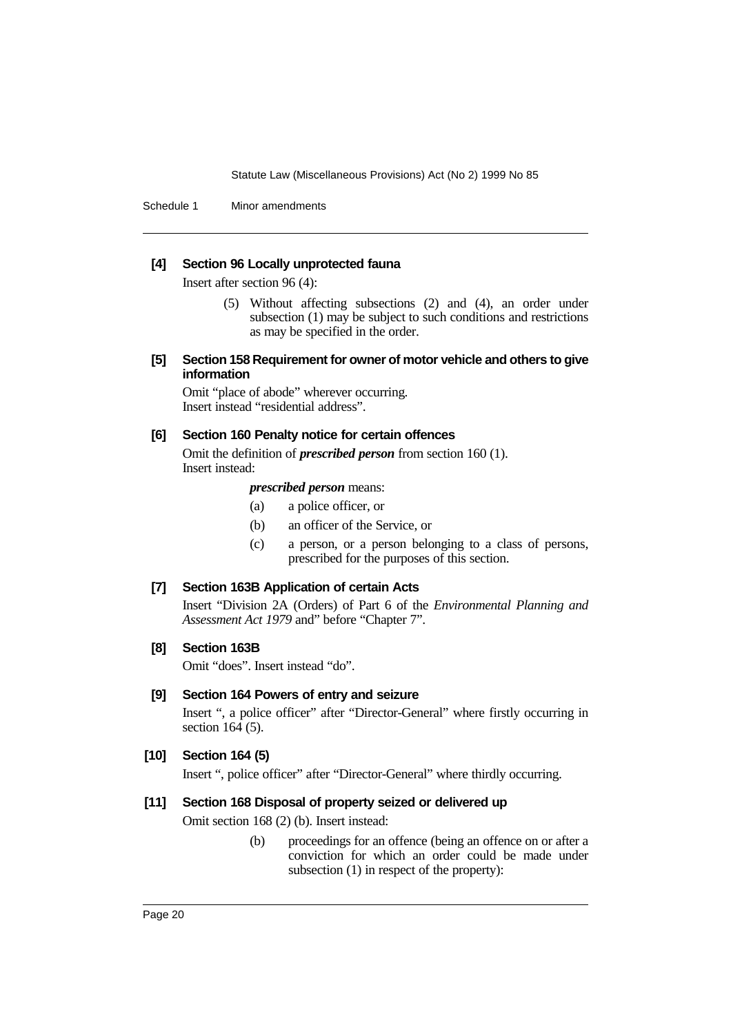Schedule 1 Minor amendments

# **[4] Section 96 Locally unprotected fauna**

Insert after section 96 (4):

(5) Without affecting subsections (2) and (4), an order under subsection (1) may be subject to such conditions and restrictions as may be specified in the order.

## **[5] Section 158 Requirement for owner of motor vehicle and others to give information**

Omit "place of abode" wherever occurring. Insert instead "residential address".

## **[6] Section 160 Penalty notice for certain offences**

Omit the definition of *prescribed person* from section 160 (1). Insert instead:

## *prescribed person* means:

- (a) a police officer, or
- (b) an officer of the Service, or
- (c) a person, or a person belonging to a class of persons, prescribed for the purposes of this section.

# **[7] Section 163B Application of certain Acts**

Insert "Division 2A (Orders) of Part 6 of the *Environmental Planning and Assessment Act 1979* and" before "Chapter 7".

# **[8] Section 163B**

Omit "does". Insert instead "do".

# **[9] Section 164 Powers of entry and seizure**

Insert ", a police officer" after "Director-General" where firstly occurring in section 164 (5).

## **[10] Section 164 (5)**

Insert ", police officer" after "Director-General" where thirdly occurring.

# **[11] Section 168 Disposal of property seized or delivered up**

Omit section 168 (2) (b). Insert instead:

(b) proceedings for an offence (being an offence on or after a conviction for which an order could be made under subsection (1) in respect of the property):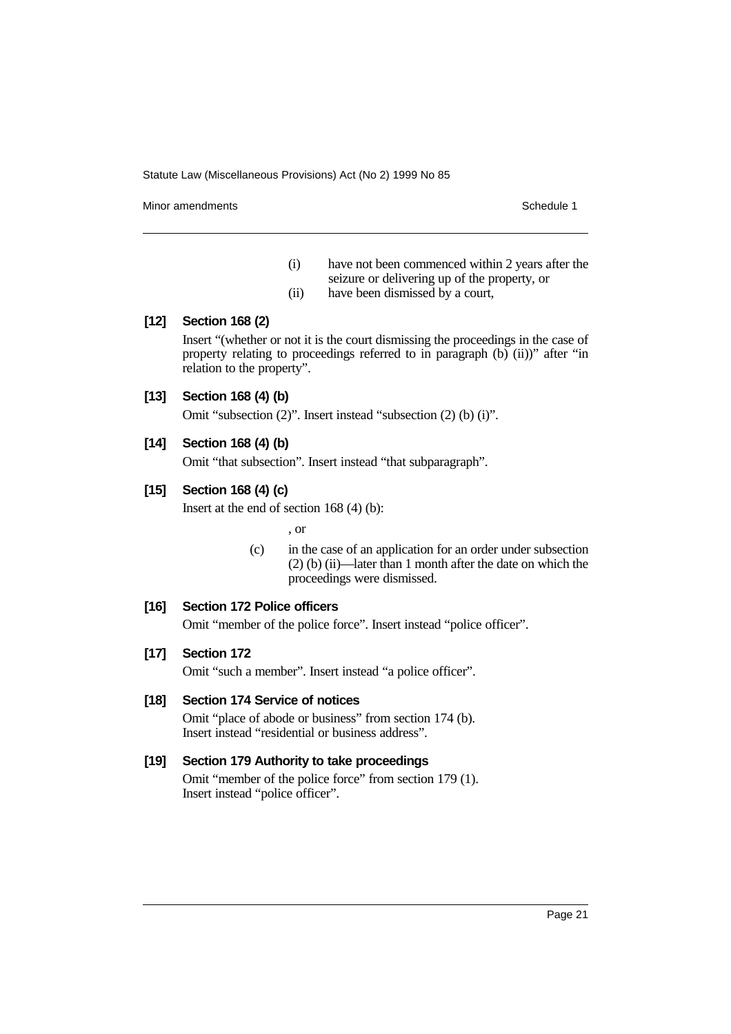Minor amendments **Schedule 1** and the state of the state of the Schedule 1

- (i) have not been commenced within 2 years after the seizure or delivering up of the property, or
- (ii) have been dismissed by a court,

# **[12] Section 168 (2)**

Insert "(whether or not it is the court dismissing the proceedings in the case of property relating to proceedings referred to in paragraph (b) (ii))" after "in relation to the property".

# **[13] Section 168 (4) (b)**

Omit "subsection (2)". Insert instead "subsection (2) (b) (i)".

# **[14] Section 168 (4) (b)**

Omit "that subsection". Insert instead "that subparagraph".

# **[15] Section 168 (4) (c)**

Insert at the end of section 168 (4) (b):

, or

(c) in the case of an application for an order under subsection (2) (b) (ii)—later than 1 month after the date on which the proceedings were dismissed.

# **[16] Section 172 Police officers**

Omit "member of the police force". Insert instead "police officer".

# **[17] Section 172**

Omit "such a member". Insert instead "a police officer".

## **[18] Section 174 Service of notices**

Omit "place of abode or business" from section 174 (b). Insert instead "residential or business address".

## **[19] Section 179 Authority to take proceedings**

Omit "member of the police force" from section 179 (1). Insert instead "police officer".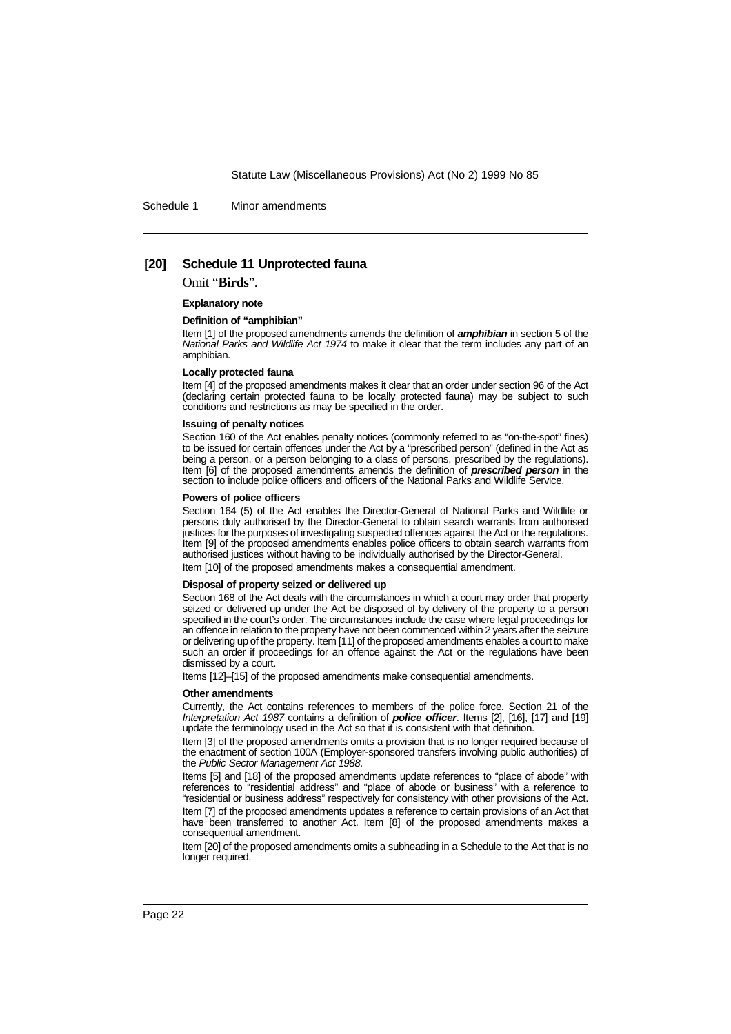Schedule 1 Minor amendments

#### **[20] Schedule 11 Unprotected fauna**

Omit "**Birds**".

**Explanatory note**

#### **Definition of "amphibian"**

Item [1] of the proposed amendments amends the definition of **amphibian** in section 5 of the National Parks and Wildlife Act 1974 to make it clear that the term includes any part of an amphibian.

#### **Locally protected fauna**

Item [4] of the proposed amendments makes it clear that an order under section 96 of the Act (declaring certain protected fauna to be locally protected fauna) may be subject to such conditions and restrictions as may be specified in the order.

#### **Issuing of penalty notices**

Section 160 of the Act enables penalty notices (commonly referred to as "on-the-spot" fines) to be issued for certain offences under the Act by a "prescribed person" (defined in the Act as being a person, or a person belonging to a class of persons, prescribed by the regulations). Item [6] of the proposed amendments amends the definition of **prescribed person** in the section to include police officers and officers of the National Parks and Wildlife Service.

#### **Powers of police officers**

Section 164 (5) of the Act enables the Director-General of National Parks and Wildlife or persons duly authorised by the Director-General to obtain search warrants from authorised justices for the purposes of investigating suspected offences against the Act or the regulations. Item [9] of the proposed amendments enables police officers to obtain search warrants from authorised justices without having to be individually authorised by the Director-General. Item [10] of the proposed amendments makes a consequential amendment.

#### **Disposal of property seized or delivered up**

Section 168 of the Act deals with the circumstances in which a court may order that property seized or delivered up under the Act be disposed of by delivery of the property to a person specified in the court's order. The circumstances include the case where legal proceedings for an offence in relation to the property have not been commenced within 2 years after the seizure or delivering up of the property. Item [11] of the proposed amendments enables a court to make such an order if proceedings for an offence against the Act or the regulations have been dismissed by a court.

Items [12]–[15] of the proposed amendments make consequential amendments.

#### **Other amendments**

Currently, the Act contains references to members of the police force. Section 21 of the Interpretation Act 1987 contains a definition of **police officer**. Items [2], [16], [17] and [19] update the terminology used in the Act so that it is consistent with that definition.

Item [3] of the proposed amendments omits a provision that is no longer required because of the enactment of section 100A (Employer-sponsored transfers involving public authorities) of the Public Sector Management Act 1988.

Items [5] and [18] of the proposed amendments update references to "place of abode" with references to "residential address" and "place of abode or business" with a reference to "residential or business address" respectively for consistency with other provisions of the Act. Item [7] of the proposed amendments updates a reference to certain provisions of an Act that have been transferred to another Act. Item [8] of the proposed amendments makes a consequential amendment.

Item [20] of the proposed amendments omits a subheading in a Schedule to the Act that is no longer required.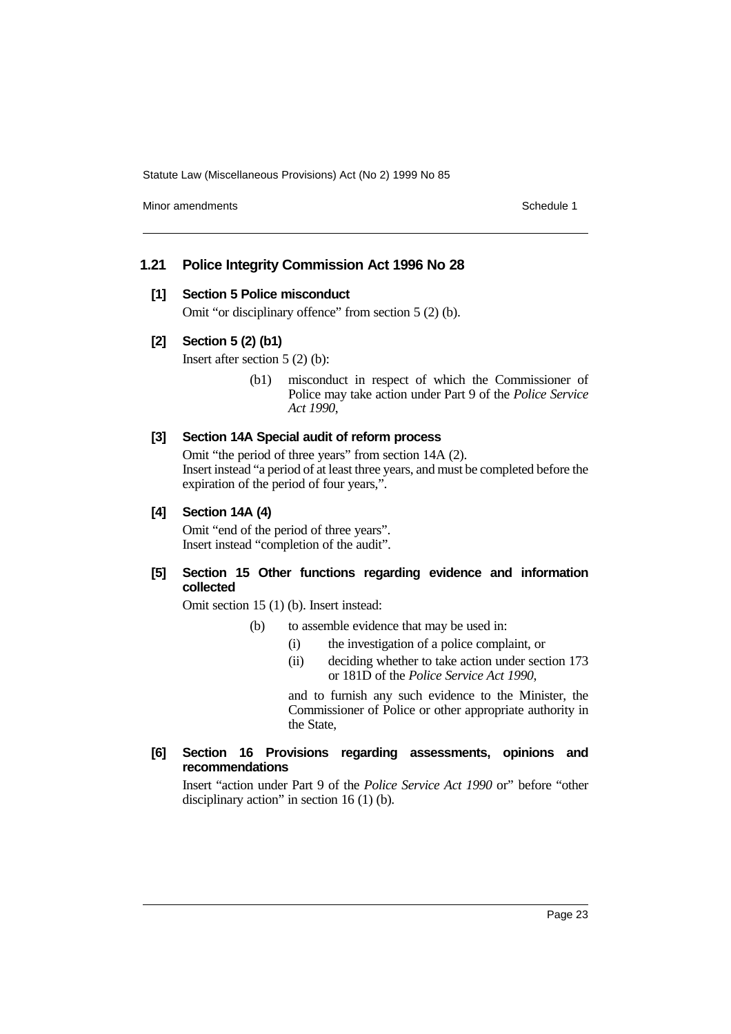Minor amendments **Schedule 1** and the state of the state of the Schedule 1

# **1.21 Police Integrity Commission Act 1996 No 28**

## **[1] Section 5 Police misconduct**

Omit "or disciplinary offence" from section 5 (2) (b).

# **[2] Section 5 (2) (b1)**

Insert after section 5 (2) (b):

(b1) misconduct in respect of which the Commissioner of Police may take action under Part 9 of the *Police Service Act 1990*,

# **[3] Section 14A Special audit of reform process**

Omit "the period of three years" from section 14A (2). Insert instead "a period of at least three years, and must be completed before the expiration of the period of four years,".

#### **[4] Section 14A (4)**

Omit "end of the period of three years". Insert instead "completion of the audit".

# **[5] Section 15 Other functions regarding evidence and information collected**

Omit section 15 (1) (b). Insert instead:

- (b) to assemble evidence that may be used in:
	- (i) the investigation of a police complaint, or
	- (ii) deciding whether to take action under section 173 or 181D of the *Police Service Act 1990*,

and to furnish any such evidence to the Minister, the Commissioner of Police or other appropriate authority in the State,

## **[6] Section 16 Provisions regarding assessments, opinions and recommendations**

Insert "action under Part 9 of the *Police Service Act 1990* or" before "other disciplinary action" in section 16 (1) (b).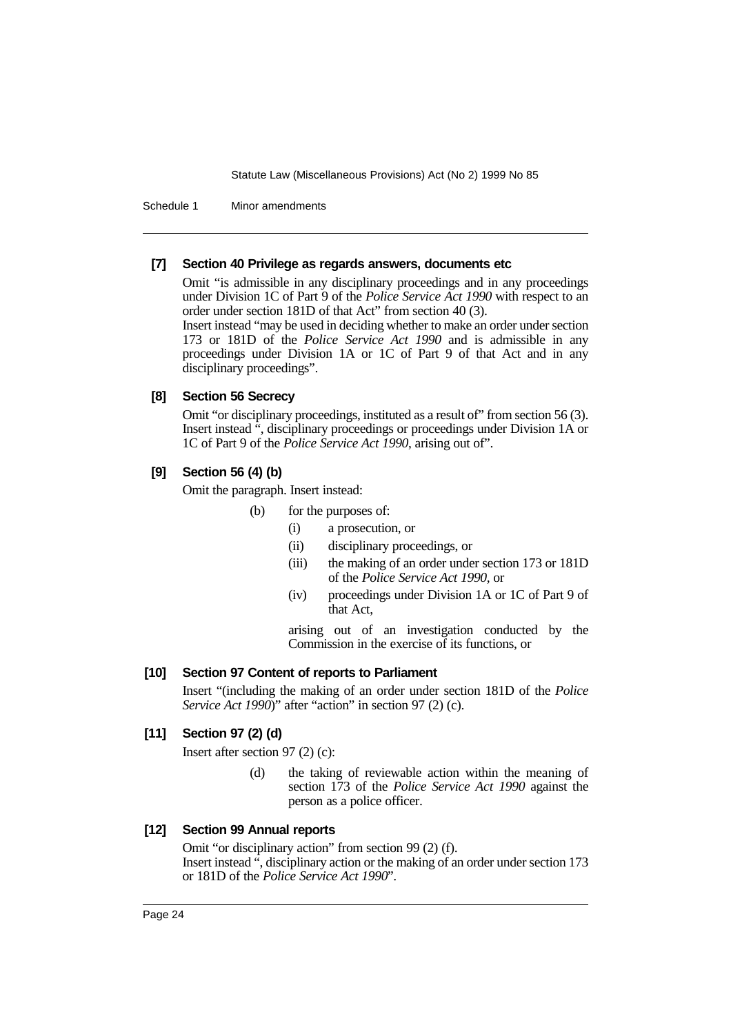Schedule 1 Minor amendments

## **[7] Section 40 Privilege as regards answers, documents etc**

Omit "is admissible in any disciplinary proceedings and in any proceedings under Division 1C of Part 9 of the *Police Service Act 1990* with respect to an order under section 181D of that Act" from section 40 (3).

Insert instead "may be used in deciding whether to make an order under section 173 or 181D of the *Police Service Act 1990* and is admissible in any proceedings under Division 1A or 1C of Part 9 of that Act and in any disciplinary proceedings".

# **[8] Section 56 Secrecy**

Omit "or disciplinary proceedings, instituted as a result of" from section 56 (3). Insert instead ", disciplinary proceedings or proceedings under Division 1A or 1C of Part 9 of the *Police Service Act 1990*, arising out of".

# **[9] Section 56 (4) (b)**

Omit the paragraph. Insert instead:

- (b) for the purposes of:
	- (i) a prosecution, or
		- (ii) disciplinary proceedings, or
	- (iii) the making of an order under section 173 or 181D of the *Police Service Act 1990*, or
	- (iv) proceedings under Division 1A or 1C of Part 9 of that Act,

arising out of an investigation conducted by the Commission in the exercise of its functions, or

# **[10] Section 97 Content of reports to Parliament**

Insert "(including the making of an order under section 181D of the *Police Service Act 1990*)" after "action" in section 97 (2) (c).

# **[11] Section 97 (2) (d)**

Insert after section 97 (2) (c):

(d) the taking of reviewable action within the meaning of section 173 of the *Police Service Act 1990* against the person as a police officer.

# **[12] Section 99 Annual reports**

Omit "or disciplinary action" from section 99 (2) (f). Insert instead ", disciplinary action or the making of an order under section 173 or 181D of the *Police Service Act 1990*".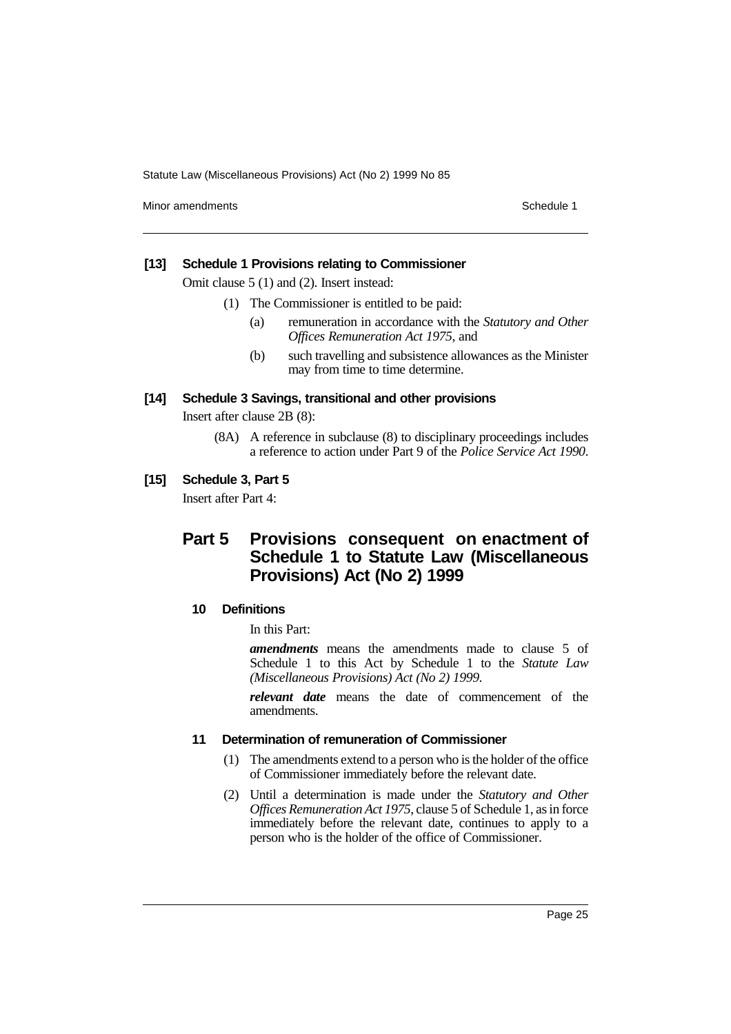Minor amendments **Schedule 1** and the state of the state of the Schedule 1

### **[13] Schedule 1 Provisions relating to Commissioner**

Omit clause 5 (1) and (2). Insert instead:

- (1) The Commissioner is entitled to be paid:
	- (a) remuneration in accordance with the *Statutory and Other Offices Remuneration Act 1975*, and
	- (b) such travelling and subsistence allowances as the Minister may from time to time determine.

# **[14] Schedule 3 Savings, transitional and other provisions**

Insert after clause 2B (8):

(8A) A reference in subclause (8) to disciplinary proceedings includes a reference to action under Part 9 of the *Police Service Act 1990*.

# **[15] Schedule 3, Part 5**

Insert after Part 4:

# **Part 5 Provisions consequent on enactment of Schedule 1 to Statute Law (Miscellaneous Provisions) Act (No 2) 1999**

## **10 Definitions**

In this Part:

*amendments* means the amendments made to clause 5 of Schedule 1 to this Act by Schedule 1 to the *Statute Law (Miscellaneous Provisions) Act (No 2) 1999*.

*relevant date* means the date of commencement of the amendments.

# **11 Determination of remuneration of Commissioner**

- (1) The amendments extend to a person who is the holder of the office of Commissioner immediately before the relevant date.
- (2) Until a determination is made under the *Statutory and Other Offices Remuneration Act 1975*, clause 5 of Schedule 1, as in force immediately before the relevant date, continues to apply to a person who is the holder of the office of Commissioner.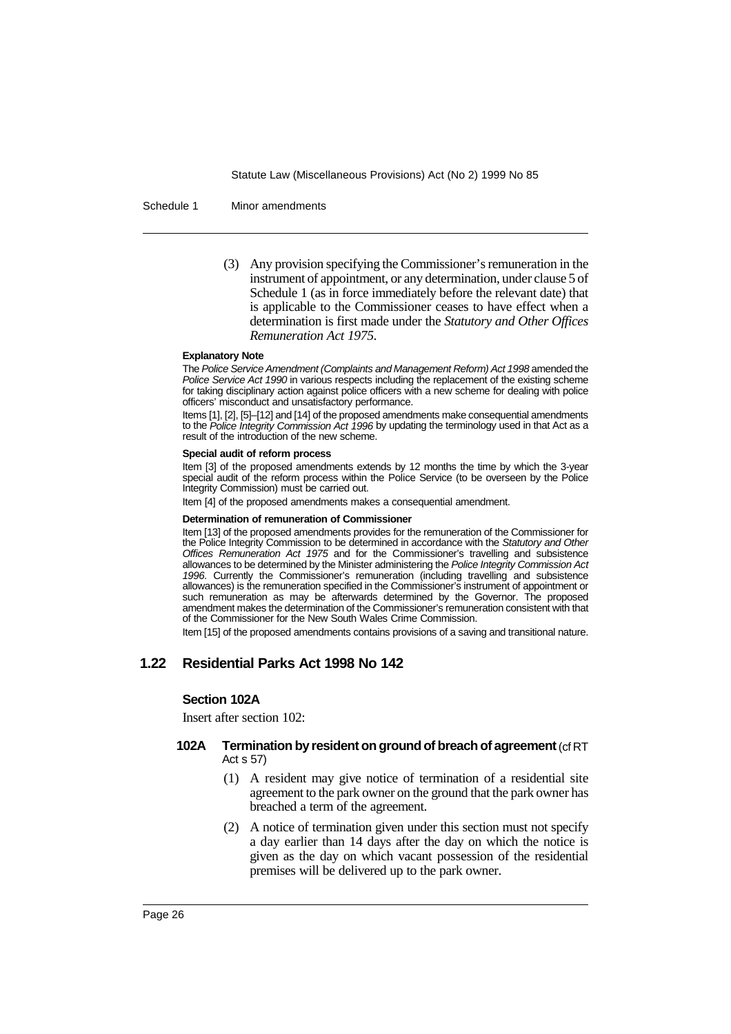Schedule 1 Minor amendments

(3) Any provision specifying the Commissioner's remuneration in the instrument of appointment, or any determination, under clause 5 of Schedule 1 (as in force immediately before the relevant date) that is applicable to the Commissioner ceases to have effect when a determination is first made under the *Statutory and Other Offices Remuneration Act 1975*.

#### **Explanatory Note**

The Police Service Amendment (Complaints and Management Reform) Act 1998 amended the Police Service Act 1990 in various respects including the replacement of the existing scheme for taking disciplinary action against police officers with a new scheme for dealing with police officers' misconduct and unsatisfactory performance.

Items [1], [2], [5]–[12] and [14] of the proposed amendments make consequential amendments to the Police Integrity Commission Act 1996 by updating the terminology used in that Act as a result of the introduction of the new scheme.

#### **Special audit of reform process**

Item [3] of the proposed amendments extends by 12 months the time by which the 3-year special audit of the reform process within the Police Service (to be overseen by the Police Integrity Commission) must be carried out.

Item [4] of the proposed amendments makes a consequential amendment.

#### **Determination of remuneration of Commissioner**

Item [13] of the proposed amendments provides for the remuneration of the Commissioner for the Police Integrity Commission to be determined in accordance with the Statutory and Other Offices Remuneration Act 1975 and for the Commissioner's travelling and subsistence allowances to be determined by the Minister administering the Police Integrity Commission Act 1996. Currently the Commissioner's remuneration (including travelling and subsistence allowances) is the remuneration specified in the Commissioner's instrument of appointment or such remuneration as may be afterwards determined by the Governor. The proposed amendment makes the determination of the Commissioner's remuneration consistent with that of the Commissioner for the New South Wales Crime Commission.

Item [15] of the proposed amendments contains provisions of a saving and transitional nature.

# **1.22 Residential Parks Act 1998 No 142**

## **Section 102A**

Insert after section 102:

# **102A Termination by resident on ground of breach of agreement**(cf RT Act s 57)

- (1) A resident may give notice of termination of a residential site agreement to the park owner on the ground that the park owner has breached a term of the agreement.
- (2) A notice of termination given under this section must not specify a day earlier than 14 days after the day on which the notice is given as the day on which vacant possession of the residential premises will be delivered up to the park owner.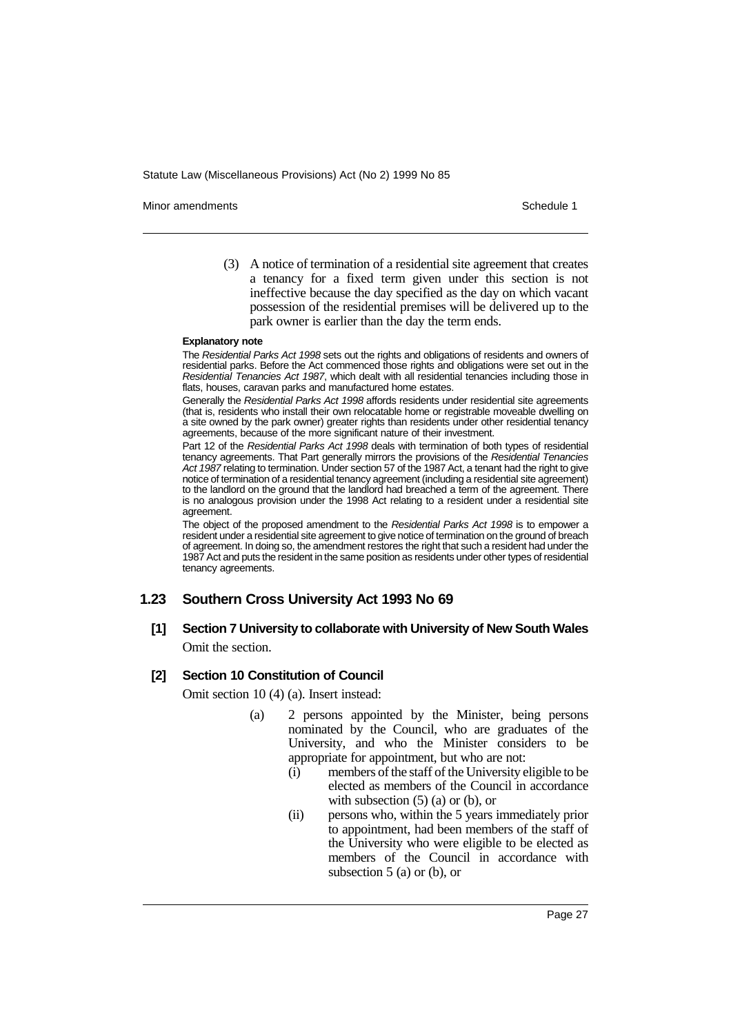Minor amendments **Schedule 1** and the state of the state of the state of the Schedule 1

(3) A notice of termination of a residential site agreement that creates a tenancy for a fixed term given under this section is not ineffective because the day specified as the day on which vacant possession of the residential premises will be delivered up to the park owner is earlier than the day the term ends.

#### **Explanatory note**

The Residential Parks Act 1998 sets out the rights and obligations of residents and owners of residential parks. Before the Act commenced those rights and obligations were set out in the Residential Tenancies Act 1987, which dealt with all residential tenancies including those in flats, houses, caravan parks and manufactured home estates.

Generally the Residential Parks Act 1998 affords residents under residential site agreements (that is, residents who install their own relocatable home or registrable moveable dwelling on a site owned by the park owner) greater rights than residents under other residential tenancy agreements, because of the more significant nature of their investment.

Part 12 of the Residential Parks Act 1998 deals with termination of both types of residential tenancy agreements. That Part generally mirrors the provisions of the Residential Tenancies Act 1987 relating to termination. Under section 57 of the 1987 Act, a tenant had the right to give notice of termination of a residential tenancy agreement (including a residential site agreement) to the landlord on the ground that the landlord had breached a term of the agreement. There is no analogous provision under the 1998 Act relating to a resident under a residential site agreement.

The object of the proposed amendment to the Residential Parks Act 1998 is to empower a resident under a residential site agreement to give notice of termination on the ground of breach of agreement. In doing so, the amendment restores the right that such a resident had under the 1987 Act and puts the resident in the same position as residents under other types of residential tenancy agreements.

## **1.23 Southern Cross University Act 1993 No 69**

**[1] Section 7 University to collaborate with University of New South Wales** Omit the section.

#### **[2] Section 10 Constitution of Council**

Omit section 10 (4) (a). Insert instead:

- (a) 2 persons appointed by the Minister, being persons nominated by the Council, who are graduates of the University, and who the Minister considers to be appropriate for appointment, but who are not:
	- (i) members of the staff of the University eligible to be elected as members of the Council in accordance with subsection  $(5)$  (a) or (b), or
	- (ii) persons who, within the 5 years immediately prior to appointment, had been members of the staff of the University who were eligible to be elected as members of the Council in accordance with subsection 5 (a) or (b), or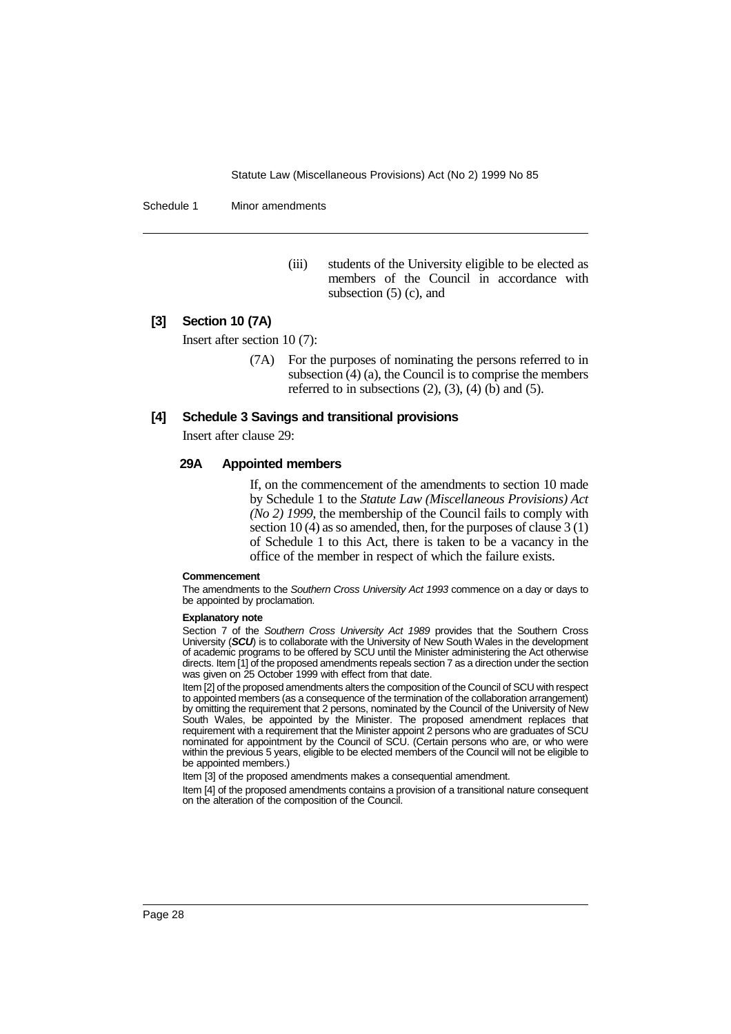Schedule 1 Minor amendments

(iii) students of the University eligible to be elected as members of the Council in accordance with subsection  $(5)$  (c), and

# **[3] Section 10 (7A)**

Insert after section 10 (7):

(7A) For the purposes of nominating the persons referred to in subsection (4) (a), the Council is to comprise the members referred to in subsections  $(2)$ ,  $(3)$ ,  $(4)$   $(b)$  and  $(5)$ .

#### **[4] Schedule 3 Savings and transitional provisions**

Insert after clause 29:

## **29A Appointed members**

If, on the commencement of the amendments to section 10 made by Schedule 1 to the *Statute Law (Miscellaneous Provisions) Act (No 2) 1999*, the membership of the Council fails to comply with section 10 (4) as so amended, then, for the purposes of clause 3 (1) of Schedule 1 to this Act, there is taken to be a vacancy in the office of the member in respect of which the failure exists.

#### **Commencement**

The amendments to the Southern Cross University Act 1993 commence on a day or days to be appointed by proclamation.

#### **Explanatory note**

Section 7 of the Southern Cross University Act 1989 provides that the Southern Cross University (**SCU**) is to collaborate with the University of New South Wales in the development of academic programs to be offered by SCU until the Minister administering the Act otherwise directs. Item [1] of the proposed amendments repeals section 7 as a direction under the section was given on 25 October 1999 with effect from that date.

Item [2] of the proposed amendments alters the composition of the Council of SCU with respect to appointed members (as a consequence of the termination of the collaboration arrangement) by omitting the requirement that 2 persons, nominated by the Council of the University of New South Wales, be appointed by the Minister. The proposed amendment replaces that requirement with a requirement that the Minister appoint 2 persons who are graduates of SCU nominated for appointment by the Council of SCU. (Certain persons who are, or who were within the previous 5 years, eligible to be elected members of the Council will not be eligible to be appointed members.)

Item [3] of the proposed amendments makes a consequential amendment.

Item [4] of the proposed amendments contains a provision of a transitional nature consequent on the alteration of the composition of the Council.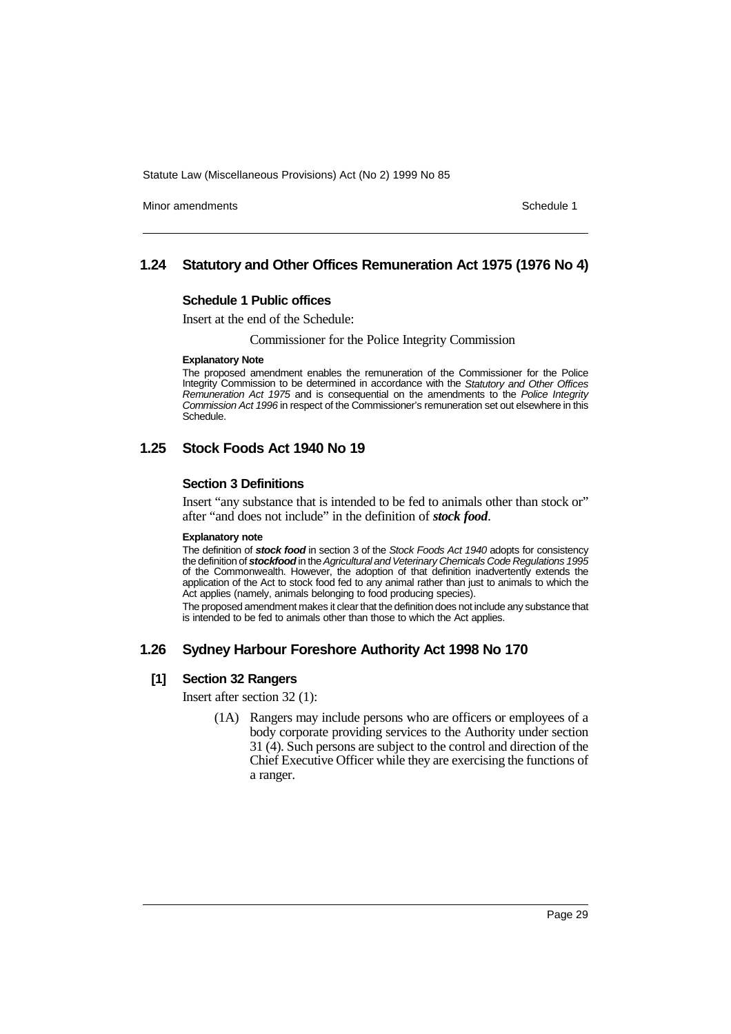Minor amendments **Schedule 1** and the state of the state of the state of the Schedule 1

# **1.24 Statutory and Other Offices Remuneration Act 1975 (1976 No 4)**

#### **Schedule 1 Public offices**

Insert at the end of the Schedule:

Commissioner for the Police Integrity Commission

#### **Explanatory Note**

The proposed amendment enables the remuneration of the Commissioner for the Police Integrity Commission to be determined in accordance with the Statutory and Other Offices Remuneration Act 1975 and is consequential on the amendments to the Police Integrity Commission Act 1996 in respect of the Commissioner's remuneration set out elsewhere in this Schedule.

# **1.25 Stock Foods Act 1940 No 19**

## **Section 3 Definitions**

Insert "any substance that is intended to be fed to animals other than stock or" after "and does not include" in the definition of *stock food*.

#### **Explanatory note**

The definition of **stock food** in section 3 of the Stock Foods Act 1940 adopts for consistency the definition of **stockfood** in the Agricultural and Veterinary Chemicals Code Regulations 1995 of the Commonwealth. However, the adoption of that definition inadvertently extends the application of the Act to stock food fed to any animal rather than just to animals to which the Act applies (namely, animals belonging to food producing species).

The proposed amendment makes it clear that the definition does not include any substance that is intended to be fed to animals other than those to which the Act applies.

## **1.26 Sydney Harbour Foreshore Authority Act 1998 No 170**

#### **[1] Section 32 Rangers**

Insert after section 32 (1):

(1A) Rangers may include persons who are officers or employees of a body corporate providing services to the Authority under section 31 (4). Such persons are subject to the control and direction of the Chief Executive Officer while they are exercising the functions of a ranger.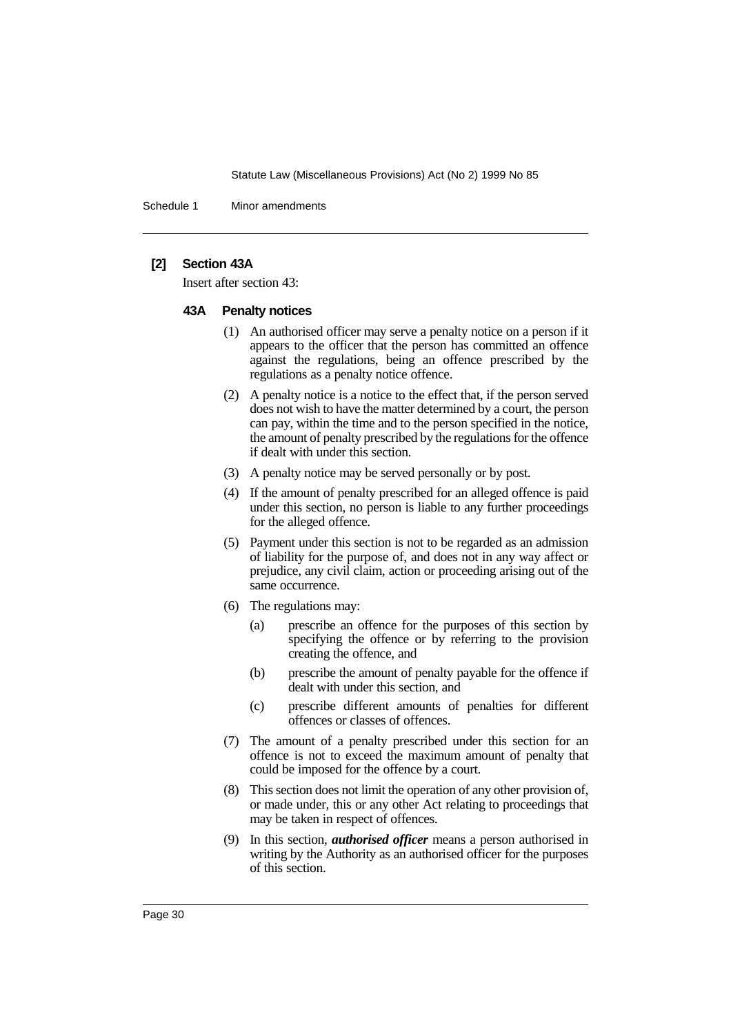Schedule 1 Minor amendments

## **[2] Section 43A**

Insert after section 43:

### **43A Penalty notices**

- (1) An authorised officer may serve a penalty notice on a person if it appears to the officer that the person has committed an offence against the regulations, being an offence prescribed by the regulations as a penalty notice offence.
- (2) A penalty notice is a notice to the effect that, if the person served does not wish to have the matter determined by a court, the person can pay, within the time and to the person specified in the notice, the amount of penalty prescribed by the regulations for the offence if dealt with under this section.
- (3) A penalty notice may be served personally or by post.
- (4) If the amount of penalty prescribed for an alleged offence is paid under this section, no person is liable to any further proceedings for the alleged offence.
- (5) Payment under this section is not to be regarded as an admission of liability for the purpose of, and does not in any way affect or prejudice, any civil claim, action or proceeding arising out of the same occurrence.
- (6) The regulations may:
	- (a) prescribe an offence for the purposes of this section by specifying the offence or by referring to the provision creating the offence, and
	- (b) prescribe the amount of penalty payable for the offence if dealt with under this section, and
	- (c) prescribe different amounts of penalties for different offences or classes of offences.
- (7) The amount of a penalty prescribed under this section for an offence is not to exceed the maximum amount of penalty that could be imposed for the offence by a court.
- (8) This section does not limit the operation of any other provision of, or made under, this or any other Act relating to proceedings that may be taken in respect of offences.
- (9) In this section, *authorised officer* means a person authorised in writing by the Authority as an authorised officer for the purposes of this section.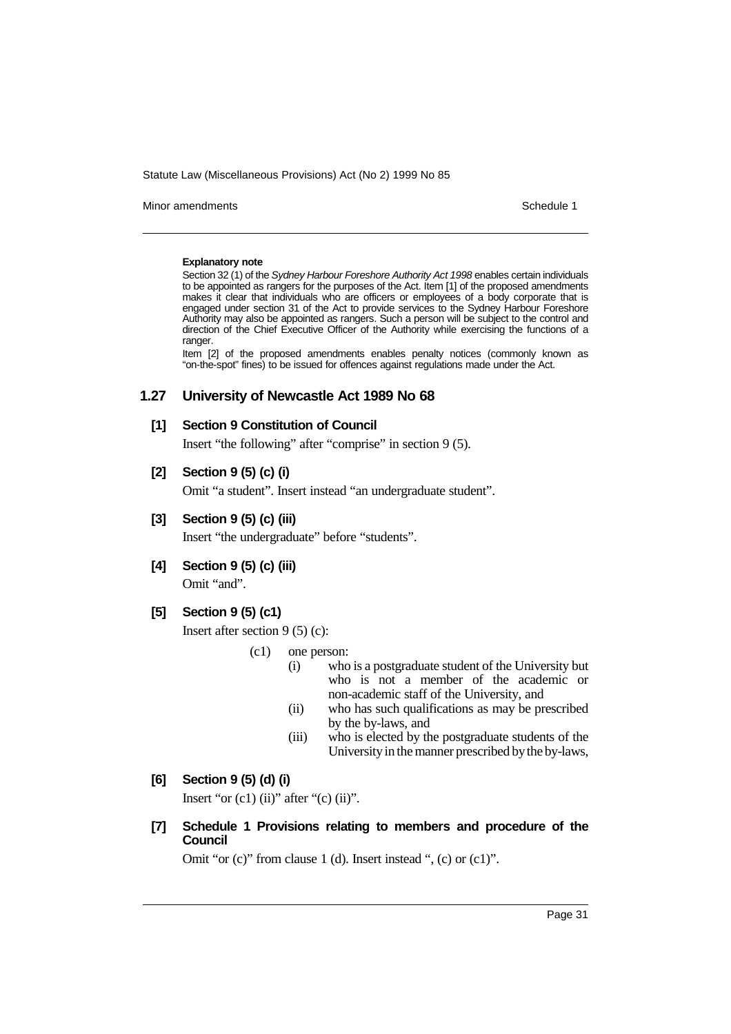Minor amendments **Schedule 1** and the state of the state of the Schedule 1

#### **Explanatory note**

Section 32 (1) of the Sydney Harbour Foreshore Authority Act 1998 enables certain individuals to be appointed as rangers for the purposes of the Act. Item [1] of the proposed amendments makes it clear that individuals who are officers or employees of a body corporate that is engaged under section 31 of the Act to provide services to the Sydney Harbour Foreshore Authority may also be appointed as rangers. Such a person will be subject to the control and direction of the Chief Executive Officer of the Authority while exercising the functions of a ranger.

Item [2] of the proposed amendments enables penalty notices (commonly known as "on-the-spot" fines) to be issued for offences against regulations made under the Act.

# **1.27 University of Newcastle Act 1989 No 68**

# **[1] Section 9 Constitution of Council**

Insert "the following" after "comprise" in section 9 (5).

# **[2] Section 9 (5) (c) (i)**

Omit "a student". Insert instead "an undergraduate student".

**[3] Section 9 (5) (c) (iii)**

Insert "the undergraduate" before "students".

**[4] Section 9 (5) (c) (iii)** Omit "and".

# **[5] Section 9 (5) (c1)**

Insert after section 9 (5) (c):

- (c1) one person:
	- (i) who is a postgraduate student of the University but who is not a member of the academic or non-academic staff of the University, and
	- (ii) who has such qualifications as may be prescribed by the by-laws, and
	- (iii) who is elected by the postgraduate students of the University in the manner prescribed by the by-laws,

# **[6] Section 9 (5) (d) (i)**

Insert "or  $(c1)$  (ii)" after " $(c)$  (ii)".

**[7] Schedule 1 Provisions relating to members and procedure of the Council**

Omit "or (c)" from clause 1 (d). Insert instead ", (c) or (c1)".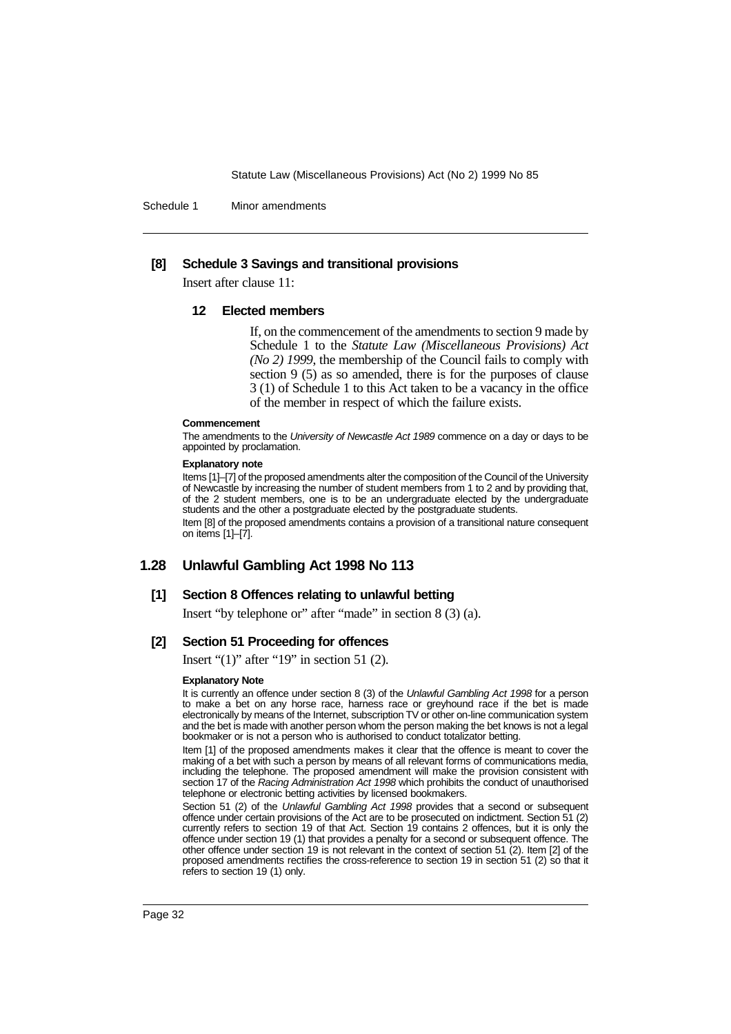Schedule 1 Minor amendments

### **[8] Schedule 3 Savings and transitional provisions**

Insert after clause 11:

#### **12 Elected members**

If, on the commencement of the amendments to section 9 made by Schedule 1 to the *Statute Law (Miscellaneous Provisions) Act (No 2) 1999*, the membership of the Council fails to comply with section 9 (5) as so amended, there is for the purposes of clause 3 (1) of Schedule 1 to this Act taken to be a vacancy in the office of the member in respect of which the failure exists.

#### **Commencement**

The amendments to the University of Newcastle Act 1989 commence on a day or days to be appointed by proclamation.

#### **Explanatory note**

Items [1]–[7] of the proposed amendments alter the composition of the Council of the University of Newcastle by increasing the number of student members from 1 to 2 and by providing that, of the 2 student members, one is to be an undergraduate elected by the undergraduate students and the other a postgraduate elected by the postgraduate students. Item [8] of the proposed amendments contains a provision of a transitional nature consequent

on items [1]–[7].

# **1.28 Unlawful Gambling Act 1998 No 113**

# **[1] Section 8 Offences relating to unlawful betting**

Insert "by telephone or" after "made" in section 8 (3) (a).

# **[2] Section 51 Proceeding for offences**

Insert " $(1)$ " after "19" in section 51  $(2)$ .

#### **Explanatory Note**

It is currently an offence under section 8 (3) of the Unlawful Gambling Act 1998 for a person to make a bet on any horse race, harness race or greyhound race if the bet is made electronically by means of the Internet, subscription TV or other on-line communication system and the bet is made with another person whom the person making the bet knows is not a legal bookmaker or is not a person who is authorised to conduct totalizator betting.

Item [1] of the proposed amendments makes it clear that the offence is meant to cover the making of a bet with such a person by means of all relevant forms of communications media, including the telephone. The proposed amendment will make the provision consistent with section 17 of the Racing Administration Act 1998 which prohibits the conduct of unauthorised telephone or electronic betting activities by licensed bookmakers.

Section 51 (2) of the Unlawful Gambling Act 1998 provides that a second or subsequent offence under certain provisions of the Act are to be prosecuted on indictment. Section 51 (2) currently refers to section 19 of that Act. Section 19 contains 2 offences, but it is only the offence under section 19 (1) that provides a penalty for a second or subsequent offence. The other offence under section 19 is not relevant in the context of section 51 (2). Item [2] of the proposed amendments rectifies the cross-reference to section 19 in section 51 (2) so that it refers to section 19 (1) only.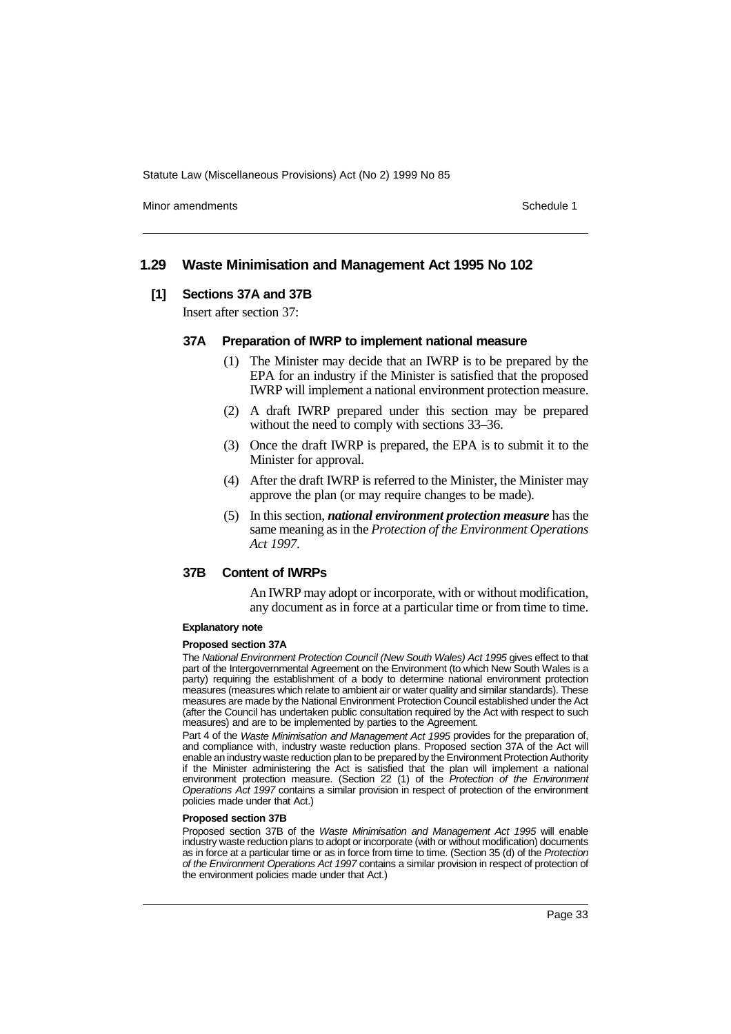Minor amendments **Schedule 1** and the state of the state of the state of the Schedule 1

# **1.29 Waste Minimisation and Management Act 1995 No 102**

#### **[1] Sections 37A and 37B**

Insert after section 37:

#### **37A Preparation of IWRP to implement national measure**

- (1) The Minister may decide that an IWRP is to be prepared by the EPA for an industry if the Minister is satisfied that the proposed IWRP will implement a national environment protection measure.
- (2) A draft IWRP prepared under this section may be prepared without the need to comply with sections 33–36.
- (3) Once the draft IWRP is prepared, the EPA is to submit it to the Minister for approval.
- (4) After the draft IWRP is referred to the Minister, the Minister may approve the plan (or may require changes to be made).
- (5) In this section, *national environment protection measure* has the same meaning as in the *Protection of the Environment Operations Act 1997*.

# **37B Content of IWRPs**

An IWRP may adopt or incorporate, with or without modification, any document as in force at a particular time or from time to time.

#### **Explanatory note**

#### **Proposed section 37A**

The National Environment Protection Council (New South Wales) Act 1995 gives effect to that part of the Intergovernmental Agreement on the Environment (to which New South Wales is a party) requiring the establishment of a body to determine national environment protection measures (measures which relate to ambient air or water quality and similar standards). These measures are made by the National Environment Protection Council established under the Act (after the Council has undertaken public consultation required by the Act with respect to such measures) and are to be implemented by parties to the Agreement.

Part 4 of the Waste Minimisation and Management Act 1995 provides for the preparation of, and compliance with, industry waste reduction plans. Proposed section 37A of the Act will enable an industry waste reduction plan to be prepared by the Environment Protection Authority if the Minister administering the Act is satisfied that the plan will implement a national environment protection measure. (Section 22 (1) of the Protection of the Environment Operations Act 1997 contains a similar provision in respect of protection of the environment policies made under that Act.)

#### **Proposed section 37B**

Proposed section 37B of the Waste Minimisation and Management Act 1995 will enable industry waste reduction plans to adopt or incorporate (with or without modification) documents as in force at a particular time or as in force from time to time. (Section 35 (d) of the Protection of the Environment Operations Act 1997 contains a similar provision in respect of protection of the environment policies made under that Act.)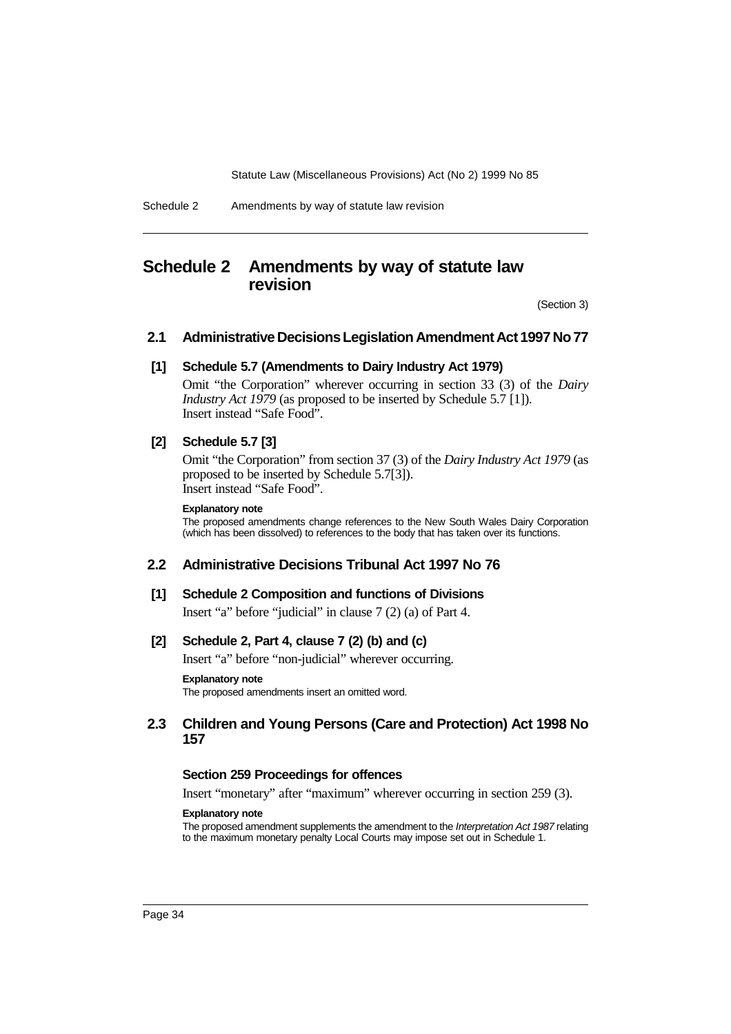#### Schedule 2 Amendments by way of statute law revision

# **Schedule 2 Amendments by way of statute law revision**

(Section 3)

# **2.1 Administrative Decisions Legislation Amendment Act 1997 No 77**

### **[1] Schedule 5.7 (Amendments to Dairy Industry Act 1979)**

Omit "the Corporation" wherever occurring in section 33 (3) of the *Dairy Industry Act 1979* (as proposed to be inserted by Schedule 5.7 [1]). Insert instead "Safe Food".

## **[2] Schedule 5.7 [3]**

Omit "the Corporation" from section 37 (3) of the *Dairy Industry Act 1979* (as proposed to be inserted by Schedule 5.7[3]). Insert instead "Safe Food".

#### **Explanatory note**

The proposed amendments change references to the New South Wales Dairy Corporation (which has been dissolved) to references to the body that has taken over its functions.

# **2.2 Administrative Decisions Tribunal Act 1997 No 76**

#### **[1] Schedule 2 Composition and functions of Divisions**

Insert "a" before "judicial" in clause 7 (2) (a) of Part 4.

# **[2] Schedule 2, Part 4, clause 7 (2) (b) and (c)**

Insert "a" before "non-judicial" wherever occurring.

#### **Explanatory note**

The proposed amendments insert an omitted word.

# **2.3 Children and Young Persons (Care and Protection) Act 1998 No 157**

#### **Section 259 Proceedings for offences**

Insert "monetary" after "maximum" wherever occurring in section 259 (3).

#### **Explanatory note**

The proposed amendment supplements the amendment to the Interpretation Act 1987 relating to the maximum monetary penalty Local Courts may impose set out in Schedule 1.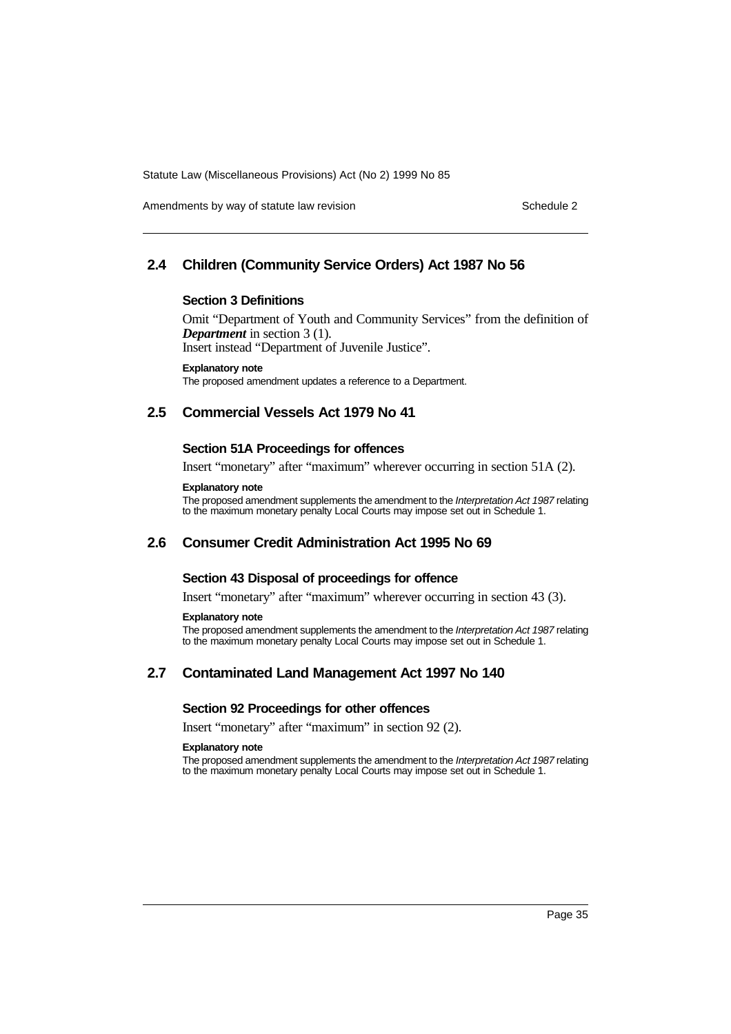Amendments by way of statute law revision Schedule 2 and Schedule 2

## **2.4 Children (Community Service Orders) Act 1987 No 56**

### **Section 3 Definitions**

Omit "Department of Youth and Community Services" from the definition of *Department* in section 3 (1). Insert instead "Department of Juvenile Justice".

**Explanatory note**

The proposed amendment updates a reference to a Department.

## **2.5 Commercial Vessels Act 1979 No 41**

### **Section 51A Proceedings for offences**

Insert "monetary" after "maximum" wherever occurring in section 51A (2).

#### **Explanatory note**

The proposed amendment supplements the amendment to the Interpretation Act 1987 relating to the maximum monetary penalty Local Courts may impose set out in Schedule 1.

## **2.6 Consumer Credit Administration Act 1995 No 69**

### **Section 43 Disposal of proceedings for offence**

Insert "monetary" after "maximum" wherever occurring in section 43 (3).

#### **Explanatory note**

The proposed amendment supplements the amendment to the Interpretation Act 1987 relating to the maximum monetary penalty Local Courts may impose set out in Schedule 1.

## **2.7 Contaminated Land Management Act 1997 No 140**

#### **Section 92 Proceedings for other offences**

Insert "monetary" after "maximum" in section 92 (2).

### **Explanatory note**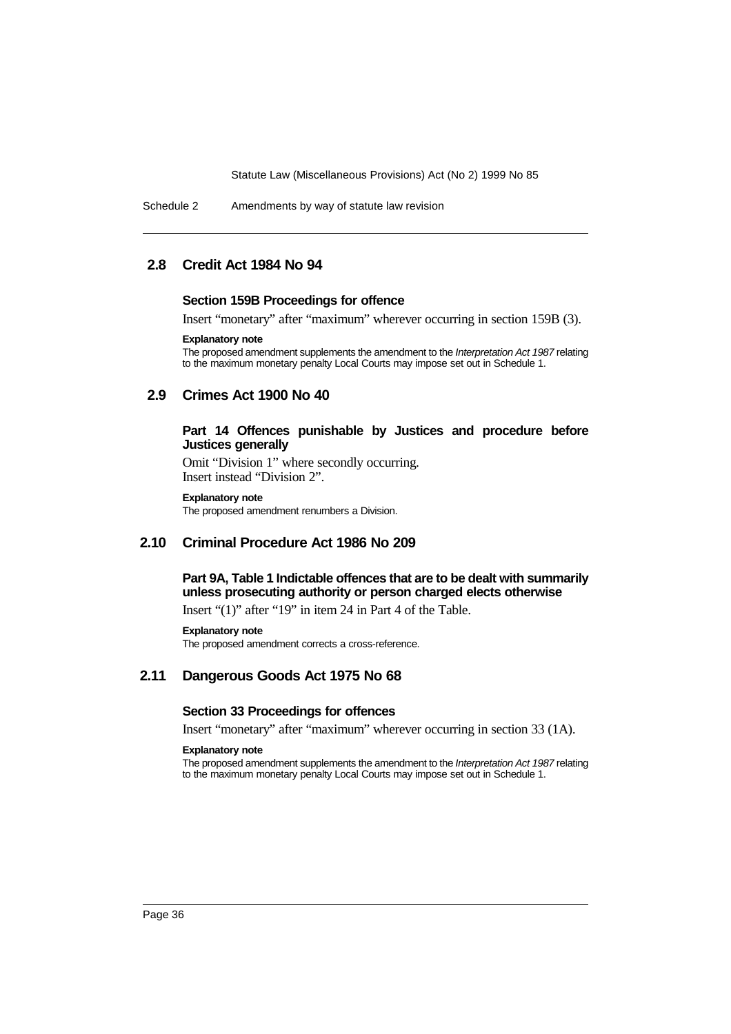Schedule 2 Amendments by way of statute law revision

## **2.8 Credit Act 1984 No 94**

#### **Section 159B Proceedings for offence**

Insert "monetary" after "maximum" wherever occurring in section 159B (3).

#### **Explanatory note**

The proposed amendment supplements the amendment to the Interpretation Act 1987 relating to the maximum monetary penalty Local Courts may impose set out in Schedule 1.

## **2.9 Crimes Act 1900 No 40**

### **Part 14 Offences punishable by Justices and procedure before Justices generally**

Omit "Division 1" where secondly occurring. Insert instead "Division 2".

#### **Explanatory note**

The proposed amendment renumbers a Division.

## **2.10 Criminal Procedure Act 1986 No 209**

## **Part 9A, Table 1 Indictable offences that are to be dealt with summarily unless prosecuting authority or person charged elects otherwise**

Insert "(1)" after "19" in item 24 in Part 4 of the Table.

### **Explanatory note** The proposed amendment corrects a cross-reference.

## **2.11 Dangerous Goods Act 1975 No 68**

## **Section 33 Proceedings for offences**

Insert "monetary" after "maximum" wherever occurring in section 33 (1A).

#### **Explanatory note**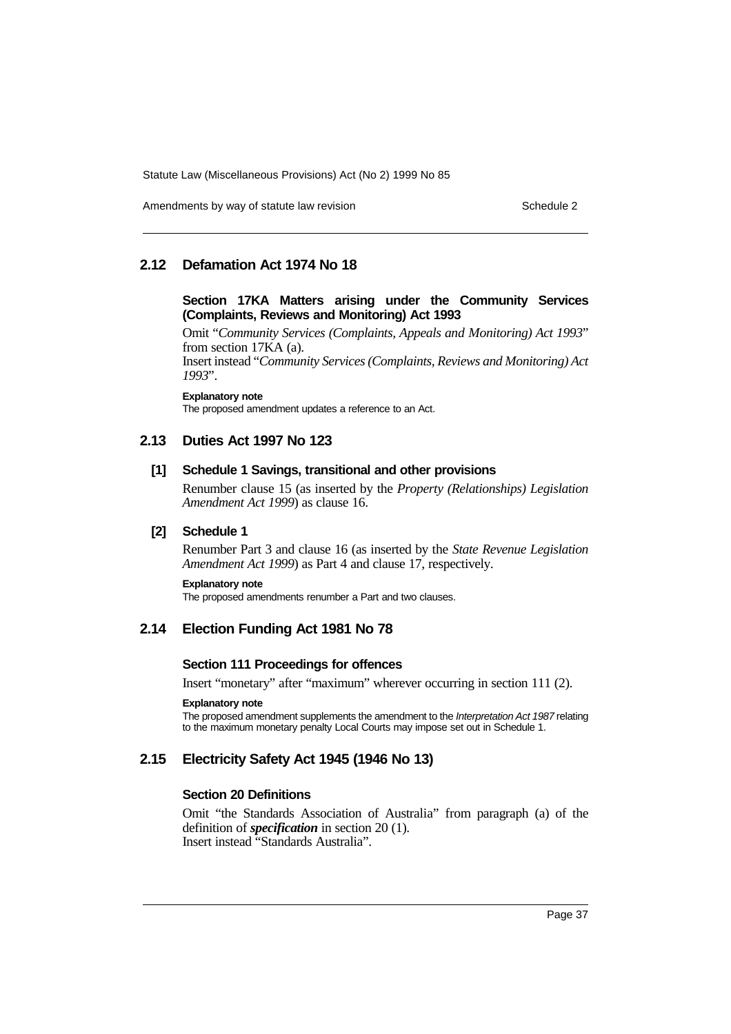Amendments by way of statute law revision Schedule 2 and Schedule 2

## **2.12 Defamation Act 1974 No 18**

## **Section 17KA Matters arising under the Community Services (Complaints, Reviews and Monitoring) Act 1993**

Omit "*Community Services (Complaints, Appeals and Monitoring) Act 1993*" from section 17KA (a). Insert instead "*Community Services (Complaints, Reviews and Monitoring) Act 1993*".

**Explanatory note**

The proposed amendment updates a reference to an Act.

## **2.13 Duties Act 1997 No 123**

### **[1] Schedule 1 Savings, transitional and other provisions**

Renumber clause 15 (as inserted by the *Property (Relationships) Legislation Amendment Act 1999*) as clause 16.

## **[2] Schedule 1**

Renumber Part 3 and clause 16 (as inserted by the *State Revenue Legislation Amendment Act 1999*) as Part 4 and clause 17, respectively.

### **Explanatory note**

The proposed amendments renumber a Part and two clauses.

# **2.14 Election Funding Act 1981 No 78**

## **Section 111 Proceedings for offences**

Insert "monetary" after "maximum" wherever occurring in section 111 (2).

#### **Explanatory note**

The proposed amendment supplements the amendment to the Interpretation Act 1987 relating to the maximum monetary penalty Local Courts may impose set out in Schedule 1.

# **2.15 Electricity Safety Act 1945 (1946 No 13)**

## **Section 20 Definitions**

Omit "the Standards Association of Australia" from paragraph (a) of the definition of *specification* in section 20 (1). Insert instead "Standards Australia".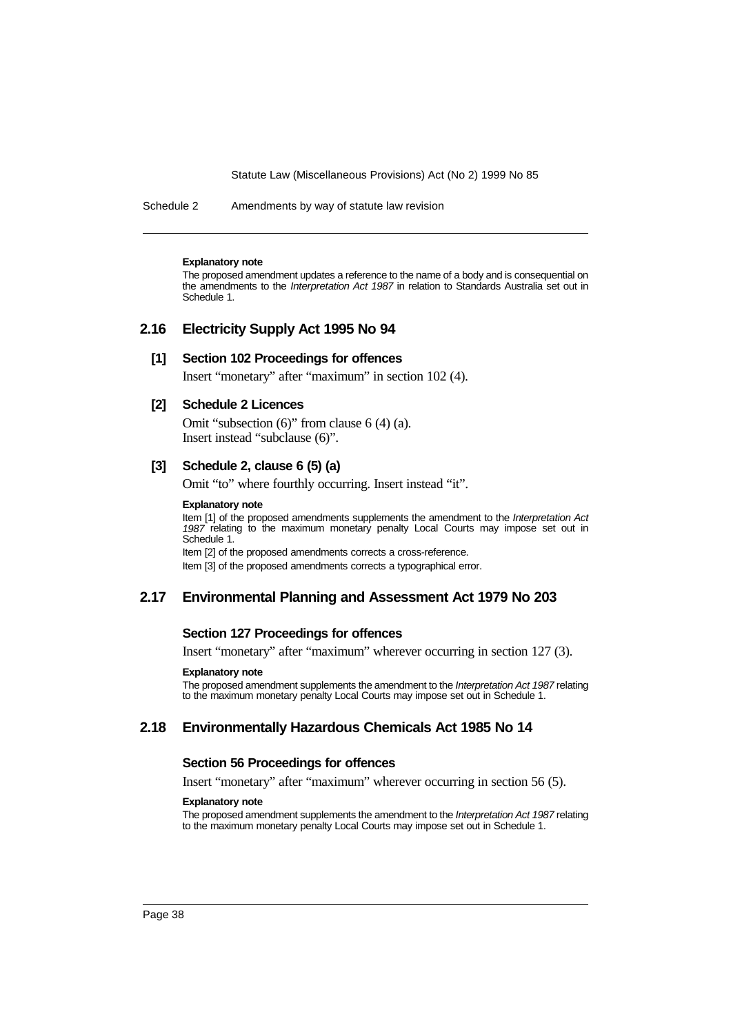Schedule 2 Amendments by way of statute law revision

#### **Explanatory note**

The proposed amendment updates a reference to the name of a body and is consequential on the amendments to the Interpretation Act 1987 in relation to Standards Australia set out in Schedule 1.

## **2.16 Electricity Supply Act 1995 No 94**

### **[1] Section 102 Proceedings for offences**

Insert "monetary" after "maximum" in section 102 (4).

### **[2] Schedule 2 Licences**

Omit "subsection (6)" from clause 6 (4) (a). Insert instead "subclause (6)".

## **[3] Schedule 2, clause 6 (5) (a)**

Omit "to" where fourthly occurring. Insert instead "it".

#### **Explanatory note**

Item [1] of the proposed amendments supplements the amendment to the Interpretation Act 1987 relating to the maximum monetary penalty Local Courts may impose set out in Schedule 1.

Item [2] of the proposed amendments corrects a cross-reference. Item [3] of the proposed amendments corrects a typographical error.

## **2.17 Environmental Planning and Assessment Act 1979 No 203**

### **Section 127 Proceedings for offences**

Insert "monetary" after "maximum" wherever occurring in section 127 (3).

#### **Explanatory note**

The proposed amendment supplements the amendment to the Interpretation Act 1987 relating to the maximum monetary penalty Local Courts may impose set out in Schedule 1.

## **2.18 Environmentally Hazardous Chemicals Act 1985 No 14**

### **Section 56 Proceedings for offences**

Insert "monetary" after "maximum" wherever occurring in section 56 (5).

#### **Explanatory note**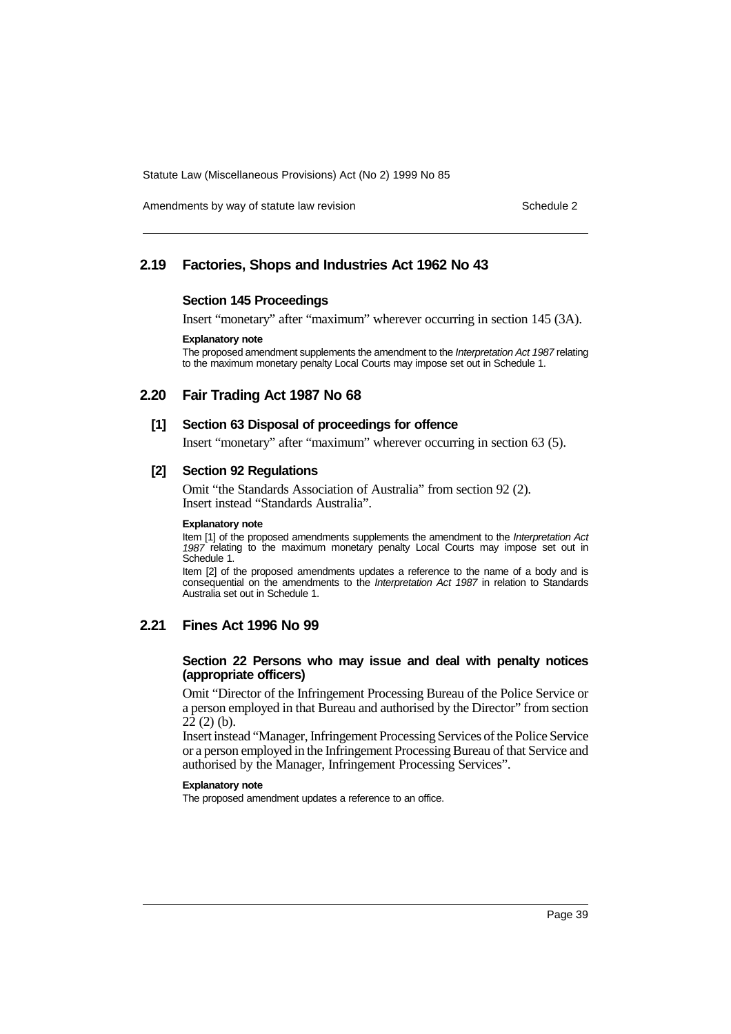Amendments by way of statute law revision Schedule 2 and Schedule 2

## **2.19 Factories, Shops and Industries Act 1962 No 43**

## **Section 145 Proceedings**

Insert "monetary" after "maximum" wherever occurring in section 145 (3A).

#### **Explanatory note**

The proposed amendment supplements the amendment to the Interpretation Act 1987 relating to the maximum monetary penalty Local Courts may impose set out in Schedule 1.

## **2.20 Fair Trading Act 1987 No 68**

### **[1] Section 63 Disposal of proceedings for offence**

Insert "monetary" after "maximum" wherever occurring in section 63 (5).

## **[2] Section 92 Regulations**

Omit "the Standards Association of Australia" from section 92 (2). Insert instead "Standards Australia".

#### **Explanatory note**

Item [1] of the proposed amendments supplements the amendment to the Interpretation Act 1987 relating to the maximum monetary penalty Local Courts may impose set out in Schedule 1.

Item [2] of the proposed amendments updates a reference to the name of a body and is consequential on the amendments to the Interpretation Act 1987 in relation to Standards Australia set out in Schedule 1.

## **2.21 Fines Act 1996 No 99**

### **Section 22 Persons who may issue and deal with penalty notices (appropriate officers)**

Omit "Director of the Infringement Processing Bureau of the Police Service or a person employed in that Bureau and authorised by the Director" from section  $22(2)$  (b).

Insert instead "Manager, Infringement Processing Services of the Police Service or a person employed in the Infringement Processing Bureau of that Service and authorised by the Manager, Infringement Processing Services".

#### **Explanatory note**

The proposed amendment updates a reference to an office.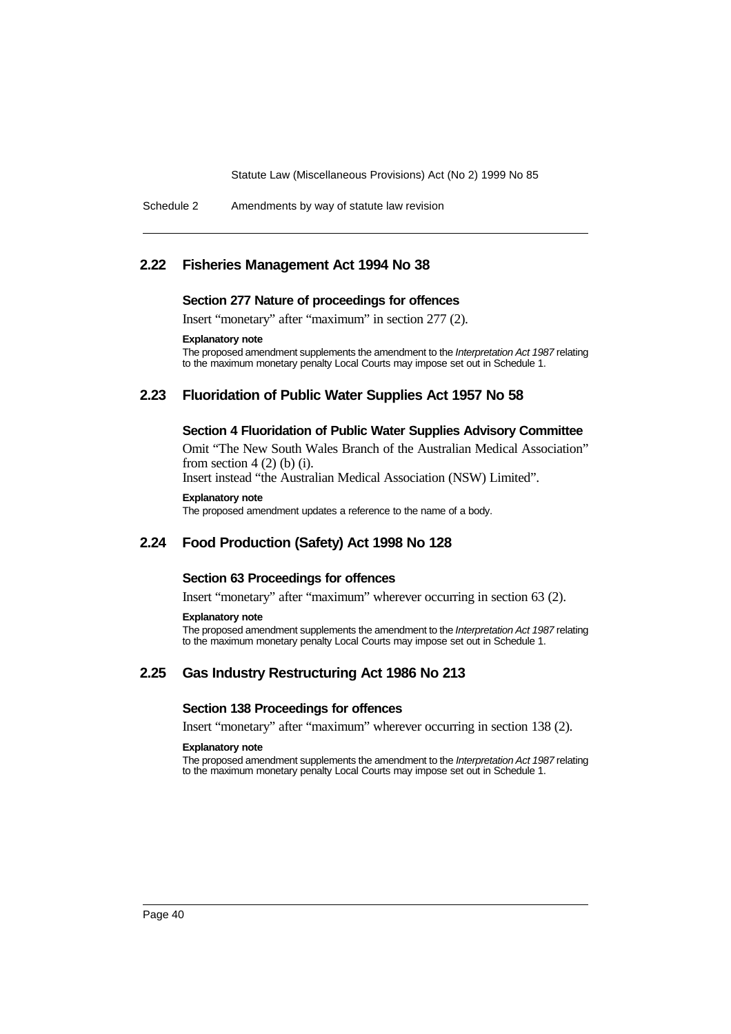Schedule 2 Amendments by way of statute law revision

## **2.22 Fisheries Management Act 1994 No 38**

#### **Section 277 Nature of proceedings for offences**

Insert "monetary" after "maximum" in section 277 (2).

### **Explanatory note**

The proposed amendment supplements the amendment to the Interpretation Act 1987 relating to the maximum monetary penalty Local Courts may impose set out in Schedule 1.

## **2.23 Fluoridation of Public Water Supplies Act 1957 No 58**

## **Section 4 Fluoridation of Public Water Supplies Advisory Committee**

Omit "The New South Wales Branch of the Australian Medical Association" from section  $4(2)$  (b) (i).

Insert instead "the Australian Medical Association (NSW) Limited".

#### **Explanatory note**

The proposed amendment updates a reference to the name of a body.

## **2.24 Food Production (Safety) Act 1998 No 128**

## **Section 63 Proceedings for offences**

Insert "monetary" after "maximum" wherever occurring in section 63 (2).

#### **Explanatory note**

The proposed amendment supplements the amendment to the Interpretation Act 1987 relating to the maximum monetary penalty Local Courts may impose set out in Schedule 1.

## **2.25 Gas Industry Restructuring Act 1986 No 213**

## **Section 138 Proceedings for offences**

Insert "monetary" after "maximum" wherever occurring in section 138 (2).

#### **Explanatory note**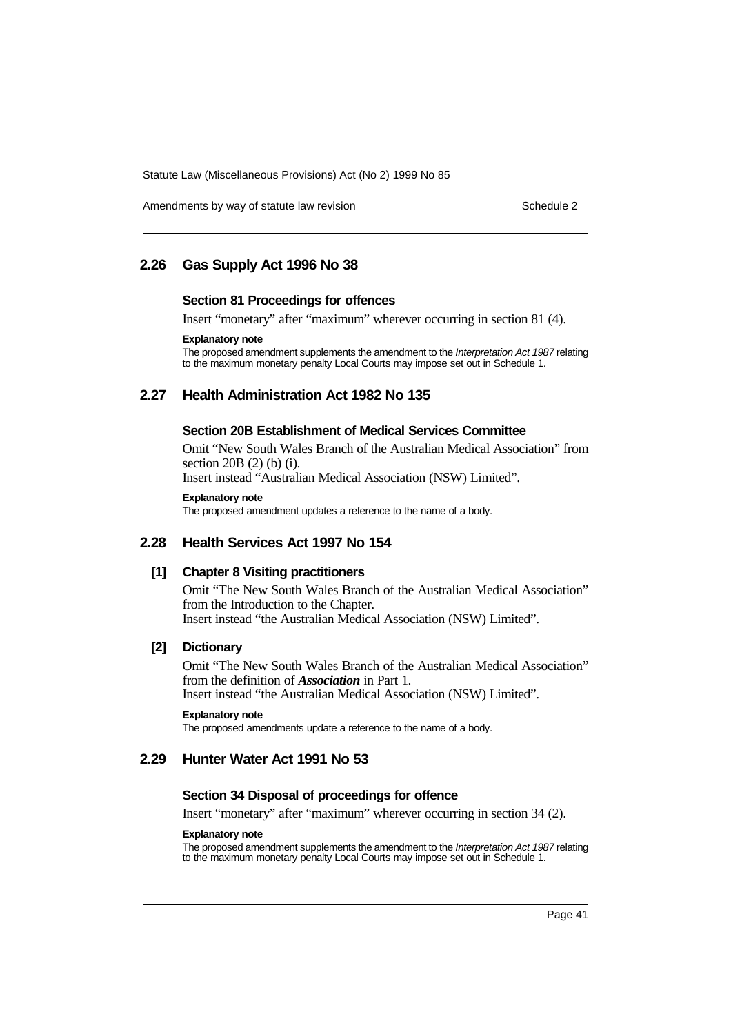Amendments by way of statute law revision Schedule 2 and Schedule 2

## **2.26 Gas Supply Act 1996 No 38**

### **Section 81 Proceedings for offences**

Insert "monetary" after "maximum" wherever occurring in section 81 (4).

### **Explanatory note**

The proposed amendment supplements the amendment to the Interpretation Act 1987 relating to the maximum monetary penalty Local Courts may impose set out in Schedule 1.

## **2.27 Health Administration Act 1982 No 135**

### **Section 20B Establishment of Medical Services Committee**

Omit "New South Wales Branch of the Australian Medical Association" from section 20B (2) (b) (i).

Insert instead "Australian Medical Association (NSW) Limited".

#### **Explanatory note**

The proposed amendment updates a reference to the name of a body.

## **2.28 Health Services Act 1997 No 154**

## **[1] Chapter 8 Visiting practitioners**

Omit "The New South Wales Branch of the Australian Medical Association" from the Introduction to the Chapter. Insert instead "the Australian Medical Association (NSW) Limited".

### **[2] Dictionary**

Omit "The New South Wales Branch of the Australian Medical Association" from the definition of *Association* in Part 1. Insert instead "the Australian Medical Association (NSW) Limited".

### **Explanatory note**

The proposed amendments update a reference to the name of a body.

# **2.29 Hunter Water Act 1991 No 53**

### **Section 34 Disposal of proceedings for offence**

Insert "monetary" after "maximum" wherever occurring in section 34 (2).

### **Explanatory note**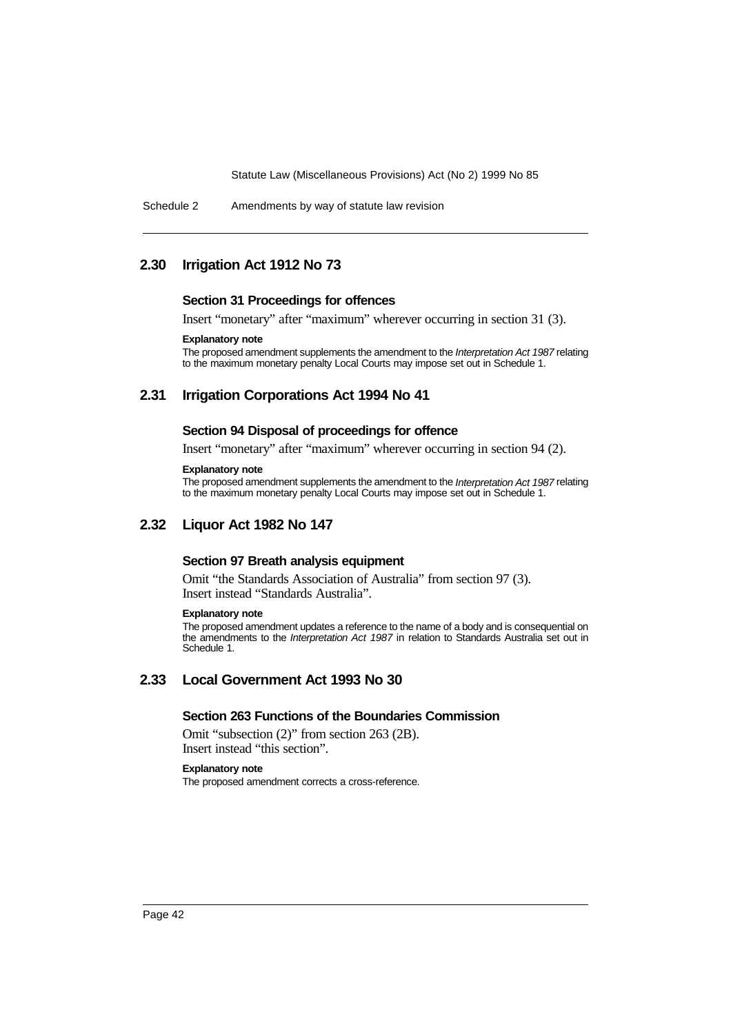#### Schedule 2 Amendments by way of statute law revision

## **2.30 Irrigation Act 1912 No 73**

#### **Section 31 Proceedings for offences**

Insert "monetary" after "maximum" wherever occurring in section 31 (3).

## **Explanatory note**

The proposed amendment supplements the amendment to the Interpretation Act 1987 relating to the maximum monetary penalty Local Courts may impose set out in Schedule 1.

## **2.31 Irrigation Corporations Act 1994 No 41**

### **Section 94 Disposal of proceedings for offence**

Insert "monetary" after "maximum" wherever occurring in section 94 (2).

### **Explanatory note**

The proposed amendment supplements the amendment to the Interpretation Act 1987 relating to the maximum monetary penalty Local Courts may impose set out in Schedule 1.

## **2.32 Liquor Act 1982 No 147**

## **Section 97 Breath analysis equipment**

Omit "the Standards Association of Australia" from section 97 (3). Insert instead "Standards Australia".

#### **Explanatory note**

The proposed amendment updates a reference to the name of a body and is consequential on the amendments to the Interpretation Act 1987 in relation to Standards Australia set out in Schedule 1.

# **2.33 Local Government Act 1993 No 30**

## **Section 263 Functions of the Boundaries Commission**

Omit "subsection (2)" from section 263 (2B). Insert instead "this section".

#### **Explanatory note**

The proposed amendment corrects a cross-reference.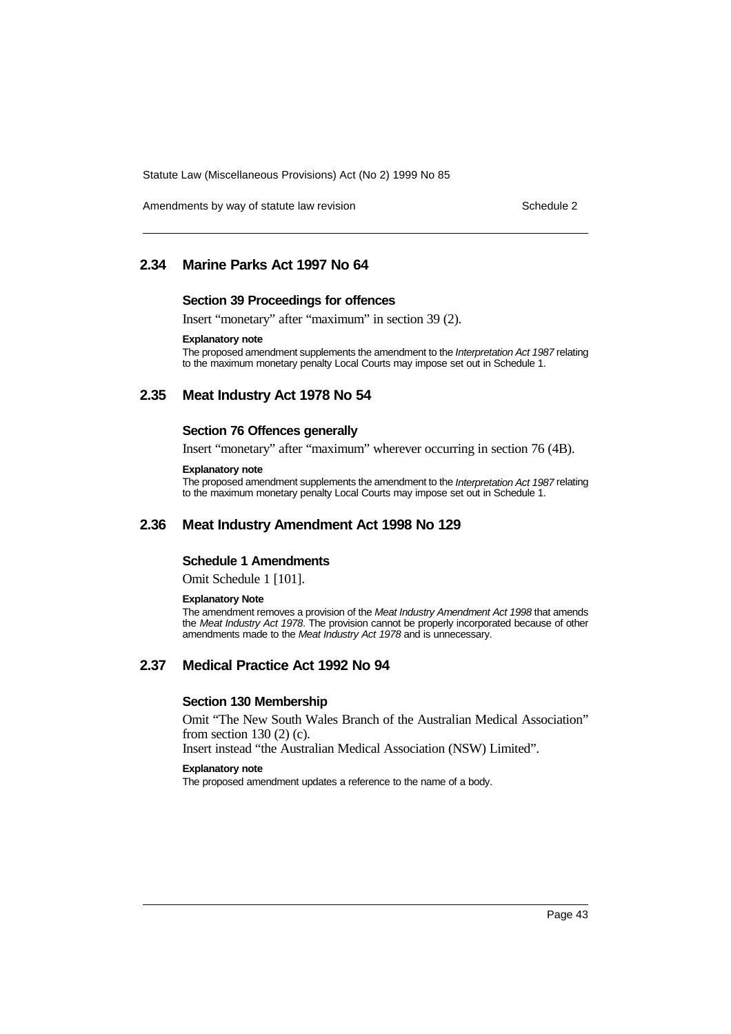Amendments by way of statute law revision Schedule 2 and Schedule 2

## **2.34 Marine Parks Act 1997 No 64**

#### **Section 39 Proceedings for offences**

Insert "monetary" after "maximum" in section 39 (2).

## **Explanatory note**

The proposed amendment supplements the amendment to the Interpretation Act 1987 relating to the maximum monetary penalty Local Courts may impose set out in Schedule 1.

## **2.35 Meat Industry Act 1978 No 54**

### **Section 76 Offences generally**

Insert "monetary" after "maximum" wherever occurring in section 76 (4B).

### **Explanatory note**

The proposed amendment supplements the amendment to the Interpretation Act 1987 relating to the maximum monetary penalty Local Courts may impose set out in Schedule 1.

## **2.36 Meat Industry Amendment Act 1998 No 129**

## **Schedule 1 Amendments**

Omit Schedule 1 [101].

#### **Explanatory Note**

The amendment removes a provision of the Meat Industry Amendment Act 1998 that amends the Meat Industry Act 1978. The provision cannot be properly incorporated because of other amendments made to the Meat Industry Act 1978 and is unnecessary.

## **2.37 Medical Practice Act 1992 No 94**

#### **Section 130 Membership**

Omit "The New South Wales Branch of the Australian Medical Association" from section 130 (2) (c).

Insert instead "the Australian Medical Association (NSW) Limited".

#### **Explanatory note**

The proposed amendment updates a reference to the name of a body.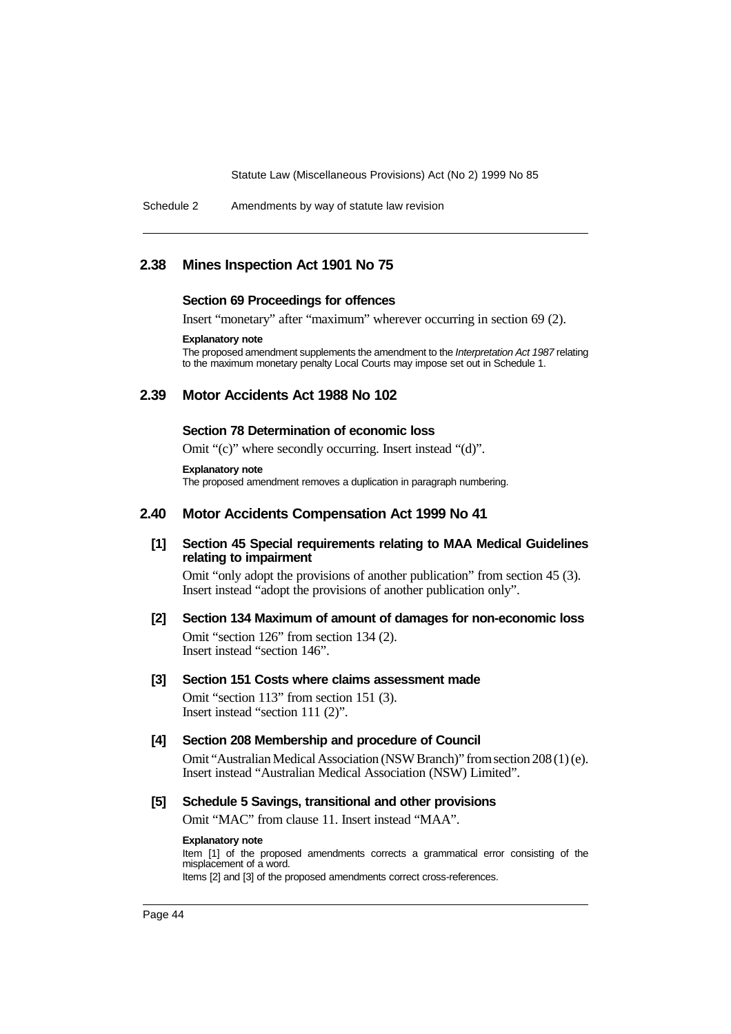Schedule 2 Amendments by way of statute law revision

## **2.38 Mines Inspection Act 1901 No 75**

### **Section 69 Proceedings for offences**

Insert "monetary" after "maximum" wherever occurring in section 69 (2).

### **Explanatory note**

The proposed amendment supplements the amendment to the Interpretation Act 1987 relating to the maximum monetary penalty Local Courts may impose set out in Schedule 1.

## **2.39 Motor Accidents Act 1988 No 102**

#### **Section 78 Determination of economic loss**

Omit "(c)" where secondly occurring. Insert instead "(d)".

#### **Explanatory note**

The proposed amendment removes a duplication in paragraph numbering.

## **2.40 Motor Accidents Compensation Act 1999 No 41**

## **[1] Section 45 Special requirements relating to MAA Medical Guidelines relating to impairment**

Omit "only adopt the provisions of another publication" from section 45 (3). Insert instead "adopt the provisions of another publication only".

## **[2] Section 134 Maximum of amount of damages for non-economic loss** Omit "section 126" from section 134 (2). Insert instead "section 146".

### **[3] Section 151 Costs where claims assessment made**

Omit "section 113" from section 151 (3). Insert instead "section 111 (2)".

### **[4] Section 208 Membership and procedure of Council**

Omit "Australian Medical Association (NSW Branch)" from section 208 (1) (e). Insert instead "Australian Medical Association (NSW) Limited".

## **[5] Schedule 5 Savings, transitional and other provisions**

Omit "MAC" from clause 11. Insert instead "MAA".

#### **Explanatory note**

Item [1] of the proposed amendments corrects a grammatical error consisting of the misplacement of a word. Items [2] and [3] of the proposed amendments correct cross-references.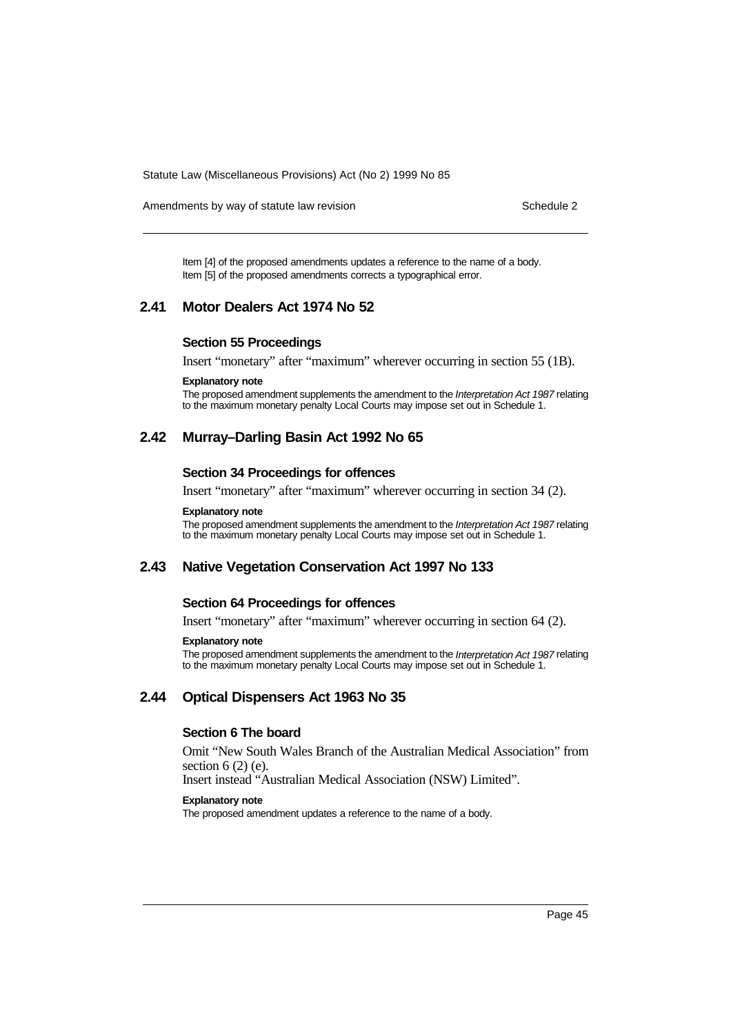Amendments by way of statute law revision Schedule 2 and Schedule 2

Item [4] of the proposed amendments updates a reference to the name of a body. Item [5] of the proposed amendments corrects a typographical error.

## **2.41 Motor Dealers Act 1974 No 52**

## **Section 55 Proceedings**

Insert "monetary" after "maximum" wherever occurring in section 55 (1B).

#### **Explanatory note**

The proposed amendment supplements the amendment to the Interpretation Act 1987 relating to the maximum monetary penalty Local Courts may impose set out in Schedule 1.

## **2.42 Murray–Darling Basin Act 1992 No 65**

#### **Section 34 Proceedings for offences**

Insert "monetary" after "maximum" wherever occurring in section 34 (2).

#### **Explanatory note**

The proposed amendment supplements the amendment to the *Interpretation Act 1987* relating to the maximum monetary penalty Local Courts may impose set out in Schedule 1.

## **2.43 Native Vegetation Conservation Act 1997 No 133**

### **Section 64 Proceedings for offences**

Insert "monetary" after "maximum" wherever occurring in section 64 (2).

### **Explanatory note**

The proposed amendment supplements the amendment to the Interpretation Act 1987 relating to the maximum monetary penalty Local Courts may impose set out in Schedule 1.

## **2.44 Optical Dispensers Act 1963 No 35**

## **Section 6 The board**

Omit "New South Wales Branch of the Australian Medical Association" from section  $6(2)$  (e).

Insert instead "Australian Medical Association (NSW) Limited".

#### **Explanatory note**

The proposed amendment updates a reference to the name of a body.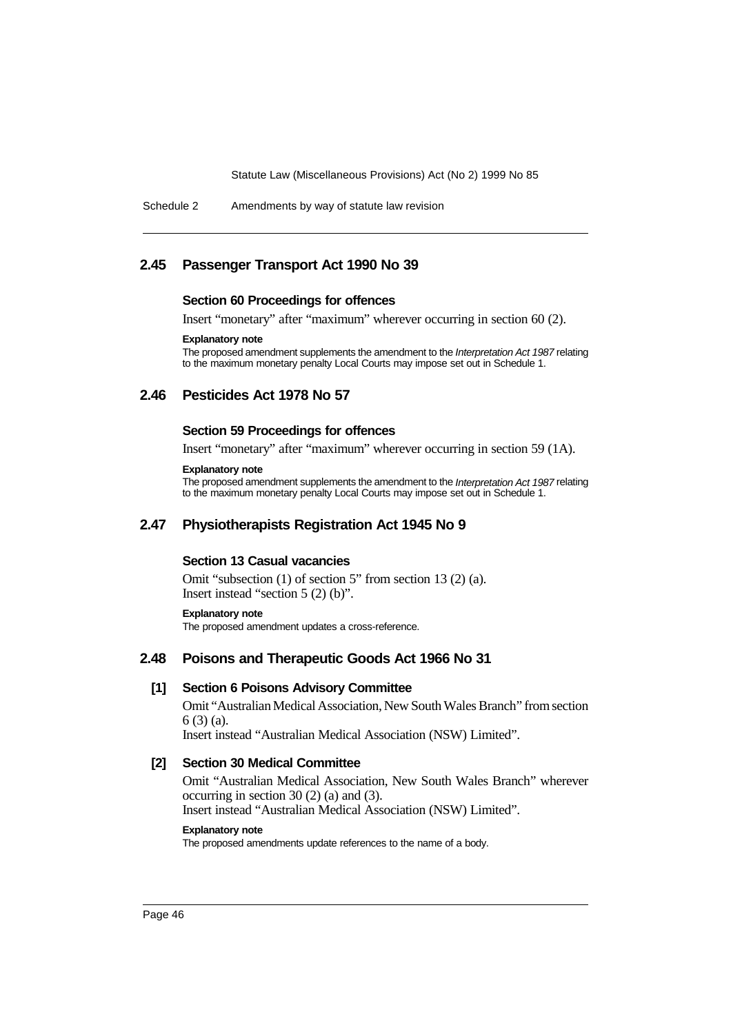Schedule 2 Amendments by way of statute law revision

## **2.45 Passenger Transport Act 1990 No 39**

### **Section 60 Proceedings for offences**

Insert "monetary" after "maximum" wherever occurring in section 60 (2).

## **Explanatory note**

The proposed amendment supplements the amendment to the Interpretation Act 1987 relating to the maximum monetary penalty Local Courts may impose set out in Schedule 1.

## **2.46 Pesticides Act 1978 No 57**

## **Section 59 Proceedings for offences**

Insert "monetary" after "maximum" wherever occurring in section 59 (1A).

### **Explanatory note**

The proposed amendment supplements the amendment to the Interpretation Act 1987 relating to the maximum monetary penalty Local Courts may impose set out in Schedule 1.

## **2.47 Physiotherapists Registration Act 1945 No 9**

## **Section 13 Casual vacancies**

Omit "subsection (1) of section 5" from section 13 (2) (a). Insert instead "section 5 (2) (b)".

#### **Explanatory note**

The proposed amendment updates a cross-reference.

## **2.48 Poisons and Therapeutic Goods Act 1966 No 31**

## **[1] Section 6 Poisons Advisory Committee**

Omit "Australian Medical Association, New South Wales Branch" from section 6 (3) (a).

Insert instead "Australian Medical Association (NSW) Limited".

## **[2] Section 30 Medical Committee**

Omit "Australian Medical Association, New South Wales Branch" wherever occurring in section 30 (2) (a) and (3). Insert instead "Australian Medical Association (NSW) Limited".

### **Explanatory note**

The proposed amendments update references to the name of a body.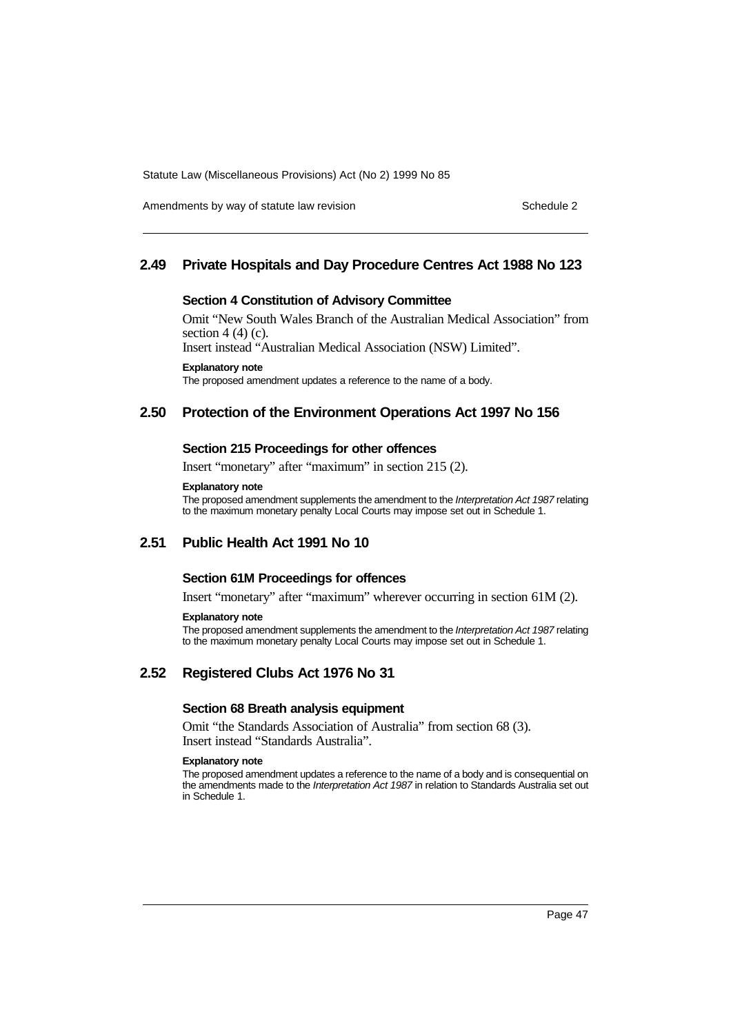Amendments by way of statute law revision Schedule 2 and Schedule 2

## **2.49 Private Hospitals and Day Procedure Centres Act 1988 No 123**

### **Section 4 Constitution of Advisory Committee**

Omit "New South Wales Branch of the Australian Medical Association" from section  $4(4)(c)$ .

Insert instead "Australian Medical Association (NSW) Limited".

**Explanatory note**

The proposed amendment updates a reference to the name of a body.

## **2.50 Protection of the Environment Operations Act 1997 No 156**

## **Section 215 Proceedings for other offences**

Insert "monetary" after "maximum" in section 215 (2).

#### **Explanatory note**

The proposed amendment supplements the amendment to the Interpretation Act 1987 relating to the maximum monetary penalty Local Courts may impose set out in Schedule 1.

# **2.51 Public Health Act 1991 No 10**

## **Section 61M Proceedings for offences**

Insert "monetary" after "maximum" wherever occurring in section 61M (2).

#### **Explanatory note**

The proposed amendment supplements the amendment to the Interpretation Act 1987 relating to the maximum monetary penalty Local Courts may impose set out in Schedule 1.

## **2.52 Registered Clubs Act 1976 No 31**

## **Section 68 Breath analysis equipment**

Omit "the Standards Association of Australia" from section 68 (3). Insert instead "Standards Australia".

#### **Explanatory note**

The proposed amendment updates a reference to the name of a body and is consequential on the amendments made to the Interpretation Act 1987 in relation to Standards Australia set out in Schedule 1.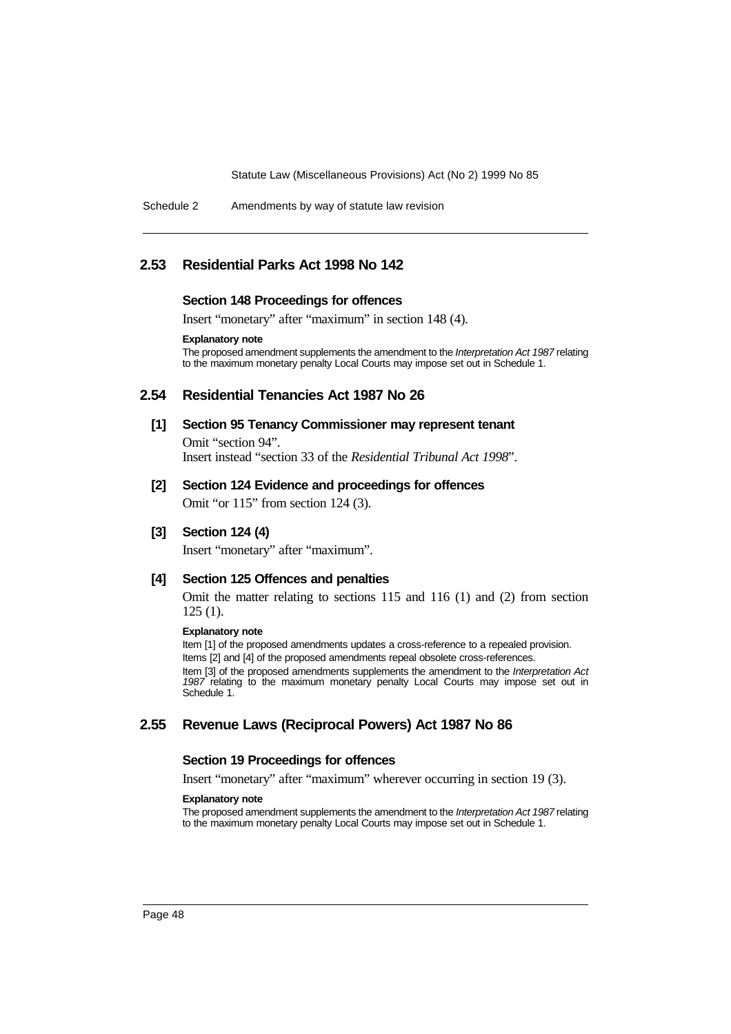Schedule 2 Amendments by way of statute law revision

## **2.53 Residential Parks Act 1998 No 142**

### **Section 148 Proceedings for offences**

Insert "monetary" after "maximum" in section 148 (4).

**Explanatory note**

The proposed amendment supplements the amendment to the Interpretation Act 1987 relating to the maximum monetary penalty Local Courts may impose set out in Schedule 1.

## **2.54 Residential Tenancies Act 1987 No 26**

**[1] Section 95 Tenancy Commissioner may represent tenant** Omit "section 94".

Insert instead "section 33 of the *Residential Tribunal Act 1998*".

### **[2] Section 124 Evidence and proceedings for offences**

Omit "or 115" from section 124 (3).

**[3] Section 124 (4)**

Insert "monetary" after "maximum".

## **[4] Section 125 Offences and penalties**

Omit the matter relating to sections 115 and 116 (1) and (2) from section 125 (1).

#### **Explanatory note**

Item [1] of the proposed amendments updates a cross-reference to a repealed provision. Items [2] and [4] of the proposed amendments repeal obsolete cross-references. Item [3] of the proposed amendments supplements the amendment to the Interpretation Act 1987 relating to the maximum monetary penalty Local Courts may impose set out in Schedule 1.

## **2.55 Revenue Laws (Reciprocal Powers) Act 1987 No 86**

#### **Section 19 Proceedings for offences**

Insert "monetary" after "maximum" wherever occurring in section 19 (3).

#### **Explanatory note**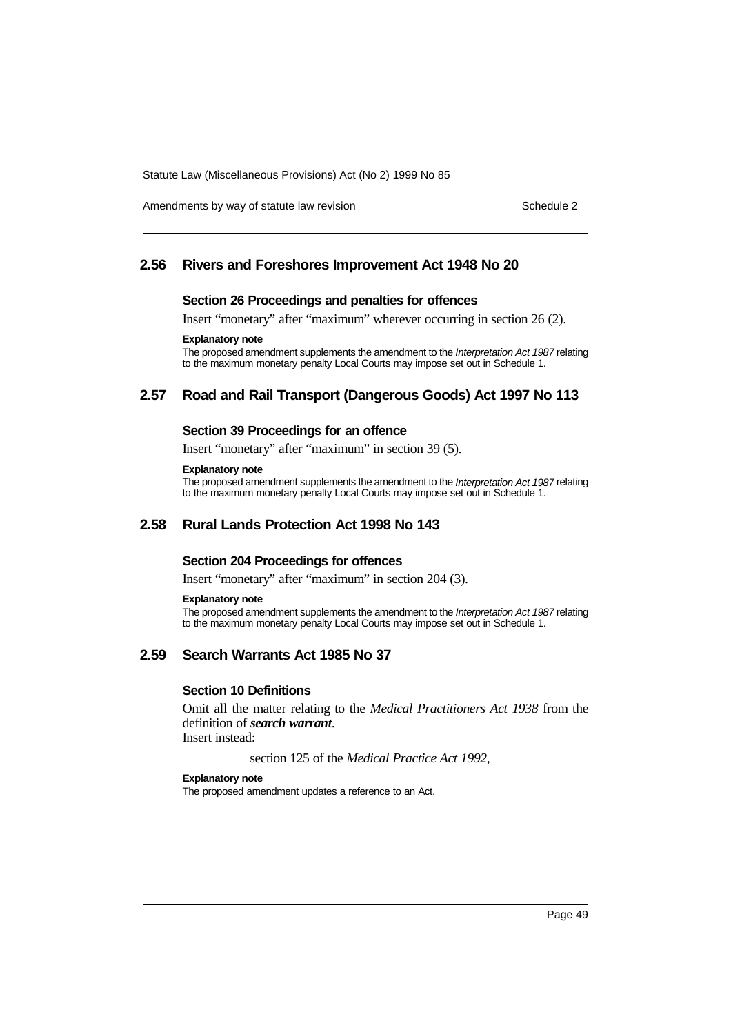Amendments by way of statute law revision Schedule 2 and Schedule 2

## **2.56 Rivers and Foreshores Improvement Act 1948 No 20**

#### **Section 26 Proceedings and penalties for offences**

Insert "monetary" after "maximum" wherever occurring in section 26 (2).

### **Explanatory note**

The proposed amendment supplements the amendment to the Interpretation Act 1987 relating to the maximum monetary penalty Local Courts may impose set out in Schedule 1.

## **2.57 Road and Rail Transport (Dangerous Goods) Act 1997 No 113**

### **Section 39 Proceedings for an offence**

Insert "monetary" after "maximum" in section 39 (5).

### **Explanatory note**

The proposed amendment supplements the amendment to the Interpretation Act 1987 relating to the maximum monetary penalty Local Courts may impose set out in Schedule 1.

## **2.58 Rural Lands Protection Act 1998 No 143**

### **Section 204 Proceedings for offences**

Insert "monetary" after "maximum" in section 204 (3).

#### **Explanatory note**

The proposed amendment supplements the amendment to the Interpretation Act 1987 relating to the maximum monetary penalty Local Courts may impose set out in Schedule 1.

## **2.59 Search Warrants Act 1985 No 37**

### **Section 10 Definitions**

Omit all the matter relating to the *Medical Practitioners Act 1938* from the definition of *search warrant*. Insert instead:

section 125 of the *Medical Practice Act 1992*,

#### **Explanatory note**

The proposed amendment updates a reference to an Act.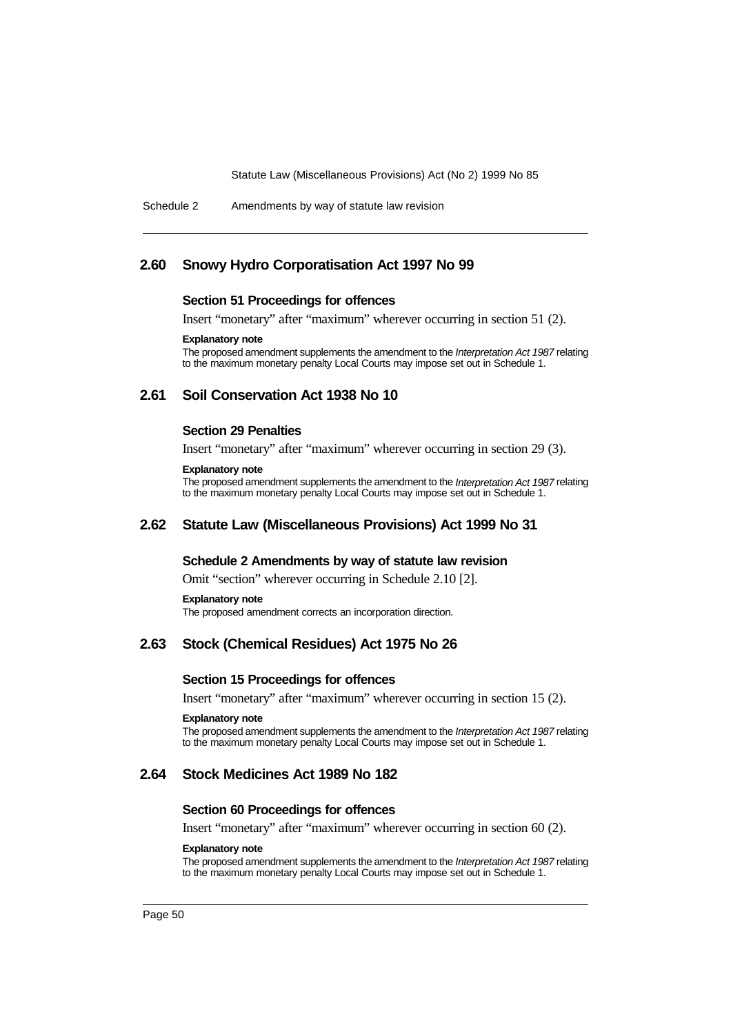Schedule 2 Amendments by way of statute law revision

## **2.60 Snowy Hydro Corporatisation Act 1997 No 99**

#### **Section 51 Proceedings for offences**

Insert "monetary" after "maximum" wherever occurring in section 51 (2).

#### **Explanatory note**

The proposed amendment supplements the amendment to the Interpretation Act 1987 relating to the maximum monetary penalty Local Courts may impose set out in Schedule 1.

## **2.61 Soil Conservation Act 1938 No 10**

#### **Section 29 Penalties**

Insert "monetary" after "maximum" wherever occurring in section 29 (3).

#### **Explanatory note**

The proposed amendment supplements the amendment to the Interpretation Act 1987 relating to the maximum monetary penalty Local Courts may impose set out in Schedule 1.

## **2.62 Statute Law (Miscellaneous Provisions) Act 1999 No 31**

### **Schedule 2 Amendments by way of statute law revision**

Omit "section" wherever occurring in Schedule 2.10 [2].

#### **Explanatory note**

The proposed amendment corrects an incorporation direction.

## **2.63 Stock (Chemical Residues) Act 1975 No 26**

### **Section 15 Proceedings for offences**

Insert "monetary" after "maximum" wherever occurring in section 15 (2).

#### **Explanatory note**

The proposed amendment supplements the amendment to the Interpretation Act 1987 relating to the maximum monetary penalty Local Courts may impose set out in Schedule 1.

## **2.64 Stock Medicines Act 1989 No 182**

#### **Section 60 Proceedings for offences**

Insert "monetary" after "maximum" wherever occurring in section 60 (2).

#### **Explanatory note**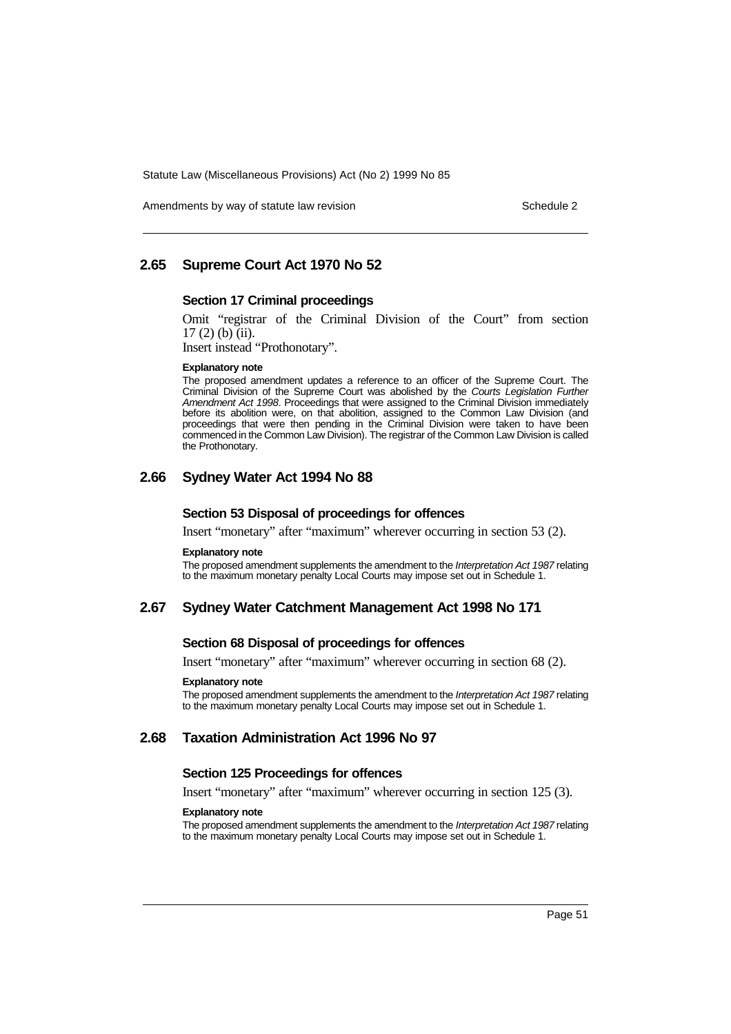Amendments by way of statute law revision Schedule 2 and Schedule 2

## **2.65 Supreme Court Act 1970 No 52**

## **Section 17 Criminal proceedings**

Omit "registrar of the Criminal Division of the Court" from section 17 (2) (b) (ii).

Insert instead "Prothonotary".

#### **Explanatory note**

The proposed amendment updates a reference to an officer of the Supreme Court. The Criminal Division of the Supreme Court was abolished by the Courts Legislation Further Amendment Act 1998. Proceedings that were assigned to the Criminal Division immediately before its abolition were, on that abolition, assigned to the Common Law Division (and proceedings that were then pending in the Criminal Division were taken to have been commenced in the Common Law Division). The registrar of the Common Law Division is called the Prothonotary.

## **2.66 Sydney Water Act 1994 No 88**

#### **Section 53 Disposal of proceedings for offences**

Insert "monetary" after "maximum" wherever occurring in section 53 (2).

#### **Explanatory note**

The proposed amendment supplements the amendment to the Interpretation Act 1987 relating to the maximum monetary penalty Local Courts may impose set out in Schedule 1.

### **2.67 Sydney Water Catchment Management Act 1998 No 171**

### **Section 68 Disposal of proceedings for offences**

Insert "monetary" after "maximum" wherever occurring in section 68 (2).

#### **Explanatory note**

The proposed amendment supplements the amendment to the Interpretation Act 1987 relating to the maximum monetary penalty Local Courts may impose set out in Schedule 1.

## **2.68 Taxation Administration Act 1996 No 97**

## **Section 125 Proceedings for offences**

Insert "monetary" after "maximum" wherever occurring in section 125 (3).

#### **Explanatory note**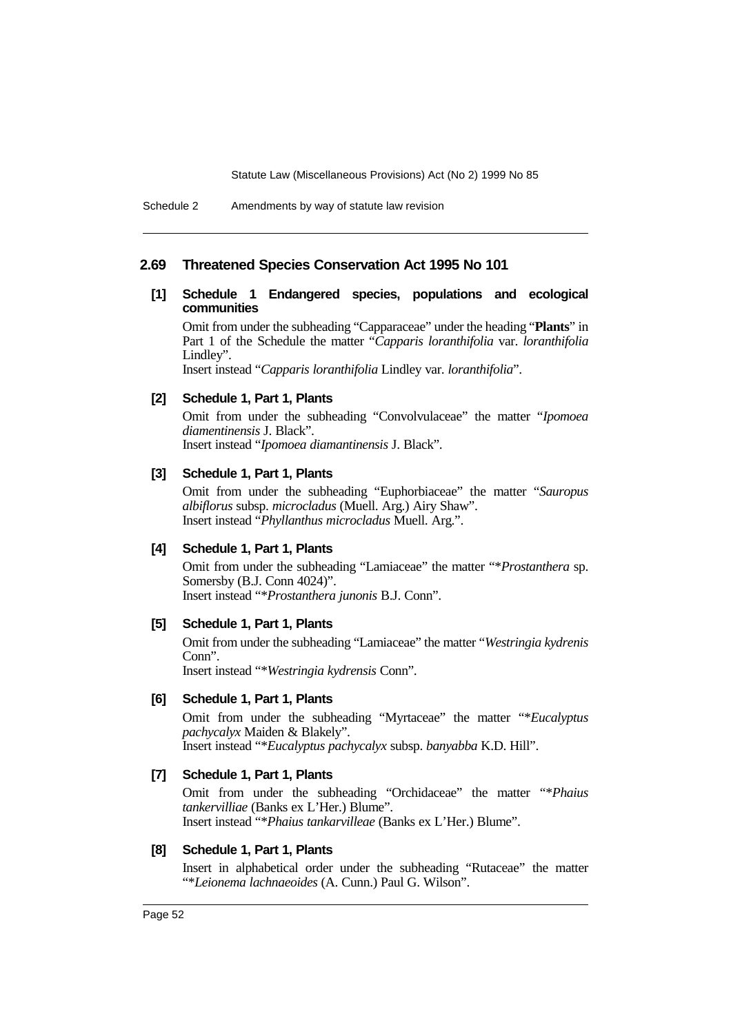#### Schedule 2 Amendments by way of statute law revision

### **2.69 Threatened Species Conservation Act 1995 No 101**

## **[1] Schedule 1 Endangered species, populations and ecological communities**

Omit from under the subheading "Capparaceae" under the heading "**Plants**" in Part 1 of the Schedule the matter "*Capparis loranthifolia* var. *loranthifolia* Lindley".

Insert instead "*Capparis loranthifolia* Lindley var. *loranthifolia*".

## **[2] Schedule 1, Part 1, Plants**

Omit from under the subheading "Convolvulaceae" the matter "*Ipomoea diamentinensis* J. Black".

Insert instead "*Ipomoea diamantinensis* J. Black".

## **[3] Schedule 1, Part 1, Plants**

Omit from under the subheading "Euphorbiaceae" the matter "*Sauropus albiflorus* subsp. *microcladus* (Muell. Arg.) Airy Shaw". Insert instead "*Phyllanthus microcladus* Muell. Arg.".

## **[4] Schedule 1, Part 1, Plants**

Omit from under the subheading "Lamiaceae" the matter "\**Prostanthera* sp. Somersby (B.J. Conn 4024)". Insert instead "\**Prostanthera junonis* B.J. Conn".

## **[5] Schedule 1, Part 1, Plants**

Omit from under the subheading "Lamiaceae" the matter "*Westringia kydrenis* Conn".

Insert instead "\**Westringia kydrensis* Conn".

### **[6] Schedule 1, Part 1, Plants**

Omit from under the subheading "Myrtaceae" the matter "\**Eucalyptus pachycalyx* Maiden & Blakely". Insert instead "\**Eucalyptus pachycalyx* subsp. *banyabba* K.D. Hill".

## **[7] Schedule 1, Part 1, Plants**

Omit from under the subheading "Orchidaceae" the matter "\**Phaius tankervilliae* (Banks ex L'Her.) Blume". Insert instead "\**Phaius tankarvilleae* (Banks ex L'Her.) Blume".

### **[8] Schedule 1, Part 1, Plants**

Insert in alphabetical order under the subheading "Rutaceae" the matter "\**Leionema lachnaeoides* (A. Cunn.) Paul G. Wilson".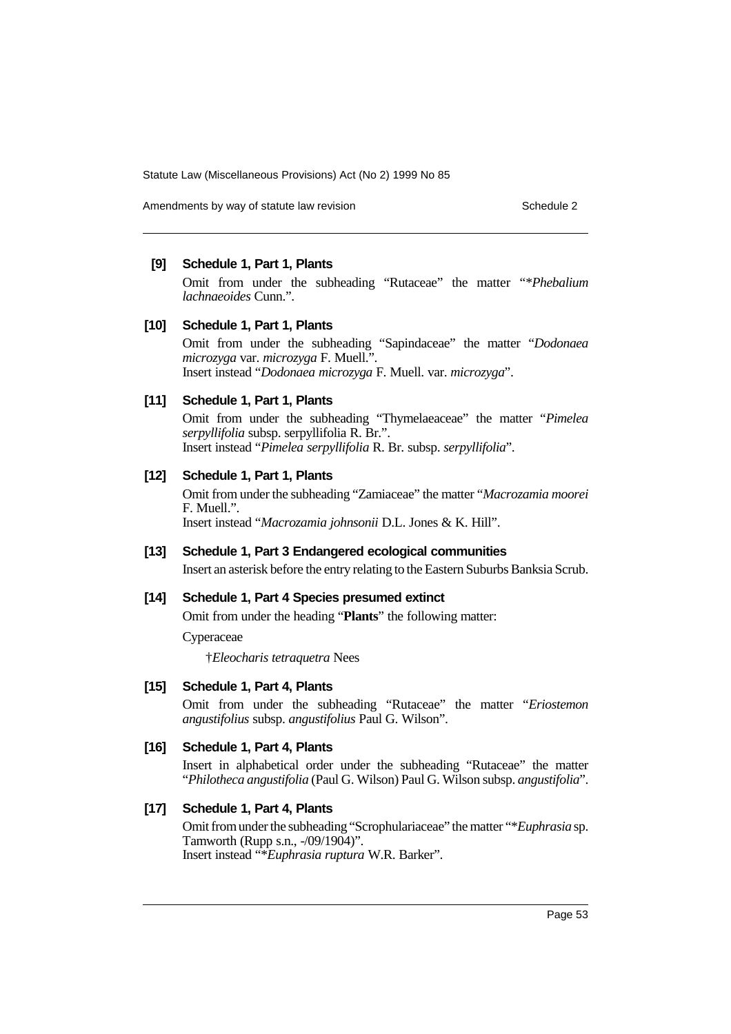Amendments by way of statute law revision Schedule 2 and Schedule 2

## **[9] Schedule 1, Part 1, Plants**

Omit from under the subheading "Rutaceae" the matter "\**Phebalium lachnaeoides* Cunn.".

## **[10] Schedule 1, Part 1, Plants**

Omit from under the subheading "Sapindaceae" the matter "*Dodonaea microzyga* var. *microzyga* F. Muell.". Insert instead "*Dodonaea microzyga* F. Muell. var. *microzyga*".

## **[11] Schedule 1, Part 1, Plants**

Omit from under the subheading "Thymelaeaceae" the matter "*Pimelea serpyllifolia* subsp. serpyllifolia R. Br.". Insert instead "*Pimelea serpyllifolia* R. Br. subsp. *serpyllifolia*".

## **[12] Schedule 1, Part 1, Plants**

Omit from under the subheading "Zamiaceae" the matter "*Macrozamia moorei* F. Muell.". Insert instead "*Macrozamia johnsonii* D.L. Jones & K. Hill".

#### **[13] Schedule 1, Part 3 Endangered ecological communities**

Insert an asterisk before the entry relating to the Eastern Suburbs Banksia Scrub.

## **[14] Schedule 1, Part 4 Species presumed extinct**

Omit from under the heading "**Plants**" the following matter:

Cyperaceae

†*Eleocharis tetraquetra* Nees

## **[15] Schedule 1, Part 4, Plants**

Omit from under the subheading "Rutaceae" the matter "*Eriostemon angustifolius* subsp. *angustifolius* Paul G. Wilson".

### **[16] Schedule 1, Part 4, Plants**

Insert in alphabetical order under the subheading "Rutaceae" the matter "*Philotheca angustifolia* (Paul G. Wilson) Paul G. Wilson subsp. *angustifolia*".

### **[17] Schedule 1, Part 4, Plants**

Omit from under the subheading "Scrophulariaceae" the matter "\**Euphrasia* sp. Tamworth (Rupp s.n., -/09/1904)". Insert instead "\**Euphrasia ruptura* W.R. Barker".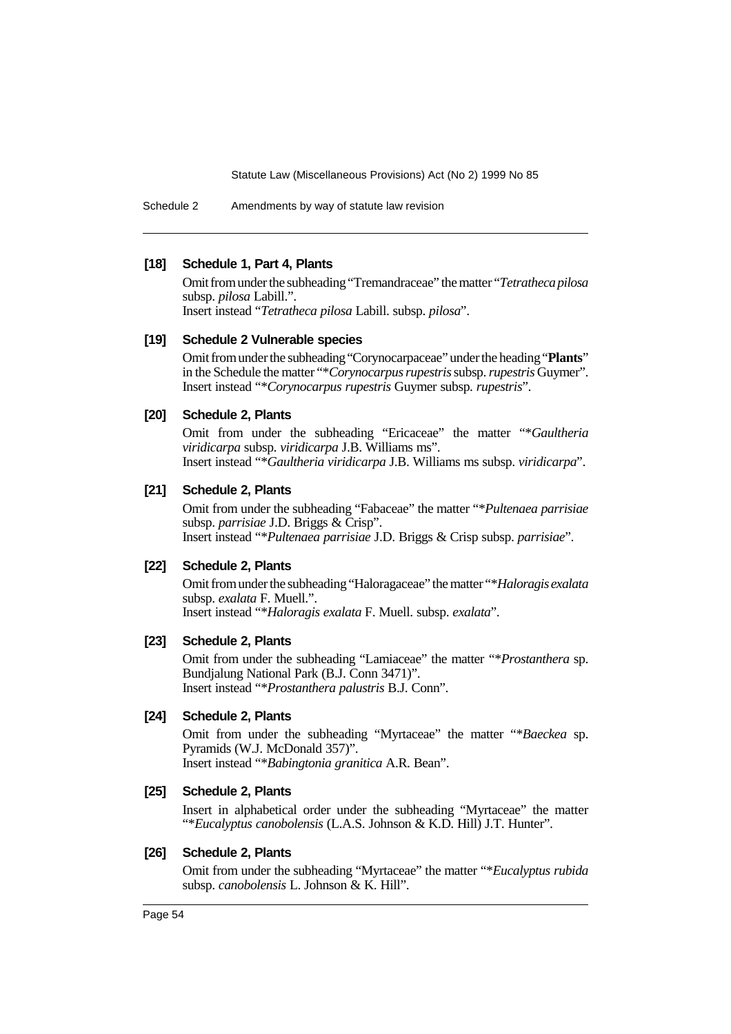Schedule 2 Amendments by way of statute law revision

## **[18] Schedule 1, Part 4, Plants**

Omit from under the subheading "Tremandraceae" the matter "*Tetratheca pilosa* subsp. *pilosa* Labill.".

Insert instead "*Tetratheca pilosa* Labill. subsp. *pilosa*".

## **[19] Schedule 2 Vulnerable species**

Omit from under the subheading "Corynocarpaceae" under the heading "**Plants**" in the Schedule the matter "\**Corynocarpus rupestris* subsp. *rupestris* Guymer". Insert instead "\**Corynocarpus rupestris* Guymer subsp. *rupestris*".

## **[20] Schedule 2, Plants**

Omit from under the subheading "Ericaceae" the matter "\**Gaultheria viridicarpa* subsp. *viridicarpa* J.B. Williams ms". Insert instead "\**Gaultheria viridicarpa* J.B. Williams ms subsp. *viridicarpa*".

### **[21] Schedule 2, Plants**

Omit from under the subheading "Fabaceae" the matter "\**Pultenaea parrisiae* subsp. *parrisiae* J.D. Briggs & Crisp". Insert instead "\**Pultenaea parrisiae* J.D. Briggs & Crisp subsp. *parrisiae*".

## **[22] Schedule 2, Plants**

Omit from under the subheading "Haloragaceae" the matter "\**Haloragis exalata* subsp. *exalata* F. Muell.". Insert instead "\**Haloragis exalata* F. Muell. subsp. *exalata*".

## **[23] Schedule 2, Plants**

Omit from under the subheading "Lamiaceae" the matter "\**Prostanthera* sp. Bundjalung National Park (B.J. Conn 3471)". Insert instead "\**Prostanthera palustris* B.J. Conn".

## **[24] Schedule 2, Plants**

Omit from under the subheading "Myrtaceae" the matter "\**Baeckea* sp. Pyramids (W.J. McDonald 357)". Insert instead "\**Babingtonia granitica* A.R. Bean".

### **[25] Schedule 2, Plants**

Insert in alphabetical order under the subheading "Myrtaceae" the matter "\**Eucalyptus canobolensis* (L.A.S. Johnson & K.D. Hill) J.T. Hunter".

## **[26] Schedule 2, Plants**

Omit from under the subheading "Myrtaceae" the matter "\**Eucalyptus rubida* subsp. *canobolensis* L. Johnson & K. Hill".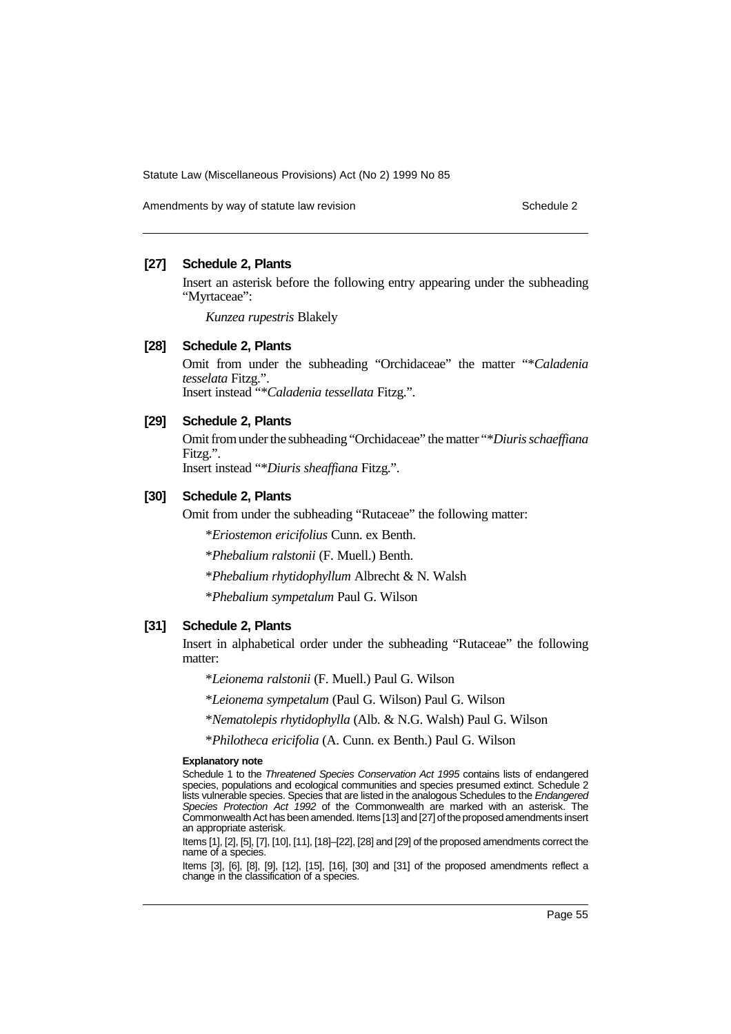Amendments by way of statute law revision Schedule 2 and Schedule 2

## **[27] Schedule 2, Plants**

Insert an asterisk before the following entry appearing under the subheading "Myrtaceae":

*Kunzea rupestris* Blakely

## **[28] Schedule 2, Plants**

Omit from under the subheading "Orchidaceae" the matter "\**Caladenia tesselata* Fitzg.". Insert instead "\**Caladenia tessellata* Fitzg.".

**[29] Schedule 2, Plants**

Omit from under the subheading "Orchidaceae" the matter "\**Diuris schaeffiana* Fitzg.".

Insert instead "\**Diuris sheaffiana* Fitzg.".

## **[30] Schedule 2, Plants**

Omit from under the subheading "Rutaceae" the following matter:

\**Eriostemon ericifolius* Cunn. ex Benth.

\**Phebalium ralstonii* (F. Muell.) Benth.

\**Phebalium rhytidophyllum* Albrecht & N. Walsh

\**Phebalium sympetalum* Paul G. Wilson

## **[31] Schedule 2, Plants**

Insert in alphabetical order under the subheading "Rutaceae" the following matter:

\**Leionema ralstonii* (F. Muell.) Paul G. Wilson

\**Leionema sympetalum* (Paul G. Wilson) Paul G. Wilson

\**Nematolepis rhytidophylla* (Alb. & N.G. Walsh) Paul G. Wilson

\**Philotheca ericifolia* (A. Cunn. ex Benth.) Paul G. Wilson

#### **Explanatory note**

Schedule 1 to the Threatened Species Conservation Act 1995 contains lists of endangered species, populations and ecological communities and species presumed extinct. Schedule 2 lists vulnerable species. Species that are listed in the analogous Schedules to the Endangered Species Protection Act 1992 of the Commonwealth are marked with an asterisk. The Commonwealth Act has been amended. Items [13] and [27] of the proposed amendments insert an appropriate asterisk.

Items [1], [2], [5], [7], [10], [11], [18]–[22], [28] and [29] of the proposed amendments correct the name of a species.

Items [3], [6], [8], [9], [12], [15], [16], [30] and [31] of the proposed amendments reflect a change in the classification of a species.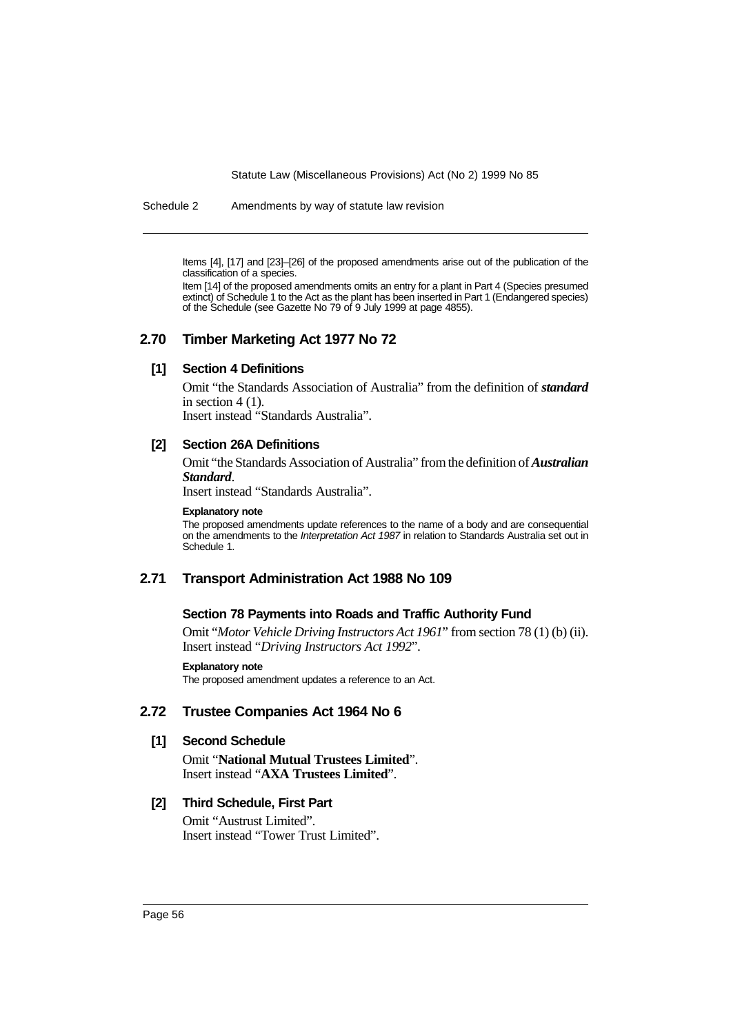Schedule 2 Amendments by way of statute law revision

Items [4], [17] and [23]–[26] of the proposed amendments arise out of the publication of the classification of a species.

Item [14] of the proposed amendments omits an entry for a plant in Part 4 (Species presumed extinct) of Schedule 1 to the Act as the plant has been inserted in Part 1 (Endangered species) of the Schedule (see Gazette No 79 of 9 July 1999 at page 4855).

## **2.70 Timber Marketing Act 1977 No 72**

## **[1] Section 4 Definitions**

Omit "the Standards Association of Australia" from the definition of *standard* in section  $4(1)$ .

Insert instead "Standards Australia".

## **[2] Section 26A Definitions**

Omit "the Standards Association of Australia" from the definition of *Australian Standard*.

Insert instead "Standards Australia".

#### **Explanatory note**

The proposed amendments update references to the name of a body and are consequential on the amendments to the Interpretation Act 1987 in relation to Standards Australia set out in Schedule 1.

## **2.71 Transport Administration Act 1988 No 109**

## **Section 78 Payments into Roads and Traffic Authority Fund**

Omit "*Motor Vehicle Driving Instructors Act 1961*" from section 78 (1) (b) (ii). Insert instead "*Driving Instructors Act 1992*".

#### **Explanatory note**

The proposed amendment updates a reference to an Act.

## **2.72 Trustee Companies Act 1964 No 6**

## **[1] Second Schedule**

Omit "**National Mutual Trustees Limited**". Insert instead "**AXA Trustees Limited**".

## **[2] Third Schedule, First Part**

Omit "Austrust Limited". Insert instead "Tower Trust Limited".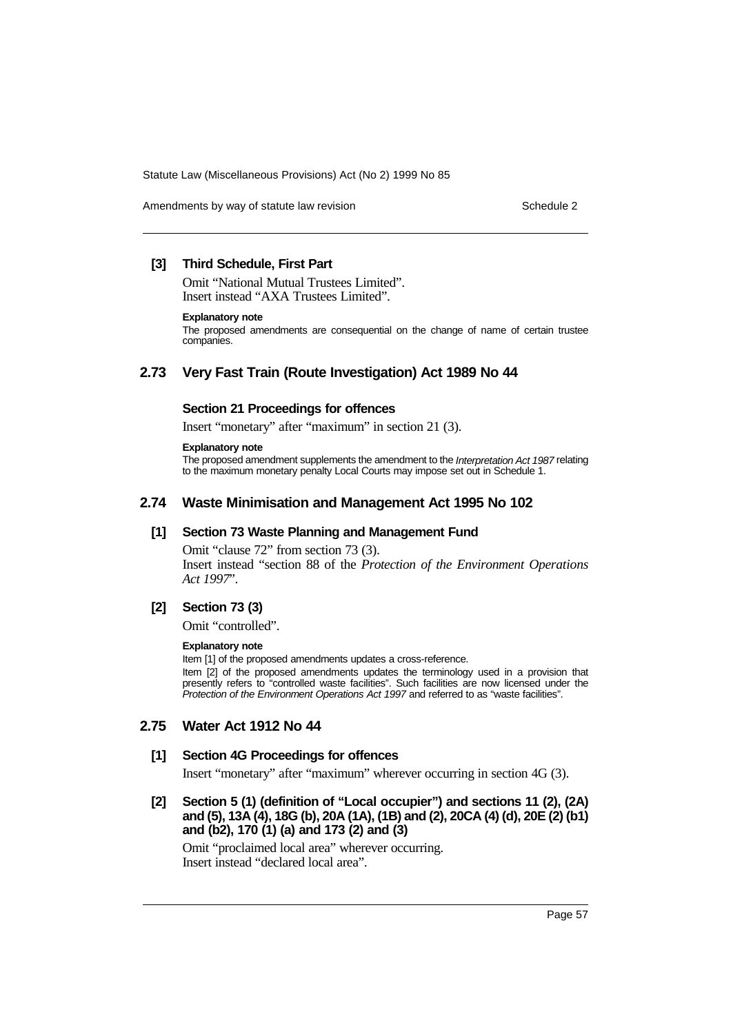Amendments by way of statute law revision Schedule 2 and Schedule 2

## **[3] Third Schedule, First Part**

Omit "National Mutual Trustees Limited". Insert instead "AXA Trustees Limited".

#### **Explanatory note**

The proposed amendments are consequential on the change of name of certain trustee companies.

## **2.73 Very Fast Train (Route Investigation) Act 1989 No 44**

## **Section 21 Proceedings for offences**

Insert "monetary" after "maximum" in section 21 (3).

#### **Explanatory note**

The proposed amendment supplements the amendment to the Interpretation Act 1987 relating to the maximum monetary penalty Local Courts may impose set out in Schedule 1.

## **2.74 Waste Minimisation and Management Act 1995 No 102**

## **[1] Section 73 Waste Planning and Management Fund**

Omit "clause 72" from section 73 (3). Insert instead "section 88 of the *Protection of the Environment Operations Act 1997*".

## **[2] Section 73 (3)**

Omit "controlled".

#### **Explanatory note**

Item [1] of the proposed amendments updates a cross-reference. Item [2] of the proposed amendments updates the terminology used in a provision that presently refers to "controlled waste facilities". Such facilities are now licensed under the Protection of the Environment Operations Act 1997 and referred to as "waste facilities".

## **2.75 Water Act 1912 No 44**

### **[1] Section 4G Proceedings for offences**

Insert "monetary" after "maximum" wherever occurring in section 4G (3).

**[2] Section 5 (1) (definition of "Local occupier") and sections 11 (2), (2A) and (5), 13A (4), 18G (b), 20A (1A), (1B) and (2), 20CA (4) (d), 20E (2) (b1) and (b2), 170 (1) (a) and 173 (2) and (3)**

Omit "proclaimed local area" wherever occurring. Insert instead "declared local area".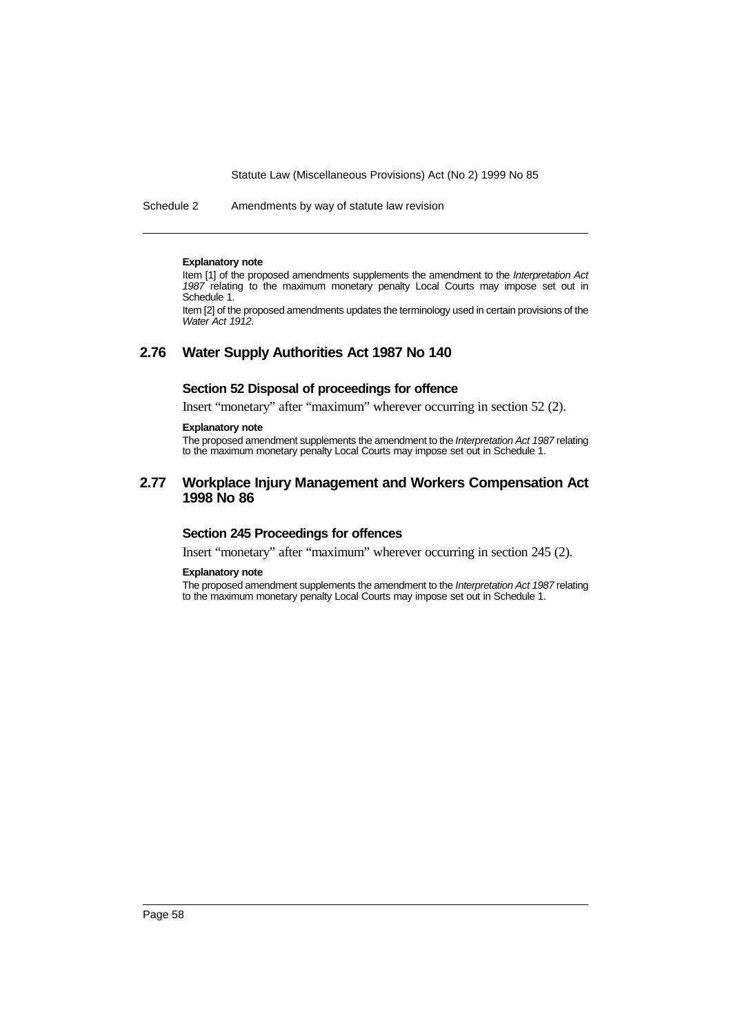Schedule 2 Amendments by way of statute law revision

#### **Explanatory note**

Item [1] of the proposed amendments supplements the amendment to the Interpretation Act 1987 relating to the maximum monetary penalty Local Courts may impose set out in Schedule 1.

Item [2] of the proposed amendments updates the terminology used in certain provisions of the Water Act 1912.

## **2.76 Water Supply Authorities Act 1987 No 140**

## **Section 52 Disposal of proceedings for offence**

Insert "monetary" after "maximum" wherever occurring in section 52 (2).

### **Explanatory note**

The proposed amendment supplements the amendment to the Interpretation Act 1987 relating to the maximum monetary penalty Local Courts may impose set out in Schedule 1.

## **2.77 Workplace Injury Management and Workers Compensation Act 1998 No 86**

## **Section 245 Proceedings for offences**

Insert "monetary" after "maximum" wherever occurring in section 245 (2).

#### **Explanatory note**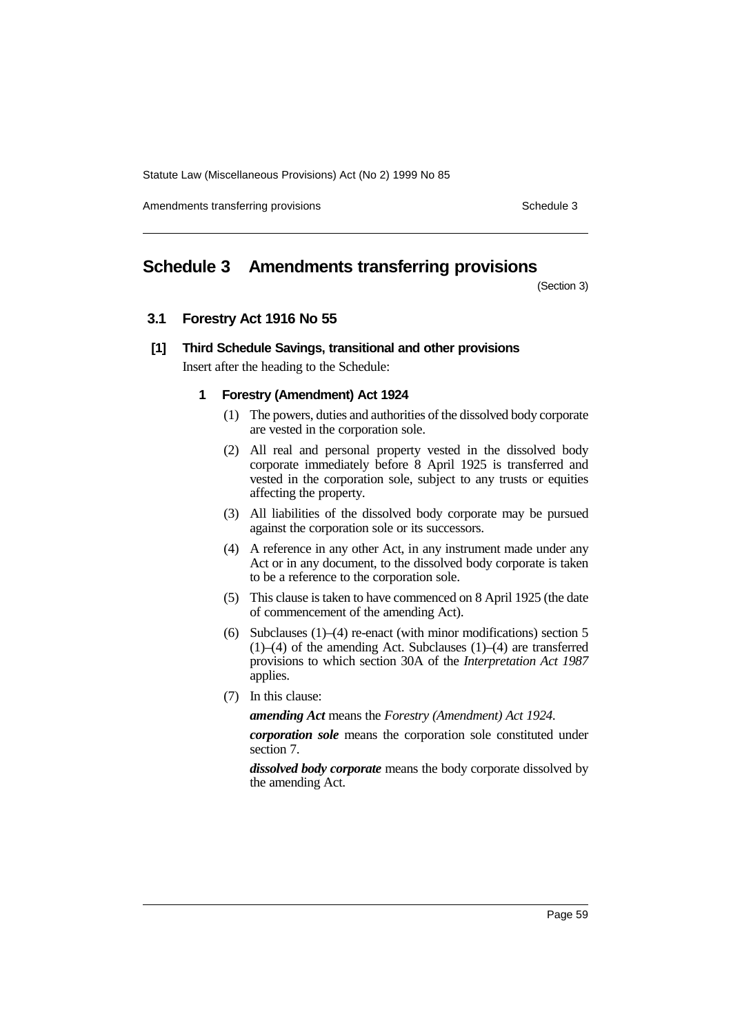Amendments transferring provisions Schedule 3 and the Schedule 3 schedule 3

# **Schedule 3 Amendments transferring provisions**

(Section 3)

## **3.1 Forestry Act 1916 No 55**

## **[1] Third Schedule Savings, transitional and other provisions** Insert after the heading to the Schedule:

# **1 Forestry (Amendment) Act 1924**

- (1) The powers, duties and authorities of the dissolved body corporate are vested in the corporation sole.
- (2) All real and personal property vested in the dissolved body corporate immediately before 8 April 1925 is transferred and vested in the corporation sole, subject to any trusts or equities affecting the property.
- (3) All liabilities of the dissolved body corporate may be pursued against the corporation sole or its successors.
- (4) A reference in any other Act, in any instrument made under any Act or in any document, to the dissolved body corporate is taken to be a reference to the corporation sole.
- (5) This clause is taken to have commenced on 8 April 1925 (the date of commencement of the amending Act).
- (6) Subclauses (1)–(4) re-enact (with minor modifications) section 5  $(1)$ – $(4)$  of the amending Act. Subclauses  $(1)$ – $(4)$  are transferred provisions to which section 30A of the *Interpretation Act 1987* applies.
- (7) In this clause:

*amending Act* means the *Forestry (Amendment) Act 1924*.

*corporation sole* means the corporation sole constituted under section 7.

*dissolved body corporate* means the body corporate dissolved by the amending Act.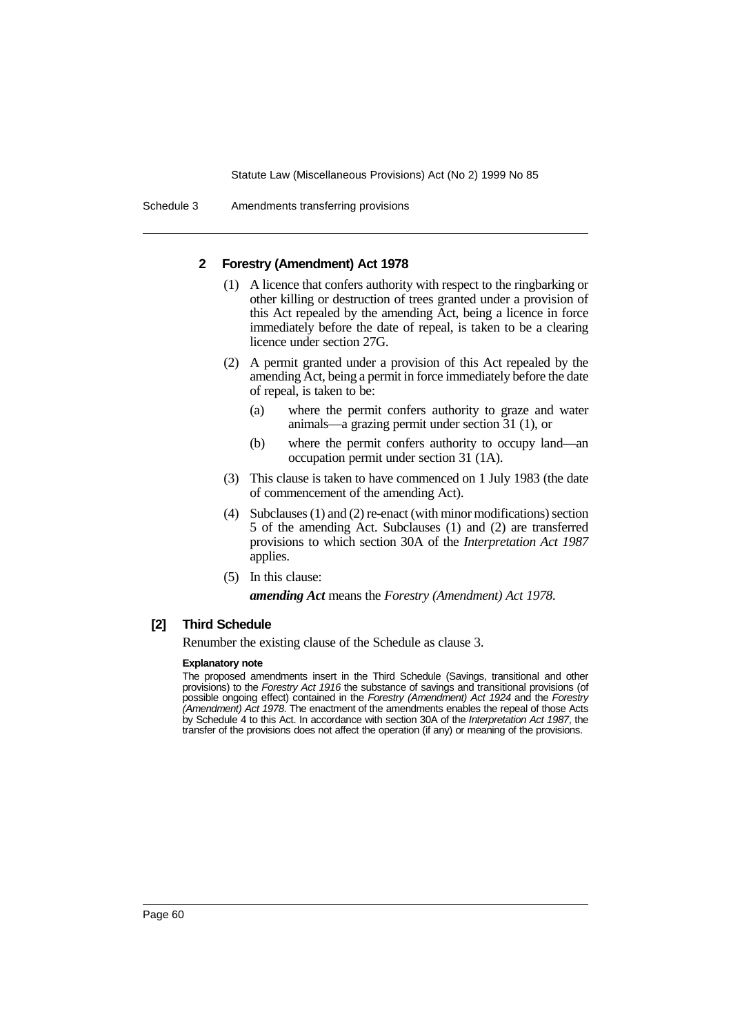Schedule 3 Amendments transferring provisions

## **2 Forestry (Amendment) Act 1978**

- (1) A licence that confers authority with respect to the ringbarking or other killing or destruction of trees granted under a provision of this Act repealed by the amending Act, being a licence in force immediately before the date of repeal, is taken to be a clearing licence under section 27G.
- (2) A permit granted under a provision of this Act repealed by the amending Act, being a permit in force immediately before the date of repeal, is taken to be:
	- (a) where the permit confers authority to graze and water animals—a grazing permit under section 31 (1), or
	- (b) where the permit confers authority to occupy land—an occupation permit under section 31 (1A).
- (3) This clause is taken to have commenced on 1 July 1983 (the date of commencement of the amending Act).
- (4) Subclauses (1) and (2) re-enact (with minor modifications) section 5 of the amending Act. Subclauses (1) and (2) are transferred provisions to which section 30A of the *Interpretation Act 1987* applies.
- (5) In this clause:

*amending Act* means the *Forestry (Amendment) Act 1978*.

## **[2] Third Schedule**

Renumber the existing clause of the Schedule as clause 3.

### **Explanatory note**

The proposed amendments insert in the Third Schedule (Savings, transitional and other provisions) to the Forestry Act 1916 the substance of savings and transitional provisions (of possible ongoing effect) contained in the Forestry (Amendment) Act 1924 and the Forestry (Amendment) Act 1978. The enactment of the amendments enables the repeal of those Acts by Schedule 4 to this Act. In accordance with section 30A of the Interpretation Act 1987, the transfer of the provisions does not affect the operation (if any) or meaning of the provisions.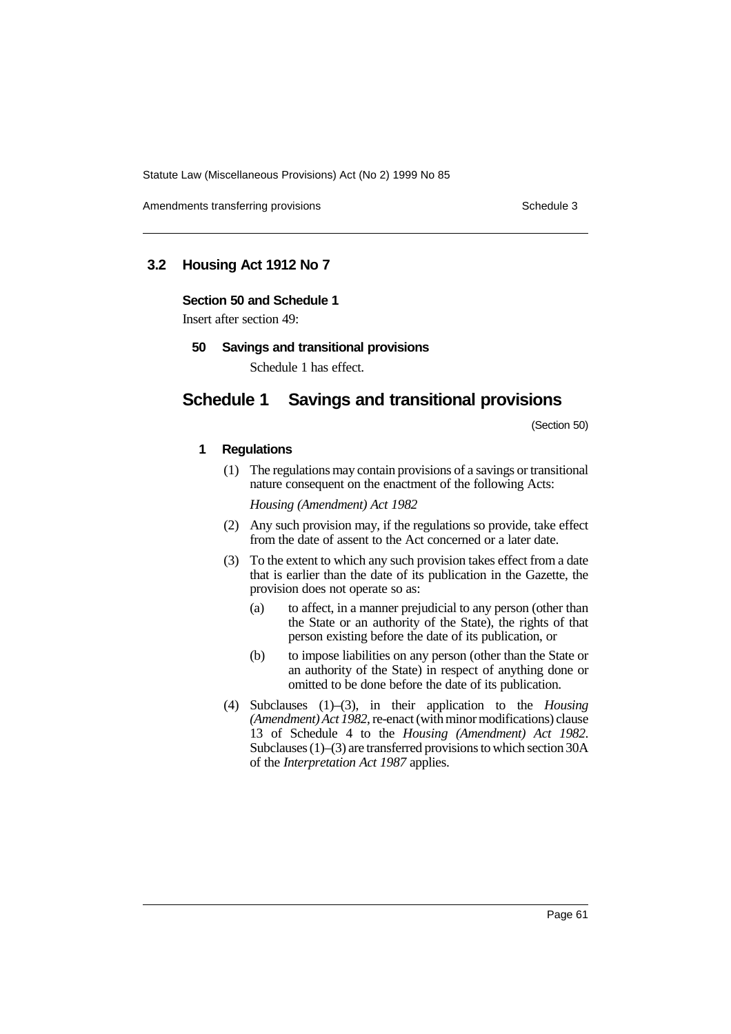Amendments transferring provisions Schedule 3 and the Schedule 3 schedule 3

## **3.2 Housing Act 1912 No 7**

### **Section 50 and Schedule 1**

Insert after section 49:

**50 Savings and transitional provisions**

Schedule 1 has effect.

# **Schedule 1 Savings and transitional provisions**

(Section 50)

## **1 Regulations**

(1) The regulations may contain provisions of a savings or transitional nature consequent on the enactment of the following Acts:

*Housing (Amendment) Act 1982*

- (2) Any such provision may, if the regulations so provide, take effect from the date of assent to the Act concerned or a later date.
- (3) To the extent to which any such provision takes effect from a date that is earlier than the date of its publication in the Gazette, the provision does not operate so as:
	- (a) to affect, in a manner prejudicial to any person (other than the State or an authority of the State), the rights of that person existing before the date of its publication, or
	- (b) to impose liabilities on any person (other than the State or an authority of the State) in respect of anything done or omitted to be done before the date of its publication.
- (4) Subclauses (1)–(3), in their application to the *Housing (Amendment) Act 1982*, re-enact (with minor modifications) clause 13 of Schedule 4 to the *Housing (Amendment) Act 1982*. Subclauses (1)–(3) are transferred provisions to which section 30A of the *Interpretation Act 1987* applies.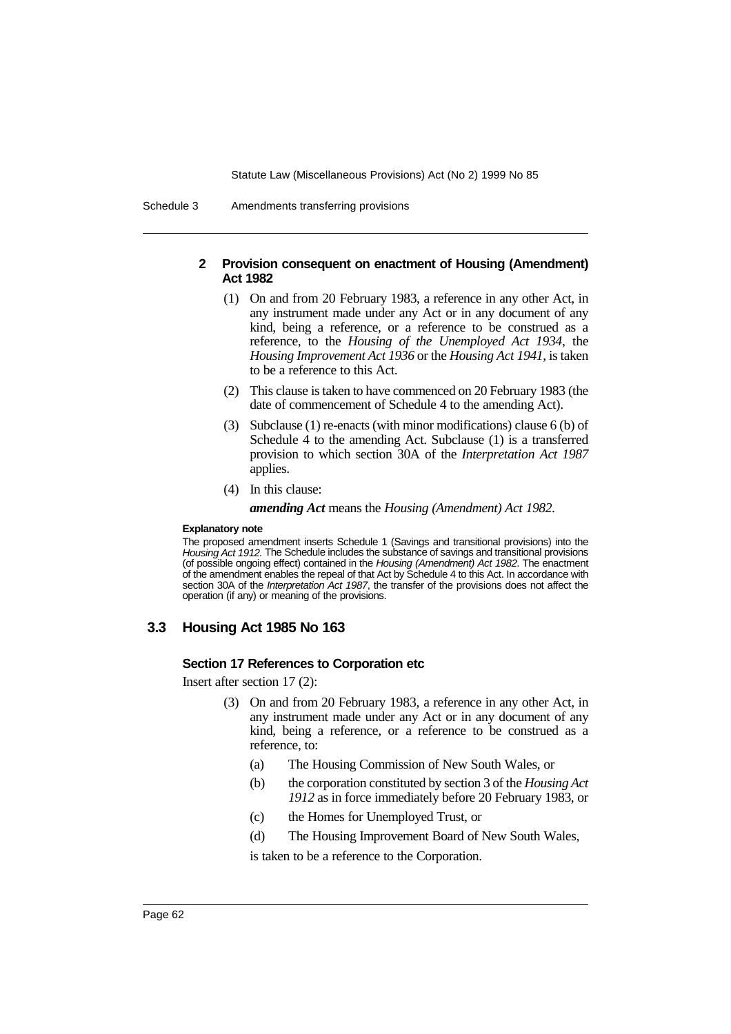Schedule 3 Amendments transferring provisions

## **2 Provision consequent on enactment of Housing (Amendment) Act 1982**

- (1) On and from 20 February 1983, a reference in any other Act, in any instrument made under any Act or in any document of any kind, being a reference, or a reference to be construed as a reference, to the *Housing of the Unemployed Act 1934*, the *Housing Improvement Act 1936* or the *Housing Act 1941*, is taken to be a reference to this Act.
- (2) This clause is taken to have commenced on 20 February 1983 (the date of commencement of Schedule 4 to the amending Act).
- (3) Subclause (1) re-enacts (with minor modifications) clause 6 (b) of Schedule 4 to the amending Act. Subclause (1) is a transferred provision to which section 30A of the *Interpretation Act 1987* applies.
- (4) In this clause:

*amending Act* means the *Housing (Amendment) Act 1982*.

### **Explanatory note**

The proposed amendment inserts Schedule 1 (Savings and transitional provisions) into the Housing Act 1912. The Schedule includes the substance of savings and transitional provisions (of possible ongoing effect) contained in the Housing (Amendment) Act 1982. The enactment of the amendment enables the repeal of that Act by Schedule 4 to this Act. In accordance with section 30A of the *Interpretation Act 1987*, the transfer of the provisions does not affect the operation (if any) or meaning of the provisions.

## **3.3 Housing Act 1985 No 163**

## **Section 17 References to Corporation etc**

Insert after section 17 (2):

- (3) On and from 20 February 1983, a reference in any other Act, in any instrument made under any Act or in any document of any kind, being a reference, or a reference to be construed as a reference, to:
	- (a) The Housing Commission of New South Wales, or
	- (b) the corporation constituted by section 3 of the *Housing Act 1912* as in force immediately before 20 February 1983, or
	- (c) the Homes for Unemployed Trust, or
	- (d) The Housing Improvement Board of New South Wales,

is taken to be a reference to the Corporation.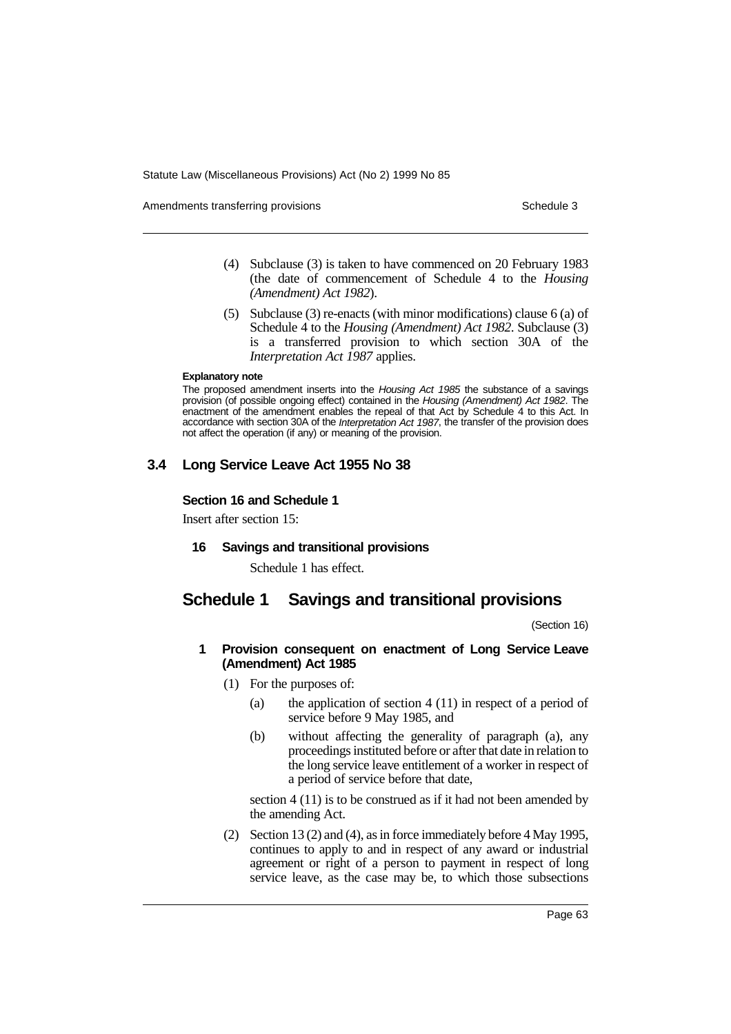Amendments transferring provisions Schedule 3 and the Schedule 3 schedule 3

- (4) Subclause (3) is taken to have commenced on 20 February 1983 (the date of commencement of Schedule 4 to the *Housing (Amendment) Act 1982*).
- (5) Subclause (3) re-enacts (with minor modifications) clause 6 (a) of Schedule 4 to the *Housing (Amendment) Act 1982*. Subclause (3) is a transferred provision to which section 30A of the *Interpretation Act 1987* applies.

#### **Explanatory note**

The proposed amendment inserts into the Housing Act 1985 the substance of a savings provision (of possible ongoing effect) contained in the Housing (Amendment) Act 1982. The enactment of the amendment enables the repeal of that Act by Schedule 4 to this Act. In accordance with section 30A of the Interpretation Act 1987, the transfer of the provision does not affect the operation (if any) or meaning of the provision.

# **3.4 Long Service Leave Act 1955 No 38**

## **Section 16 and Schedule 1**

Insert after section 15:

## **16 Savings and transitional provisions**

Schedule 1 has effect.

# **Schedule 1 Savings and transitional provisions**

(Section 16)

## **1 Provision consequent on enactment of Long Service Leave (Amendment) Act 1985**

- (1) For the purposes of:
	- (a) the application of section 4 (11) in respect of a period of service before 9 May 1985, and
	- (b) without affecting the generality of paragraph (a), any proceedings instituted before or after that date in relation to the long service leave entitlement of a worker in respect of a period of service before that date,

section 4 (11) is to be construed as if it had not been amended by the amending Act.

(2) Section 13 (2) and (4), as in force immediately before 4 May 1995, continues to apply to and in respect of any award or industrial agreement or right of a person to payment in respect of long service leave, as the case may be, to which those subsections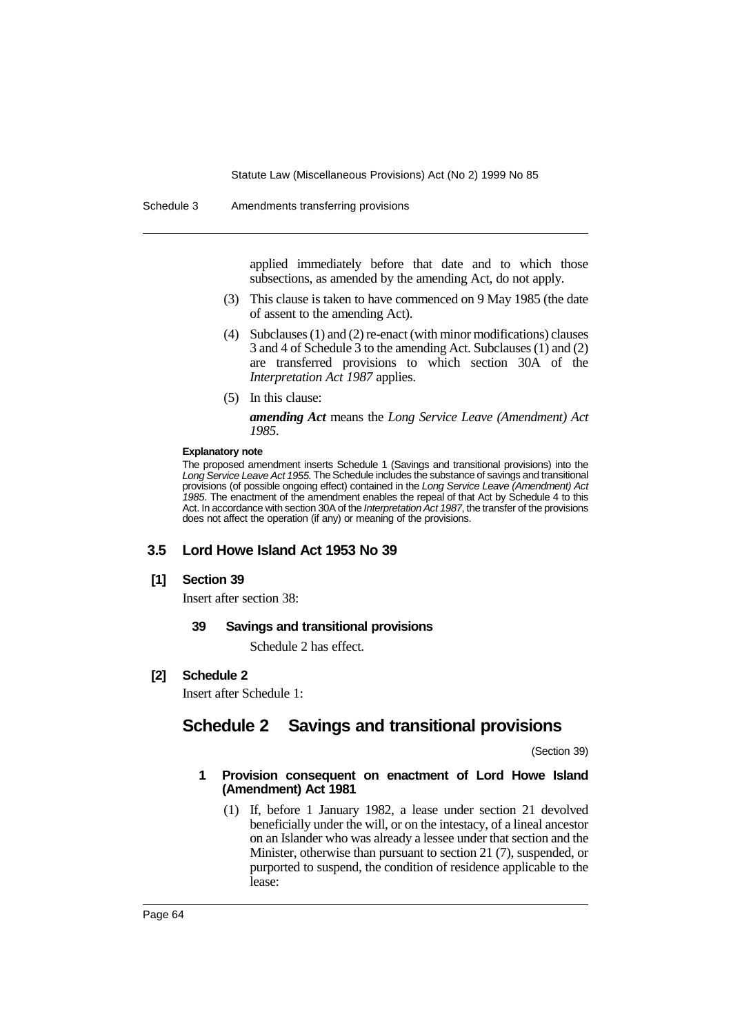#### Schedule 3 Amendments transferring provisions

applied immediately before that date and to which those subsections, as amended by the amending Act, do not apply.

- (3) This clause is taken to have commenced on 9 May 1985 (the date of assent to the amending Act).
- (4) Subclauses (1) and (2) re-enact (with minor modifications) clauses 3 and 4 of Schedule 3 to the amending Act. Subclauses (1) and (2) are transferred provisions to which section 30A of the *Interpretation Act 1987* applies.
- (5) In this clause:

*amending Act* means the *Long Service Leave (Amendment) Act 1985*.

### **Explanatory note**

The proposed amendment inserts Schedule 1 (Savings and transitional provisions) into the Long Service Leave Act 1955. The Schedule includes the substance of savings and transitional provisions (of possible ongoing effect) contained in the Long Service Leave (Amendment) Act 1985. The enactment of the amendment enables the repeal of that Act by Schedule 4 to this Act. In accordance with section 30A of the Interpretation Act 1987, the transfer of the provisions does not affect the operation (if any) or meaning of the provisions.

## **3.5 Lord Howe Island Act 1953 No 39**

## **[1] Section 39**

Insert after section 38:

### **39 Savings and transitional provisions**

Schedule 2 has effect.

## **[2] Schedule 2**

Insert after Schedule 1:

# **Schedule 2 Savings and transitional provisions**

(Section 39)

### **1 Provision consequent on enactment of Lord Howe Island (Amendment) Act 1981**

(1) If, before 1 January 1982, a lease under section 21 devolved beneficially under the will, or on the intestacy, of a lineal ancestor on an Islander who was already a lessee under that section and the Minister, otherwise than pursuant to section 21 (7), suspended, or purported to suspend, the condition of residence applicable to the lease: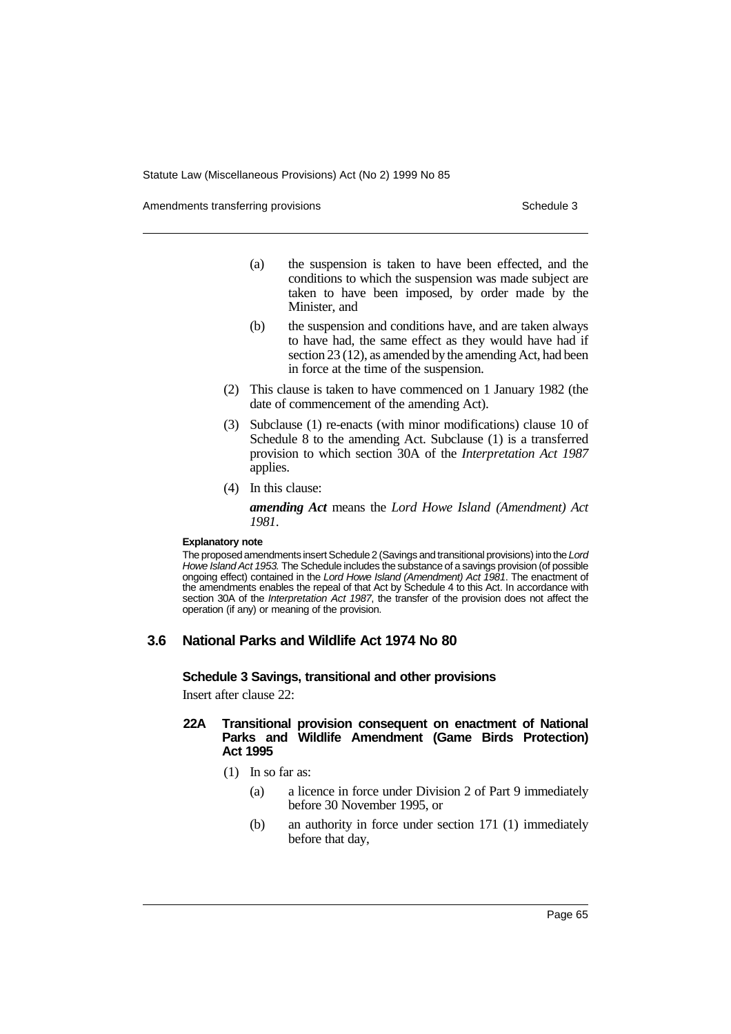Amendments transferring provisions Schedule 3 and the Schedule 3 schedule 3

- (a) the suspension is taken to have been effected, and the conditions to which the suspension was made subject are taken to have been imposed, by order made by the Minister, and
- (b) the suspension and conditions have, and are taken always to have had, the same effect as they would have had if section 23 (12), as amended by the amending Act, had been in force at the time of the suspension.
- (2) This clause is taken to have commenced on 1 January 1982 (the date of commencement of the amending Act).
- (3) Subclause (1) re-enacts (with minor modifications) clause 10 of Schedule 8 to the amending Act. Subclause (1) is a transferred provision to which section 30A of the *Interpretation Act 1987* applies.
- (4) In this clause:

*amending Act* means the *Lord Howe Island (Amendment) Act 1981*.

#### **Explanatory note**

The proposed amendments insert Schedule 2 (Savings and transitional provisions) into the Lord Howe Island Act 1953. The Schedule includes the substance of a savings provision (of possible ongoing effect) contained in the Lord Howe Island (Amendment) Act 1981. The enactment of the amendments enables the repeal of that Act by Schedule 4 to this Act. In accordance with section 30A of the Interpretation Act 1987, the transfer of the provision does not affect the operation (if any) or meaning of the provision.

## **3.6 National Parks and Wildlife Act 1974 No 80**

**Schedule 3 Savings, transitional and other provisions**

Insert after clause 22:

### **22A Transitional provision consequent on enactment of National Parks and Wildlife Amendment (Game Birds Protection) Act 1995**

- (1) In so far as:
	- (a) a licence in force under Division 2 of Part 9 immediately before 30 November 1995, or
	- (b) an authority in force under section 171 (1) immediately before that day,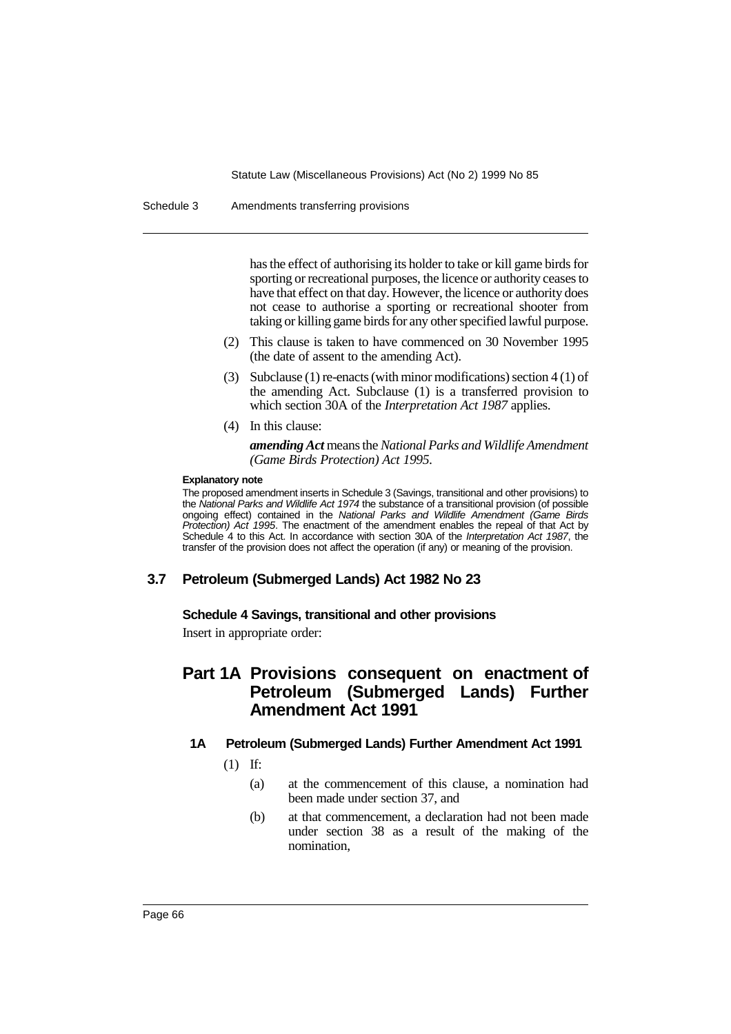Schedule 3 Amendments transferring provisions

has the effect of authorising its holder to take or kill game birds for sporting or recreational purposes, the licence or authority ceases to have that effect on that day. However, the licence or authority does not cease to authorise a sporting or recreational shooter from taking or killing game birds for any other specified lawful purpose.

- (2) This clause is taken to have commenced on 30 November 1995 (the date of assent to the amending Act).
- (3) Subclause (1) re-enacts (with minor modifications) section 4 (1) of the amending Act. Subclause (1) is a transferred provision to which section 30A of the *Interpretation Act 1987* applies.
- (4) In this clause:

*amending Act* means the *National Parks and Wildlife Amendment (Game Birds Protection) Act 1995*.

### **Explanatory note**

The proposed amendment inserts in Schedule 3 (Savings, transitional and other provisions) to the National Parks and Wildlife Act 1974 the substance of a transitional provision (of possible ongoing effect) contained in the National Parks and Wildlife Amendment (Game Birds Protection) Act 1995. The enactment of the amendment enables the repeal of that Act by Schedule 4 to this Act. In accordance with section 30A of the Interpretation Act 1987, the transfer of the provision does not affect the operation (if any) or meaning of the provision.

## **3.7 Petroleum (Submerged Lands) Act 1982 No 23**

## **Schedule 4 Savings, transitional and other provisions**

Insert in appropriate order:

# **Part 1A Provisions consequent on enactment of Petroleum (Submerged Lands) Further Amendment Act 1991**

## **1A Petroleum (Submerged Lands) Further Amendment Act 1991**

(1) If:

- (a) at the commencement of this clause, a nomination had been made under section 37, and
- (b) at that commencement, a declaration had not been made under section 38 as a result of the making of the nomination,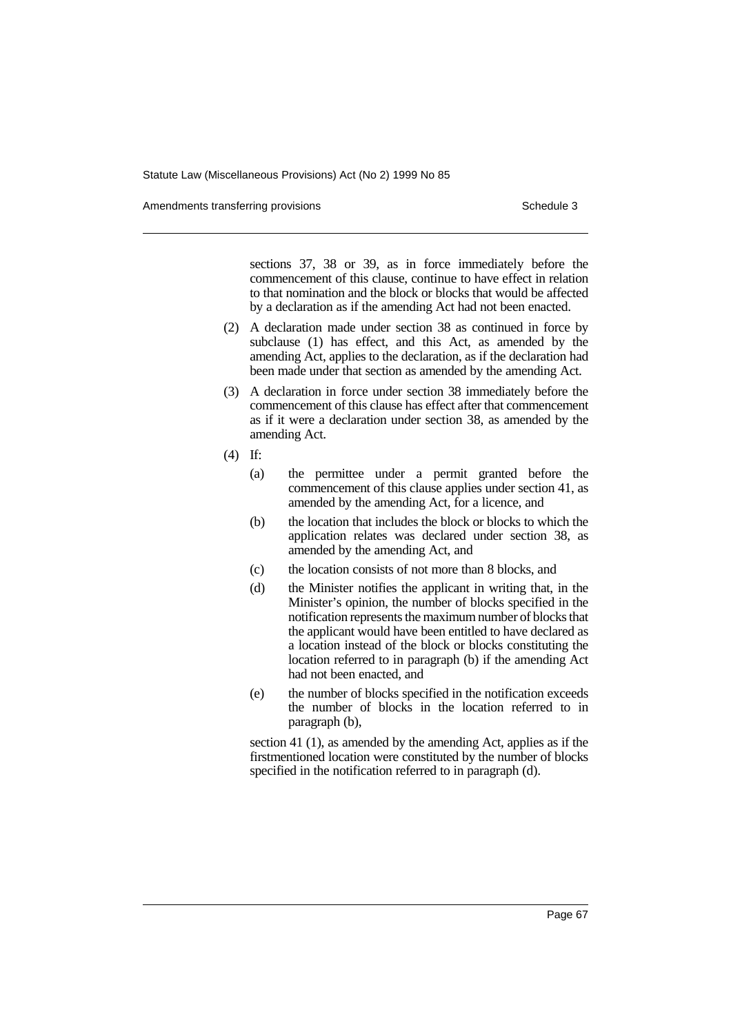Amendments transferring provisions Schedule 3 and the Schedule 3 schedule 3

sections 37, 38 or 39, as in force immediately before the commencement of this clause, continue to have effect in relation to that nomination and the block or blocks that would be affected by a declaration as if the amending Act had not been enacted.

- (2) A declaration made under section 38 as continued in force by subclause (1) has effect, and this Act, as amended by the amending Act, applies to the declaration, as if the declaration had been made under that section as amended by the amending Act.
- (3) A declaration in force under section 38 immediately before the commencement of this clause has effect after that commencement as if it were a declaration under section 38, as amended by the amending Act.
- (4) If:
	- (a) the permittee under a permit granted before the commencement of this clause applies under section 41, as amended by the amending Act, for a licence, and
	- (b) the location that includes the block or blocks to which the application relates was declared under section 38, as amended by the amending Act, and
	- (c) the location consists of not more than 8 blocks, and
	- (d) the Minister notifies the applicant in writing that, in the Minister's opinion, the number of blocks specified in the notification represents the maximum number of blocks that the applicant would have been entitled to have declared as a location instead of the block or blocks constituting the location referred to in paragraph (b) if the amending Act had not been enacted, and
	- (e) the number of blocks specified in the notification exceeds the number of blocks in the location referred to in paragraph (b),

section 41 (1), as amended by the amending Act, applies as if the firstmentioned location were constituted by the number of blocks specified in the notification referred to in paragraph (d).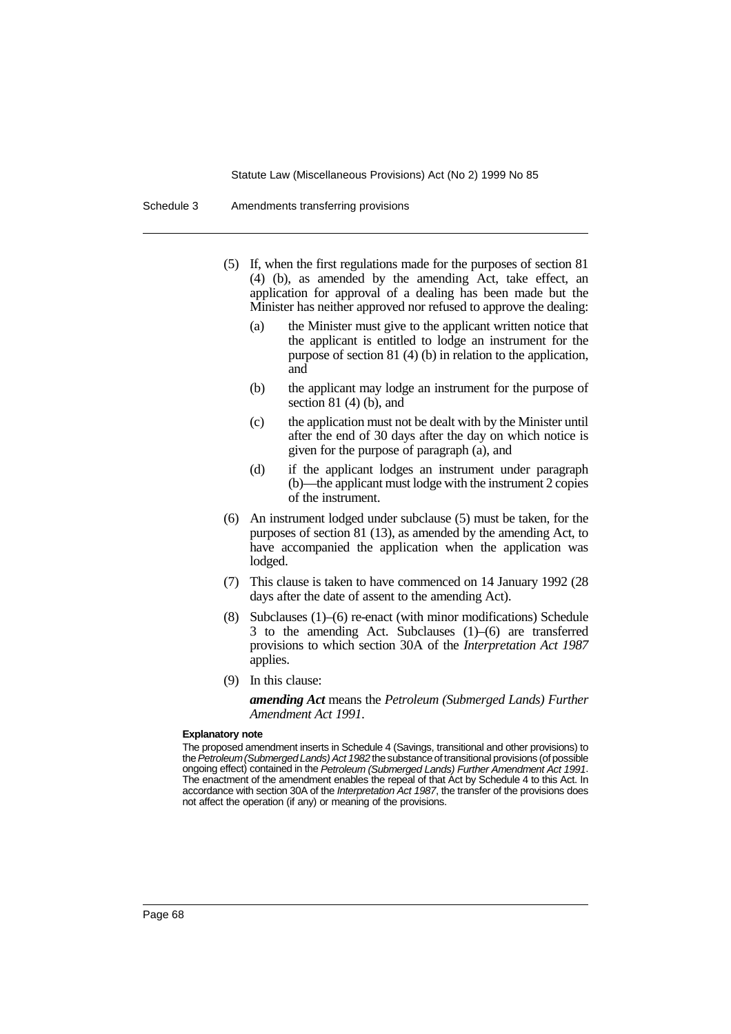| Amendments transferring provisions<br>Schedule 3 |  |
|--------------------------------------------------|--|
|--------------------------------------------------|--|

- (5) If, when the first regulations made for the purposes of section 81 (4) (b), as amended by the amending Act, take effect, an application for approval of a dealing has been made but the Minister has neither approved nor refused to approve the dealing:
	- (a) the Minister must give to the applicant written notice that the applicant is entitled to lodge an instrument for the purpose of section 81 (4) (b) in relation to the application, and
	- (b) the applicant may lodge an instrument for the purpose of section  $81$  (4) (b), and
	- (c) the application must not be dealt with by the Minister until after the end of 30 days after the day on which notice is given for the purpose of paragraph (a), and
	- (d) if the applicant lodges an instrument under paragraph (b)—the applicant must lodge with the instrument 2 copies of the instrument.
- (6) An instrument lodged under subclause (5) must be taken, for the purposes of section 81 (13), as amended by the amending Act, to have accompanied the application when the application was lodged.
- (7) This clause is taken to have commenced on 14 January 1992 (28 days after the date of assent to the amending Act).
- (8) Subclauses (1)–(6) re-enact (with minor modifications) Schedule 3 to the amending Act. Subclauses (1)–(6) are transferred provisions to which section 30A of the *Interpretation Act 1987* applies.
- (9) In this clause:

*amending Act* means the *Petroleum (Submerged Lands) Further Amendment Act 1991*.

#### **Explanatory note**

The proposed amendment inserts in Schedule 4 (Savings, transitional and other provisions) to the Petroleum (Submerged Lands) Act 1982 the substance of transitional provisions (of possible ongoing effect) contained in the Petroleum (Submerged Lands) Further Amendment Act 1991. The enactment of the amendment enables the repeal of that Act by Schedule 4 to this Act. In accordance with section 30A of the Interpretation Act 1987, the transfer of the provisions does not affect the operation (if any) or meaning of the provisions.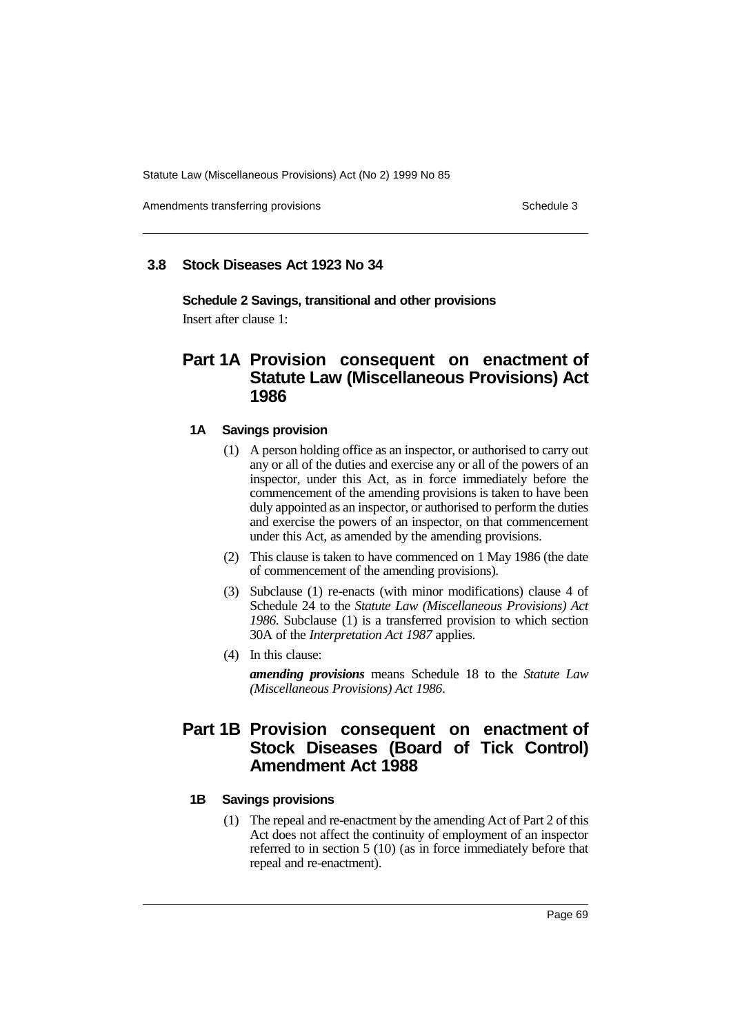Amendments transferring provisions Schedule 3 and the Schedule 3 schedule 3

## **3.8 Stock Diseases Act 1923 No 34**

**Schedule 2 Savings, transitional and other provisions** Insert after clause 1:

# **Part 1A Provision consequent on enactment of Statute Law (Miscellaneous Provisions) Act 1986**

## **1A Savings provision**

- (1) A person holding office as an inspector, or authorised to carry out any or all of the duties and exercise any or all of the powers of an inspector, under this Act, as in force immediately before the commencement of the amending provisions is taken to have been duly appointed as an inspector, or authorised to perform the duties and exercise the powers of an inspector, on that commencement under this Act, as amended by the amending provisions.
- (2) This clause is taken to have commenced on 1 May 1986 (the date of commencement of the amending provisions).
- (3) Subclause (1) re-enacts (with minor modifications) clause 4 of Schedule 24 to the *Statute Law (Miscellaneous Provisions) Act 1986*. Subclause (1) is a transferred provision to which section 30A of the *Interpretation Act 1987* applies.
- (4) In this clause:

*amending provisions* means Schedule 18 to the *Statute Law (Miscellaneous Provisions) Act 1986*.

# **Part 1B Provision consequent on enactment of Stock Diseases (Board of Tick Control) Amendment Act 1988**

## **1B Savings provisions**

(1) The repeal and re-enactment by the amending Act of Part 2 of this Act does not affect the continuity of employment of an inspector referred to in section 5 (10) (as in force immediately before that repeal and re-enactment).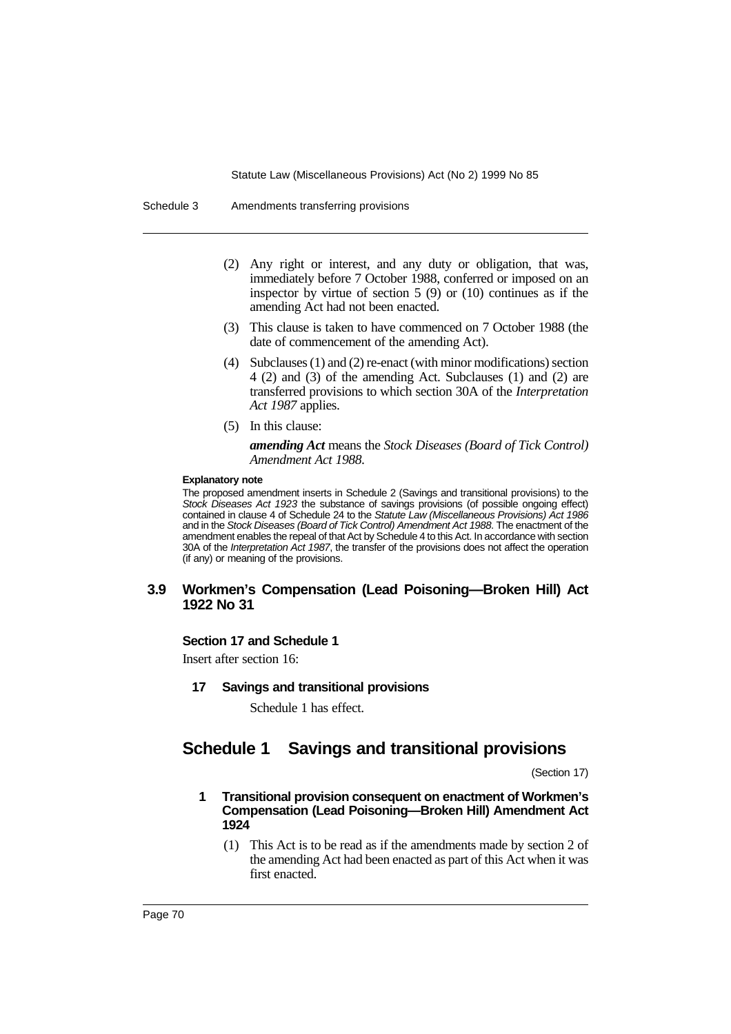Schedule 3 Amendments transferring provisions

- (2) Any right or interest, and any duty or obligation, that was, immediately before 7 October 1988, conferred or imposed on an inspector by virtue of section 5 (9) or (10) continues as if the amending Act had not been enacted.
- (3) This clause is taken to have commenced on 7 October 1988 (the date of commencement of the amending Act).
- (4) Subclauses (1) and (2) re-enact (with minor modifications) section 4 (2) and (3) of the amending Act. Subclauses (1) and (2) are transferred provisions to which section 30A of the *Interpretation Act 1987* applies.
- (5) In this clause:

*amending Act* means the *Stock Diseases (Board of Tick Control) Amendment Act 1988*.

#### **Explanatory note**

The proposed amendment inserts in Schedule 2 (Savings and transitional provisions) to the Stock Diseases Act 1923 the substance of savings provisions (of possible ongoing effect) contained in clause 4 of Schedule 24 to the Statute Law (Miscellaneous Provisions) Act 1986 and in the Stock Diseases (Board of Tick Control) Amendment Act 1988. The enactment of the amendment enables the repeal of that Act by Schedule 4 to this Act. In accordance with section 30A of the Interpretation Act 1987, the transfer of the provisions does not affect the operation (if any) or meaning of the provisions.

## **3.9 Workmen's Compensation (Lead Poisoning—Broken Hill) Act 1922 No 31**

## **Section 17 and Schedule 1**

Insert after section 16:

**17 Savings and transitional provisions**

Schedule 1 has effect.

# **Schedule 1 Savings and transitional provisions**

(Section 17)

## **1 Transitional provision consequent on enactment of Workmen's Compensation (Lead Poisoning—Broken Hill) Amendment Act 1924**

(1) This Act is to be read as if the amendments made by section 2 of the amending Act had been enacted as part of this Act when it was first enacted.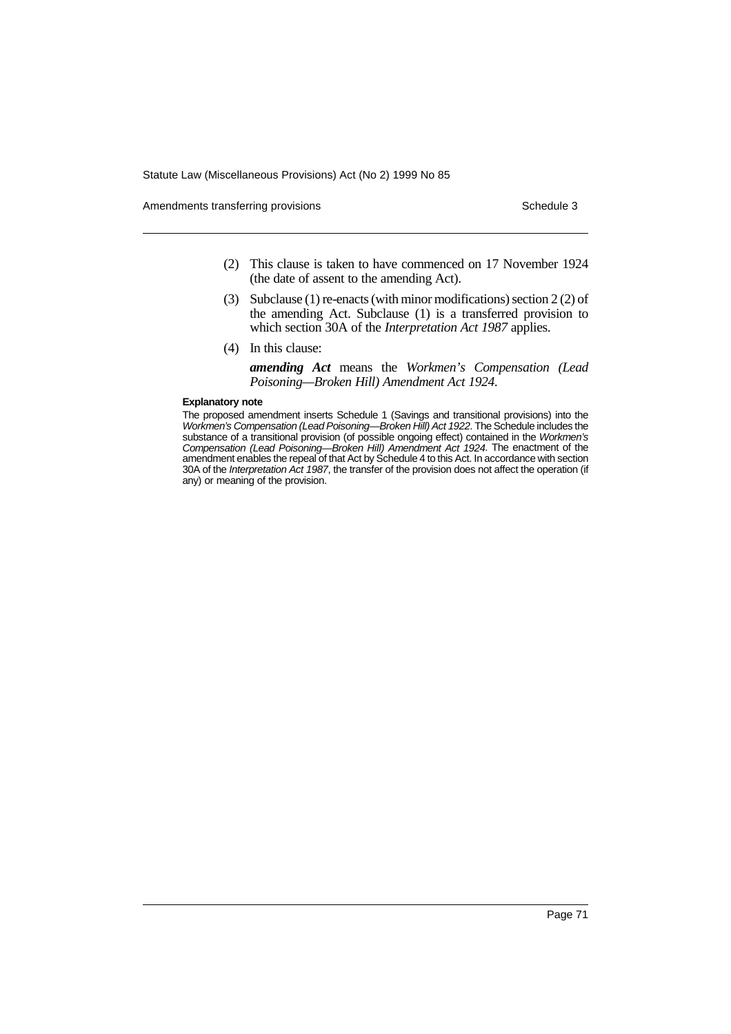Amendments transferring provisions Schedule 3 and the Schedule 3 schedule 3

- (2) This clause is taken to have commenced on 17 November 1924 (the date of assent to the amending Act).
- (3) Subclause (1) re-enacts (with minor modifications) section 2 (2) of the amending Act. Subclause (1) is a transferred provision to which section 30A of the *Interpretation Act 1987* applies.
- (4) In this clause:

*amending Act* means the *Workmen's Compensation (Lead Poisoning—Broken Hill) Amendment Act 1924*.

### **Explanatory note**

The proposed amendment inserts Schedule 1 (Savings and transitional provisions) into the Workmen's Compensation (Lead Poisoning—Broken Hill) Act 1922. The Schedule includes the substance of a transitional provision (of possible ongoing effect) contained in the Workmen's Compensation (Lead Poisoning—Broken Hill) Amendment Act 1924. The enactment of the amendment enables the repeal of that Act by Schedule 4 to this Act. In accordance with section 30A of the Interpretation Act 1987, the transfer of the provision does not affect the operation (if any) or meaning of the provision.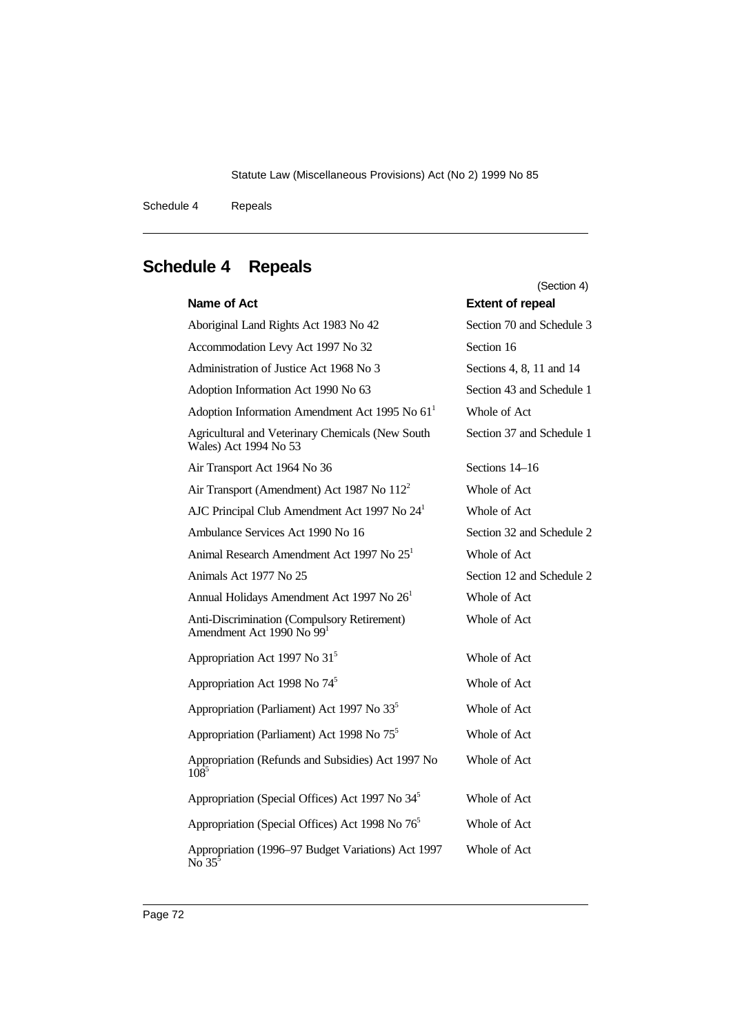Schedule 4 Repeals

|                                                                                      | (Section 4)               |
|--------------------------------------------------------------------------------------|---------------------------|
| Name of Act                                                                          | <b>Extent of repeal</b>   |
| Aboriginal Land Rights Act 1983 No 42                                                | Section 70 and Schedule 3 |
| Accommodation Levy Act 1997 No 32                                                    | Section 16                |
| Administration of Justice Act 1968 No 3                                              | Sections 4, 8, 11 and 14  |
| Adoption Information Act 1990 No 63                                                  | Section 43 and Schedule 1 |
| Adoption Information Amendment Act 1995 No 61 <sup>1</sup>                           | Whole of Act              |
| Agricultural and Veterinary Chemicals (New South<br>Wales) Act 1994 No 53            | Section 37 and Schedule 1 |
| Air Transport Act 1964 No 36                                                         | Sections 14–16            |
| Air Transport (Amendment) Act 1987 No 112 <sup>2</sup>                               | Whole of Act              |
| AJC Principal Club Amendment Act 1997 No 24 <sup>1</sup>                             | Whole of Act              |
| Ambulance Services Act 1990 No 16                                                    | Section 32 and Schedule 2 |
| Animal Research Amendment Act 1997 No 25 <sup>1</sup>                                | Whole of Act              |
| Animals Act 1977 No 25                                                               | Section 12 and Schedule 2 |
| Annual Holidays Amendment Act 1997 No 26 <sup>1</sup>                                | Whole of Act              |
| Anti-Discrimination (Compulsory Retirement)<br>Amendment Act 1990 No 99 <sup>1</sup> | Whole of Act              |
| Appropriation Act 1997 No 31 <sup>5</sup>                                            | Whole of Act              |
| Appropriation Act 1998 No 74 <sup>5</sup>                                            | Whole of Act              |
| Appropriation (Parliament) Act 1997 No 33 <sup>5</sup>                               | Whole of Act              |
| Appropriation (Parliament) Act 1998 No 75 <sup>5</sup>                               | Whole of Act              |
| Appropriation (Refunds and Subsidies) Act 1997 No<br>$108^{5}$                       | Whole of Act              |
| Appropriation (Special Offices) Act 1997 No 34 <sup>5</sup>                          | Whole of Act              |
| Appropriation (Special Offices) Act 1998 No 76 <sup>5</sup>                          | Whole of Act              |
| Appropriation (1996–97 Budget Variations) Act 1997<br>No $35^5$                      | Whole of Act              |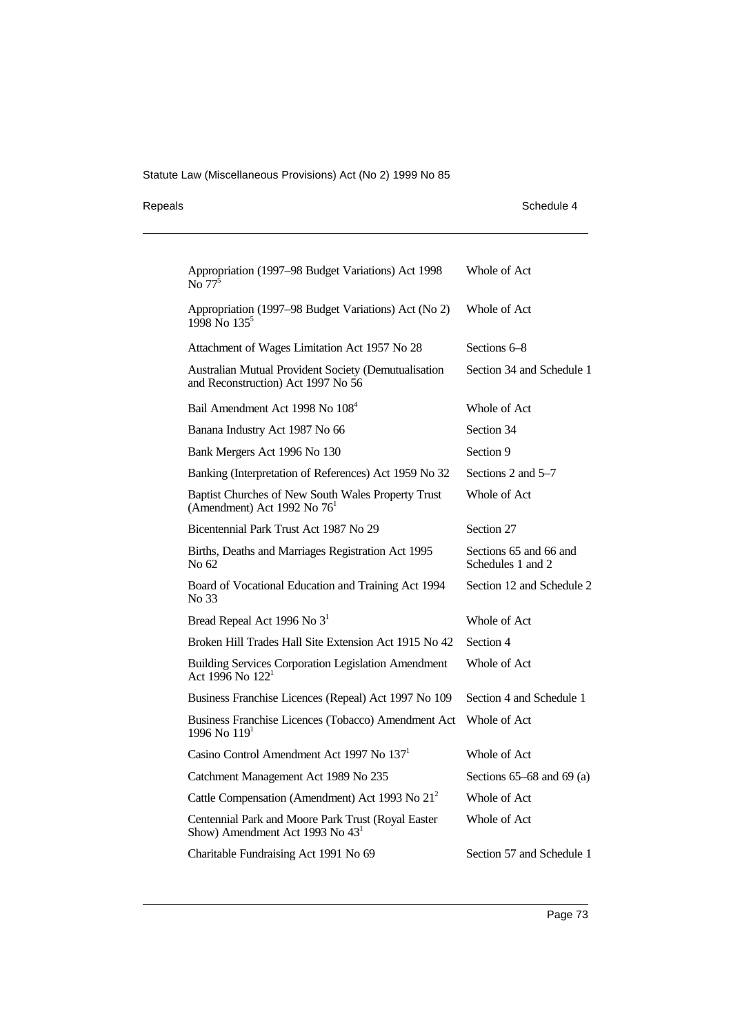| Repeals |  |
|---------|--|
|         |  |

| Repeals | Schedule 4 |
|---------|------------|
|         |            |

| Appropriation (1997-98 Budget Variations) Act 1998<br>$\overline{\text{No}}$ 77 <sup>5</sup>      | Whole of Act                                |
|---------------------------------------------------------------------------------------------------|---------------------------------------------|
| Appropriation (1997-98 Budget Variations) Act (No 2)<br>1998 No $135^{\circ}$                     | Whole of Act                                |
| Attachment of Wages Limitation Act 1957 No 28                                                     | Sections 6–8                                |
| Australian Mutual Provident Society (Demutualisation<br>and Reconstruction) Act 1997 No 56        | Section 34 and Schedule 1                   |
| Bail Amendment Act 1998 No 108 <sup>4</sup>                                                       | Whole of Act                                |
| Banana Industry Act 1987 No 66                                                                    | Section 34                                  |
| Bank Mergers Act 1996 No 130                                                                      | Section 9                                   |
| Banking (Interpretation of References) Act 1959 No 32                                             | Sections 2 and 5–7                          |
| Baptist Churches of New South Wales Property Trust<br>(Amendment) Act 1992 No $761$               | Whole of Act                                |
| Bicentennial Park Trust Act 1987 No 29                                                            | Section 27                                  |
| Births, Deaths and Marriages Registration Act 1995<br>No 62                                       | Sections 65 and 66 and<br>Schedules 1 and 2 |
| Board of Vocational Education and Training Act 1994<br>No 33                                      | Section 12 and Schedule 2                   |
| Bread Repeal Act 1996 No 3 <sup>1</sup>                                                           | Whole of Act                                |
| Broken Hill Trades Hall Site Extension Act 1915 No 42                                             | Section 4                                   |
| <b>Building Services Corporation Legislation Amendment</b><br>Act 1996 No 122 <sup>1</sup>        | Whole of Act                                |
| Business Franchise Licences (Repeal) Act 1997 No 109                                              | Section 4 and Schedule 1                    |
| Business Franchise Licences (Tobacco) Amendment Act<br>1996 No 119 <sup>1</sup>                   | Whole of Act                                |
| Casino Control Amendment Act 1997 No 137 <sup>1</sup>                                             | Whole of Act                                |
| Catchment Management Act 1989 No 235                                                              | Sections $65-68$ and $69$ (a)               |
| Cattle Compensation (Amendment) Act 1993 No 21 <sup>2</sup>                                       | Whole of Act                                |
| Centennial Park and Moore Park Trust (Royal Easter<br>Show) Amendment Act 1993 No 43 <sup>1</sup> | Whole of Act                                |
| Charitable Fundraising Act 1991 No 69                                                             | Section 57 and Schedule 1                   |
|                                                                                                   |                                             |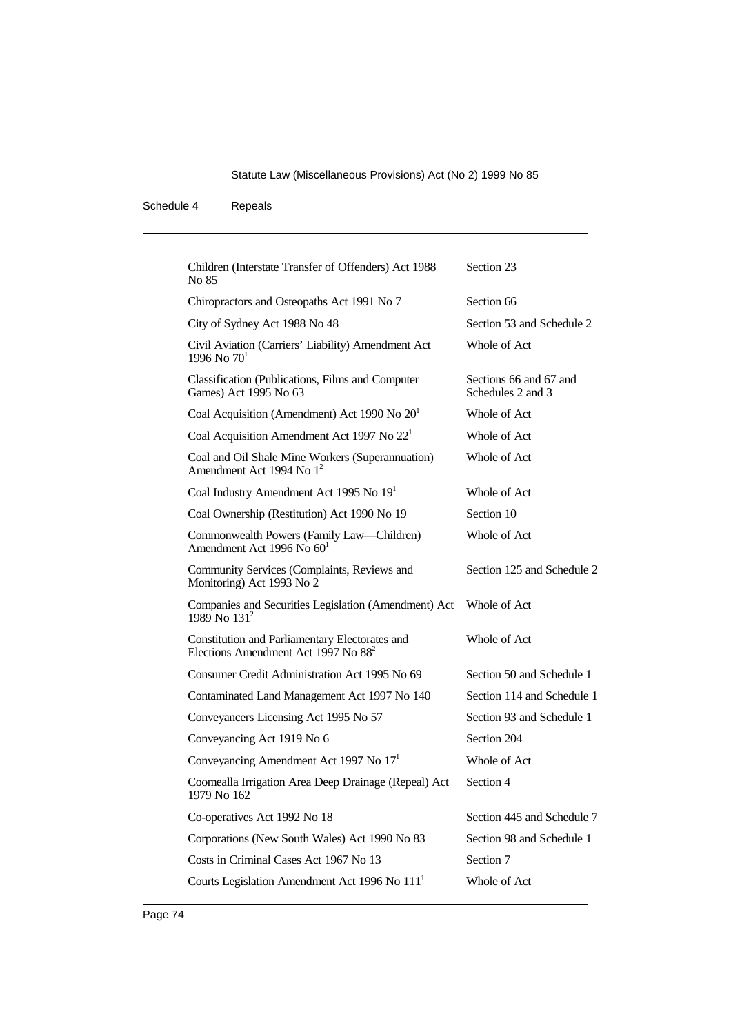| Children (Interstate Transfer of Offenders) Act 1988<br>No 85                                     | Section 23                                  |
|---------------------------------------------------------------------------------------------------|---------------------------------------------|
| Chiropractors and Osteopaths Act 1991 No 7                                                        | Section 66                                  |
| City of Sydney Act 1988 No 48                                                                     | Section 53 and Schedule 2                   |
| Civil Aviation (Carriers' Liability) Amendment Act<br>1996 No $70^1$                              | Whole of Act                                |
| Classification (Publications, Films and Computer<br>Games) Act 1995 No 63                         | Sections 66 and 67 and<br>Schedules 2 and 3 |
| Coal Acquisition (Amendment) Act 1990 No $201$                                                    | Whole of Act                                |
| Coal Acquisition Amendment Act 1997 No $221$                                                      | Whole of Act                                |
| Coal and Oil Shale Mine Workers (Superannuation)<br>Amendment Act 1994 No 1 <sup>2</sup>          | Whole of Act                                |
| Coal Industry Amendment Act 1995 No 19 <sup>1</sup>                                               | Whole of Act                                |
| Coal Ownership (Restitution) Act 1990 No 19                                                       | Section 10                                  |
| Commonwealth Powers (Family Law-Children)<br>Amendment Act 1996 No $601$                          | Whole of Act                                |
| Community Services (Complaints, Reviews and<br>Monitoring) Act 1993 No 2                          | Section 125 and Schedule 2                  |
| Companies and Securities Legislation (Amendment) Act<br>1989 No 131 <sup>2</sup>                  | Whole of Act                                |
| Constitution and Parliamentary Electorates and<br>Elections Amendment Act 1997 No 88 <sup>2</sup> | Whole of Act                                |
| Consumer Credit Administration Act 1995 No 69                                                     | Section 50 and Schedule 1                   |
| Contaminated Land Management Act 1997 No 140                                                      | Section 114 and Schedule 1                  |
| Conveyancers Licensing Act 1995 No 57                                                             | Section 93 and Schedule 1                   |
| Conveyancing Act 1919 No 6                                                                        | Section 204                                 |
| Conveyancing Amendment Act 1997 No 17 <sup>1</sup>                                                | Whole of Act                                |
| Coomealla Irrigation Area Deep Drainage (Repeal) Act<br>1979 No 162                               | Section 4                                   |
| Co-operatives Act 1992 No 18                                                                      | Section 445 and Schedule 7                  |
| Corporations (New South Wales) Act 1990 No 83                                                     | Section 98 and Schedule 1                   |
| Costs in Criminal Cases Act 1967 No 13                                                            | Section 7                                   |
| Courts Legislation Amendment Act 1996 No 111 <sup>1</sup>                                         | Whole of Act                                |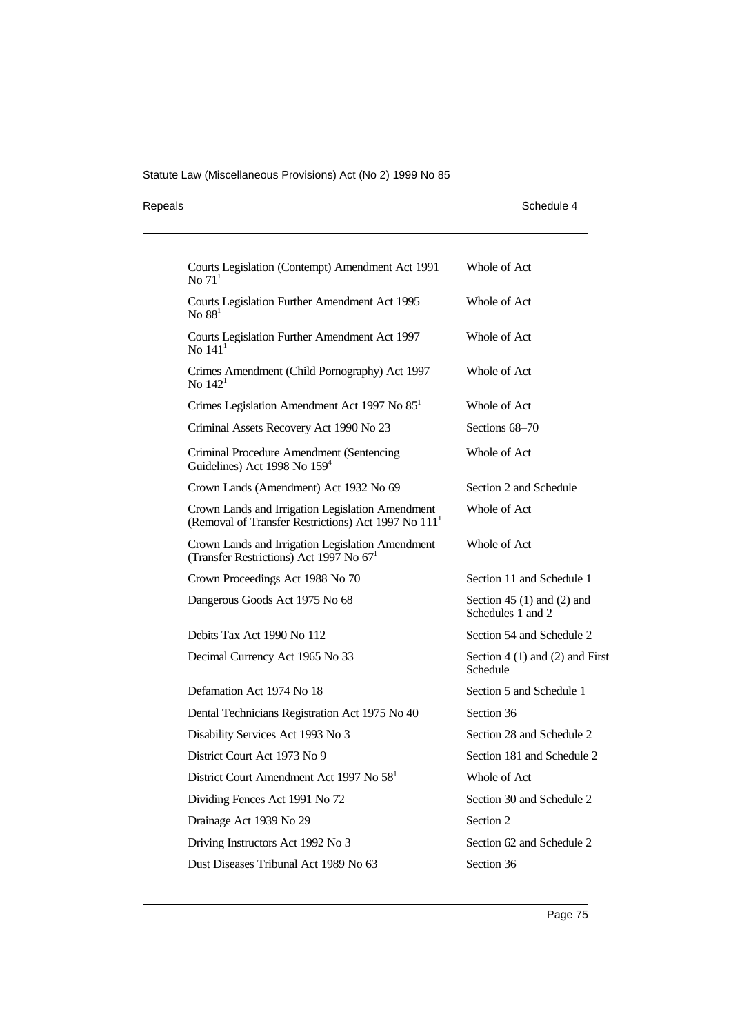## Repeals Schedule 4

| Courts Legislation (Contempt) Amendment Act 1991<br>No $711$                                                        | Whole of Act                                        |
|---------------------------------------------------------------------------------------------------------------------|-----------------------------------------------------|
| Courts Legislation Further Amendment Act 1995<br>No $881$                                                           | Whole of Act                                        |
| Courts Legislation Further Amendment Act 1997<br>No $1411$                                                          | Whole of Act                                        |
| Crimes Amendment (Child Pornography) Act 1997<br>No $1421$                                                          | Whole of Act                                        |
| Crimes Legislation Amendment Act 1997 No 85 <sup>1</sup>                                                            | Whole of Act                                        |
| Criminal Assets Recovery Act 1990 No 23                                                                             | Sections 68–70                                      |
| Criminal Procedure Amendment (Sentencing<br>Guidelines) Act 1998 No 159 <sup>4</sup>                                | Whole of Act                                        |
| Crown Lands (Amendment) Act 1932 No 69                                                                              | Section 2 and Schedule                              |
| Crown Lands and Irrigation Legislation Amendment<br>(Removal of Transfer Restrictions) Act 1997 No 111 <sup>1</sup> | Whole of Act                                        |
| Crown Lands and Irrigation Legislation Amendment<br>(Transfer Restrictions) Act 1997 No 67 <sup>1</sup>             | Whole of Act                                        |
| Crown Proceedings Act 1988 No 70                                                                                    | Section 11 and Schedule 1                           |
| Dangerous Goods Act 1975 No 68                                                                                      | Section 45 $(1)$ and $(2)$ and<br>Schedules 1 and 2 |
| Debits Tax Act 1990 No 112                                                                                          | Section 54 and Schedule 2                           |
| Decimal Currency Act 1965 No 33                                                                                     | Section $4(1)$ and $(2)$ and First<br>Schedule      |
| Defamation Act 1974 No 18                                                                                           | Section 5 and Schedule 1                            |
| Dental Technicians Registration Act 1975 No 40                                                                      | Section 36                                          |
| Disability Services Act 1993 No 3                                                                                   | Section 28 and Schedule 2                           |
| District Court Act 1973 No 9                                                                                        | Section 181 and Schedule 2                          |
| District Court Amendment Act 1997 No 58 <sup>1</sup>                                                                | Whole of Act                                        |
| Dividing Fences Act 1991 No 72                                                                                      | Section 30 and Schedule 2                           |
| Drainage Act 1939 No 29                                                                                             | Section 2                                           |
| Driving Instructors Act 1992 No 3                                                                                   | Section 62 and Schedule 2                           |
| Dust Diseases Tribunal Act 1989 No 63                                                                               | Section 36                                          |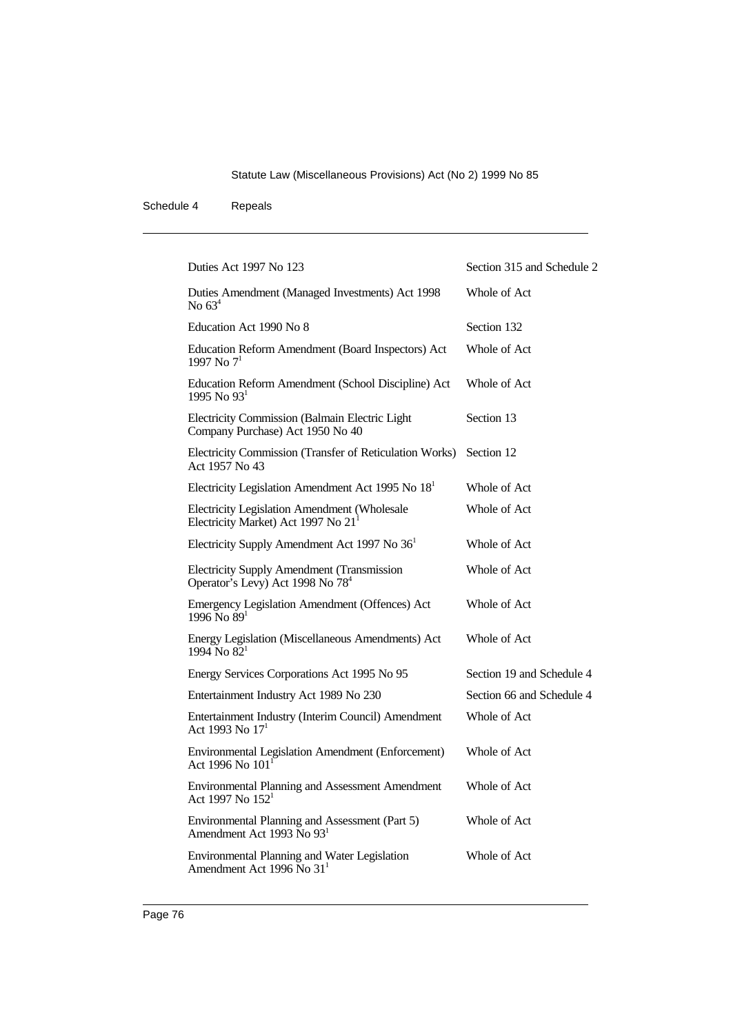| Duties Act 1997 No 123                                                                            | Section 315 and Schedule 2 |
|---------------------------------------------------------------------------------------------------|----------------------------|
| Duties Amendment (Managed Investments) Act 1998<br>No $634$                                       | Whole of Act               |
| Education Act 1990 No 8                                                                           | Section 132                |
| Education Reform Amendment (Board Inspectors) Act<br>1997 No $7^1$                                | Whole of Act               |
| Education Reform Amendment (School Discipline) Act<br>1995 No $931$                               | Whole of Act               |
| Electricity Commission (Balmain Electric Light<br>Company Purchase) Act 1950 No 40                | Section 13                 |
| Electricity Commission (Transfer of Reticulation Works)<br>Act 1957 No 43                         | Section 12                 |
| Electricity Legislation Amendment Act 1995 No $181$                                               | Whole of Act               |
| Electricity Legislation Amendment (Wholesale<br>Electricity Market) Act 1997 No 21 <sup>1</sup>   | Whole of Act               |
| Electricity Supply Amendment Act 1997 No 36 <sup>1</sup>                                          | Whole of Act               |
| <b>Electricity Supply Amendment (Transmission</b><br>Operator's Levy) Act 1998 No 78 <sup>4</sup> | Whole of Act               |
| Emergency Legislation Amendment (Offences) Act<br>$1996$ No $891$                                 | Whole of Act               |
| Energy Legislation (Miscellaneous Amendments) Act<br>$1994$ No $82^1$                             | Whole of Act               |
| Energy Services Corporations Act 1995 No 95                                                       | Section 19 and Schedule 4  |
| Entertainment Industry Act 1989 No 230                                                            | Section 66 and Schedule 4  |
| Entertainment Industry (Interim Council) Amendment<br>Act 1993 No 17 <sup>1</sup>                 | Whole of Act               |
| Environmental Legislation Amendment (Enforcement)<br>Act 1996 No 101 <sup>1</sup>                 | Whole of Act               |
| Environmental Planning and Assessment Amendment<br>Act 1997 No $152^1$                            | Whole of Act               |
| Environmental Planning and Assessment (Part 5)<br>Amendment Act 1993 No 93 <sup>1</sup>           | Whole of Act               |
| Environmental Planning and Water Legislation<br>Amendment Act 1996 No $311$                       | Whole of Act               |
|                                                                                                   |                            |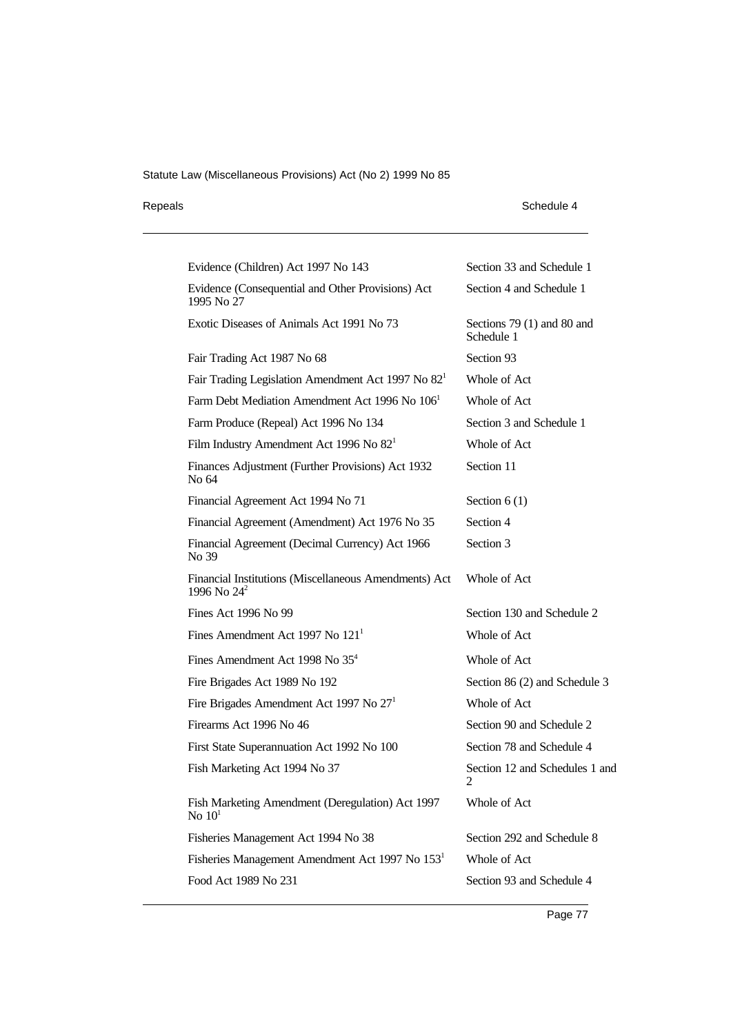| Repeals | Schedule 4 |
|---------|------------|
|---------|------------|

| Evidence (Children) Act 1997 No 143                                     | Section 33 and Schedule 1                   |
|-------------------------------------------------------------------------|---------------------------------------------|
| Evidence (Consequential and Other Provisions) Act<br>1995 No 27         | Section 4 and Schedule 1                    |
| Exotic Diseases of Animals Act 1991 No 73                               | Sections $79(1)$ and $80$ and<br>Schedule 1 |
| Fair Trading Act 1987 No 68                                             | Section 93                                  |
| Fair Trading Legislation Amendment Act 1997 No 82 <sup>1</sup>          | Whole of Act                                |
| Farm Debt Mediation Amendment Act 1996 No 106 <sup>1</sup>              | Whole of Act                                |
| Farm Produce (Repeal) Act 1996 No 134                                   | Section 3 and Schedule 1                    |
| Film Industry Amendment Act 1996 No $821$                               | Whole of Act                                |
| Finances Adjustment (Further Provisions) Act 1932<br>No 64              | Section 11                                  |
| Financial Agreement Act 1994 No 71                                      | Section $6(1)$                              |
| Financial Agreement (Amendment) Act 1976 No 35                          | Section 4                                   |
| Financial Agreement (Decimal Currency) Act 1966<br>No 39                | Section 3                                   |
| Financial Institutions (Miscellaneous Amendments) Act<br>1996 No $24^2$ | Whole of Act                                |
| Fines Act 1996 No 99                                                    | Section 130 and Schedule 2                  |
| Fines Amendment Act 1997 No $1211$                                      | Whole of Act                                |
| Fines Amendment Act 1998 No 35 <sup>4</sup>                             | Whole of Act                                |
| Fire Brigades Act 1989 No 192                                           | Section 86 (2) and Schedule 3               |
| Fire Brigades Amendment Act 1997 No $271$                               | Whole of Act                                |
| Firearms Act 1996 No 46                                                 | Section 90 and Schedule 2                   |
| First State Superannuation Act 1992 No 100                              | Section 78 and Schedule 4                   |
| Fish Marketing Act 1994 No 37                                           | Section 12 and Schedules 1 and<br>2         |
| Fish Marketing Amendment (Deregulation) Act 1997<br>No $101$            | Whole of Act                                |
| Fisheries Management Act 1994 No 38                                     | Section 292 and Schedule 8                  |
| Fisheries Management Amendment Act 1997 No 153 <sup>1</sup>             | Whole of Act                                |
| Food Act 1989 No 231                                                    | Section 93 and Schedule 4                   |
|                                                                         |                                             |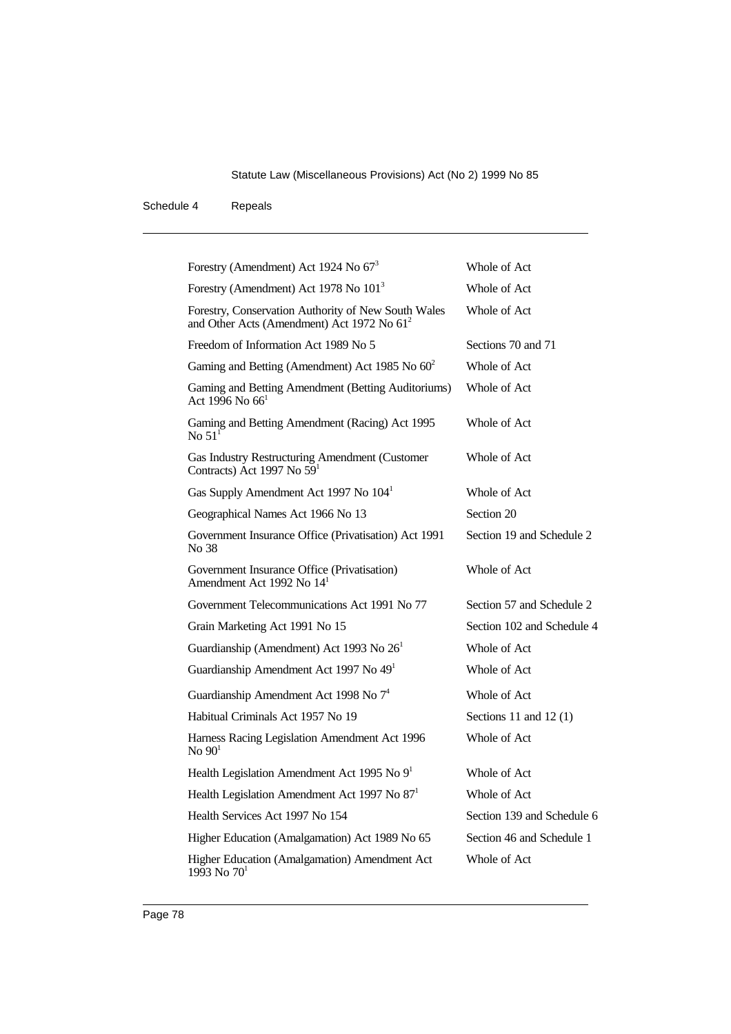| Forestry (Amendment) Act 1924 No $673$                                                                        | Whole of Act               |
|---------------------------------------------------------------------------------------------------------------|----------------------------|
| Forestry (Amendment) Act 1978 No 101 <sup>3</sup>                                                             | Whole of Act               |
| Forestry, Conservation Authority of New South Wales<br>and Other Acts (Amendment) Act 1972 No 61 <sup>2</sup> | Whole of Act               |
| Freedom of Information Act 1989 No 5                                                                          | Sections 70 and 71         |
| Gaming and Betting (Amendment) Act 1985 No $60^2$                                                             | Whole of Act               |
| Gaming and Betting Amendment (Betting Auditoriums)<br>Act 1996 No 66 <sup>1</sup>                             | Whole of Act               |
| Gaming and Betting Amendment (Racing) Act 1995<br>No $511$                                                    | Whole of Act               |
| Gas Industry Restructuring Amendment (Customer<br>Contracts) Act 1997 No 59 <sup>1</sup>                      | Whole of Act               |
| Gas Supply Amendment Act 1997 No 104 <sup>1</sup>                                                             | Whole of Act               |
| Geographical Names Act 1966 No 13                                                                             | Section 20                 |
| Government Insurance Office (Privatisation) Act 1991<br>No 38                                                 | Section 19 and Schedule 2  |
| Government Insurance Office (Privatisation)<br>Amendment Act 1992 No 14 <sup>1</sup>                          | Whole of Act               |
| Government Telecommunications Act 1991 No 77                                                                  | Section 57 and Schedule 2  |
| Grain Marketing Act 1991 No 15                                                                                | Section 102 and Schedule 4 |
| Guardianship (Amendment) Act 1993 No $261$                                                                    | Whole of Act               |
| Guardianship Amendment Act 1997 No 49 <sup>1</sup>                                                            | Whole of Act               |
| Guardianship Amendment Act 1998 No 7 <sup>4</sup>                                                             | Whole of Act               |
| Habitual Criminals Act 1957 No 19                                                                             | Sections 11 and 12 $(1)$   |
| Harness Racing Legislation Amendment Act 1996<br>$\mathrm{No} 90^1$                                           | Whole of Act               |
| Health Legislation Amendment Act 1995 No 9 <sup>1</sup>                                                       | Whole of Act               |
| Health Legislation Amendment Act 1997 No $871$                                                                | Whole of Act               |
| Health Services Act 1997 No 154                                                                               | Section 139 and Schedule 6 |
| Higher Education (Amalgamation) Act 1989 No 65                                                                | Section 46 and Schedule 1  |
| Higher Education (Amalgamation) Amendment Act<br>$1993$ No $701$                                              | Whole of Act               |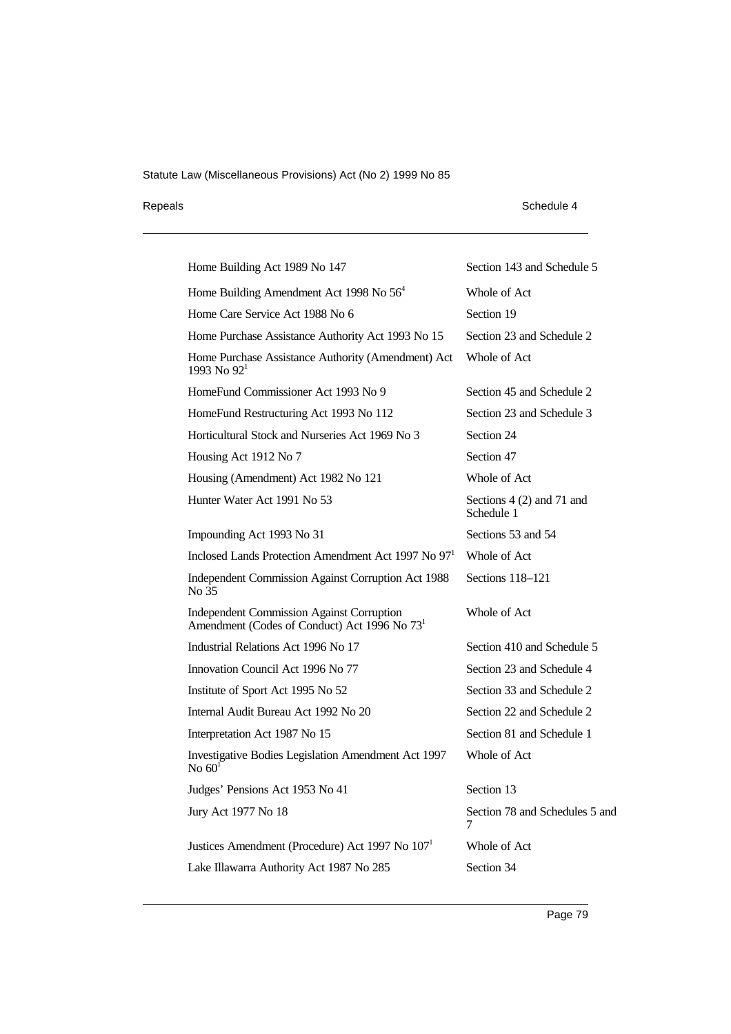## Repeals Schedule 4

| Home Building Act 1989 No 147                                                                                | Section 143 and Schedule 5              |
|--------------------------------------------------------------------------------------------------------------|-----------------------------------------|
| Home Building Amendment Act 1998 No $564$                                                                    | Whole of Act                            |
| Home Care Service Act 1988 No 6                                                                              | Section 19                              |
| Home Purchase Assistance Authority Act 1993 No 15                                                            | Section 23 and Schedule 2               |
| Home Purchase Assistance Authority (Amendment) Act<br>1993 No $92^1$                                         | Whole of Act                            |
| HomeFund Commissioner Act 1993 No 9                                                                          | Section 45 and Schedule 2               |
| HomeFund Restructuring Act 1993 No 112                                                                       | Section 23 and Schedule 3               |
| Horticultural Stock and Nurseries Act 1969 No 3                                                              | Section 24                              |
| Housing Act 1912 No 7                                                                                        | Section 47                              |
| Housing (Amendment) Act 1982 No 121                                                                          | Whole of Act                            |
| Hunter Water Act 1991 No 53                                                                                  | Sections 4 (2) and 71 and<br>Schedule 1 |
| Impounding Act 1993 No 31                                                                                    | Sections 53 and 54                      |
| Inclosed Lands Protection Amendment Act 1997 No 97 <sup>1</sup>                                              | Whole of Act                            |
| Independent Commission Against Corruption Act 1988<br>No 35                                                  | Sections 118-121                        |
| <b>Independent Commission Against Corruption</b><br>Amendment (Codes of Conduct) Act 1996 No 73 <sup>1</sup> | Whole of Act                            |
| Industrial Relations Act 1996 No 17                                                                          | Section 410 and Schedule 5              |
| Innovation Council Act 1996 No 77                                                                            | Section 23 and Schedule 4               |
| Institute of Sport Act 1995 No 52                                                                            | Section 33 and Schedule 2               |
| Internal Audit Bureau Act 1992 No 20                                                                         | Section 22 and Schedule 2               |
| Interpretation Act 1987 No 15                                                                                | Section 81 and Schedule 1               |
| Investigative Bodies Legislation Amendment Act 1997<br>No $601$                                              | Whole of Act                            |
| Judges' Pensions Act 1953 No 41                                                                              | Section 13                              |
| Jury Act 1977 No 18                                                                                          | Section 78 and Schedules 5 and<br>7     |
| Justices Amendment (Procedure) Act 1997 No 107 <sup>1</sup>                                                  | Whole of Act                            |
| Lake Illawarra Authority Act 1987 No 285                                                                     | Section 34                              |
|                                                                                                              |                                         |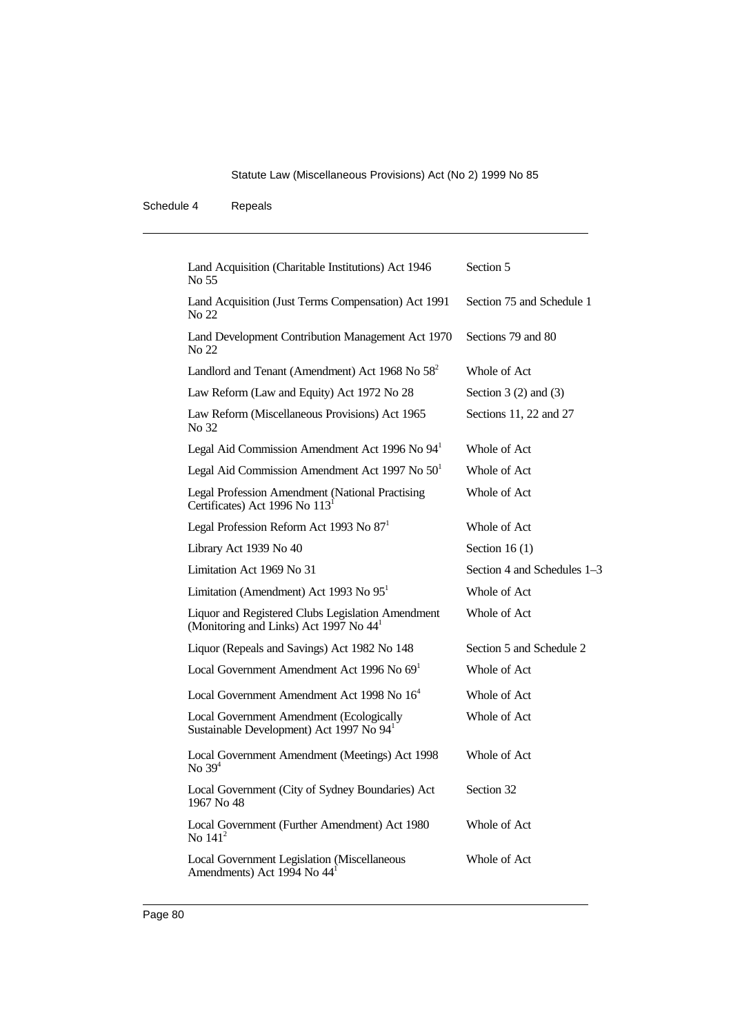| Land Acquisition (Charitable Institutions) Act 1946<br>No 55                                            | Section 5                   |
|---------------------------------------------------------------------------------------------------------|-----------------------------|
| Land Acquisition (Just Terms Compensation) Act 1991<br>No 22                                            | Section 75 and Schedule 1   |
| Land Development Contribution Management Act 1970<br>No 22                                              | Sections 79 and 80          |
| Landlord and Tenant (Amendment) Act 1968 No 58 <sup>2</sup>                                             | Whole of Act                |
| Law Reform (Law and Equity) Act 1972 No 28                                                              | Section $3(2)$ and $(3)$    |
| Law Reform (Miscellaneous Provisions) Act 1965<br>No 32                                                 | Sections 11, 22 and 27      |
| Legal Aid Commission Amendment Act 1996 No 94 <sup>1</sup>                                              | Whole of Act                |
| Legal Aid Commission Amendment Act 1997 No $501$                                                        | Whole of Act                |
| Legal Profession Amendment (National Practising<br>Certificates) Act 1996 No 113 <sup>1</sup>           | Whole of Act                |
| Legal Profession Reform Act 1993 No 87 <sup>1</sup>                                                     | Whole of Act                |
| Library Act 1939 No 40                                                                                  | Section 16 $(1)$            |
| Limitation Act 1969 No 31                                                                               | Section 4 and Schedules 1–3 |
| Limitation (Amendment) Act 1993 No $951$                                                                | Whole of Act                |
| Liquor and Registered Clubs Legislation Amendment<br>(Monitoring and Links) Act 1997 No 44 <sup>1</sup> | Whole of Act                |
| Liquor (Repeals and Savings) Act 1982 No 148                                                            | Section 5 and Schedule 2    |
| Local Government Amendment Act 1996 No $691$                                                            | Whole of Act                |
| Local Government Amendment Act 1998 No 16 <sup>4</sup>                                                  | Whole of Act                |
| Local Government Amendment (Ecologically<br>Sustainable Development) Act 1997 No 94 <sup>1</sup>        | Whole of Act                |
| Local Government Amendment (Meetings) Act 1998<br>No $394$                                              | Whole of Act                |
| Local Government (City of Sydney Boundaries) Act<br>1967 No 48                                          | Section 32                  |
| Local Government (Further Amendment) Act 1980<br>No $141^2$                                             | Whole of Act                |
| Local Government Legislation (Miscellaneous<br>Amendments) Act 1994 No 44 <sup>1</sup>                  | Whole of Act                |
|                                                                                                         |                             |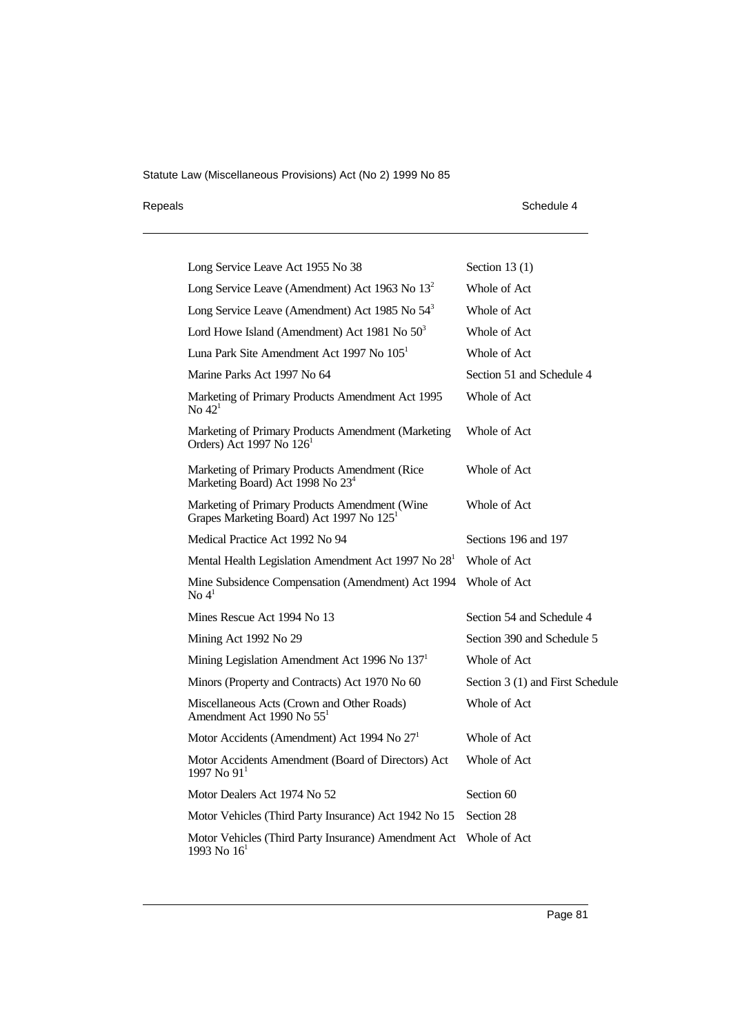## Repeals Schedule 4

| Long Service Leave Act 1955 No 38                                                                     | Section 13 $(1)$                 |
|-------------------------------------------------------------------------------------------------------|----------------------------------|
| Long Service Leave (Amendment) Act 1963 No $132$                                                      | Whole of Act                     |
| Long Service Leave (Amendment) Act 1985 No 54 <sup>3</sup>                                            | Whole of Act                     |
| Lord Howe Island (Amendment) Act 1981 No $50^3$                                                       | Whole of Act                     |
| Luna Park Site Amendment Act 1997 No 105 <sup>1</sup>                                                 | Whole of Act                     |
| Marine Parks Act 1997 No 64                                                                           | Section 51 and Schedule 4        |
| Marketing of Primary Products Amendment Act 1995<br>No $421$                                          | Whole of Act                     |
| Marketing of Primary Products Amendment (Marketing<br>Orders) Act 1997 No 126 <sup>1</sup>            | Whole of Act                     |
| Marketing of Primary Products Amendment (Rice)<br>Marketing Board) Act 1998 No 23 <sup>4</sup>        | Whole of Act                     |
| Marketing of Primary Products Amendment (Wine<br>Grapes Marketing Board) Act 1997 No 125 <sup>1</sup> | Whole of Act                     |
| Medical Practice Act 1992 No 94                                                                       | Sections 196 and 197             |
| Mental Health Legislation Amendment Act 1997 No 28 <sup>1</sup>                                       | Whole of Act                     |
| Mine Subsidence Compensation (Amendment) Act 1994<br>$\text{No } 4^1$                                 | Whole of Act                     |
| Mines Rescue Act 1994 No 13                                                                           | Section 54 and Schedule 4        |
| Mining Act 1992 No 29                                                                                 | Section 390 and Schedule 5       |
| Mining Legislation Amendment Act 1996 No 137 <sup>1</sup>                                             | Whole of Act                     |
| Minors (Property and Contracts) Act 1970 No 60                                                        | Section 3 (1) and First Schedule |
| Miscellaneous Acts (Crown and Other Roads)<br>Amendment Act 1990 No 55 <sup>1</sup>                   | Whole of Act                     |
| Motor Accidents (Amendment) Act 1994 No 27 <sup>1</sup>                                               | Whole of Act                     |
| Motor Accidents Amendment (Board of Directors) Act<br>1997 No $911$                                   | Whole of Act                     |
| Motor Dealers Act 1974 No 52                                                                          | Section 60                       |
| Motor Vehicles (Third Party Insurance) Act 1942 No 15                                                 | Section 28                       |
| Motor Vehicles (Third Party Insurance) Amendment Act<br>1993 No $161$                                 | Whole of Act                     |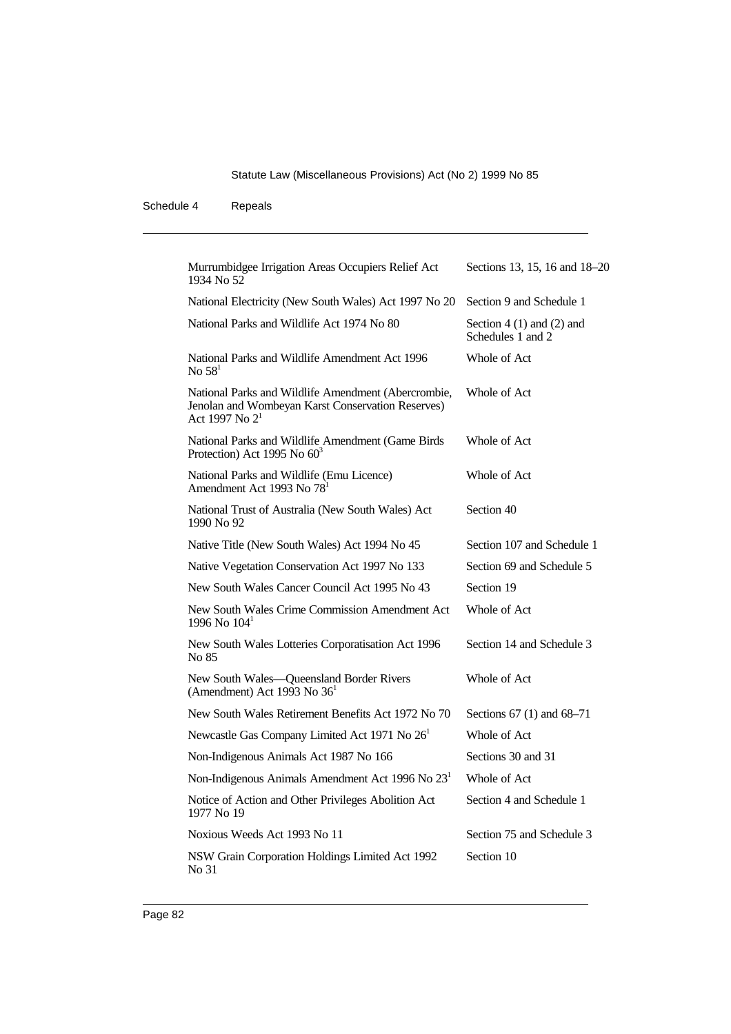| Murrumbidgee Irrigation Areas Occupiers Relief Act<br>1934 No 52                                                                       | Sections 13, 15, 16 and 18-20                     |
|----------------------------------------------------------------------------------------------------------------------------------------|---------------------------------------------------|
| National Electricity (New South Wales) Act 1997 No 20                                                                                  | Section 9 and Schedule 1                          |
| National Parks and Wildlife Act 1974 No 80                                                                                             | Section $4(1)$ and $(2)$ and<br>Schedules 1 and 2 |
| National Parks and Wildlife Amendment Act 1996<br>No $581$                                                                             | Whole of Act                                      |
| National Parks and Wildlife Amendment (Abercrombie,<br>Jenolan and Wombeyan Karst Conservation Reserves)<br>Act 1997 No 2 <sup>1</sup> | Whole of Act                                      |
| National Parks and Wildlife Amendment (Game Birds<br>Protection) Act 1995 No 60 <sup>3</sup>                                           | Whole of Act                                      |
| National Parks and Wildlife (Emu Licence)<br>Amendment Act 1993 No 78 <sup>1</sup>                                                     | Whole of Act                                      |
| National Trust of Australia (New South Wales) Act<br>1990 No 92                                                                        | Section 40                                        |
| Native Title (New South Wales) Act 1994 No 45                                                                                          | Section 107 and Schedule 1                        |
| Native Vegetation Conservation Act 1997 No 133                                                                                         | Section 69 and Schedule 5                         |
| New South Wales Cancer Council Act 1995 No 43                                                                                          | Section 19                                        |
| New South Wales Crime Commission Amendment Act<br>1996 No 104 <sup>1</sup>                                                             | Whole of Act                                      |
| New South Wales Lotteries Corporatisation Act 1996<br>No 85                                                                            | Section 14 and Schedule 3                         |
| New South Wales-Queensland Border Rivers<br>(Amendment) Act 1993 No 36 <sup>1</sup>                                                    | Whole of Act                                      |
| New South Wales Retirement Benefits Act 1972 No 70                                                                                     | Sections 67 (1) and 68–71                         |
| Newcastle Gas Company Limited Act 1971 No 26 <sup>1</sup>                                                                              | Whole of Act                                      |
| Non-Indigenous Animals Act 1987 No 166                                                                                                 | Sections 30 and 31                                |
| Non-Indigenous Animals Amendment Act 1996 No 23 <sup>1</sup>                                                                           | Whole of Act                                      |
| Notice of Action and Other Privileges Abolition Act<br>1977 No 19                                                                      | Section 4 and Schedule 1                          |
| Noxious Weeds Act 1993 No 11                                                                                                           | Section 75 and Schedule 3                         |
| NSW Grain Corporation Holdings Limited Act 1992<br>No 31                                                                               | Section 10                                        |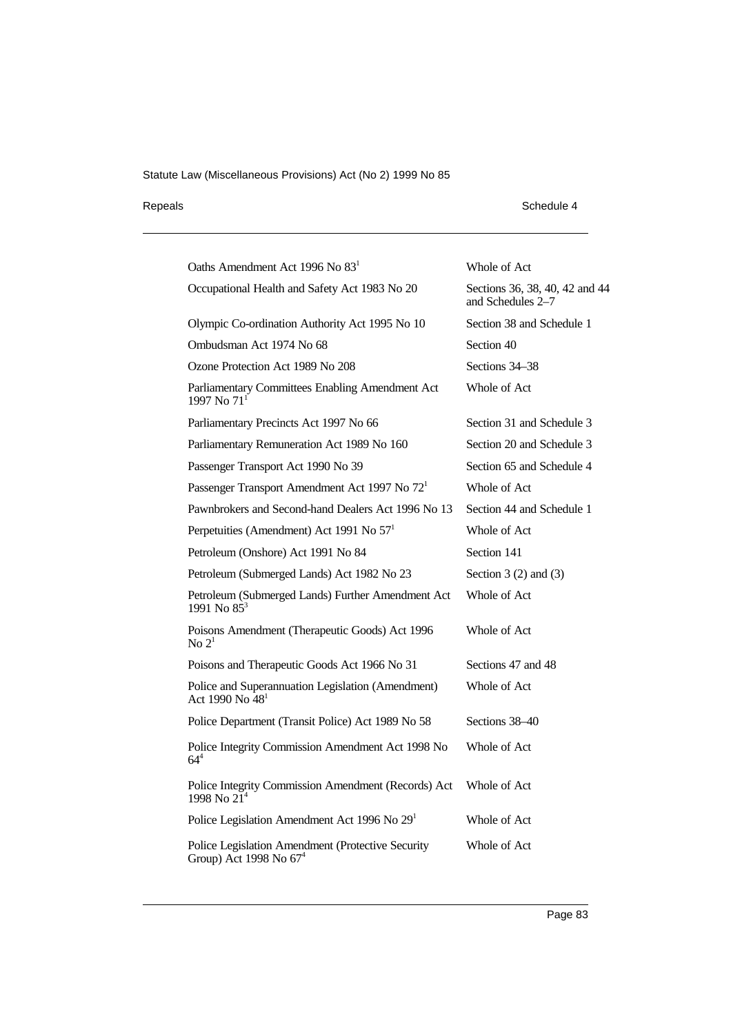## Repeals Schedule 4

| Oaths Amendment Act 1996 No 83 <sup>1</sup>                                      | Whole of Act                                        |
|----------------------------------------------------------------------------------|-----------------------------------------------------|
| Occupational Health and Safety Act 1983 No 20                                    | Sections 36, 38, 40, 42 and 44<br>and Schedules 2–7 |
| Olympic Co-ordination Authority Act 1995 No 10                                   | Section 38 and Schedule 1                           |
| Ombudsman Act 1974 No 68                                                         | Section 40                                          |
| Ozone Protection Act 1989 No 208                                                 | Sections 34–38                                      |
| Parliamentary Committees Enabling Amendment Act<br>1997 No 71 <sup>1</sup>       | Whole of Act                                        |
| Parliamentary Precincts Act 1997 No 66                                           | Section 31 and Schedule 3                           |
| Parliamentary Remuneration Act 1989 No 160                                       | Section 20 and Schedule 3                           |
| Passenger Transport Act 1990 No 39                                               | Section 65 and Schedule 4                           |
| Passenger Transport Amendment Act 1997 No 72 <sup>1</sup>                        | Whole of Act                                        |
| Pawnbrokers and Second-hand Dealers Act 1996 No 13                               | Section 44 and Schedule 1                           |
| Perpetuities (Amendment) Act 1991 No $571$                                       | Whole of Act                                        |
| Petroleum (Onshore) Act 1991 No 84                                               | Section 141                                         |
| Petroleum (Submerged Lands) Act 1982 No 23                                       | Section $3(2)$ and $(3)$                            |
| Petroleum (Submerged Lands) Further Amendment Act<br>1991 No $85^3$              | Whole of Act                                        |
| Poisons Amendment (Therapeutic Goods) Act 1996<br>$\rm No~2^1$                   | Whole of Act                                        |
| Poisons and Therapeutic Goods Act 1966 No 31                                     | Sections 47 and 48                                  |
| Police and Superannuation Legislation (Amendment)<br>Act 1990 No 48 <sup>1</sup> | Whole of Act                                        |
| Police Department (Transit Police) Act 1989 No 58                                | Sections 38-40                                      |
| Police Integrity Commission Amendment Act 1998 No<br>$64^{4}$                    | Whole of Act                                        |
| Police Integrity Commission Amendment (Records) Act<br>1998 No $2\tilde{1}^4$    | Whole of Act                                        |
| Police Legislation Amendment Act 1996 No 29 <sup>1</sup>                         | Whole of Act                                        |
| Police Legislation Amendment (Protective Security<br>Group) Act 1998 No $67^4$   | Whole of Act                                        |
|                                                                                  |                                                     |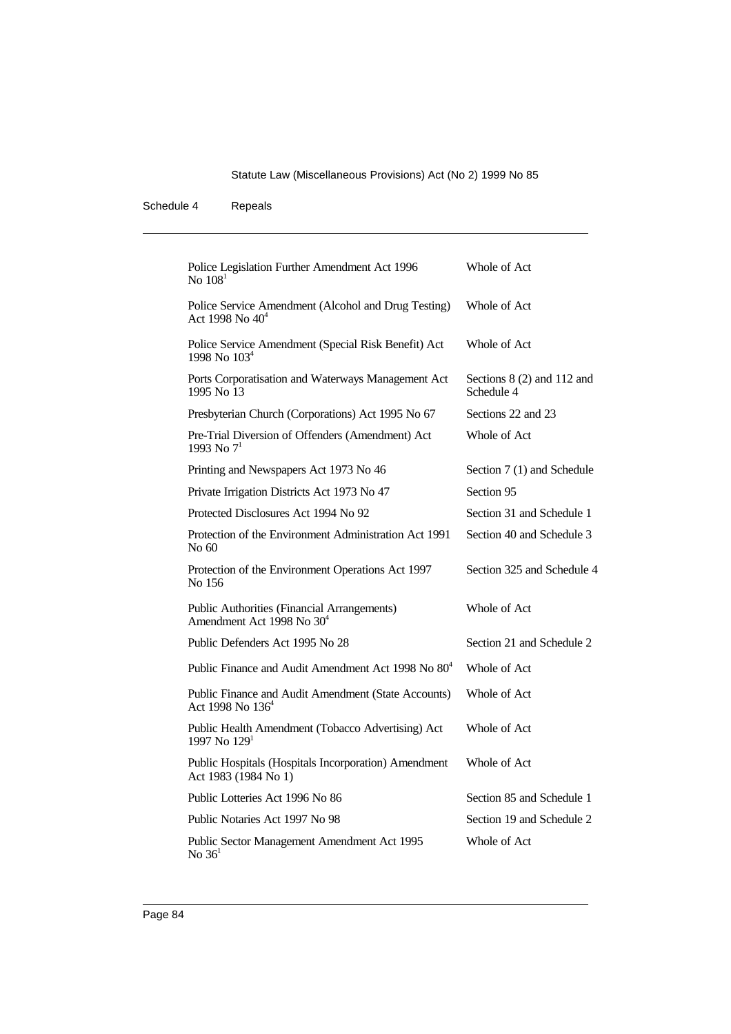| Police Legislation Further Amendment Act 1996<br>No $1081$                           | Whole of Act                                |
|--------------------------------------------------------------------------------------|---------------------------------------------|
| Police Service Amendment (Alcohol and Drug Testing)<br>Act 1998 No $40^4$            | Whole of Act                                |
| Police Service Amendment (Special Risk Benefit) Act<br>1998 No 103 <sup>4</sup>      | Whole of Act                                |
| Ports Corporatisation and Waterways Management Act<br>1995 No 13                     | Sections $8(2)$ and $112$ and<br>Schedule 4 |
| Presbyterian Church (Corporations) Act 1995 No 67                                    | Sections 22 and 23                          |
| Pre-Trial Diversion of Offenders (Amendment) Act<br>1993 No $7^1$                    | Whole of Act                                |
| Printing and Newspapers Act 1973 No 46                                               | Section 7 (1) and Schedule                  |
| Private Irrigation Districts Act 1973 No 47                                          | Section 95                                  |
| Protected Disclosures Act 1994 No 92                                                 | Section 31 and Schedule 1                   |
| Protection of the Environment Administration Act 1991<br>No 60                       | Section 40 and Schedule 3                   |
| Protection of the Environment Operations Act 1997<br>No 156                          | Section 325 and Schedule 4                  |
| Public Authorities (Financial Arrangements)<br>Amendment Act 1998 No 30 <sup>4</sup> | Whole of Act                                |
| Public Defenders Act 1995 No 28                                                      | Section 21 and Schedule 2                   |
| Public Finance and Audit Amendment Act 1998 No 80 <sup>4</sup>                       | Whole of Act                                |
| Public Finance and Audit Amendment (State Accounts)<br>Act 1998 No $136^4$           | Whole of Act                                |
| Public Health Amendment (Tobacco Advertising) Act<br>1997 No $1291$                  | Whole of Act                                |
| Public Hospitals (Hospitals Incorporation) Amendment<br>Act 1983 (1984 No 1)         | Whole of Act                                |
| Public Lotteries Act 1996 No 86                                                      | Section 85 and Schedule 1                   |
| Public Notaries Act 1997 No 98                                                       | Section 19 and Schedule 2                   |
| Public Sector Management Amendment Act 1995<br>No $361$                              | Whole of Act                                |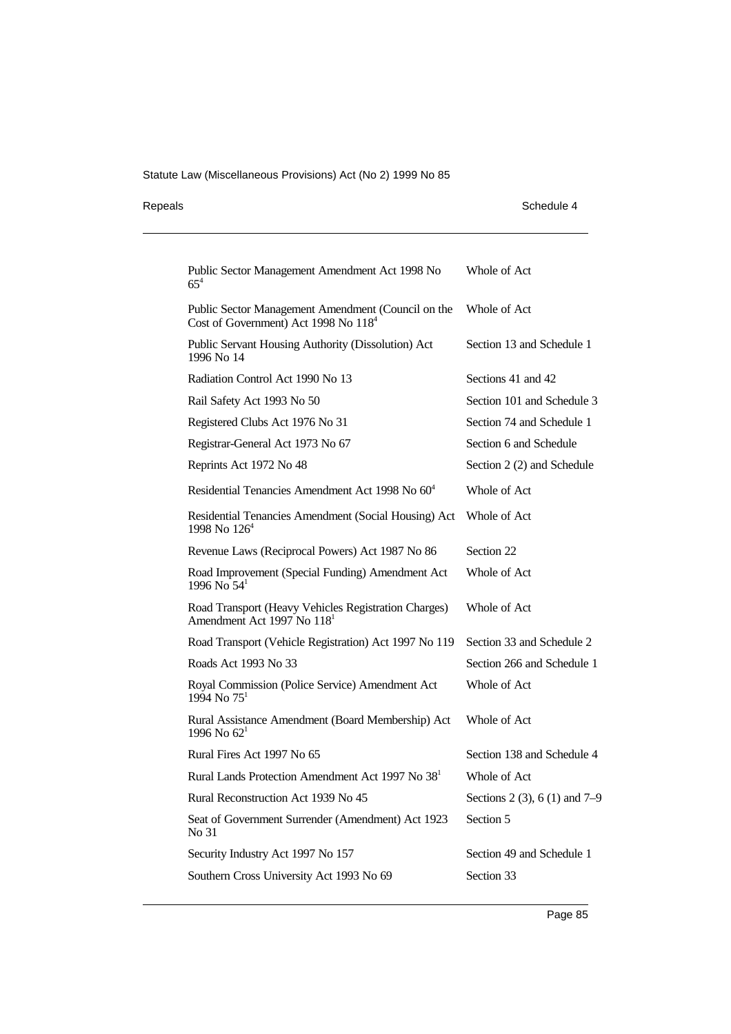| Repeals | Schedule 4 |
|---------|------------|
|         |            |

| Schedule 4 |  |
|------------|--|
|------------|--|

| Public Sector Management Amendment Act 1998 No<br>$65^{4}$                                     | Whole of Act                    |
|------------------------------------------------------------------------------------------------|---------------------------------|
| Public Sector Management Amendment (Council on the<br>Cost of Government) Act 1998 No $1184$   | Whole of Act                    |
| Public Servant Housing Authority (Dissolution) Act<br>1996 No 14                               | Section 13 and Schedule 1       |
| Radiation Control Act 1990 No 13                                                               | Sections 41 and 42              |
| Rail Safety Act 1993 No 50                                                                     | Section 101 and Schedule 3      |
| Registered Clubs Act 1976 No 31                                                                | Section 74 and Schedule 1       |
| Registrar-General Act 1973 No 67                                                               | Section 6 and Schedule          |
| Reprints Act 1972 No 48                                                                        | Section 2 (2) and Schedule      |
| Residential Tenancies Amendment Act 1998 No 60 <sup>4</sup>                                    | Whole of Act                    |
| Residential Tenancies Amendment (Social Housing) Act<br>1998 No $126^4$                        | Whole of Act                    |
| Revenue Laws (Reciprocal Powers) Act 1987 No 86                                                | Section 22                      |
| Road Improvement (Special Funding) Amendment Act<br>1996 No $54^1$                             | Whole of Act                    |
| Road Transport (Heavy Vehicles Registration Charges)<br>Amendment Act 1997 No 118 <sup>1</sup> | Whole of Act                    |
| Road Transport (Vehicle Registration) Act 1997 No 119                                          | Section 33 and Schedule 2       |
| Roads Act 1993 No 33                                                                           | Section 266 and Schedule 1      |
| Royal Commission (Police Service) Amendment Act<br>$1994$ No $75^1$                            | Whole of Act                    |
| Rural Assistance Amendment (Board Membership) Act<br>1996 No $62^1$                            | Whole of Act                    |
| Rural Fires Act 1997 No 65                                                                     | Section 138 and Schedule 4      |
| Rural Lands Protection Amendment Act 1997 No 38 <sup>1</sup>                                   | Whole of Act                    |
| Rural Reconstruction Act 1939 No 45                                                            | Sections 2 (3), 6 (1) and $7-9$ |
| Seat of Government Surrender (Amendment) Act 1923<br>No 31                                     | Section 5                       |
| Security Industry Act 1997 No 157                                                              | Section 49 and Schedule 1       |
| Southern Cross University Act 1993 No 69                                                       | Section 33                      |
|                                                                                                |                                 |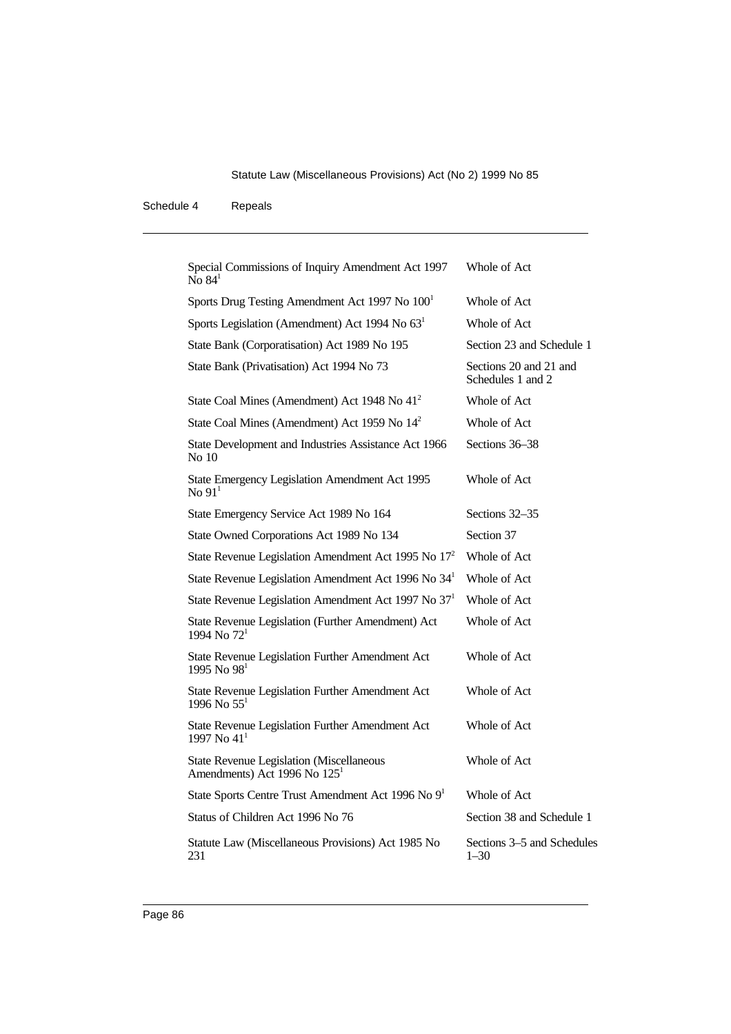| Special Commissions of Inquiry Amendment Act 1997<br>No $841$                        | Whole of Act                                |
|--------------------------------------------------------------------------------------|---------------------------------------------|
| Sports Drug Testing Amendment Act 1997 No $1001$                                     | Whole of Act                                |
| Sports Legislation (Amendment) Act 1994 No $631$                                     | Whole of Act                                |
| State Bank (Corporatisation) Act 1989 No 195                                         | Section 23 and Schedule 1                   |
| State Bank (Privatisation) Act 1994 No 73                                            | Sections 20 and 21 and<br>Schedules 1 and 2 |
| State Coal Mines (Amendment) Act 1948 No 41 <sup>2</sup>                             | Whole of Act                                |
| State Coal Mines (Amendment) Act 1959 No 14 <sup>2</sup>                             | Whole of Act                                |
| State Development and Industries Assistance Act 1966<br>No 10                        | Sections 36-38                              |
| State Emergency Legislation Amendment Act 1995<br>No $911$                           | Whole of Act                                |
| State Emergency Service Act 1989 No 164                                              | Sections 32–35                              |
| State Owned Corporations Act 1989 No 134                                             | Section 37                                  |
| State Revenue Legislation Amendment Act 1995 No $172$                                | Whole of Act                                |
| State Revenue Legislation Amendment Act 1996 No $341$                                | Whole of Act                                |
| State Revenue Legislation Amendment Act 1997 No 37 <sup>1</sup>                      | Whole of Act                                |
| State Revenue Legislation (Further Amendment) Act<br>1994 No $72^1$                  | Whole of Act                                |
| State Revenue Legislation Further Amendment Act<br>1995 No 98 <sup>1</sup>           | Whole of Act                                |
| State Revenue Legislation Further Amendment Act<br>1996 No $55^1$                    | Whole of Act                                |
| State Revenue Legislation Further Amendment Act<br>1997 No $41^1$                    | Whole of Act                                |
| State Revenue Legislation (Miscellaneous<br>Amendments) Act 1996 No 125 <sup>1</sup> | Whole of Act                                |
| State Sports Centre Trust Amendment Act 1996 No 9 <sup>1</sup>                       | Whole of Act                                |
| Status of Children Act 1996 No 76                                                    | Section 38 and Schedule 1                   |
| Statute Law (Miscellaneous Provisions) Act 1985 No<br>231                            | Sections 3-5 and Schedules<br>$1 - 30$      |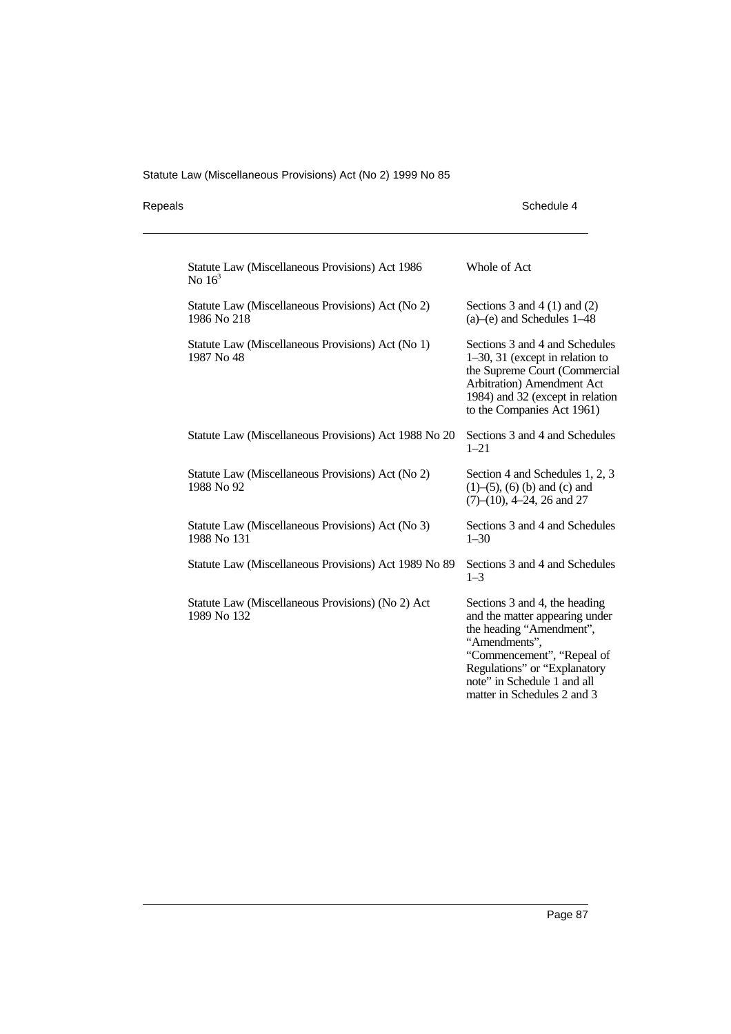| Repeals | Schedule 4 |
|---------|------------|
|---------|------------|

| Statute Law (Miscellaneous Provisions) Act 1986<br>No $163$      | Whole of Act                                                                                                                                                                                                                             |
|------------------------------------------------------------------|------------------------------------------------------------------------------------------------------------------------------------------------------------------------------------------------------------------------------------------|
| Statute Law (Miscellaneous Provisions) Act (No 2)<br>1986 No 218 | Sections 3 and 4 $(1)$ and $(2)$<br>$(a)$ – $(e)$ and Schedules 1–48                                                                                                                                                                     |
| Statute Law (Miscellaneous Provisions) Act (No 1)<br>1987 No 48  | Sections 3 and 4 and Schedules<br>$1-30$ , 31 (except in relation to<br>the Supreme Court (Commercial<br>Arbitration) Amendment Act<br>1984) and 32 (except in relation<br>to the Companies Act 1961)                                    |
| Statute Law (Miscellaneous Provisions) Act 1988 No 20            | Sections 3 and 4 and Schedules<br>$1 - 21$                                                                                                                                                                                               |
| Statute Law (Miscellaneous Provisions) Act (No 2)<br>1988 No 92  | Section 4 and Schedules 1, 2, 3<br>$(1)$ – $(5)$ , $(6)$ (b) and (c) and<br>$(7)$ – $(10)$ , 4–24, 26 and 27                                                                                                                             |
| Statute Law (Miscellaneous Provisions) Act (No 3)<br>1988 No 131 | Sections 3 and 4 and Schedules<br>$1 - 30$                                                                                                                                                                                               |
| Statute Law (Miscellaneous Provisions) Act 1989 No 89            | Sections 3 and 4 and Schedules<br>$1 - 3$                                                                                                                                                                                                |
| Statute Law (Miscellaneous Provisions) (No 2) Act<br>1989 No 132 | Sections 3 and 4, the heading<br>and the matter appearing under<br>the heading "Amendment",<br>"Amendments",<br>"Commencement", "Repeal of<br>Regulations" or "Explanatory<br>note" in Schedule 1 and all<br>matter in Schedules 2 and 3 |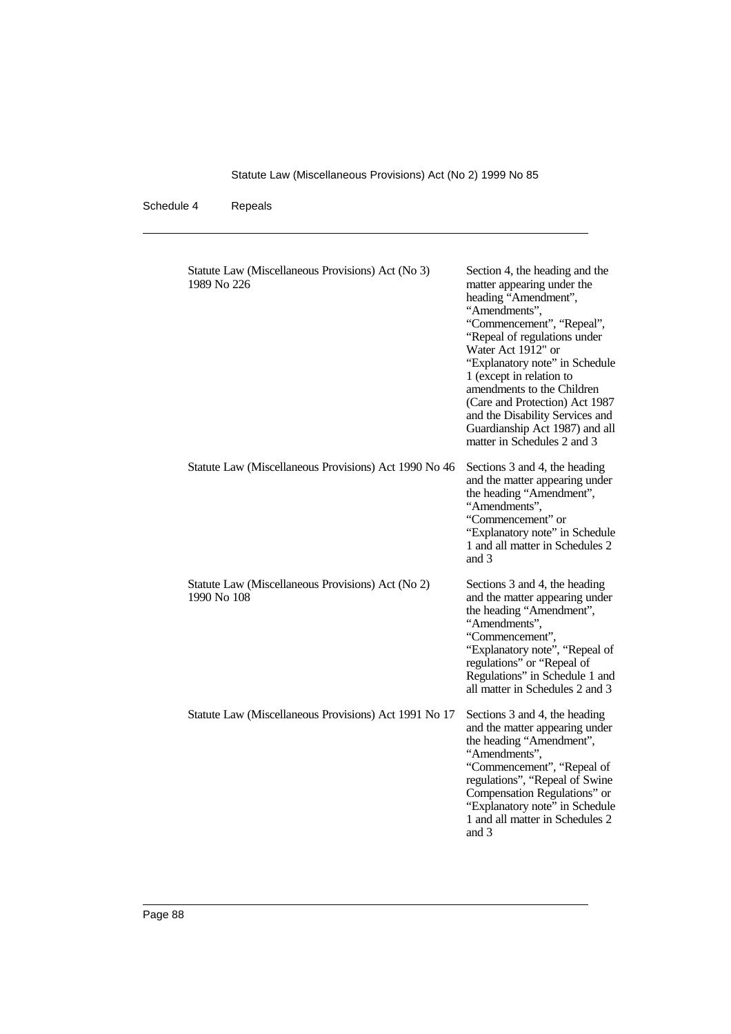| Statute Law (Miscellaneous Provisions) Act (No 3)<br>1989 No 226 | Section 4, the heading and the<br>matter appearing under the<br>heading "Amendment",<br>"Amendments",<br>"Commencement", "Repeal",<br>"Repeal of regulations under<br>Water Act 1912" or<br>"Explanatory note" in Schedule<br>1 (except in relation to<br>amendments to the Children<br>(Care and Protection) Act 1987<br>and the Disability Services and<br>Guardianship Act 1987) and all<br>matter in Schedules 2 and 3 |
|------------------------------------------------------------------|----------------------------------------------------------------------------------------------------------------------------------------------------------------------------------------------------------------------------------------------------------------------------------------------------------------------------------------------------------------------------------------------------------------------------|
| Statute Law (Miscellaneous Provisions) Act 1990 No 46            | Sections 3 and 4, the heading<br>and the matter appearing under<br>the heading "Amendment",<br>"Amendments",<br>"Commencement" or<br>"Explanatory note" in Schedule<br>1 and all matter in Schedules 2<br>and 3                                                                                                                                                                                                            |
| Statute Law (Miscellaneous Provisions) Act (No 2)<br>1990 No 108 | Sections 3 and 4, the heading<br>and the matter appearing under<br>the heading "Amendment",<br>"Amendments",<br>"Commencement",<br>"Explanatory note", "Repeal of<br>regulations" or "Repeal of<br>Regulations" in Schedule 1 and<br>all matter in Schedules 2 and 3                                                                                                                                                       |
| Statute Law (Miscellaneous Provisions) Act 1991 No 17            | Sections 3 and 4, the heading<br>and the matter appearing under<br>the heading "Amendment",<br>"Amendments",<br>"Commencement", "Repeal of<br>regulations", "Repeal of Swine<br>Compensation Regulations" or<br>"Explanatory note" in Schedule<br>1 and all matter in Schedules 2<br>and 3                                                                                                                                 |
|                                                                  |                                                                                                                                                                                                                                                                                                                                                                                                                            |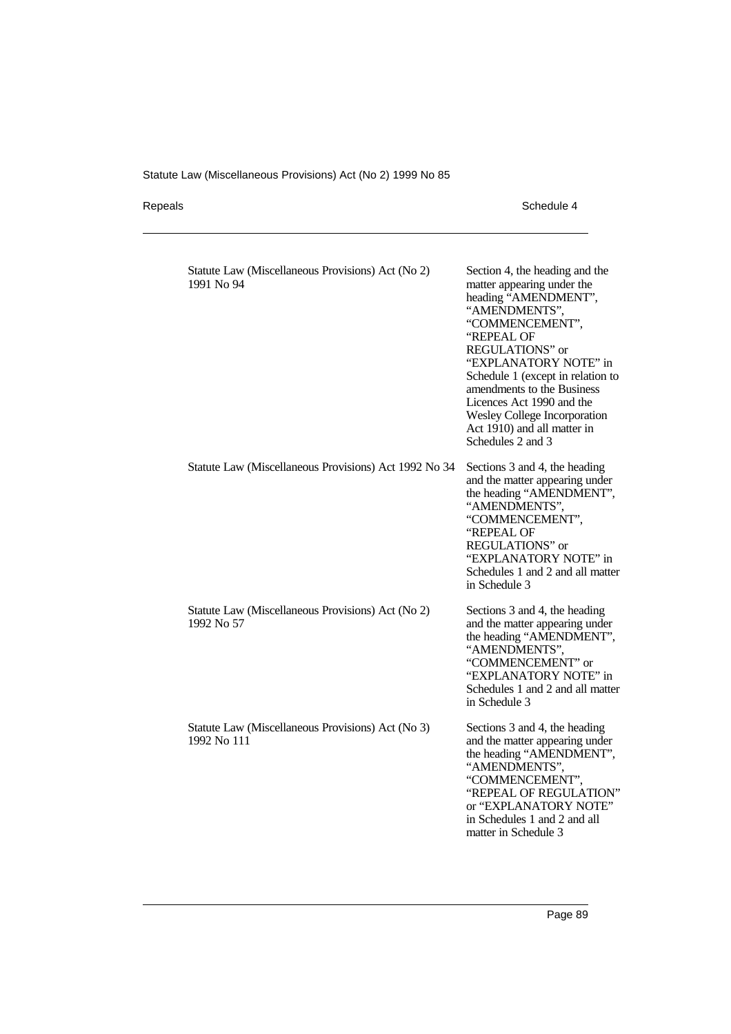Repeals Schedule 4

| Statute Law (Miscellaneous Provisions) Act (No 2)<br>1991 No 94  | Section 4, the heading and the<br>matter appearing under the<br>heading "AMENDMENT",<br>"AMENDMENTS",<br>"COMMENCEMENT",<br>"REPEAL OF<br><b>REGULATIONS"</b> or<br>"EXPLANATORY NOTE" in<br>Schedule 1 (except in relation to<br>amendments to the Business<br>Licences Act 1990 and the<br><b>Wesley College Incorporation</b><br>Act 1910) and all matter in<br>Schedules 2 and 3 |
|------------------------------------------------------------------|--------------------------------------------------------------------------------------------------------------------------------------------------------------------------------------------------------------------------------------------------------------------------------------------------------------------------------------------------------------------------------------|
| Statute Law (Miscellaneous Provisions) Act 1992 No 34            | Sections 3 and 4, the heading<br>and the matter appearing under<br>the heading "AMENDMENT",<br>"AMENDMENTS",<br>"COMMENCEMENT",<br>"REPEAL OF<br><b>REGULATIONS"</b> or<br>"EXPLANATORY NOTE" in<br>Schedules 1 and 2 and all matter<br>in Schedule 3                                                                                                                                |
| Statute Law (Miscellaneous Provisions) Act (No 2)<br>1992 No 57  | Sections 3 and 4, the heading<br>and the matter appearing under<br>the heading "AMENDMENT",<br>"AMENDMENTS",<br>"COMMENCEMENT" or<br>"EXPLANATORY NOTE" in<br>Schedules 1 and 2 and all matter<br>in Schedule 3                                                                                                                                                                      |
| Statute Law (Miscellaneous Provisions) Act (No 3)<br>1992 No 111 | Sections 3 and 4, the heading<br>and the matter appearing under<br>the heading "AMENDMENT",<br>"AMENDMENTS",<br>"COMMENCEMENT",<br>"REPEAL OF REGULATION"<br>or "EXPLANATORY NOTE"<br>in Schedules 1 and 2 and all<br>matter in Schedule 3                                                                                                                                           |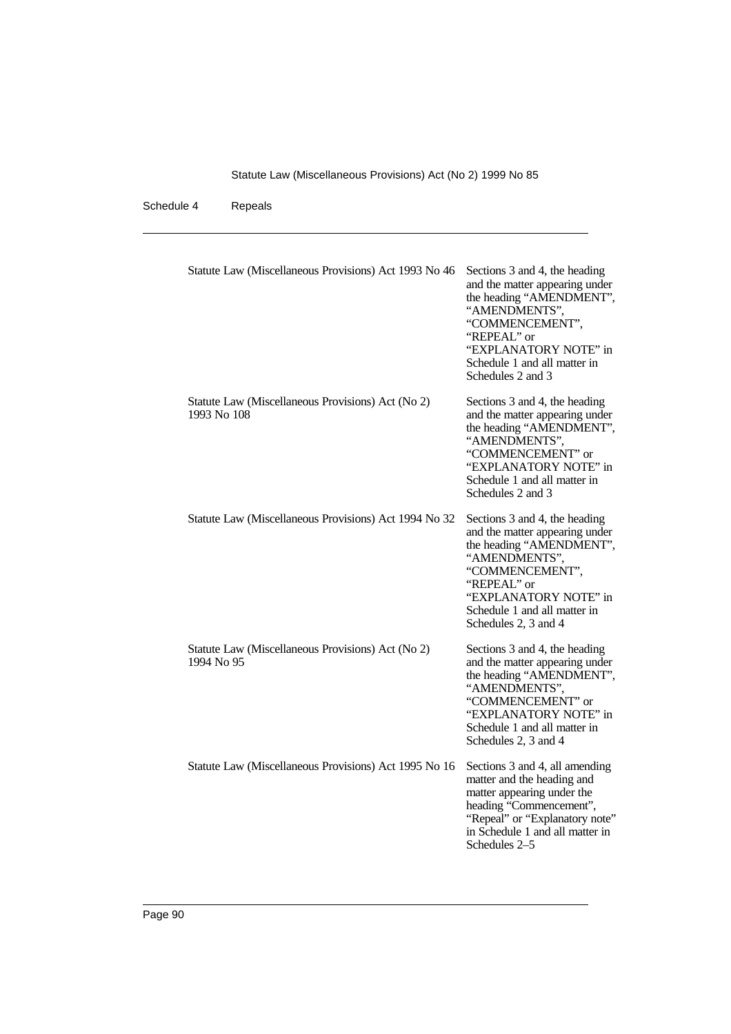| Statute Law (Miscellaneous Provisions) Act 1993 No 46            | Sections 3 and 4, the heading<br>and the matter appearing under<br>the heading "AMENDMENT",<br>"AMENDMENTS",<br>"COMMENCEMENT",<br>"REPEAL" or<br>"EXPLANATORY NOTE" in<br>Schedule 1 and all matter in<br>Schedules 2 and 3    |
|------------------------------------------------------------------|---------------------------------------------------------------------------------------------------------------------------------------------------------------------------------------------------------------------------------|
| Statute Law (Miscellaneous Provisions) Act (No 2)<br>1993 No 108 | Sections 3 and 4, the heading<br>and the matter appearing under<br>the heading "AMENDMENT",<br>"AMENDMENTS",<br>"COMMENCEMENT" or<br>"EXPLANATORY NOTE" in<br>Schedule 1 and all matter in<br>Schedules 2 and 3                 |
| Statute Law (Miscellaneous Provisions) Act 1994 No 32            | Sections 3 and 4, the heading<br>and the matter appearing under<br>the heading "AMENDMENT",<br>"AMENDMENTS",<br>"COMMENCEMENT",<br>"REPEAL" or<br>"EXPLANATORY NOTE" in<br>Schedule 1 and all matter in<br>Schedules 2, 3 and 4 |
| Statute Law (Miscellaneous Provisions) Act (No 2)<br>1994 No 95  | Sections 3 and 4, the heading<br>and the matter appearing under<br>the heading "AMENDMENT",<br>"AMENDMENTS",<br>"COMMENCEMENT" or<br>"EXPLANATORY NOTE" in<br>Schedule 1 and all matter in<br>Schedules 2, 3 and 4              |
| Statute Law (Miscellaneous Provisions) Act 1995 No 16            | Sections 3 and 4, all amending<br>matter and the heading and<br>matter appearing under the<br>heading "Commencement",<br>"Repeal" or "Explanatory note"<br>in Schedule 1 and all matter in<br>Schedules 2–5                     |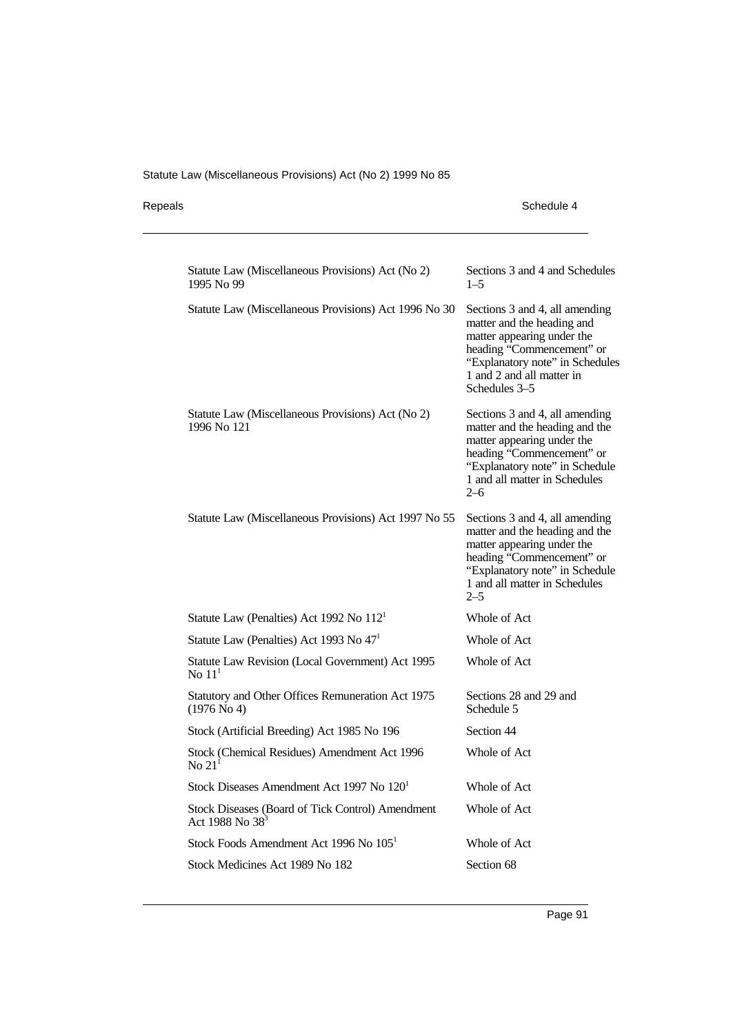Repeals Schedule 4

| Statute Law (Miscellaneous Provisions) Act (No 2)<br>1995 No 99                 | Sections 3 and 4 and Schedules<br>$1 - 5$                                                                                                                                                                 |
|---------------------------------------------------------------------------------|-----------------------------------------------------------------------------------------------------------------------------------------------------------------------------------------------------------|
| Statute Law (Miscellaneous Provisions) Act 1996 No 30                           | Sections 3 and 4, all amending<br>matter and the heading and<br>matter appearing under the<br>heading "Commencement" or<br>"Explanatory note" in Schedules<br>1 and 2 and all matter in<br>Schedules 3-5  |
| Statute Law (Miscellaneous Provisions) Act (No 2)<br>1996 No 121                | Sections 3 and 4, all amending<br>matter and the heading and the<br>matter appearing under the<br>heading "Commencement" or<br>"Explanatory note" in Schedule<br>1 and all matter in Schedules<br>$2-6$   |
| Statute Law (Miscellaneous Provisions) Act 1997 No 55                           | Sections 3 and 4, all amending<br>matter and the heading and the<br>matter appearing under the<br>heading "Commencement" or<br>"Explanatory note" in Schedule<br>1 and all matter in Schedules<br>$2 - 5$ |
| Statute Law (Penalties) Act 1992 No $1121$                                      | Whole of Act                                                                                                                                                                                              |
| Statute Law (Penalties) Act 1993 No 47 <sup>1</sup>                             | Whole of Act                                                                                                                                                                                              |
| Statute Law Revision (Local Government) Act 1995<br>No $111$                    | Whole of Act                                                                                                                                                                                              |
| Statutory and Other Offices Remuneration Act 1975<br>(1976 N <sub>0</sub> 4)    | Sections 28 and 29 and<br>Schedule 5                                                                                                                                                                      |
| Stock (Artificial Breeding) Act 1985 No 196                                     | Section 44                                                                                                                                                                                                |
| Stock (Chemical Residues) Amendment Act 1996<br>$\mathrm{No}\ 21^1$             | Whole of Act                                                                                                                                                                                              |
| Stock Diseases Amendment Act 1997 No 120 <sup>1</sup>                           | Whole of Act                                                                                                                                                                                              |
| Stock Diseases (Board of Tick Control) Amendment<br>Act 1988 No 38 <sup>3</sup> | Whole of Act                                                                                                                                                                                              |
| Stock Foods Amendment Act 1996 No 105 <sup>1</sup>                              | Whole of Act                                                                                                                                                                                              |
| Stock Medicines Act 1989 No 182                                                 | Section 68                                                                                                                                                                                                |
|                                                                                 |                                                                                                                                                                                                           |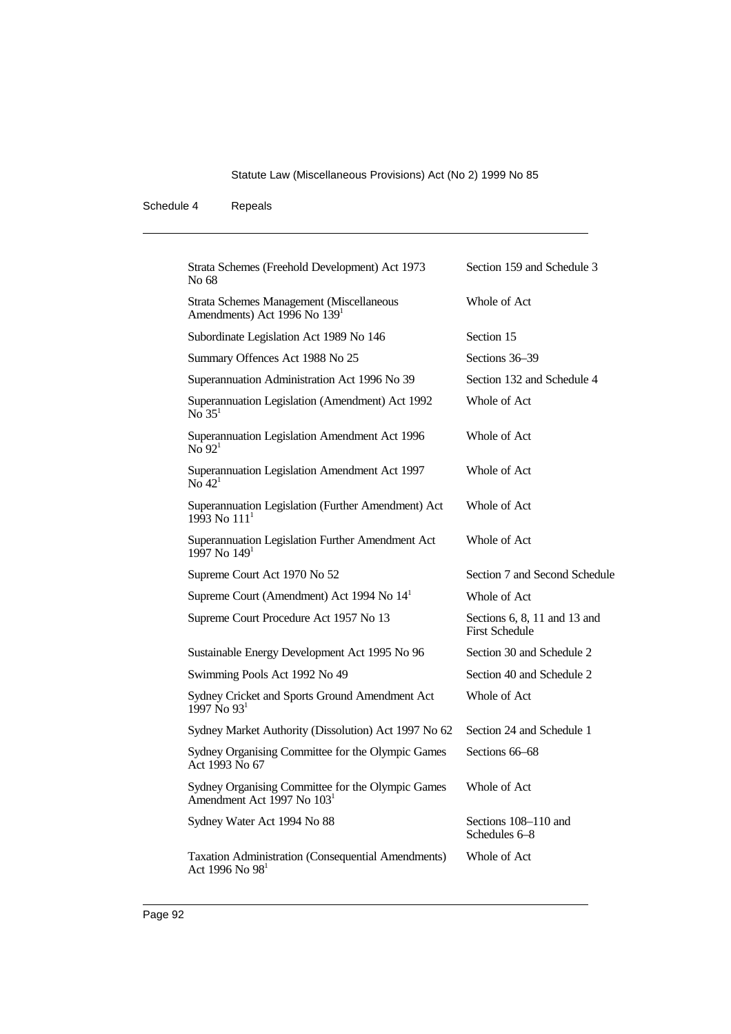| Strata Schemes (Freehold Development) Act 1973<br>No 68                                     | Section 159 and Schedule 3                            |
|---------------------------------------------------------------------------------------------|-------------------------------------------------------|
| Strata Schemes Management (Miscellaneous<br>Amendments) Act 1996 No 139 <sup>1</sup>        | Whole of Act                                          |
| Subordinate Legislation Act 1989 No 146                                                     | Section 15                                            |
| Summary Offences Act 1988 No 25                                                             | Sections 36-39                                        |
| Superannuation Administration Act 1996 No 39                                                | Section 132 and Schedule 4                            |
| Superannuation Legislation (Amendment) Act 1992<br>$\overline{No}$ 35 <sup>1</sup>          | Whole of Act                                          |
| Superannuation Legislation Amendment Act 1996<br>$N_0$ 92 <sup>1</sup>                      | Whole of Act                                          |
| Superannuation Legislation Amendment Act 1997<br>No $421$                                   | Whole of Act                                          |
| Superannuation Legislation (Further Amendment) Act<br>$1993$ No $1111$                      | Whole of Act                                          |
| Superannuation Legislation Further Amendment Act<br>1997 No $1491$                          | Whole of Act                                          |
| Supreme Court Act 1970 No 52                                                                | Section 7 and Second Schedule                         |
| Supreme Court (Amendment) Act 1994 No 14 <sup>1</sup>                                       | Whole of Act                                          |
| Supreme Court Procedure Act 1957 No 13                                                      | Sections 6, 8, 11 and 13 and<br><b>First Schedule</b> |
| Sustainable Energy Development Act 1995 No 96                                               | Section 30 and Schedule 2                             |
| Swimming Pools Act 1992 No 49                                                               | Section 40 and Schedule 2                             |
| Sydney Cricket and Sports Ground Amendment Act<br>$1997$ No $931$                           | Whole of Act                                          |
| Sydney Market Authority (Dissolution) Act 1997 No 62                                        | Section 24 and Schedule 1                             |
| Sydney Organising Committee for the Olympic Games<br>Act 1993 No 67                         | Sections 66–68                                        |
| Sydney Organising Committee for the Olympic Games<br>Amendment Act 1997 No 103 <sup>1</sup> | Whole of Act                                          |
| Sydney Water Act 1994 No 88                                                                 | Sections 108–110 and<br>Schedules 6–8                 |
| Taxation Administration (Consequential Amendments)<br>Act 1996 No 98 <sup>1</sup>           | Whole of Act                                          |
|                                                                                             |                                                       |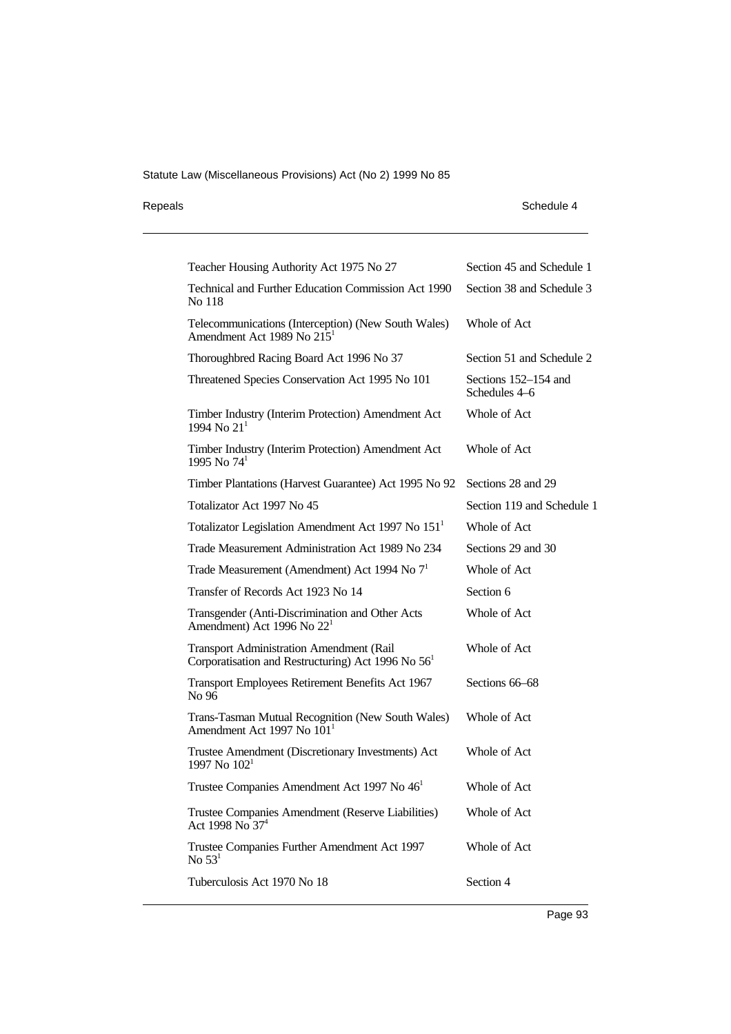| Repeals | Schedule 4 |
|---------|------------|
|---------|------------|

| Teacher Housing Authority Act 1975 No 27                                                                | Section 45 and Schedule 1             |
|---------------------------------------------------------------------------------------------------------|---------------------------------------|
| <b>Technical and Further Education Commission Act 1990</b><br>No 118                                    | Section 38 and Schedule 3             |
| Telecommunications (Interception) (New South Wales)<br>Amendment Act 1989 No 215 <sup>1</sup>           | Whole of Act                          |
| Thoroughbred Racing Board Act 1996 No 37                                                                | Section 51 and Schedule 2             |
| Threatened Species Conservation Act 1995 No 101                                                         | Sections 152-154 and<br>Schedules 4–6 |
| Timber Industry (Interim Protection) Amendment Act<br>1994 No 21 <sup>1</sup>                           | Whole of Act                          |
| Timber Industry (Interim Protection) Amendment Act<br>1995 No $74^1$                                    | Whole of Act                          |
| Timber Plantations (Harvest Guarantee) Act 1995 No 92                                                   | Sections 28 and 29                    |
| Totalizator Act 1997 No 45                                                                              | Section 119 and Schedule 1            |
| Totalizator Legislation Amendment Act 1997 No 151 <sup>1</sup>                                          | Whole of Act                          |
| Trade Measurement Administration Act 1989 No 234                                                        | Sections 29 and 30                    |
| Trade Measurement (Amendment) Act 1994 No $71$                                                          | Whole of Act                          |
| Transfer of Records Act 1923 No 14                                                                      | Section 6                             |
| Transgender (Anti-Discrimination and Other Acts<br>Amendment) Act 1996 No 22 <sup>1</sup>               | Whole of Act                          |
| <b>Transport Administration Amendment (Rail</b><br>Corporatisation and Restructuring) Act 1996 No $561$ | Whole of Act                          |
| Transport Employees Retirement Benefits Act 1967<br>No 96                                               | Sections 66–68                        |
| Trans-Tasman Mutual Recognition (New South Wales)<br>Amendment Act 1997 No $1011$                       | Whole of Act                          |
| Trustee Amendment (Discretionary Investments) Act<br>1997 No $102^1$                                    | Whole of Act                          |
| Trustee Companies Amendment Act 1997 No 46 <sup>1</sup>                                                 | Whole of Act                          |
| Trustee Companies Amendment (Reserve Liabilities)<br>Act 1998 No 37 <sup>4</sup>                        | Whole of Act                          |
| Trustee Companies Further Amendment Act 1997<br>No $531$                                                | Whole of Act                          |
| Tuberculosis Act 1970 No 18                                                                             | Section 4                             |
|                                                                                                         |                                       |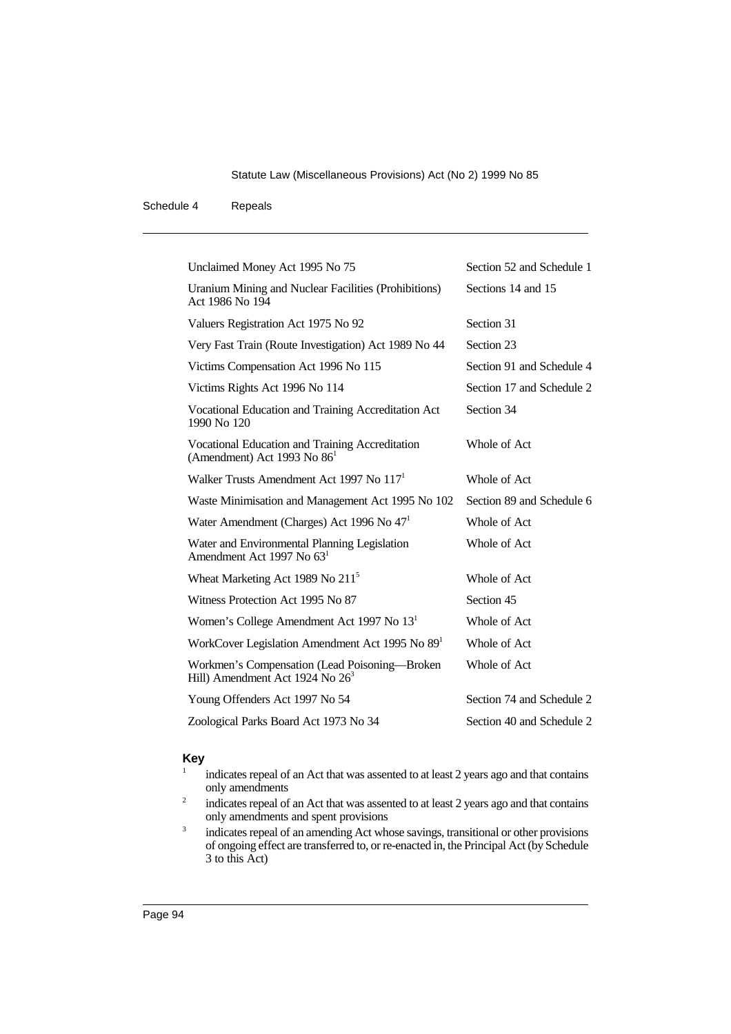### Schedule 4 Repeals

| Unclaimed Money Act 1995 No 75                                                               | Section 52 and Schedule 1 |
|----------------------------------------------------------------------------------------------|---------------------------|
| Uranium Mining and Nuclear Facilities (Prohibitions)<br>Act 1986 No 194                      | Sections 14 and 15        |
| Valuers Registration Act 1975 No 92                                                          | Section 31                |
| Very Fast Train (Route Investigation) Act 1989 No 44                                         | Section 23                |
| Victims Compensation Act 1996 No 115                                                         | Section 91 and Schedule 4 |
| Victims Rights Act 1996 No 114                                                               | Section 17 and Schedule 2 |
| Vocational Education and Training Accreditation Act<br>1990 No 120                           | Section 34                |
| Vocational Education and Training Accreditation<br>(Amendment) Act 1993 No $861$             | Whole of Act              |
| Walker Trusts Amendment Act 1997 No 117 <sup>1</sup>                                         | Whole of Act              |
| Waste Minimisation and Management Act 1995 No 102                                            | Section 89 and Schedule 6 |
| Water Amendment (Charges) Act 1996 No 47 <sup>1</sup>                                        | Whole of Act              |
| Water and Environmental Planning Legislation<br>Amendment Act 1997 No 63 <sup>1</sup>        | Whole of Act              |
| Wheat Marketing Act 1989 No 211 <sup>5</sup>                                                 | Whole of Act              |
| Witness Protection Act 1995 No 87                                                            | Section 45                |
| Women's College Amendment Act 1997 No 13 <sup>1</sup>                                        | Whole of Act              |
| WorkCover Legislation Amendment Act 1995 No 89 <sup>1</sup>                                  | Whole of Act              |
| Workmen's Compensation (Lead Poisoning—Broken<br>Hill) Amendment Act 1924 No 26 <sup>3</sup> | Whole of Act              |
| Young Offenders Act 1997 No 54                                                               | Section 74 and Schedule 2 |
| Zoological Parks Board Act 1973 No 34                                                        | Section 40 and Schedule 2 |

## **Key**

- indicates repeal of an Act that was assented to at least 2 years ago and that contains only amendments
- <sup>2</sup> indicates repeal of an Act that was assented to at least 2 years ago and that contains only amendments and spent provisions
- <sup>3</sup> indicates repeal of an amending Act whose savings, transitional or other provisions of ongoing effect are transferred to, or re-enacted in, the Principal Act (by Schedule 3 to this Act)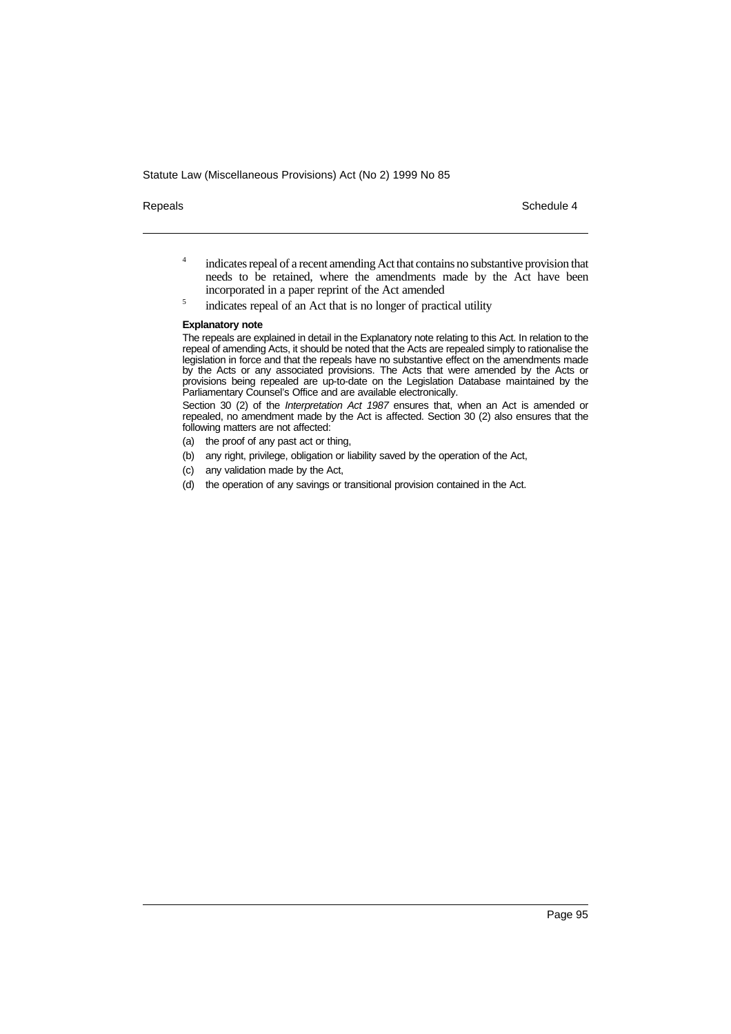Repeals **Schedule 4** Schedule 4

- <sup>4</sup> indicates repeal of a recent amending Act that contains no substantive provision that needs to be retained, where the amendments made by the Act have been incorporated in a paper reprint of the Act amended
- <sup>5</sup> indicates repeal of an Act that is no longer of practical utility

### **Explanatory note**

The repeals are explained in detail in the Explanatory note relating to this Act. In relation to the repeal of amending Acts, it should be noted that the Acts are repealed simply to rationalise the legislation in force and that the repeals have no substantive effect on the amendments made by the Acts or any associated provisions. The Acts that were amended by the Acts or provisions being repealed are up-to-date on the Legislation Database maintained by the Parliamentary Counsel's Office and are available electronically.

Section 30 (2) of the Interpretation Act 1987 ensures that, when an Act is amended or repealed, no amendment made by the Act is affected. Section 30 (2) also ensures that the following matters are not affected:

- (a) the proof of any past act or thing,
- (b) any right, privilege, obligation or liability saved by the operation of the Act,
- (c) any validation made by the Act,
- (d) the operation of any savings or transitional provision contained in the Act.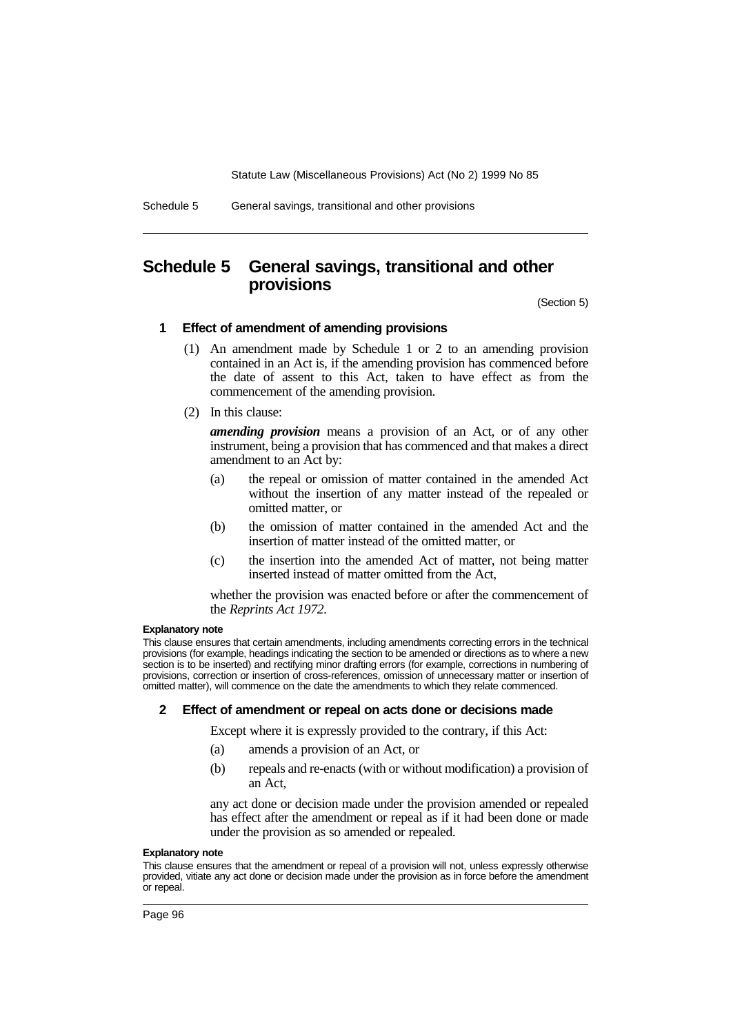

## **Schedule 5 General savings, transitional and other provisions**

(Section 5)

### **1 Effect of amendment of amending provisions**

- (1) An amendment made by Schedule 1 or 2 to an amending provision contained in an Act is, if the amending provision has commenced before the date of assent to this Act, taken to have effect as from the commencement of the amending provision.
- (2) In this clause:

*amending provision* means a provision of an Act, or of any other instrument, being a provision that has commenced and that makes a direct amendment to an Act by:

- (a) the repeal or omission of matter contained in the amended Act without the insertion of any matter instead of the repealed or omitted matter, or
- (b) the omission of matter contained in the amended Act and the insertion of matter instead of the omitted matter, or
- (c) the insertion into the amended Act of matter, not being matter inserted instead of matter omitted from the Act,

whether the provision was enacted before or after the commencement of the *Reprints Act 1972*.

### **Explanatory note**

This clause ensures that certain amendments, including amendments correcting errors in the technical provisions (for example, headings indicating the section to be amended or directions as to where a new section is to be inserted) and rectifying minor drafting errors (for example, corrections in numbering of provisions, correction or insertion of cross-references, omission of unnecessary matter or insertion of omitted matter), will commence on the date the amendments to which they relate commenced.

### **2 Effect of amendment or repeal on acts done or decisions made**

Except where it is expressly provided to the contrary, if this Act:

- (a) amends a provision of an Act, or
- (b) repeals and re-enacts (with or without modification) a provision of an Act,

any act done or decision made under the provision amended or repealed has effect after the amendment or repeal as if it had been done or made under the provision as so amended or repealed.

### **Explanatory note**

This clause ensures that the amendment or repeal of a provision will not, unless expressly otherwise provided, vitiate any act done or decision made under the provision as in force before the amendment or repeal.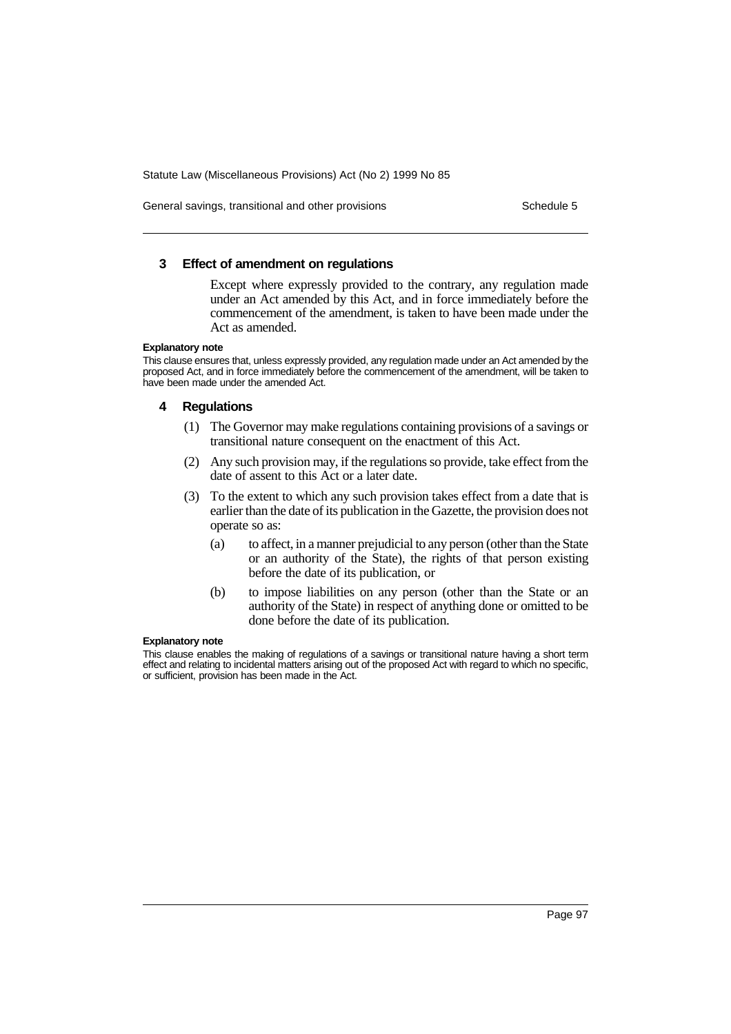General savings, transitional and other provisions Schedule 5 Schedule 5

### **3 Effect of amendment on regulations**

Except where expressly provided to the contrary, any regulation made under an Act amended by this Act, and in force immediately before the commencement of the amendment, is taken to have been made under the Act as amended.

### **Explanatory note**

This clause ensures that, unless expressly provided, any regulation made under an Act amended by the proposed Act, and in force immediately before the commencement of the amendment, will be taken to have been made under the amended Act.

### **4 Regulations**

- (1) The Governor may make regulations containing provisions of a savings or transitional nature consequent on the enactment of this Act.
- (2) Any such provision may, if the regulations so provide, take effect from the date of assent to this Act or a later date.
- (3) To the extent to which any such provision takes effect from a date that is earlier than the date of its publication in the Gazette, the provision does not operate so as:
	- (a) to affect, in a manner prejudicial to any person (other than the State or an authority of the State), the rights of that person existing before the date of its publication, or
	- (b) to impose liabilities on any person (other than the State or an authority of the State) in respect of anything done or omitted to be done before the date of its publication.

### **Explanatory note**

This clause enables the making of regulations of a savings or transitional nature having a short term effect and relating to incidental matters arising out of the proposed Act with regard to which no specific, or sufficient, provision has been made in the Act.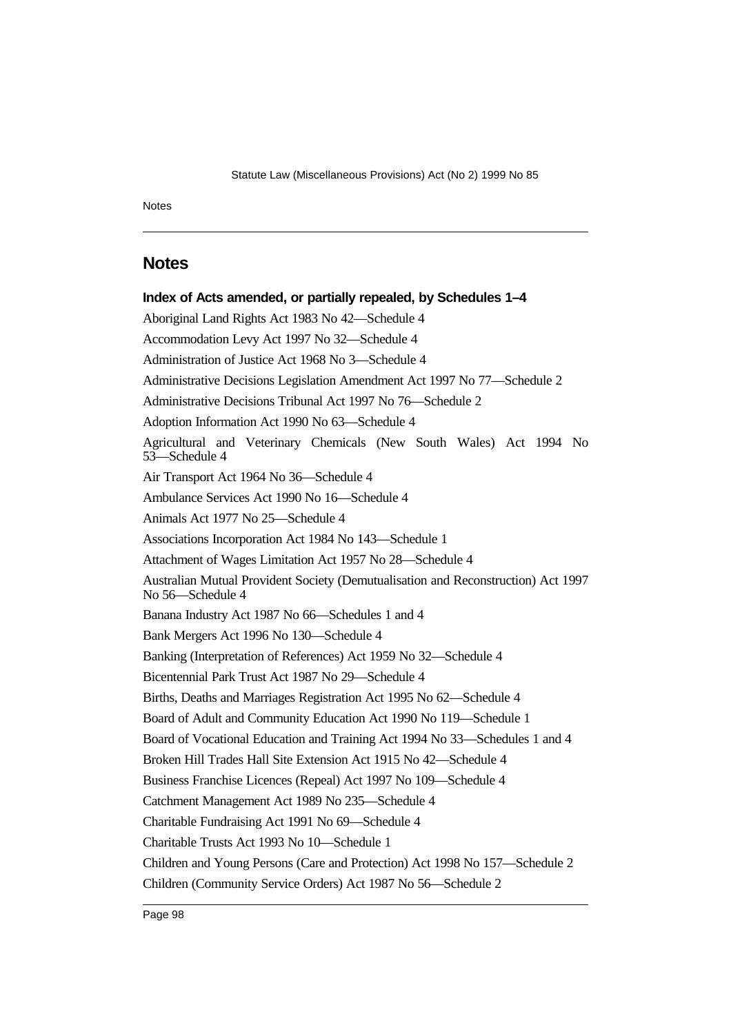Notes

## **Notes**

**Index of Acts amended, or partially repealed, by Schedules 1–4** Aboriginal Land Rights Act 1983 No 42—Schedule 4 Accommodation Levy Act 1997 No 32—Schedule 4 Administration of Justice Act 1968 No 3—Schedule 4 Administrative Decisions Legislation Amendment Act 1997 No 77—Schedule 2 Administrative Decisions Tribunal Act 1997 No 76—Schedule 2 Adoption Information Act 1990 No 63—Schedule 4 Agricultural and Veterinary Chemicals (New South Wales) Act 1994 No 53—Schedule 4 Air Transport Act 1964 No 36—Schedule 4 Ambulance Services Act 1990 No 16—Schedule 4 Animals Act 1977 No 25—Schedule 4 Associations Incorporation Act 1984 No 143—Schedule 1 Attachment of Wages Limitation Act 1957 No 28—Schedule 4 Australian Mutual Provident Society (Demutualisation and Reconstruction) Act 1997 No 56—Schedule 4 Banana Industry Act 1987 No 66—Schedules 1 and 4 Bank Mergers Act 1996 No 130—Schedule 4 Banking (Interpretation of References) Act 1959 No 32—Schedule 4 Bicentennial Park Trust Act 1987 No 29—Schedule 4 Births, Deaths and Marriages Registration Act 1995 No 62—Schedule 4 Board of Adult and Community Education Act 1990 No 119—Schedule 1 Board of Vocational Education and Training Act 1994 No 33—Schedules 1 and 4 Broken Hill Trades Hall Site Extension Act 1915 No 42—Schedule 4 Business Franchise Licences (Repeal) Act 1997 No 109—Schedule 4 Catchment Management Act 1989 No 235—Schedule 4 Charitable Fundraising Act 1991 No 69—Schedule 4 Charitable Trusts Act 1993 No 10—Schedule 1 Children and Young Persons (Care and Protection) Act 1998 No 157—Schedule 2 Children (Community Service Orders) Act 1987 No 56—Schedule 2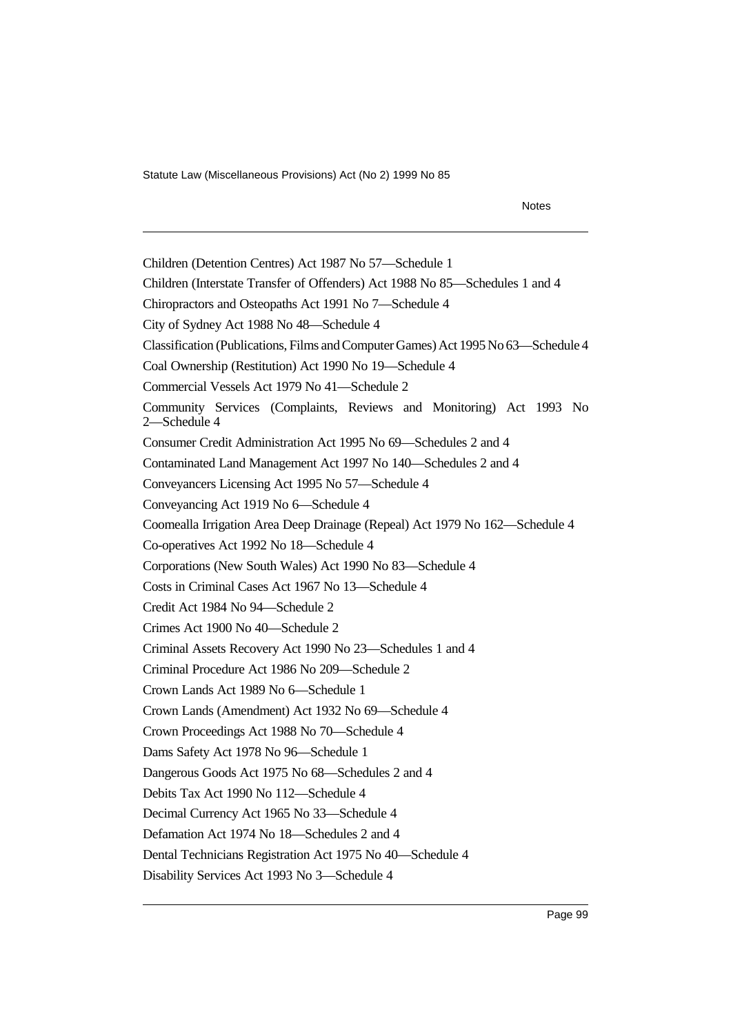Notes

Children (Detention Centres) Act 1987 No 57—Schedule 1 Children (Interstate Transfer of Offenders) Act 1988 No 85—Schedules 1 and 4 Chiropractors and Osteopaths Act 1991 No 7—Schedule 4 City of Sydney Act 1988 No 48—Schedule 4 Classification (Publications, Films and Computer Games) Act 1995 No 63—Schedule 4 Coal Ownership (Restitution) Act 1990 No 19—Schedule 4 Commercial Vessels Act 1979 No 41—Schedule 2 Community Services (Complaints, Reviews and Monitoring) Act 1993 No 2—Schedule 4 Consumer Credit Administration Act 1995 No 69—Schedules 2 and 4 Contaminated Land Management Act 1997 No 140—Schedules 2 and 4 Conveyancers Licensing Act 1995 No 57—Schedule 4 Conveyancing Act 1919 No 6—Schedule 4 Coomealla Irrigation Area Deep Drainage (Repeal) Act 1979 No 162—Schedule 4 Co-operatives Act 1992 No 18—Schedule 4 Corporations (New South Wales) Act 1990 No 83—Schedule 4 Costs in Criminal Cases Act 1967 No 13—Schedule 4 Credit Act 1984 No 94—Schedule 2 Crimes Act 1900 No 40—Schedule 2 Criminal Assets Recovery Act 1990 No 23—Schedules 1 and 4 Criminal Procedure Act 1986 No 209—Schedule 2 Crown Lands Act 1989 No 6—Schedule 1 Crown Lands (Amendment) Act 1932 No 69—Schedule 4 Crown Proceedings Act 1988 No 70—Schedule 4 Dams Safety Act 1978 No 96—Schedule 1 Dangerous Goods Act 1975 No 68—Schedules 2 and 4 Debits Tax Act 1990 No 112—Schedule 4 Decimal Currency Act 1965 No 33—Schedule 4 Defamation Act 1974 No 18—Schedules 2 and 4 Dental Technicians Registration Act 1975 No 40—Schedule 4 Disability Services Act 1993 No 3—Schedule 4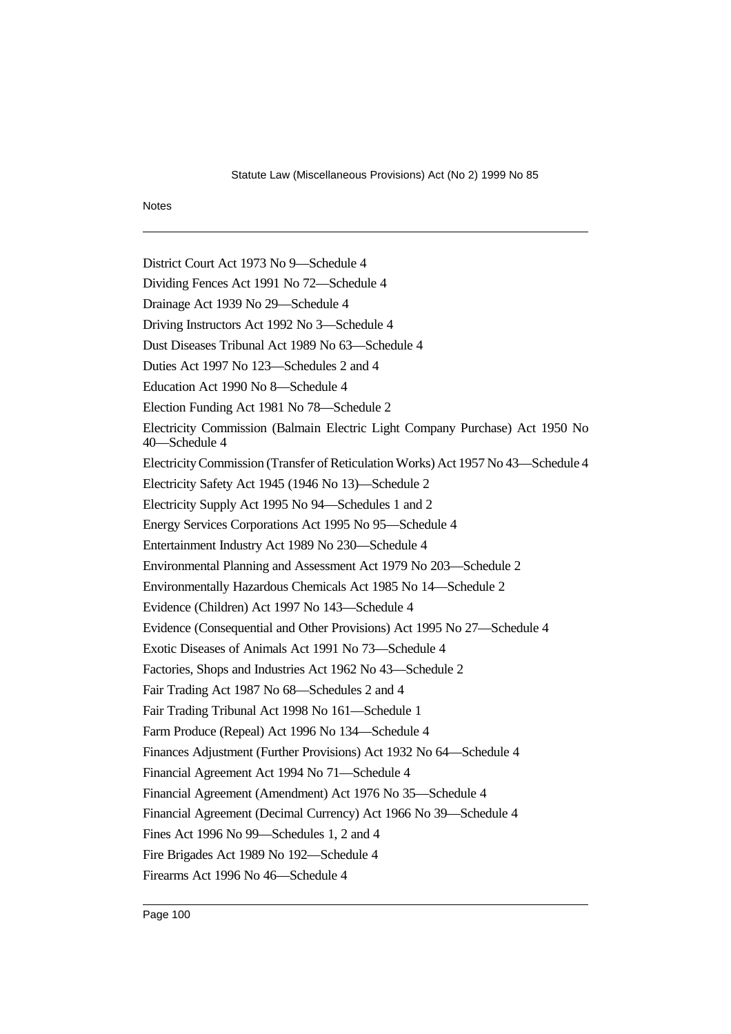### **Notes**

District Court Act 1973 No 9—Schedule 4 Dividing Fences Act 1991 No 72—Schedule 4 Drainage Act 1939 No 29—Schedule 4 Driving Instructors Act 1992 No 3—Schedule 4 Dust Diseases Tribunal Act 1989 No 63—Schedule 4 Duties Act 1997 No 123—Schedules 2 and 4 Education Act 1990 No 8—Schedule 4 Election Funding Act 1981 No 78—Schedule 2 Electricity Commission (Balmain Electric Light Company Purchase) Act 1950 No 40—Schedule 4 Electricity Commission (Transfer of Reticulation Works) Act 1957 No 43—Schedule 4 Electricity Safety Act 1945 (1946 No 13)—Schedule 2 Electricity Supply Act 1995 No 94—Schedules 1 and 2 Energy Services Corporations Act 1995 No 95—Schedule 4 Entertainment Industry Act 1989 No 230—Schedule 4 Environmental Planning and Assessment Act 1979 No 203—Schedule 2 Environmentally Hazardous Chemicals Act 1985 No 14—Schedule 2 Evidence (Children) Act 1997 No 143—Schedule 4 Evidence (Consequential and Other Provisions) Act 1995 No 27—Schedule 4 Exotic Diseases of Animals Act 1991 No 73—Schedule 4 Factories, Shops and Industries Act 1962 No 43—Schedule 2 Fair Trading Act 1987 No 68—Schedules 2 and 4 Fair Trading Tribunal Act 1998 No 161—Schedule 1 Farm Produce (Repeal) Act 1996 No 134—Schedule 4 Finances Adjustment (Further Provisions) Act 1932 No 64—Schedule 4 Financial Agreement Act 1994 No 71—Schedule 4 Financial Agreement (Amendment) Act 1976 No 35—Schedule 4 Financial Agreement (Decimal Currency) Act 1966 No 39—Schedule 4 Fines Act 1996 No 99—Schedules 1, 2 and 4 Fire Brigades Act 1989 No 192—Schedule 4 Firearms Act 1996 No 46—Schedule 4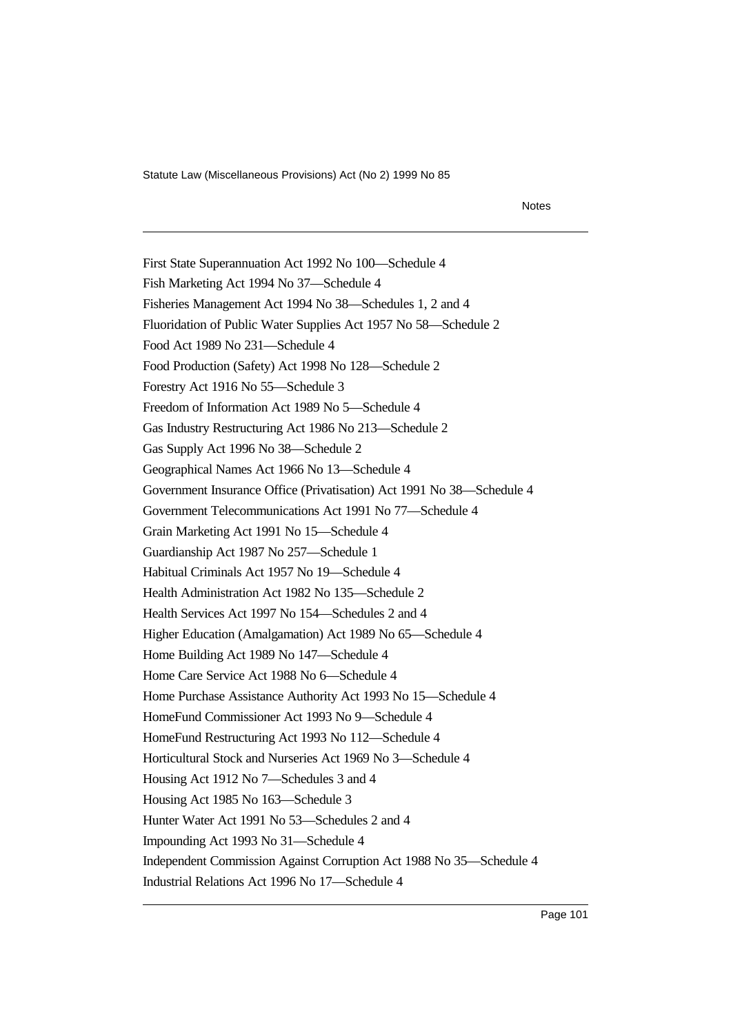Notes

First State Superannuation Act 1992 No 100—Schedule 4 Fish Marketing Act 1994 No 37—Schedule 4 Fisheries Management Act 1994 No 38—Schedules 1, 2 and 4 Fluoridation of Public Water Supplies Act 1957 No 58—Schedule 2 Food Act 1989 No 231—Schedule 4 Food Production (Safety) Act 1998 No 128—Schedule 2 Forestry Act 1916 No 55—Schedule 3 Freedom of Information Act 1989 No 5—Schedule 4 Gas Industry Restructuring Act 1986 No 213—Schedule 2 Gas Supply Act 1996 No 38—Schedule 2 Geographical Names Act 1966 No 13—Schedule 4 Government Insurance Office (Privatisation) Act 1991 No 38—Schedule 4 Government Telecommunications Act 1991 No 77—Schedule 4 Grain Marketing Act 1991 No 15—Schedule 4 Guardianship Act 1987 No 257—Schedule 1 Habitual Criminals Act 1957 No 19—Schedule 4 Health Administration Act 1982 No 135—Schedule 2 Health Services Act 1997 No 154—Schedules 2 and 4 Higher Education (Amalgamation) Act 1989 No 65—Schedule 4 Home Building Act 1989 No 147—Schedule 4 Home Care Service Act 1988 No 6—Schedule 4 Home Purchase Assistance Authority Act 1993 No 15—Schedule 4 HomeFund Commissioner Act 1993 No 9—Schedule 4 HomeFund Restructuring Act 1993 No 112—Schedule 4 Horticultural Stock and Nurseries Act 1969 No 3—Schedule 4 Housing Act 1912 No 7—Schedules 3 and 4 Housing Act 1985 No 163—Schedule 3 Hunter Water Act 1991 No 53—Schedules 2 and 4 Impounding Act 1993 No 31—Schedule 4 Independent Commission Against Corruption Act 1988 No 35—Schedule 4 Industrial Relations Act 1996 No 17—Schedule 4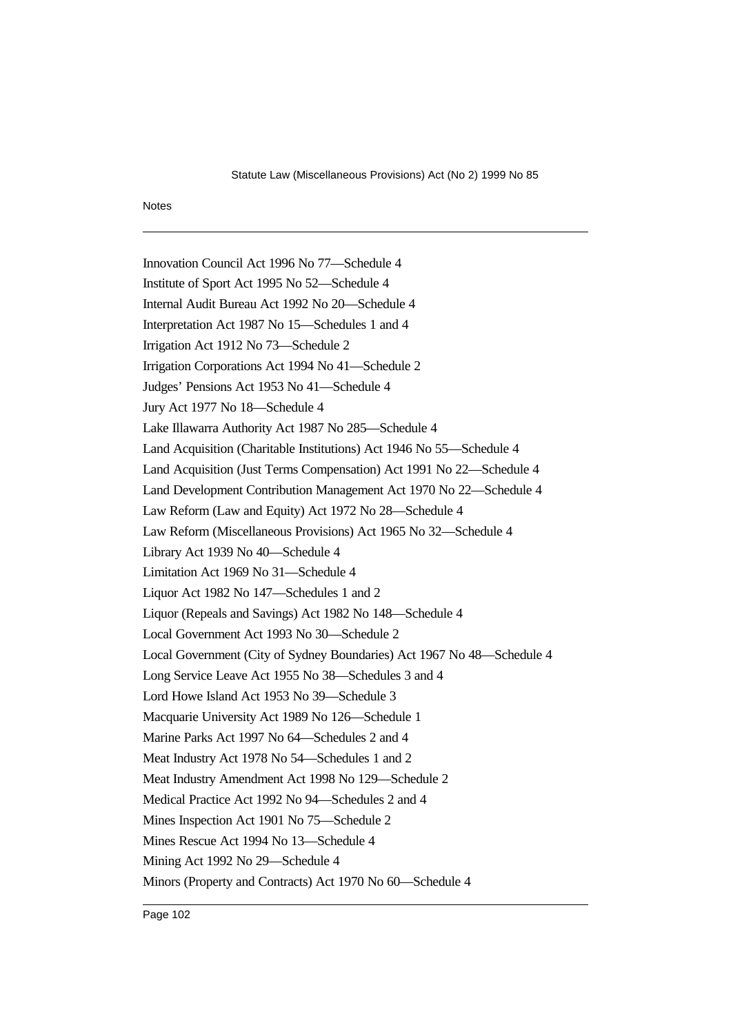### Notes

Innovation Council Act 1996 No 77—Schedule 4 Institute of Sport Act 1995 No 52—Schedule 4 Internal Audit Bureau Act 1992 No 20—Schedule 4 Interpretation Act 1987 No 15—Schedules 1 and 4 Irrigation Act 1912 No 73—Schedule 2 Irrigation Corporations Act 1994 No 41—Schedule 2 Judges' Pensions Act 1953 No 41—Schedule 4 Jury Act 1977 No 18—Schedule 4 Lake Illawarra Authority Act 1987 No 285—Schedule 4 Land Acquisition (Charitable Institutions) Act 1946 No 55—Schedule 4 Land Acquisition (Just Terms Compensation) Act 1991 No 22—Schedule 4 Land Development Contribution Management Act 1970 No 22—Schedule 4 Law Reform (Law and Equity) Act 1972 No 28—Schedule 4 Law Reform (Miscellaneous Provisions) Act 1965 No 32—Schedule 4 Library Act 1939 No 40—Schedule 4 Limitation Act 1969 No 31—Schedule 4 Liquor Act 1982 No 147—Schedules 1 and 2 Liquor (Repeals and Savings) Act 1982 No 148—Schedule 4 Local Government Act 1993 No 30—Schedule 2 Local Government (City of Sydney Boundaries) Act 1967 No 48—Schedule 4 Long Service Leave Act 1955 No 38—Schedules 3 and 4 Lord Howe Island Act 1953 No 39—Schedule 3 Macquarie University Act 1989 No 126—Schedule 1 Marine Parks Act 1997 No 64—Schedules 2 and 4 Meat Industry Act 1978 No 54—Schedules 1 and 2 Meat Industry Amendment Act 1998 No 129—Schedule 2 Medical Practice Act 1992 No 94—Schedules 2 and 4 Mines Inspection Act 1901 No 75—Schedule 2 Mines Rescue Act 1994 No 13—Schedule 4 Mining Act 1992 No 29—Schedule 4 Minors (Property and Contracts) Act 1970 No 60—Schedule 4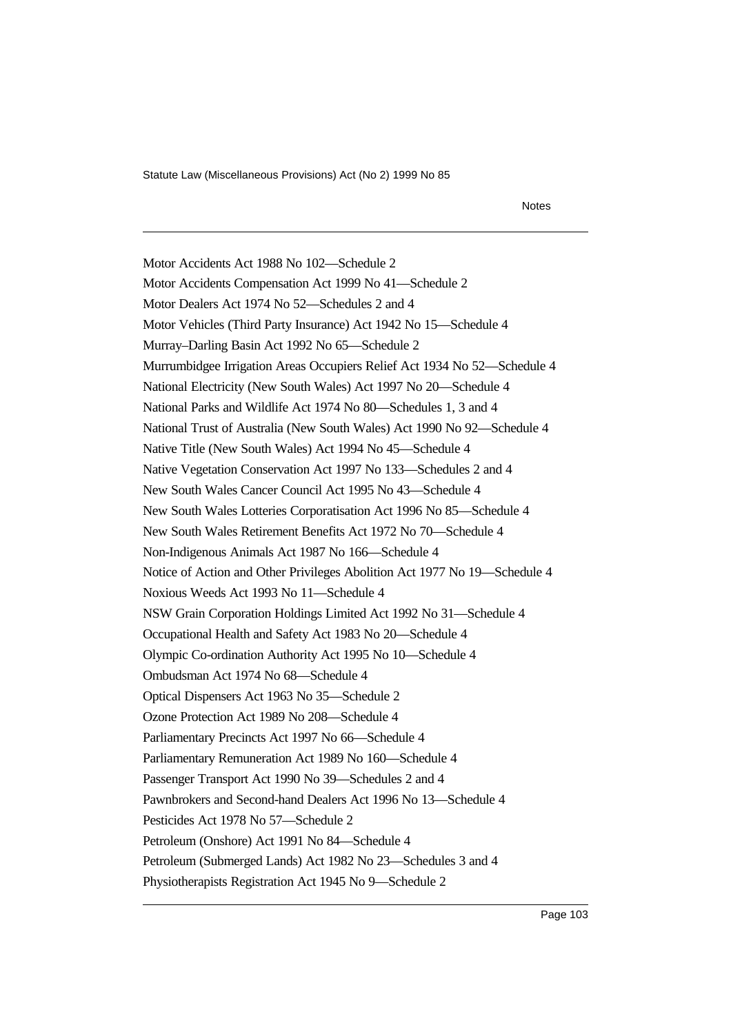Notes

Motor Accidents Act 1988 No 102—Schedule 2 Motor Accidents Compensation Act 1999 No 41—Schedule 2 Motor Dealers Act 1974 No 52—Schedules 2 and 4 Motor Vehicles (Third Party Insurance) Act 1942 No 15—Schedule 4 Murray–Darling Basin Act 1992 No 65—Schedule 2 Murrumbidgee Irrigation Areas Occupiers Relief Act 1934 No 52—Schedule 4 National Electricity (New South Wales) Act 1997 No 20—Schedule 4 National Parks and Wildlife Act 1974 No 80—Schedules 1, 3 and 4 National Trust of Australia (New South Wales) Act 1990 No 92—Schedule 4 Native Title (New South Wales) Act 1994 No 45—Schedule 4 Native Vegetation Conservation Act 1997 No 133—Schedules 2 and 4 New South Wales Cancer Council Act 1995 No 43—Schedule 4 New South Wales Lotteries Corporatisation Act 1996 No 85—Schedule 4 New South Wales Retirement Benefits Act 1972 No 70—Schedule 4 Non-Indigenous Animals Act 1987 No 166—Schedule 4 Notice of Action and Other Privileges Abolition Act 1977 No 19—Schedule 4 Noxious Weeds Act 1993 No 11—Schedule 4 NSW Grain Corporation Holdings Limited Act 1992 No 31—Schedule 4 Occupational Health and Safety Act 1983 No 20—Schedule 4 Olympic Co-ordination Authority Act 1995 No 10—Schedule 4 Ombudsman Act 1974 No 68—Schedule 4 Optical Dispensers Act 1963 No 35—Schedule 2 Ozone Protection Act 1989 No 208—Schedule 4 Parliamentary Precincts Act 1997 No 66—Schedule 4 Parliamentary Remuneration Act 1989 No 160—Schedule 4 Passenger Transport Act 1990 No 39—Schedules 2 and 4 Pawnbrokers and Second-hand Dealers Act 1996 No 13—Schedule 4 Pesticides Act 1978 No 57—Schedule 2 Petroleum (Onshore) Act 1991 No 84—Schedule 4 Petroleum (Submerged Lands) Act 1982 No 23—Schedules 3 and 4 Physiotherapists Registration Act 1945 No 9—Schedule 2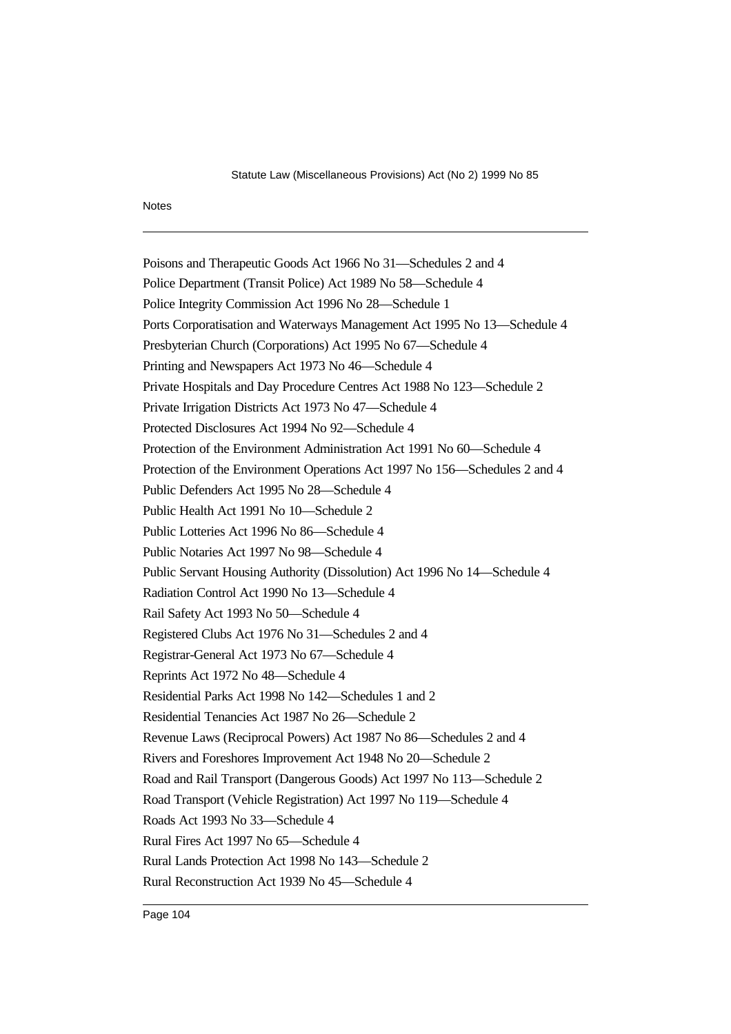### Notes

Poisons and Therapeutic Goods Act 1966 No 31—Schedules 2 and 4 Police Department (Transit Police) Act 1989 No 58—Schedule 4 Police Integrity Commission Act 1996 No 28—Schedule 1 Ports Corporatisation and Waterways Management Act 1995 No 13—Schedule 4 Presbyterian Church (Corporations) Act 1995 No 67—Schedule 4 Printing and Newspapers Act 1973 No 46—Schedule 4 Private Hospitals and Day Procedure Centres Act 1988 No 123—Schedule 2 Private Irrigation Districts Act 1973 No 47—Schedule 4 Protected Disclosures Act 1994 No 92—Schedule 4 Protection of the Environment Administration Act 1991 No 60—Schedule 4 Protection of the Environment Operations Act 1997 No 156—Schedules 2 and 4 Public Defenders Act 1995 No 28—Schedule 4 Public Health Act 1991 No 10—Schedule 2 Public Lotteries Act 1996 No 86—Schedule 4 Public Notaries Act 1997 No 98—Schedule 4 Public Servant Housing Authority (Dissolution) Act 1996 No 14—Schedule 4 Radiation Control Act 1990 No 13—Schedule 4 Rail Safety Act 1993 No 50—Schedule 4 Registered Clubs Act 1976 No 31—Schedules 2 and 4 Registrar-General Act 1973 No 67—Schedule 4 Reprints Act 1972 No 48—Schedule 4 Residential Parks Act 1998 No 142—Schedules 1 and 2 Residential Tenancies Act 1987 No 26—Schedule 2 Revenue Laws (Reciprocal Powers) Act 1987 No 86—Schedules 2 and 4 Rivers and Foreshores Improvement Act 1948 No 20—Schedule 2 Road and Rail Transport (Dangerous Goods) Act 1997 No 113—Schedule 2 Road Transport (Vehicle Registration) Act 1997 No 119—Schedule 4 Roads Act 1993 No 33—Schedule 4 Rural Fires Act 1997 No 65—Schedule 4 Rural Lands Protection Act 1998 No 143—Schedule 2 Rural Reconstruction Act 1939 No 45—Schedule 4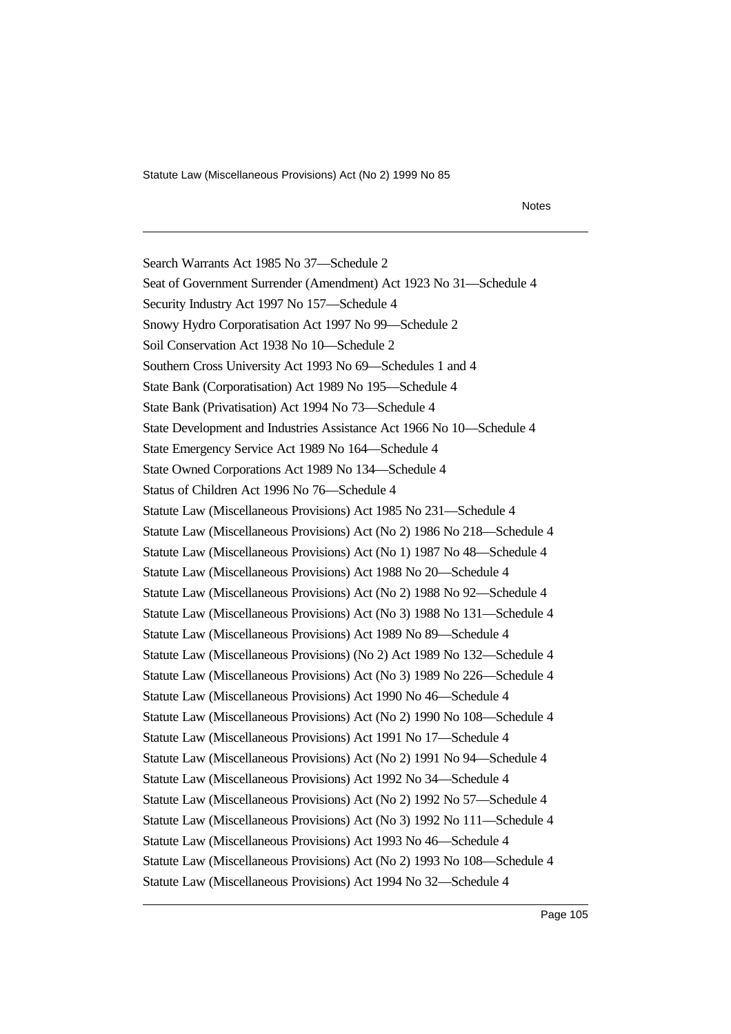### Notes

Search Warrants Act 1985 No 37—Schedule 2 Seat of Government Surrender (Amendment) Act 1923 No 31—Schedule 4 Security Industry Act 1997 No 157—Schedule 4 Snowy Hydro Corporatisation Act 1997 No 99—Schedule 2 Soil Conservation Act 1938 No 10—Schedule 2 Southern Cross University Act 1993 No 69—Schedules 1 and 4 State Bank (Corporatisation) Act 1989 No 195—Schedule 4 State Bank (Privatisation) Act 1994 No 73—Schedule 4 State Development and Industries Assistance Act 1966 No 10—Schedule 4 State Emergency Service Act 1989 No 164—Schedule 4 State Owned Corporations Act 1989 No 134—Schedule 4 Status of Children Act 1996 No 76—Schedule 4 Statute Law (Miscellaneous Provisions) Act 1985 No 231—Schedule 4 Statute Law (Miscellaneous Provisions) Act (No 2) 1986 No 218—Schedule 4 Statute Law (Miscellaneous Provisions) Act (No 1) 1987 No 48—Schedule 4 Statute Law (Miscellaneous Provisions) Act 1988 No 20—Schedule 4 Statute Law (Miscellaneous Provisions) Act (No 2) 1988 No 92—Schedule 4 Statute Law (Miscellaneous Provisions) Act (No 3) 1988 No 131—Schedule 4 Statute Law (Miscellaneous Provisions) Act 1989 No 89—Schedule 4 Statute Law (Miscellaneous Provisions) (No 2) Act 1989 No 132—Schedule 4 Statute Law (Miscellaneous Provisions) Act (No 3) 1989 No 226—Schedule 4 Statute Law (Miscellaneous Provisions) Act 1990 No 46—Schedule 4 Statute Law (Miscellaneous Provisions) Act (No 2) 1990 No 108—Schedule 4 Statute Law (Miscellaneous Provisions) Act 1991 No 17—Schedule 4 Statute Law (Miscellaneous Provisions) Act (No 2) 1991 No 94—Schedule 4 Statute Law (Miscellaneous Provisions) Act 1992 No 34—Schedule 4 Statute Law (Miscellaneous Provisions) Act (No 2) 1992 No 57—Schedule 4 Statute Law (Miscellaneous Provisions) Act (No 3) 1992 No 111—Schedule 4 Statute Law (Miscellaneous Provisions) Act 1993 No 46—Schedule 4 Statute Law (Miscellaneous Provisions) Act (No 2) 1993 No 108—Schedule 4 Statute Law (Miscellaneous Provisions) Act 1994 No 32—Schedule 4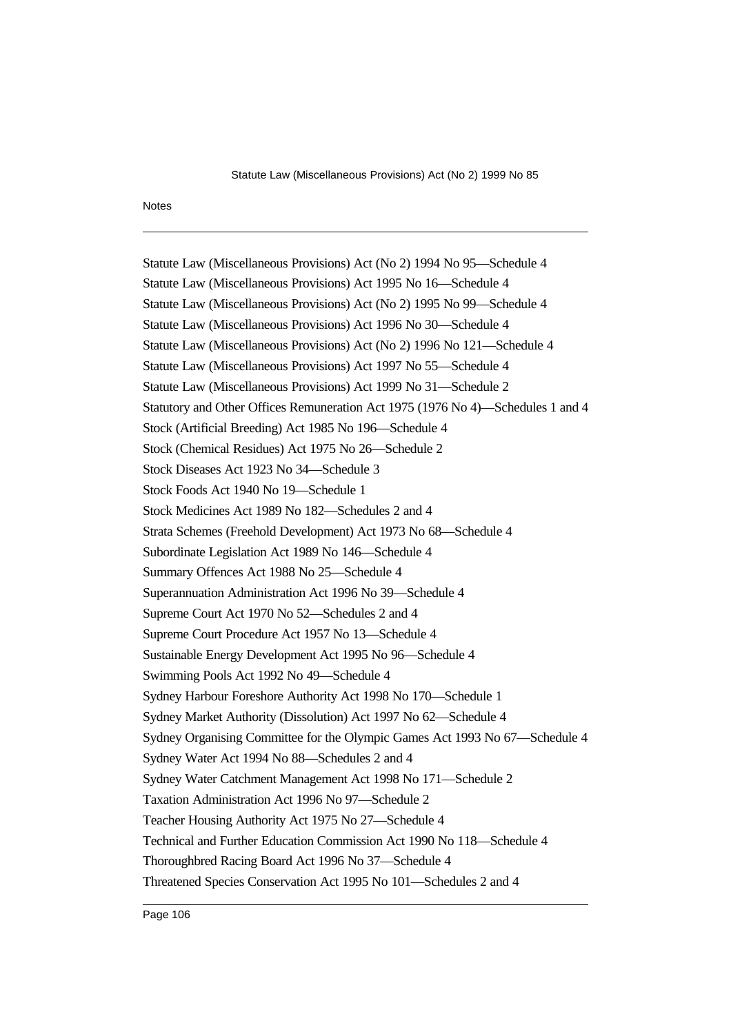### Notes

Statute Law (Miscellaneous Provisions) Act (No 2) 1994 No 95—Schedule 4 Statute Law (Miscellaneous Provisions) Act 1995 No 16—Schedule 4 Statute Law (Miscellaneous Provisions) Act (No 2) 1995 No 99—Schedule 4 Statute Law (Miscellaneous Provisions) Act 1996 No 30—Schedule 4 Statute Law (Miscellaneous Provisions) Act (No 2) 1996 No 121—Schedule 4 Statute Law (Miscellaneous Provisions) Act 1997 No 55—Schedule 4 Statute Law (Miscellaneous Provisions) Act 1999 No 31—Schedule 2 Statutory and Other Offices Remuneration Act 1975 (1976 No 4)—Schedules 1 and 4 Stock (Artificial Breeding) Act 1985 No 196—Schedule 4 Stock (Chemical Residues) Act 1975 No 26—Schedule 2 Stock Diseases Act 1923 No 34—Schedule 3 Stock Foods Act 1940 No 19—Schedule 1 Stock Medicines Act 1989 No 182—Schedules 2 and 4 Strata Schemes (Freehold Development) Act 1973 No 68—Schedule 4 Subordinate Legislation Act 1989 No 146—Schedule 4 Summary Offences Act 1988 No 25—Schedule 4 Superannuation Administration Act 1996 No 39—Schedule 4 Supreme Court Act 1970 No 52—Schedules 2 and 4 Supreme Court Procedure Act 1957 No 13—Schedule 4 Sustainable Energy Development Act 1995 No 96—Schedule 4 Swimming Pools Act 1992 No 49—Schedule 4 Sydney Harbour Foreshore Authority Act 1998 No 170—Schedule 1 Sydney Market Authority (Dissolution) Act 1997 No 62—Schedule 4 Sydney Organising Committee for the Olympic Games Act 1993 No 67—Schedule 4 Sydney Water Act 1994 No 88—Schedules 2 and 4 Sydney Water Catchment Management Act 1998 No 171—Schedule 2 Taxation Administration Act 1996 No 97—Schedule 2 Teacher Housing Authority Act 1975 No 27—Schedule 4 Technical and Further Education Commission Act 1990 No 118—Schedule 4 Thoroughbred Racing Board Act 1996 No 37—Schedule 4 Threatened Species Conservation Act 1995 No 101—Schedules 2 and 4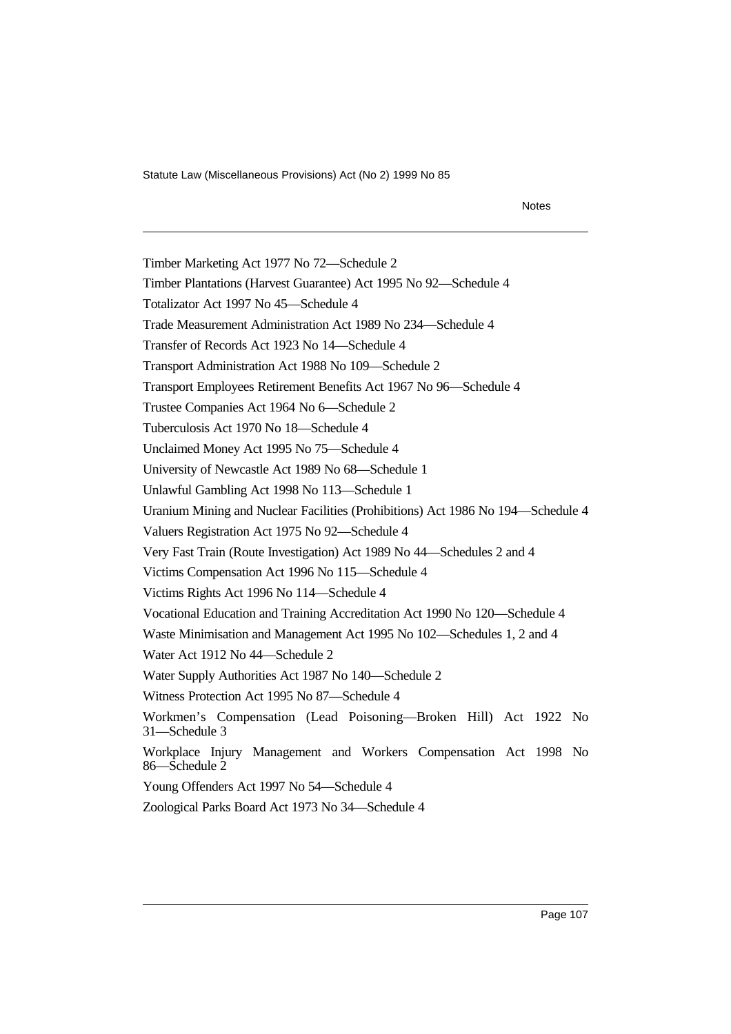#### Notes

Timber Marketing Act 1977 No 72—Schedule 2 Timber Plantations (Harvest Guarantee) Act 1995 No 92—Schedule 4 Totalizator Act 1997 No 45—Schedule 4 Trade Measurement Administration Act 1989 No 234—Schedule 4 Transfer of Records Act 1923 No 14—Schedule 4 Transport Administration Act 1988 No 109—Schedule 2 Transport Employees Retirement Benefits Act 1967 No 96—Schedule 4 Trustee Companies Act 1964 No 6—Schedule 2 Tuberculosis Act 1970 No 18—Schedule 4 Unclaimed Money Act 1995 No 75—Schedule 4 University of Newcastle Act 1989 No 68—Schedule 1 Unlawful Gambling Act 1998 No 113—Schedule 1 Uranium Mining and Nuclear Facilities (Prohibitions) Act 1986 No 194—Schedule 4 Valuers Registration Act 1975 No 92—Schedule 4 Very Fast Train (Route Investigation) Act 1989 No 44—Schedules 2 and 4 Victims Compensation Act 1996 No 115—Schedule 4 Victims Rights Act 1996 No 114—Schedule 4 Vocational Education and Training Accreditation Act 1990 No 120—Schedule 4 Waste Minimisation and Management Act 1995 No 102—Schedules 1, 2 and 4 Water Act 1912 No 44—Schedule 2 Water Supply Authorities Act 1987 No 140—Schedule 2 Witness Protection Act 1995 No 87—Schedule 4 Workmen's Compensation (Lead Poisoning—Broken Hill) Act 1922 No 31—Schedule 3 Workplace Injury Management and Workers Compensation Act 1998 No 86—Schedule 2 Young Offenders Act 1997 No 54—Schedule 4 Zoological Parks Board Act 1973 No 34—Schedule 4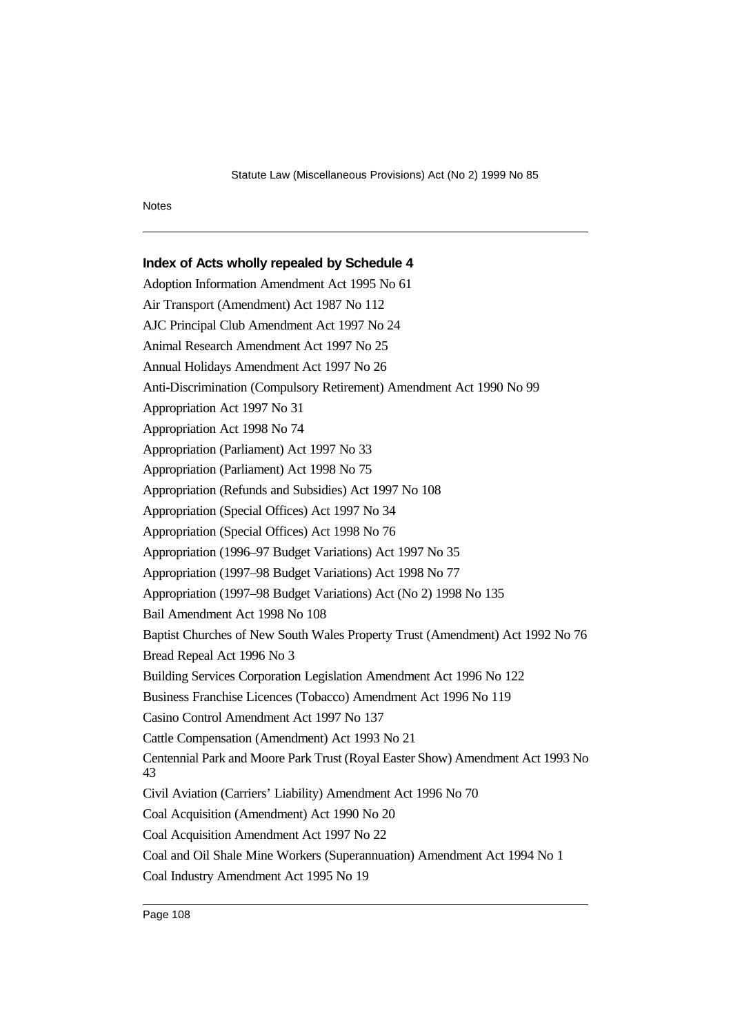# **Index of Acts wholly repealed by Schedule 4**

Adoption Information Amendment Act 1995 No 61 Air Transport (Amendment) Act 1987 No 112 AJC Principal Club Amendment Act 1997 No 24 Animal Research Amendment Act 1997 No 25 Annual Holidays Amendment Act 1997 No 26 Anti-Discrimination (Compulsory Retirement) Amendment Act 1990 No 99 Appropriation Act 1997 No 31 Appropriation Act 1998 No 74 Appropriation (Parliament) Act 1997 No 33 Appropriation (Parliament) Act 1998 No 75 Appropriation (Refunds and Subsidies) Act 1997 No 108 Appropriation (Special Offices) Act 1997 No 34 Appropriation (Special Offices) Act 1998 No 76 Appropriation (1996–97 Budget Variations) Act 1997 No 35 Appropriation (1997–98 Budget Variations) Act 1998 No 77 Appropriation (1997–98 Budget Variations) Act (No 2) 1998 No 135 Bail Amendment Act 1998 No 108 Baptist Churches of New South Wales Property Trust (Amendment) Act 1992 No 76 Bread Repeal Act 1996 No 3 Building Services Corporation Legislation Amendment Act 1996 No 122 Business Franchise Licences (Tobacco) Amendment Act 1996 No 119 Casino Control Amendment Act 1997 No 137 Cattle Compensation (Amendment) Act 1993 No 21 Centennial Park and Moore Park Trust (Royal Easter Show) Amendment Act 1993 No 43 Civil Aviation (Carriers' Liability) Amendment Act 1996 No 70 Coal Acquisition (Amendment) Act 1990 No 20 Coal Acquisition Amendment Act 1997 No 22 Coal and Oil Shale Mine Workers (Superannuation) Amendment Act 1994 No 1 Coal Industry Amendment Act 1995 No 19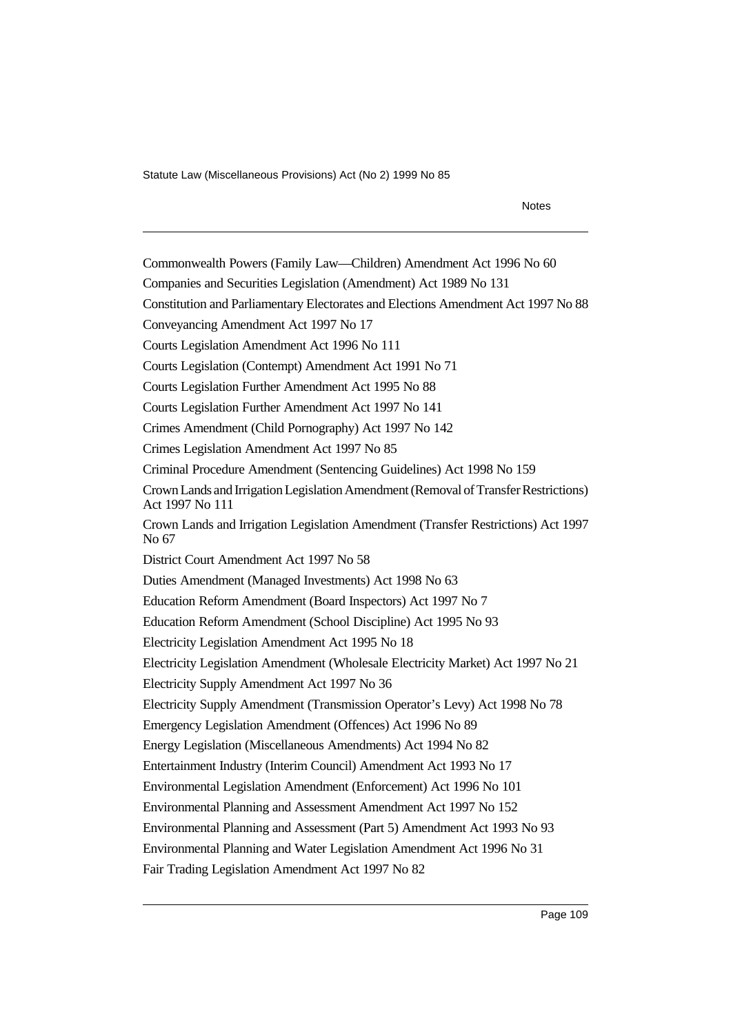Notes

Commonwealth Powers (Family Law—Children) Amendment Act 1996 No 60 Companies and Securities Legislation (Amendment) Act 1989 No 131 Constitution and Parliamentary Electorates and Elections Amendment Act 1997 No 88 Conveyancing Amendment Act 1997 No 17 Courts Legislation Amendment Act 1996 No 111 Courts Legislation (Contempt) Amendment Act 1991 No 71 Courts Legislation Further Amendment Act 1995 No 88 Courts Legislation Further Amendment Act 1997 No 141 Crimes Amendment (Child Pornography) Act 1997 No 142 Crimes Legislation Amendment Act 1997 No 85 Criminal Procedure Amendment (Sentencing Guidelines) Act 1998 No 159 Crown Lands and Irrigation Legislation Amendment (Removal of Transfer Restrictions) Act 1997 No 111 Crown Lands and Irrigation Legislation Amendment (Transfer Restrictions) Act 1997 No 67 District Court Amendment Act 1997 No 58 Duties Amendment (Managed Investments) Act 1998 No 63 Education Reform Amendment (Board Inspectors) Act 1997 No 7 Education Reform Amendment (School Discipline) Act 1995 No 93 Electricity Legislation Amendment Act 1995 No 18 Electricity Legislation Amendment (Wholesale Electricity Market) Act 1997 No 21 Electricity Supply Amendment Act 1997 No 36 Electricity Supply Amendment (Transmission Operator's Levy) Act 1998 No 78 Emergency Legislation Amendment (Offences) Act 1996 No 89 Energy Legislation (Miscellaneous Amendments) Act 1994 No 82 Entertainment Industry (Interim Council) Amendment Act 1993 No 17 Environmental Legislation Amendment (Enforcement) Act 1996 No 101 Environmental Planning and Assessment Amendment Act 1997 No 152 Environmental Planning and Assessment (Part 5) Amendment Act 1993 No 93 Environmental Planning and Water Legislation Amendment Act 1996 No 31 Fair Trading Legislation Amendment Act 1997 No 82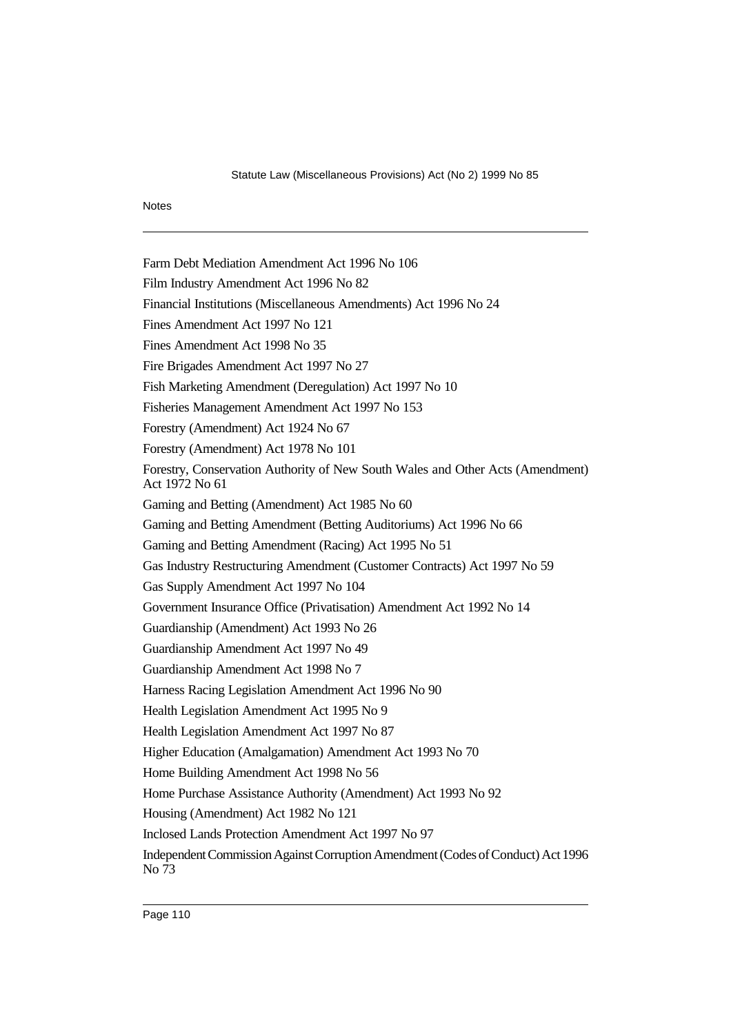Farm Debt Mediation Amendment Act 1996 No 106 Film Industry Amendment Act 1996 No 82 Financial Institutions (Miscellaneous Amendments) Act 1996 No 24 Fines Amendment Act 1997 No 121 Fines Amendment Act 1998 No 35 Fire Brigades Amendment Act 1997 No 27 Fish Marketing Amendment (Deregulation) Act 1997 No 10 Fisheries Management Amendment Act 1997 No 153 Forestry (Amendment) Act 1924 No 67 Forestry (Amendment) Act 1978 No 101 Forestry, Conservation Authority of New South Wales and Other Acts (Amendment) Act 1972 No 61 Gaming and Betting (Amendment) Act 1985 No 60 Gaming and Betting Amendment (Betting Auditoriums) Act 1996 No 66 Gaming and Betting Amendment (Racing) Act 1995 No 51 Gas Industry Restructuring Amendment (Customer Contracts) Act 1997 No 59 Gas Supply Amendment Act 1997 No 104 Government Insurance Office (Privatisation) Amendment Act 1992 No 14 Guardianship (Amendment) Act 1993 No 26 Guardianship Amendment Act 1997 No 49 Guardianship Amendment Act 1998 No 7 Harness Racing Legislation Amendment Act 1996 No 90 Health Legislation Amendment Act 1995 No 9 Health Legislation Amendment Act 1997 No 87 Higher Education (Amalgamation) Amendment Act 1993 No 70 Home Building Amendment Act 1998 No 56 Home Purchase Assistance Authority (Amendment) Act 1993 No 92 Housing (Amendment) Act 1982 No 121 Inclosed Lands Protection Amendment Act 1997 No 97 Independent Commission Against Corruption Amendment (Codes of Conduct) Act 1996 No 73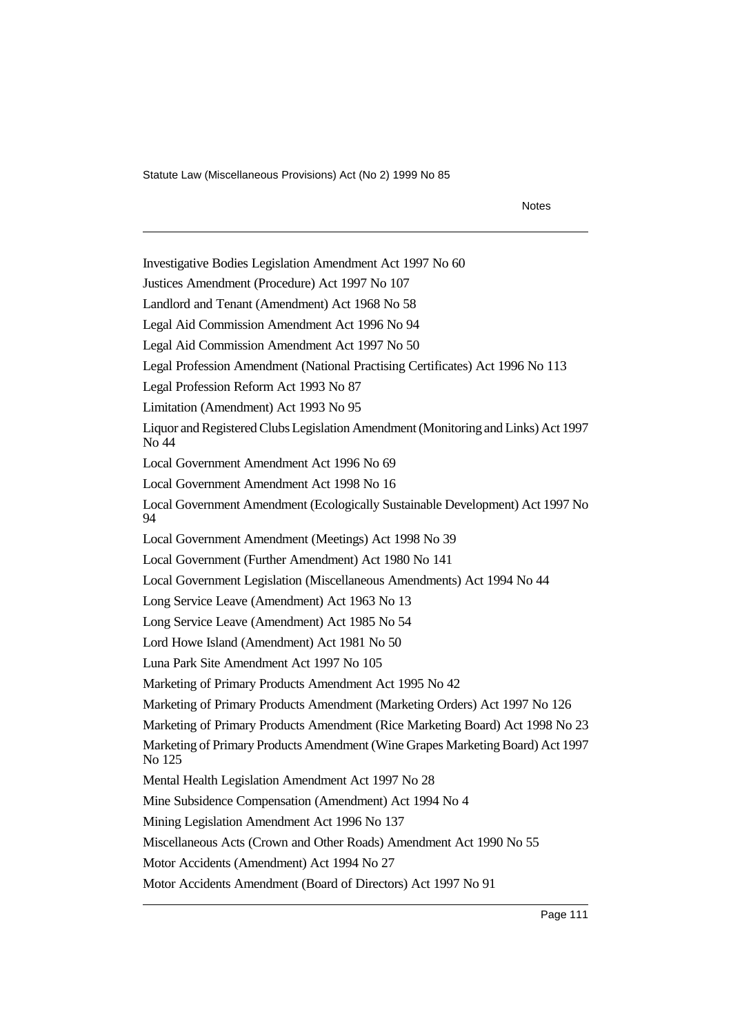Notes Investigative Bodies Legislation Amendment Act 1997 No 60 Justices Amendment (Procedure) Act 1997 No 107 Landlord and Tenant (Amendment) Act 1968 No 58 Legal Aid Commission Amendment Act 1996 No 94 Legal Aid Commission Amendment Act 1997 No 50 Legal Profession Amendment (National Practising Certificates) Act 1996 No 113 Legal Profession Reform Act 1993 No 87 Limitation (Amendment) Act 1993 No 95 Liquor and Registered Clubs Legislation Amendment (Monitoring and Links) Act 1997 No 44 Local Government Amendment Act 1996 No 69 Local Government Amendment Act 1998 No 16 Local Government Amendment (Ecologically Sustainable Development) Act 1997 No 94 Local Government Amendment (Meetings) Act 1998 No 39 Local Government (Further Amendment) Act 1980 No 141 Local Government Legislation (Miscellaneous Amendments) Act 1994 No 44 Long Service Leave (Amendment) Act 1963 No 13 Long Service Leave (Amendment) Act 1985 No 54 Lord Howe Island (Amendment) Act 1981 No 50 Luna Park Site Amendment Act 1997 No 105 Marketing of Primary Products Amendment Act 1995 No 42 Marketing of Primary Products Amendment (Marketing Orders) Act 1997 No 126 Marketing of Primary Products Amendment (Rice Marketing Board) Act 1998 No 23 Marketing of Primary Products Amendment (Wine Grapes Marketing Board) Act 1997 No 125 Mental Health Legislation Amendment Act 1997 No 28 Mine Subsidence Compensation (Amendment) Act 1994 No 4 Mining Legislation Amendment Act 1996 No 137 Miscellaneous Acts (Crown and Other Roads) Amendment Act 1990 No 55 Motor Accidents (Amendment) Act 1994 No 27

Motor Accidents Amendment (Board of Directors) Act 1997 No 91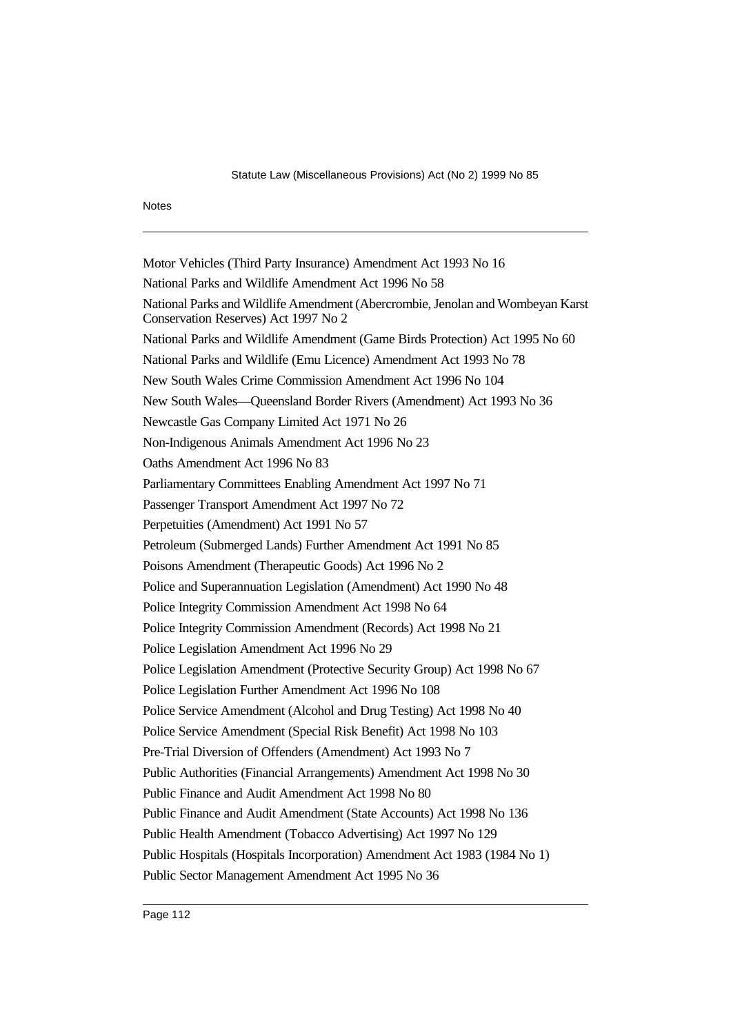Motor Vehicles (Third Party Insurance) Amendment Act 1993 No 16 National Parks and Wildlife Amendment Act 1996 No 58 National Parks and Wildlife Amendment (Abercrombie, Jenolan and Wombeyan Karst Conservation Reserves) Act 1997 No 2 National Parks and Wildlife Amendment (Game Birds Protection) Act 1995 No 60 National Parks and Wildlife (Emu Licence) Amendment Act 1993 No 78 New South Wales Crime Commission Amendment Act 1996 No 104 New South Wales—Queensland Border Rivers (Amendment) Act 1993 No 36 Newcastle Gas Company Limited Act 1971 No 26 Non-Indigenous Animals Amendment Act 1996 No 23 Oaths Amendment Act 1996 No 83 Parliamentary Committees Enabling Amendment Act 1997 No 71 Passenger Transport Amendment Act 1997 No 72 Perpetuities (Amendment) Act 1991 No 57 Petroleum (Submerged Lands) Further Amendment Act 1991 No 85 Poisons Amendment (Therapeutic Goods) Act 1996 No 2 Police and Superannuation Legislation (Amendment) Act 1990 No 48 Police Integrity Commission Amendment Act 1998 No 64 Police Integrity Commission Amendment (Records) Act 1998 No 21 Police Legislation Amendment Act 1996 No 29 Police Legislation Amendment (Protective Security Group) Act 1998 No 67 Police Legislation Further Amendment Act 1996 No 108 Police Service Amendment (Alcohol and Drug Testing) Act 1998 No 40 Police Service Amendment (Special Risk Benefit) Act 1998 No 103 Pre-Trial Diversion of Offenders (Amendment) Act 1993 No 7 Public Authorities (Financial Arrangements) Amendment Act 1998 No 30 Public Finance and Audit Amendment Act 1998 No 80 Public Finance and Audit Amendment (State Accounts) Act 1998 No 136 Public Health Amendment (Tobacco Advertising) Act 1997 No 129 Public Hospitals (Hospitals Incorporation) Amendment Act 1983 (1984 No 1) Public Sector Management Amendment Act 1995 No 36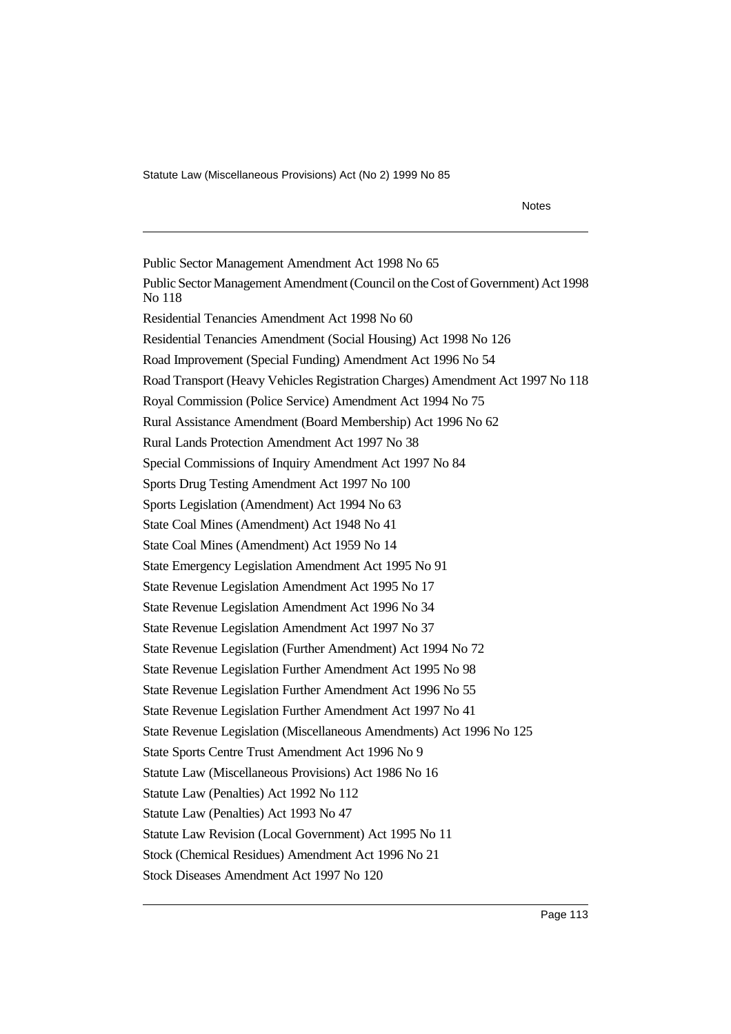Notes

Public Sector Management Amendment Act 1998 No 65 Public Sector Management Amendment (Council on the Cost of Government) Act 1998 No 118 Residential Tenancies Amendment Act 1998 No 60 Residential Tenancies Amendment (Social Housing) Act 1998 No 126 Road Improvement (Special Funding) Amendment Act 1996 No 54 Road Transport (Heavy Vehicles Registration Charges) Amendment Act 1997 No 118 Royal Commission (Police Service) Amendment Act 1994 No 75 Rural Assistance Amendment (Board Membership) Act 1996 No 62 Rural Lands Protection Amendment Act 1997 No 38 Special Commissions of Inquiry Amendment Act 1997 No 84 Sports Drug Testing Amendment Act 1997 No 100 Sports Legislation (Amendment) Act 1994 No 63 State Coal Mines (Amendment) Act 1948 No 41 State Coal Mines (Amendment) Act 1959 No 14 State Emergency Legislation Amendment Act 1995 No 91 State Revenue Legislation Amendment Act 1995 No 17 State Revenue Legislation Amendment Act 1996 No 34 State Revenue Legislation Amendment Act 1997 No 37 State Revenue Legislation (Further Amendment) Act 1994 No 72 State Revenue Legislation Further Amendment Act 1995 No 98 State Revenue Legislation Further Amendment Act 1996 No 55 State Revenue Legislation Further Amendment Act 1997 No 41 State Revenue Legislation (Miscellaneous Amendments) Act 1996 No 125 State Sports Centre Trust Amendment Act 1996 No 9 Statute Law (Miscellaneous Provisions) Act 1986 No 16 Statute Law (Penalties) Act 1992 No 112 Statute Law (Penalties) Act 1993 No 47 Statute Law Revision (Local Government) Act 1995 No 11 Stock (Chemical Residues) Amendment Act 1996 No 21 Stock Diseases Amendment Act 1997 No 120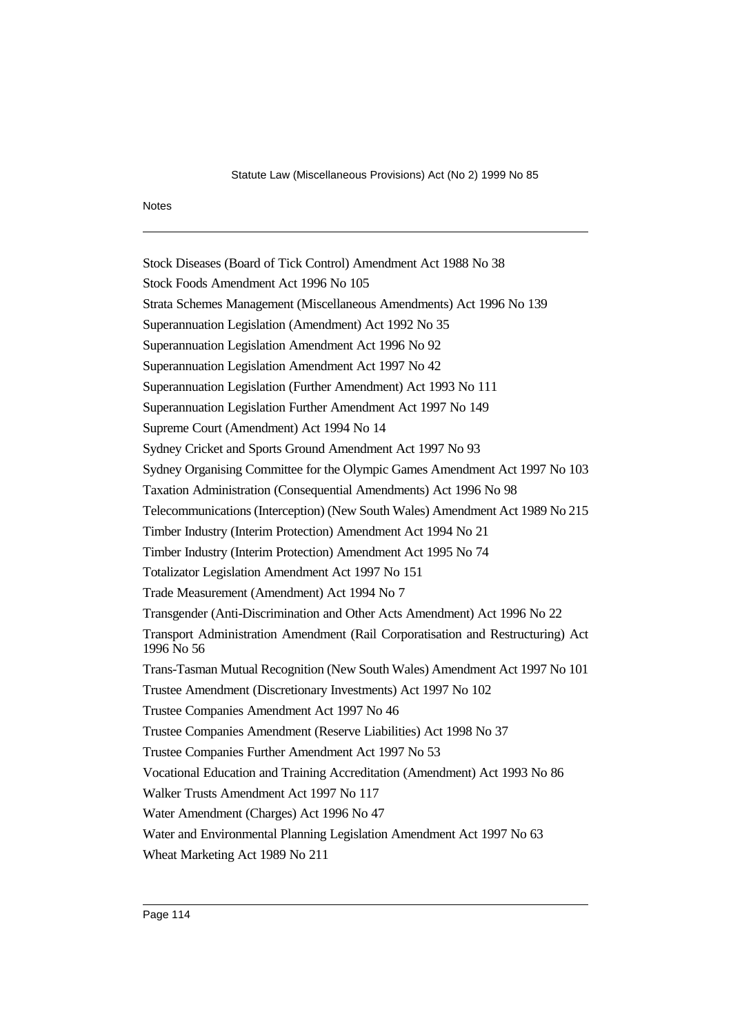Stock Diseases (Board of Tick Control) Amendment Act 1988 No 38 Stock Foods Amendment Act 1996 No 105 Strata Schemes Management (Miscellaneous Amendments) Act 1996 No 139 Superannuation Legislation (Amendment) Act 1992 No 35 Superannuation Legislation Amendment Act 1996 No 92 Superannuation Legislation Amendment Act 1997 No 42 Superannuation Legislation (Further Amendment) Act 1993 No 111 Superannuation Legislation Further Amendment Act 1997 No 149 Supreme Court (Amendment) Act 1994 No 14 Sydney Cricket and Sports Ground Amendment Act 1997 No 93 Sydney Organising Committee for the Olympic Games Amendment Act 1997 No 103 Taxation Administration (Consequential Amendments) Act 1996 No 98 Telecommunications (Interception) (New South Wales) Amendment Act 1989 No 215 Timber Industry (Interim Protection) Amendment Act 1994 No 21 Timber Industry (Interim Protection) Amendment Act 1995 No 74 Totalizator Legislation Amendment Act 1997 No 151 Trade Measurement (Amendment) Act 1994 No 7 Transgender (Anti-Discrimination and Other Acts Amendment) Act 1996 No 22 Transport Administration Amendment (Rail Corporatisation and Restructuring) Act 1996 No 56 Trans-Tasman Mutual Recognition (New South Wales) Amendment Act 1997 No 101 Trustee Amendment (Discretionary Investments) Act 1997 No 102 Trustee Companies Amendment Act 1997 No 46 Trustee Companies Amendment (Reserve Liabilities) Act 1998 No 37 Trustee Companies Further Amendment Act 1997 No 53 Vocational Education and Training Accreditation (Amendment) Act 1993 No 86 Walker Trusts Amendment Act 1997 No 117 Water Amendment (Charges) Act 1996 No 47 Water and Environmental Planning Legislation Amendment Act 1997 No 63 Wheat Marketing Act 1989 No 211